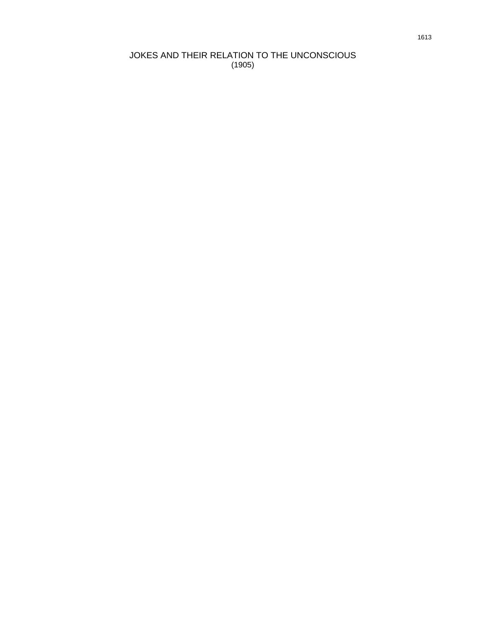

# JOKES AND THEIR RELATION TO THE UNCONSCIOUS (1905)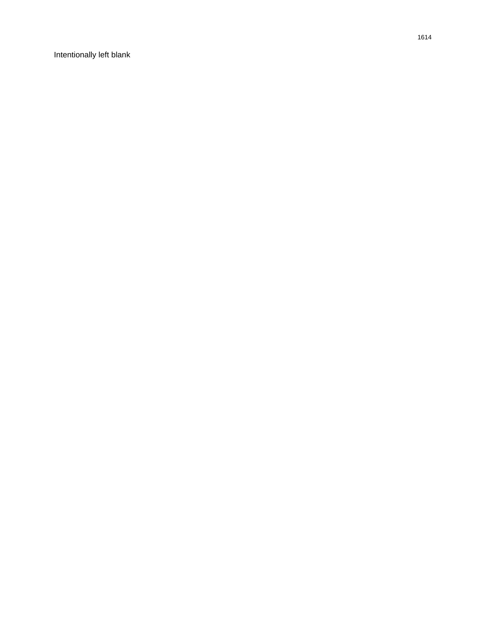1614

Intentionally left blank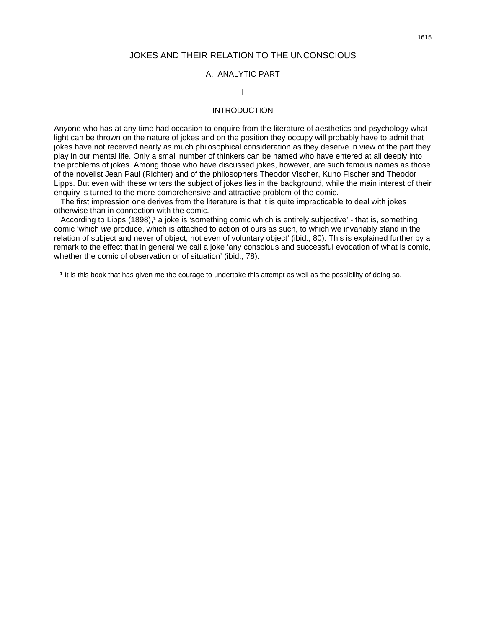## JOKES AND THEIR RELATION TO THE UNCONSCIOUS

## A. ANALYTIC PART

## I

### INTRODUCTION

Anyone who has at any time had occasion to enquire from the literature of aesthetics and psychology what light can be thrown on the nature of jokes and on the position they occupy will probably have to admit that jokes have not received nearly as much philosophical consideration as they deserve in view of the part they play in our mental life. Only a small number of thinkers can be named who have entered at all deeply into the problems of jokes. Among those who have discussed jokes, however, are such famous names as those of the novelist Jean Paul (Richter) and of the philosophers Theodor Vischer, Kuno Fischer and Theodor Lipps. But even with these writers the subject of jokes lies in the background, while the main interest of their enquiry is turned to the more comprehensive and attractive problem of the comic.

 The first impression one derives from the literature is that it is quite impracticable to deal with jokes otherwise than in connection with the comic.

According to Lipps (1898),<sup>1</sup> a joke is 'something comic which is entirely subjective' - that is, something comic 'which *we* produce, which is attached to action of ours as such, to which we invariably stand in the relation of subject and never of object, not even of voluntary object' (ibid., 80). This is explained further by a remark to the effect that in general we call a joke 'any conscious and successful evocation of what is comic, whether the comic of observation or of situation' (ibid., 78).

 $<sup>1</sup>$  It is this book that has given me the courage to undertake this attempt as well as the possibility of doing so.</sup>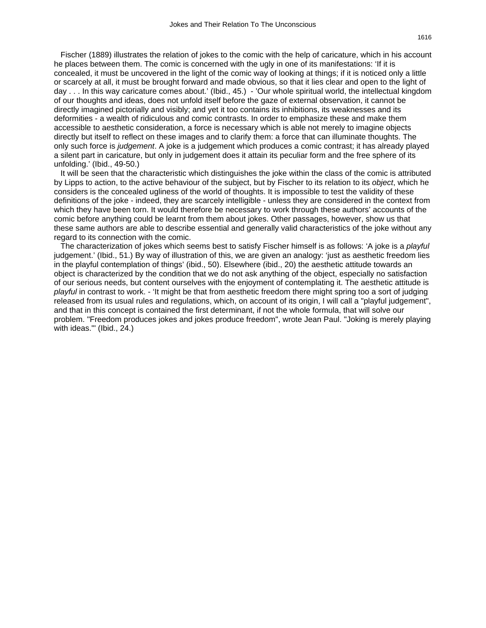1616

 Fischer (1889) illustrates the relation of jokes to the comic with the help of caricature, which in his account he places between them. The comic is concerned with the ugly in one of its manifestations: 'If it is concealed, it must be uncovered in the light of the comic way of looking at things; if it is noticed only a little or scarcely at all, it must be brought forward and made obvious, so that it lies clear and open to the light of day . . . In this way caricature comes about.' (Ibid., 45.) - 'Our whole spiritual world, the intellectual kingdom of our thoughts and ideas, does not unfold itself before the gaze of external observation, it cannot be directly imagined pictorially and visibly; and yet it too contains its inhibitions, its weaknesses and its deformities - a wealth of ridiculous and comic contrasts. In order to emphasize these and make them accessible to aesthetic consideration, a force is necessary which is able not merely to imagine objects directly but itself to reflect on these images and to clarify them: a force that can illuminate thoughts. The only such force is *judgement*. A joke is a judgement which produces a comic contrast; it has already played a silent part in caricature, but only in judgement does it attain its peculiar form and the free sphere of its unfolding.' (Ibid., 49-50.)

 It will be seen that the characteristic which distinguishes the joke within the class of the comic is attributed by Lipps to action, to the active behaviour of the subject, but by Fischer to its relation to its *object*, which he considers is the concealed ugliness of the world of thoughts. It is impossible to test the validity of these definitions of the joke - indeed, they are scarcely intelligible - unless they are considered in the context from which they have been torn. It would therefore be necessary to work through these authors' accounts of the comic before anything could be learnt from them about jokes. Other passages, however, show us that these same authors are able to describe essential and generally valid characteristics of the joke without any regard to its connection with the comic.

 The characterization of jokes which seems best to satisfy Fischer himself is as follows: 'A joke is a *playful* judgement.' (Ibid., 51.) By way of illustration of this, we are given an analogy: 'just as aesthetic freedom lies in the playful contemplation of things' (ibid., 50). Elsewhere (ibid., 20) the aesthetic attitude towards an object is characterized by the condition that we do not ask anything of the object, especially no satisfaction of our serious needs, but content ourselves with the enjoyment of contemplating it. The aesthetic attitude is *playful* in contrast to work. - 'It might be that from aesthetic freedom there might spring too a sort of judging released from its usual rules and regulations, which, on account of its origin, I will call a "playful judgement", and that in this concept is contained the first determinant, if not the whole formula, that will solve our problem. "Freedom produces jokes and jokes produce freedom", wrote Jean Paul. "Joking is merely playing with ideas."' (Ibid., 24.)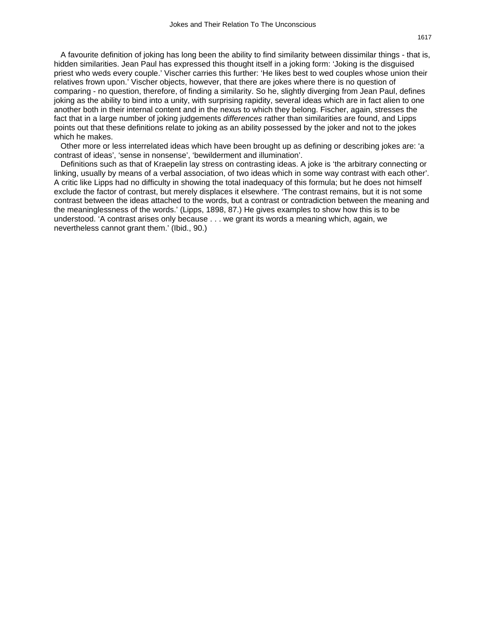A favourite definition of joking has long been the ability to find similarity between dissimilar things - that is, hidden similarities. Jean Paul has expressed this thought itself in a joking form: 'Joking is the disguised priest who weds every couple.' Vischer carries this further: 'He likes best to wed couples whose union their relatives frown upon.' Vischer objects, however, that there are jokes where there is no question of comparing - no question, therefore, of finding a similarity. So he, slightly diverging from Jean Paul, defines joking as the ability to bind into a unity, with surprising rapidity, several ideas which are in fact alien to one another both in their internal content and in the nexus to which they belong. Fischer, again, stresses the fact that in a large number of joking judgements *differences* rather than similarities are found, and Lipps points out that these definitions relate to joking as an ability possessed by the joker and not to the jokes which he makes.

 Other more or less interrelated ideas which have been brought up as defining or describing jokes are: 'a contrast of ideas', 'sense in nonsense', 'bewilderment and illumination'.

 Definitions such as that of Kraepelin lay stress on contrasting ideas. A joke is 'the arbitrary connecting or linking, usually by means of a verbal association, of two ideas which in some way contrast with each other'. A critic like Lipps had no difficulty in showing the total inadequacy of this formula; but he does not himself exclude the factor of contrast, but merely displaces it elsewhere. 'The contrast remains, but it is not some contrast between the ideas attached to the words, but a contrast or contradiction between the meaning and the meaninglessness of the words.' (Lipps, 1898, 87.) He gives examples to show how this is to be understood. 'A contrast arises only because . . . we grant its words a meaning which, again, we nevertheless cannot grant them.' (Ibid., 90.)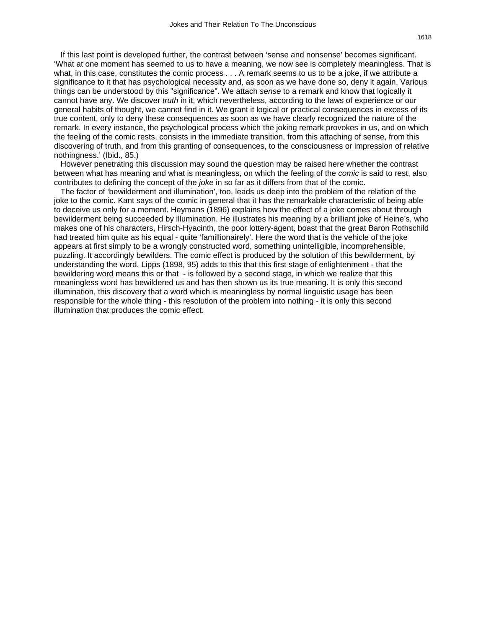1618

 If this last point is developed further, the contrast between 'sense and nonsense' becomes significant. 'What at one moment has seemed to us to have a meaning, we now see is completely meaningless. That is what, in this case, constitutes the comic process . . . A remark seems to us to be a joke, if we attribute a significance to it that has psychological necessity and, as soon as we have done so, deny it again. Various things can be understood by this "significance". We attach *sense* to a remark and know that logically it cannot have any. We discover *truth* in it, which nevertheless, according to the laws of experience or our general habits of thought, we cannot find in it. We grant it logical or practical consequences in excess of its true content, only to deny these consequences as soon as we have clearly recognized the nature of the remark. In every instance, the psychological process which the joking remark provokes in us, and on which the feeling of the comic rests, consists in the immediate transition, from this attaching of sense, from this discovering of truth, and from this granting of consequences, to the consciousness or impression of relative nothingness.' (Ibid., 85.)

 However penetrating this discussion may sound the question may be raised here whether the contrast between what has meaning and what is meaningless, on which the feeling of the *comic* is said to rest, also contributes to defining the concept of the *joke* in so far as it differs from that of the comic.

 The factor of 'bewilderment and illumination', too, leads us deep into the problem of the relation of the joke to the comic. Kant says of the comic in general that it has the remarkable characteristic of being able to deceive us only for a moment. Heymans (1896) explains how the effect of a joke comes about through bewilderment being succeeded by illumination. He illustrates his meaning by a brilliant joke of Heine's, who makes one of his characters, Hirsch-Hyacinth, the poor lottery-agent, boast that the great Baron Rothschild had treated him quite as his equal - quite 'famillionairely'. Here the word that is the vehicle of the joke appears at first simply to be a wrongly constructed word, something unintelligible, incomprehensible, puzzling. It accordingly bewilders. The comic effect is produced by the solution of this bewilderment, by understanding the word. Lipps (1898, 95) adds to this that this first stage of enlightenment - that the bewildering word means this or that - is followed by a second stage, in which we realize that this meaningless word has bewildered us and has then shown us its true meaning. It is only this second illumination, this discovery that a word which is meaningless by normal linguistic usage has been responsible for the whole thing - this resolution of the problem into nothing - it is only this second illumination that produces the comic effect.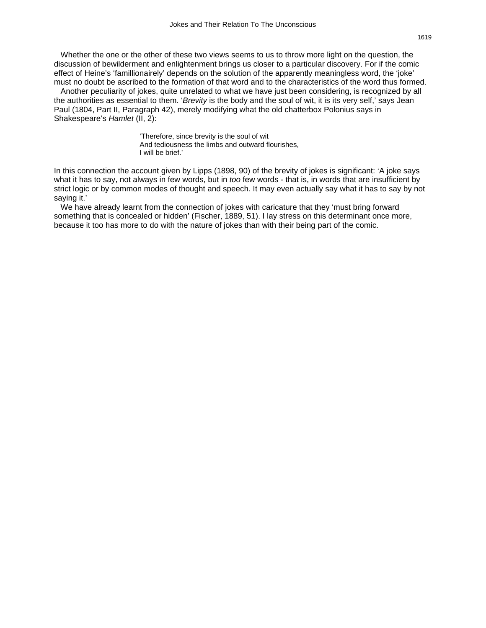Whether the one or the other of these two views seems to us to throw more light on the question, the discussion of bewilderment and enlightenment brings us closer to a particular discovery. For if the comic effect of Heine's 'famillionairely' depends on the solution of the apparently meaningless word, the 'joke' must no doubt be ascribed to the formation of that word and to the characteristics of the word thus formed. Another peculiarity of jokes, quite unrelated to what we have just been considering, is recognized by all the authorities as essential to them. '*Brevity* is the body and the soul of wit, it is its very self,' says Jean Paul (1804, Part II, Paragraph 42), merely modifying what the old chatterbox Polonius says in Shakespeare's *Hamlet* (II, 2):

> 'Therefore, since brevity is the soul of wit And tediousness the limbs and outward flourishes, I will be brief.'

In this connection the account given by Lipps (1898, 90) of the brevity of jokes is significant: 'A joke says what it has to say, not always in few words, but in *too* few words - that is, in words that are insufficient by strict logic or by common modes of thought and speech. It may even actually say what it has to say by not saying it.'

 We have already learnt from the connection of jokes with caricature that they 'must bring forward something that is concealed or hidden' (Fischer, 1889, 51). I lay stress on this determinant once more, because it too has more to do with the nature of jokes than with their being part of the comic.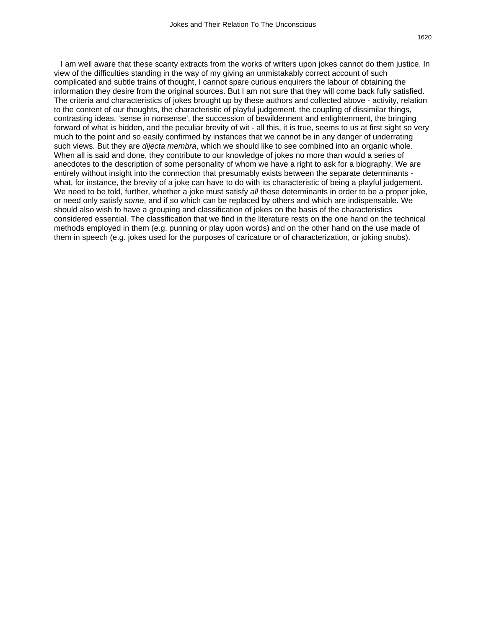I am well aware that these scanty extracts from the works of writers upon jokes cannot do them justice. In view of the difficulties standing in the way of my giving an unmistakably correct account of such complicated and subtle trains of thought, I cannot spare curious enquirers the labour of obtaining the information they desire from the original sources. But I am not sure that they will come back fully satisfied. The criteria and characteristics of jokes brought up by these authors and collected above - activity, relation to the content of our thoughts, the characteristic of playful judgement, the coupling of dissimilar things, contrasting ideas, 'sense in nonsense', the succession of bewilderment and enlightenment, the bringing forward of what is hidden, and the peculiar brevity of wit - all this, it is true, seems to us at first sight so very much to the point and so easily confirmed by instances that we cannot be in any danger of underrating such views. But they are *dijecta membra*, which we should like to see combined into an organic whole. When all is said and done, they contribute to our knowledge of jokes no more than would a series of anecdotes to the description of some personality of whom we have a right to ask for a biography. We are entirely without insight into the connection that presumably exists between the separate determinants what, for instance, the brevity of a joke can have to do with its characteristic of being a playful judgement. We need to be told, further, whether a joke must satisfy *all* these determinants in order to be a proper joke, or need only satisfy *some*, and if so which can be replaced by others and which are indispensable. We should also wish to have a grouping and classification of jokes on the basis of the characteristics considered essential. The classification that we find in the literature rests on the one hand on the technical methods employed in them (e.g. punning or play upon words) and on the other hand on the use made of them in speech (e.g. jokes used for the purposes of caricature or of characterization, or joking snubs).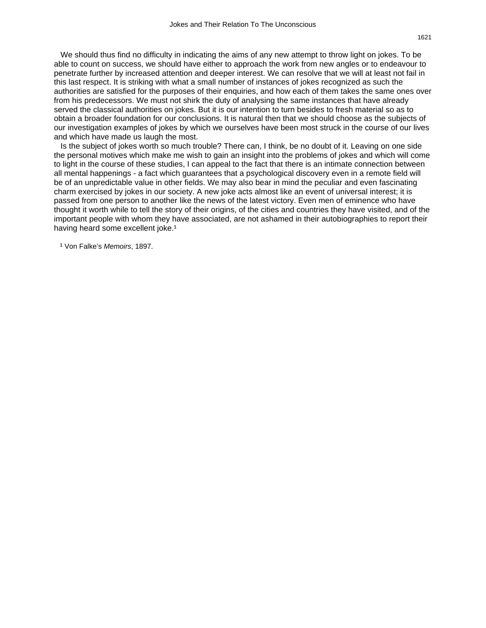We should thus find no difficulty in indicating the aims of any new attempt to throw light on jokes. To be able to count on success, we should have either to approach the work from new angles or to endeavour to penetrate further by increased attention and deeper interest. We can resolve that we will at least not fail in this last respect. It is striking with what a small number of instances of jokes recognized as such the authorities are satisfied for the purposes of their enquiries, and how each of them takes the same ones over from his predecessors. We must not shirk the duty of analysing the same instances that have already served the classical authorities on jokes. But it is our intention to turn besides to fresh material so as to obtain a broader foundation for our conclusions. It is natural then that we should choose as the subjects of our investigation examples of jokes by which we ourselves have been most struck in the course of our lives and which have made us laugh the most.

 Is the subject of jokes worth so much trouble? There can, I think, be no doubt of it. Leaving on one side the personal motives which make me wish to gain an insight into the problems of jokes and which will come to light in the course of these studies, I can appeal to the fact that there is an intimate connection between all mental happenings - a fact which guarantees that a psychological discovery even in a remote field will be of an unpredictable value in other fields. We may also bear in mind the peculiar and even fascinating charm exercised by jokes in our society. A new joke acts almost like an event of universal interest; it is passed from one person to another like the news of the latest victory. Even men of eminence who have thought it worth while to tell the story of their origins, of the cities and countries they have visited, and of the important people with whom they have associated, are not ashamed in their autobiographies to report their having heard some excellent joke.<sup>1</sup>

<sup>1</sup> Von Falke's *Memoirs*, 1897.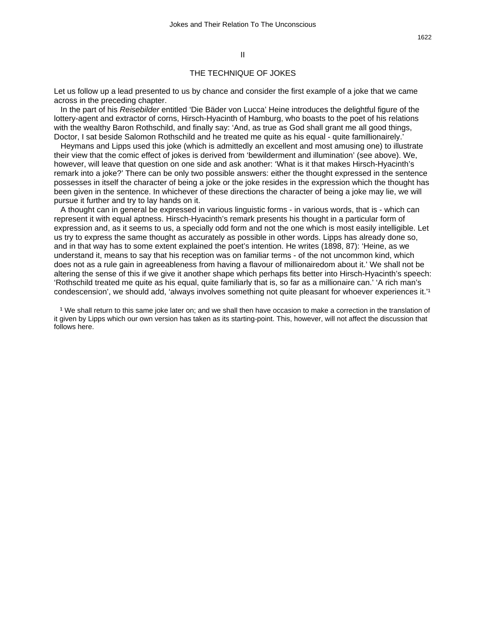#### THE TECHNIQUE OF JOKES

Let us follow up a lead presented to us by chance and consider the first example of a joke that we came across in the preceding chapter.

 In the part of his *Reisebilder* entitled 'Die Bäder von Lucca' Heine introduces the delightful figure of the lottery-agent and extractor of corns, Hirsch-Hyacinth of Hamburg, who boasts to the poet of his relations with the wealthy Baron Rothschild, and finally say: 'And, as true as God shall grant me all good things, Doctor, I sat beside Salomon Rothschild and he treated me quite as his equal - quite famillionairely.'

 Heymans and Lipps used this joke (which is admittedly an excellent and most amusing one) to illustrate their view that the comic effect of jokes is derived from 'bewilderment and illumination' (see above). We, however, will leave that question on one side and ask another: 'What is it that makes Hirsch-Hyacinth's remark into a joke?' There can be only two possible answers: either the thought expressed in the sentence possesses in itself the character of being a joke or the joke resides in the expression which the thought has been given in the sentence. In whichever of these directions the character of being a joke may lie, we will pursue it further and try to lay hands on it.

 A thought can in general be expressed in various linguistic forms - in various words, that is - which can represent it with equal aptness. Hirsch-Hyacinth's remark presents his thought in a particular form of expression and, as it seems to us, a specially odd form and not the one which is most easily intelligible. Let us try to express the same thought as accurately as possible in other words. Lipps has already done so, and in that way has to some extent explained the poet's intention. He writes (1898, 87): 'Heine, as we understand it, means to say that his reception was on familiar terms - of the not uncommon kind, which does not as a rule gain in agreeableness from having a flavour of millionairedom about it.' We shall not be altering the sense of this if we give it another shape which perhaps fits better into Hirsch-Hyacinth's speech: 'Rothschild treated me quite as his equal, quite familiarly that is, so far as a millionaire can.' 'A rich man's condescension', we should add, 'always involves something not quite pleasant for whoever experiences it.'1

<sup>&</sup>lt;sup>1</sup> We shall return to this same joke later on; and we shall then have occasion to make a correction in the translation of it given by Lipps which our own version has taken as its starting-point. This, however, will not affect the discussion that follows here.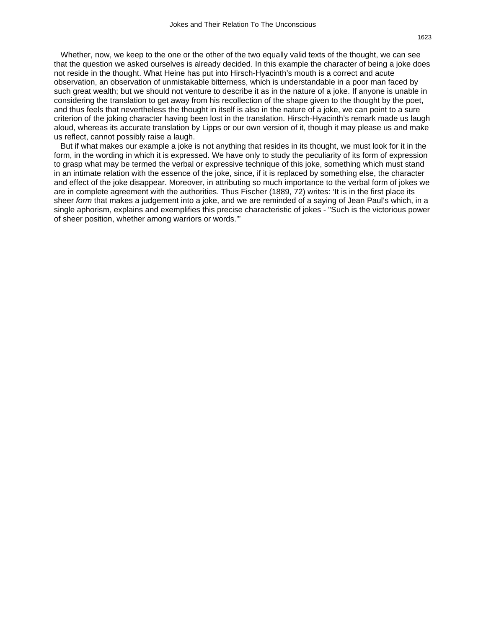Whether, now, we keep to the one or the other of the two equally valid texts of the thought, we can see that the question we asked ourselves is already decided. In this example the character of being a joke does not reside in the thought. What Heine has put into Hirsch-Hyacinth's mouth is a correct and acute observation, an observation of unmistakable bitterness, which is understandable in a poor man faced by such great wealth; but we should not venture to describe it as in the nature of a joke. If anyone is unable in considering the translation to get away from his recollection of the shape given to the thought by the poet, and thus feels that nevertheless the thought in itself is also in the nature of a joke, we can point to a sure criterion of the joking character having been lost in the translation. Hirsch-Hyacinth's remark made us laugh aloud, whereas its accurate translation by Lipps or our own version of it, though it may please us and make us reflect, cannot possibly raise a laugh.

 But if what makes our example a joke is not anything that resides in its thought, we must look for it in the form, in the wording in which it is expressed. We have only to study the peculiarity of its form of expression to grasp what may be termed the verbal or expressive technique of this joke, something which must stand in an intimate relation with the essence of the joke, since, if it is replaced by something else, the character and effect of the joke disappear. Moreover, in attributing so much importance to the verbal form of jokes we are in complete agreement with the authorities. Thus Fischer (1889, 72) writes: 'It is in the first place its sheer *form* that makes a judgement into a joke, and we are reminded of a saying of Jean Paul's which, in a single aphorism, explains and exemplifies this precise characteristic of jokes - "Such is the victorious power of sheer position, whether among warriors or words."'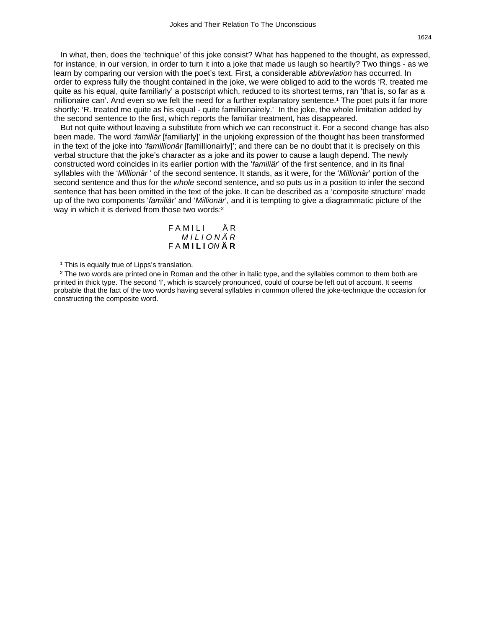In what, then, does the 'technique' of this joke consist? What has happened to the thought, as expressed, for instance, in our version, in order to turn it into a joke that made us laugh so heartily? Two things - as we learn by comparing our version with the poet's text. First, a considerable *abbreviation* has occurred. In order to express fully the thought contained in the joke, we were obliged to add to the words 'R. treated me quite as his equal, quite familiarly' a postscript which, reduced to its shortest terms, ran 'that is, so far as a millionaire can'. And even so we felt the need for a further explanatory sentence.<sup>1</sup> The poet puts it far more shortly: 'R. treated me quite as his equal - quite famillionairely.' In the joke, the whole limitation added by the second sentence to the first, which reports the familiar treatment, has disappeared.

 But not quite without leaving a substitute from which we can reconstruct it. For a second change has also been made. The word '*familiär* [familiarly]' in the unjoking expression of the thought has been transformed in the text of the joke into '*famillionär* [famillionairly]'; and there can be no doubt that it is precisely on this verbal structure that the joke's character as a joke and its power to cause a laugh depend. The newly constructed word coincides in its earlier portion with the '*familiär*' of the first sentence, and in its final syllables with the '*Millionär* ' of the second sentence. It stands, as it were, for the '*Millionär*' portion of the second sentence and thus for the *whole* second sentence, and so puts us in a position to infer the second sentence that has been omitted in the text of the joke. It can be described as a 'composite structure' made up of the two components '*familiär*' and '*Millionär*', and it is tempting to give a diagrammatic picture of the way in which it is derived from those two words:<sup>2</sup>

| FAMILI ÄR         |          |
|-------------------|----------|
|                   | MILIONÄR |
| <b>FAMILIONÄR</b> |          |

<sup>1</sup> This is equally true of Lipps's translation.

<sup>2</sup> The two words are printed one in Roman and the other in Italic type, and the syllables common to them both are printed in thick type. The second 'l', which is scarcely pronounced, could of course be left out of account. It seems probable that the fact of the two words having several syllables in common offered the joke-technique the occasion for constructing the composite word.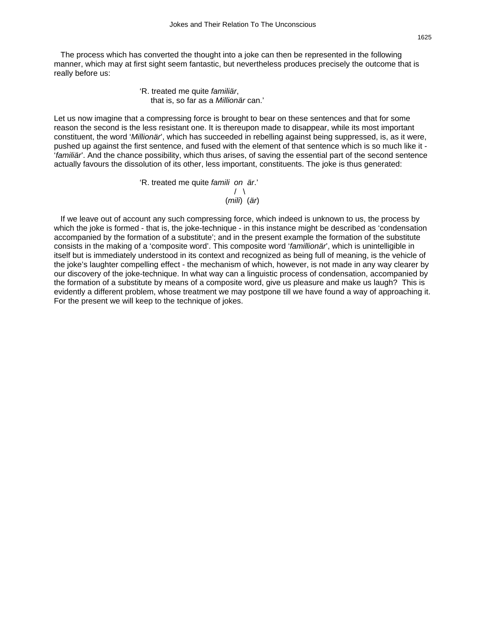The process which has converted the thought into a joke can then be represented in the following manner, which may at first sight seem fantastic, but nevertheless produces precisely the outcome that is really before us:

> 'R. treated me quite *familiär*, that is, so far as a *Millionär* can.'

Let us now imagine that a compressing force is brought to bear on these sentences and that for some reason the second is the less resistant one. It is thereupon made to disappear, while its most important constituent, the word '*Millionär*', which has succeeded in rebelling against being suppressed, is, as it were, pushed up against the first sentence, and fused with the element of that sentence which is so much like it - '*familiär*'. And the chance possibility, which thus arises, of saving the essential part of the second sentence actually favours the dissolution of its other, less important, constituents. The joke is thus generated:

 'R. treated me quite *famili on är*.'  $\sqrt{2}$ (*mili*) (*är*)

 If we leave out of account any such compressing force, which indeed is unknown to us, the process by which the joke is formed - that is, the joke-technique - in this instance might be described as 'condensation accompanied by the formation of a substitute'; and in the present example the formation of the substitute consists in the making of a 'composite word'. This composite word '*famillionär*', which is unintelligible in itself but is immediately understood in its context and recognized as being full of meaning, is the vehicle of the joke's laughter compelling effect - the mechanism of which, however, is not made in any way clearer by our discovery of the joke-technique. In what way can a linguistic process of condensation, accompanied by the formation of a substitute by means of a composite word, give us pleasure and make us laugh? This is evidently a different problem, whose treatment we may postpone till we have found a way of approaching it. For the present we will keep to the technique of jokes.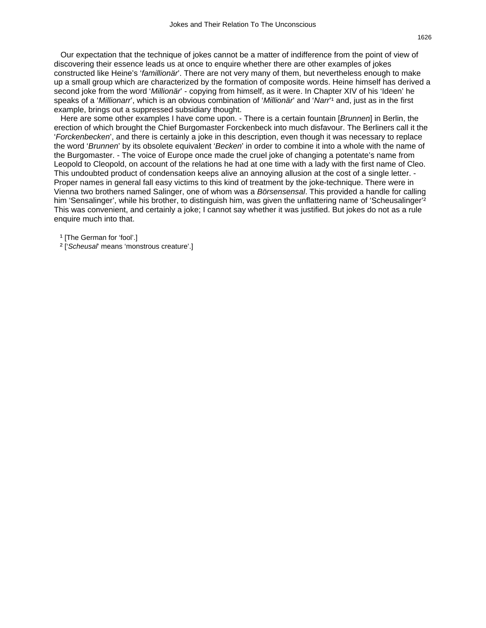Our expectation that the technique of jokes cannot be a matter of indifference from the point of view of discovering their essence leads us at once to enquire whether there are other examples of jokes constructed like Heine's '*famillionär*'. There are not very many of them, but nevertheless enough to make up a small group which are characterized by the formation of composite words. Heine himself has derived a second joke from the word '*Millionär*' - copying from himself, as it were. In Chapter XIV of his 'Ideen' he speaks of a '*Millionarr*', which is an obvious combination of '*Millionär'* and '*Narr*'<sup>1</sup> and, just as in the first example, brings out a suppressed subsidiary thought.

 Here are some other examples I have come upon. - There is a certain fountain [*Brunnen*] in Berlin, the erection of which brought the Chief Burgomaster Forckenbeck into much disfavour. The Berliners call it the '*Forckenbecken*', and there is certainly a joke in this description, even though it was necessary to replace the word '*Brunnen*' by its obsolete equivalent '*Becken*' in order to combine it into a whole with the name of the Burgomaster. - The voice of Europe once made the cruel joke of changing a potentate's name from Leopold to Cleopold, on account of the relations he had at one time with a lady with the first name of Cleo. This undoubted product of condensation keeps alive an annoying allusion at the cost of a single letter. - Proper names in general fall easy victims to this kind of treatment by the joke-technique. There were in Vienna two brothers named Salinger, one of whom was a *Börsensensal*. This provided a handle for calling him 'Sensalinger', while his brother, to distinguish him, was given the unflattering name of 'Scheusalinger'<sup>2</sup> This was convenient, and certainly a joke; I cannot say whether it was justified. But jokes do not as a rule enquire much into that.

² ['*Scheusal*' means 'monstrous creature'.]

<sup>&</sup>lt;sup>1</sup> [The German for 'fool'.]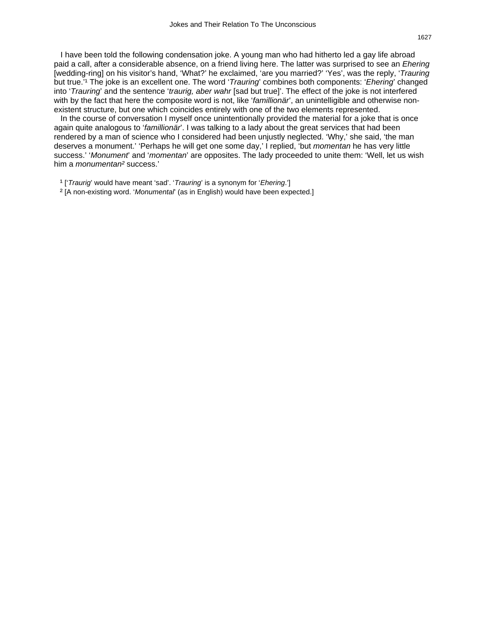I have been told the following condensation joke. A young man who had hitherto led a gay life abroad paid a call, after a considerable absence, on a friend living here. The latter was surprised to see an *Ehering* [wedding-ring] on his visitor's hand, 'What?' he exclaimed, 'are you married?' 'Yes', was the reply, '*Trauring* but true.<sup>'</sup> The joke is an excellent one. The word '*Trauring*' combines both components: '*Ehering*' changed into '*Trauring*' and the sentence '*traurig, aber wahr* [sad but true]'. The effect of the joke is not interfered with by the fact that here the composite word is not, like '*famillionär*', an unintelligible and otherwise nonexistent structure, but one which coincides entirely with one of the two elements represented.

In the course of conversation I myself once unintentionally provided the material for a joke that is once again quite analogous to '*famillionär*'. I was talking to a lady about the great services that had been rendered by a man of science who I considered had been unjustly neglected. 'Why,' she said, 'the man deserves a monument.' 'Perhaps he will get one some day,' I replied, 'but *momentan* he has very little success.' '*Monument*' and '*momentan*' are opposites. The lady proceeded to unite them: 'Well, let us wish him a *monumentan²* success.'

<sup>1</sup> ['*Traurig*' would have meant 'sad'. '*Trauring*' is a synonym for '*Ehering*.']

² [A non-existing word. '*Monumental*' (as in English) would have been expected.]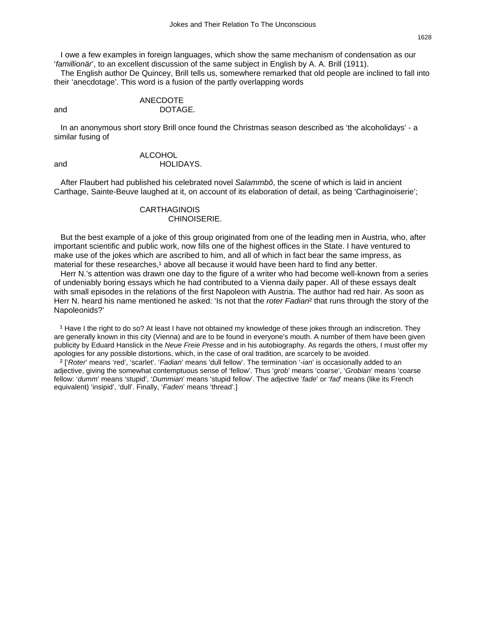I owe a few examples in foreign languages, which show the same mechanism of condensation as our '*famillionär*', to an excellent discussion of the same subject in English by A. A. Brill (1911).

 The English author De Quincey, Brill tells us, somewhere remarked that old people are inclined to fall into their 'anecdotage'. This word is a fusion of the partly overlapping words

## **ANFCDOTE** and DOTAGE.

 In an anonymous short story Brill once found the Christmas season described as 'the alcoholidays' - a similar fusing of

 ALCOHOL and **HOLIDAYS.** 

 After Flaubert had published his celebrated novel *Salammbô*, the scene of which is laid in ancient Carthage, Sainte-Beuve laughed at it, on account of its elaboration of detail, as being 'Carthaginoiserie';

# CARTHAGINOIS CHINOISERIE.

 But the best example of a joke of this group originated from one of the leading men in Austria, who, after important scientific and public work, now fills one of the highest offices in the State. I have ventured to make use of the jokes which are ascribed to him, and all of which in fact bear the same impress, as material for these researches,<sup>1</sup> above all because it would have been hard to find any better.

 Herr N.'s attention was drawn one day to the figure of a writer who had become well-known from a series of undeniably boring essays which he had contributed to a Vienna daily paper. All of these essays dealt with small episodes in the relations of the first Napoleon with Austria. The author had red hair. As soon as Herr N. heard his name mentioned he asked: 'Is not that the *roter Fadian*² that runs through the story of the Napoleonids?'

<sup>1</sup> Have I the right to do so? At least I have not obtained my knowledge of these jokes through an indiscretion. They are generally known in this city (Vienna) and are to be found in everyone's mouth. A number of them have been given publicity by Eduard Hanslick in the *Neue Freie Presse* and in his autobiography. As regards the others, I must offer my apologies for any possible distortions, which, in the case of oral tradition, are scarcely to be avoided.

 ² ['*Roter*' means 'red', 'scarlet'. '*Fadian*' means 'dull fellow'. The termination '-*ian*' is occasionally added to an adjective, giving the somewhat contemptuous sense of 'fellow'. Thus '*grob*' means 'coarse', '*Grobian*' means 'coarse fellow: '*dumm*' means 'stupid', '*Dummian*' means 'stupid fellow'. The adjective '*fade*' or '*fad*' means (like its French equivalent) 'insipid', 'dull'. Finally, '*Faden*' means 'thread'.]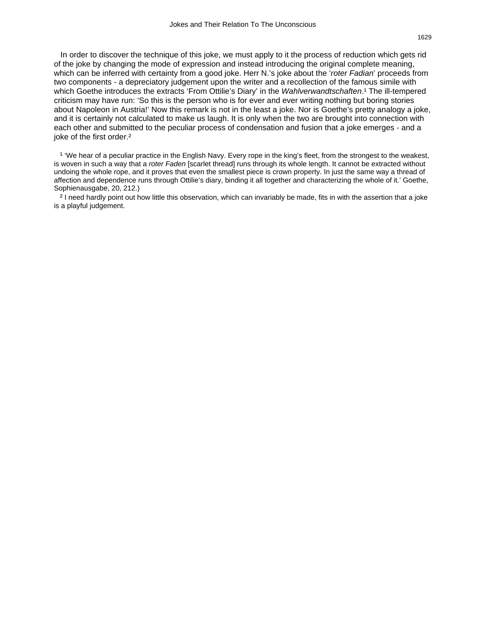#### Jokes and Their Relation To The Unconscious

 In order to discover the technique of this joke, we must apply to it the process of reduction which gets rid of the joke by changing the mode of expression and instead introducing the original complete meaning, which can be inferred with certainty from a good joke. Herr N.'s joke about the '*roter Fadian*' proceeds from two components - a depreciatory judgement upon the writer and a recollection of the famous simile with which Goethe introduces the extracts 'From Ottilie's Diary' in the *Wahlverwandtschaften*.<sup>1</sup> The ill-tempered criticism may have run: 'So this is the person who is for ever and ever writing nothing but boring stories about Napoleon in Austria!' Now this remark is not in the least a joke. Nor is Goethe's pretty analogy a joke, and it is certainly not calculated to make us laugh. It is only when the two are brought into connection with each other and submitted to the peculiar process of condensation and fusion that a joke emerges - and a joke of the first order.²

<sup>1</sup> 'We hear of a peculiar practice in the English Navy. Every rope in the king's fleet, from the strongest to the weakest, is woven in such a way that a *roter Faden* [scarlet thread] runs through its whole length. It cannot be extracted without undoing the whole rope, and it proves that even the smallest piece is crown property. In just the same way a thread of affection and dependence runs through Ottilie's diary, binding it all together and characterizing the whole of it.' Goethe, Sophienausgabe, 20, 212.)

 ² I need hardly point out how little this observation, which can invariably be made, fits in with the assertion that a joke is a playful judgement.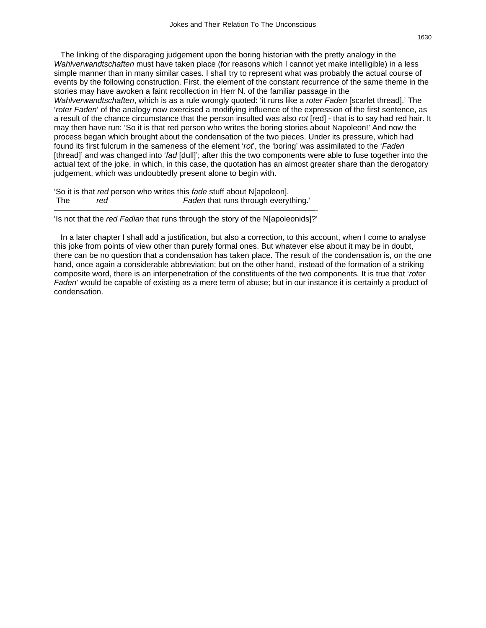1630

 The linking of the disparaging judgement upon the boring historian with the pretty analogy in the *Wahlverwandtschaften* must have taken place (for reasons which I cannot yet make intelligible) in a less simple manner than in many similar cases. I shall try to represent what was probably the actual course of events by the following construction. First, the element of the constant recurrence of the same theme in the stories may have awoken a faint recollection in Herr N. of the familiar passage in the *Wahlverwandtschaften*, which is as a rule wrongly quoted: 'it runs like a *roter Faden* [scarlet thread].' The '*roter Faden*' of the analogy now exercised a modifying influence of the expression of the first sentence, as a result of the chance circumstance that the person insulted was also *rot* [red] - that is to say had red hair. It may then have run: 'So it is that red person who writes the boring stories about Napoleon!' And now the process began which brought about the condensation of the two pieces. Under its pressure, which had found its first fulcrum in the sameness of the element '*rot*', the 'boring' was assimilated to the '*Faden* [thread]' and was changed into '*fad* [dull]'; after this the two components were able to fuse together into the actual text of the joke, in which, in this case, the quotation has an almost greater share than the derogatory judgement, which was undoubtedly present alone to begin with.

'So it is that *red* person who writes this *fade* stuff about N[apoleon]. red **Faden** that runs through everything.'

—————————————————————————————————- 'Is not that the *red Fadian* that runs through the story of the N[apoleonids]?'

 In a later chapter I shall add a justification, but also a correction, to this account, when I come to analyse this joke from points of view other than purely formal ones. But whatever else about it may be in doubt, there can be no question that a condensation has taken place. The result of the condensation is, on the one hand, once again a considerable abbreviation; but on the other hand, instead of the formation of a striking composite word, there is an interpenetration of the constituents of the two components. It is true that '*roter Faden*' would be capable of existing as a mere term of abuse; but in our instance it is certainly a product of condensation.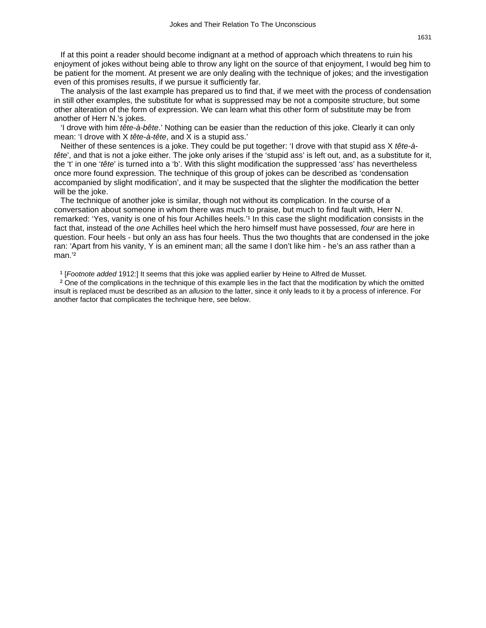If at this point a reader should become indignant at a method of approach which threatens to ruin his enjoyment of jokes without being able to throw any light on the source of that enjoyment, I would beg him to be patient for the moment. At present we are only dealing with the technique of jokes; and the investigation even of this promises results, if we pursue it sufficiently far.

 The analysis of the last example has prepared us to find that, if we meet with the process of condensation in still other examples, the substitute for what is suppressed may be not a composite structure, but some other alteration of the form of expression. We can learn what this other form of substitute may be from another of Herr N.'s jokes.

 'I drove with him *tête-à-bête*.' Nothing can be easier than the reduction of this joke. Clearly it can only mean: 'I drove with X *tête-à-tête*, and X is a stupid ass.'

 Neither of these sentences is a joke. They could be put together: 'I drove with that stupid ass X *tête-àtête*', and that is not a joke either. The joke only arises if the 'stupid ass' is left out, and, as a substitute for it, the 't' in one '*tête*' is turned into a 'b'. With this slight modification the suppressed 'ass' has nevertheless once more found expression. The technique of this group of jokes can be described as 'condensation accompanied by slight modification', and it may be suspected that the slighter the modification the better will be the joke.

 The technique of another joke is similar, though not without its complication. In the course of a conversation about someone in whom there was much to praise, but much to find fault with, Herr N. remarked: 'Yes, vanity is one of his four Achilles heels.' In this case the slight modification consists in the fact that, instead of the *one* Achilles heel which the hero himself must have possessed, *four* are here in question. Four heels - but only an ass has four heels. Thus the two thoughts that are condensed in the joke ran: 'Apart from his vanity, Y is an eminent man; all the same I don't like him - he's an ass rather than a man.'²

<sup>1</sup> [*Footnote added* 1912:] It seems that this joke was applied earlier by Heine to Alfred de Musset.

<sup>2</sup> One of the complications in the technique of this example lies in the fact that the modification by which the omitted insult is replaced must be described as an *allusion* to the latter, since it only leads to it by a process of inference. For another factor that complicates the technique here, see below.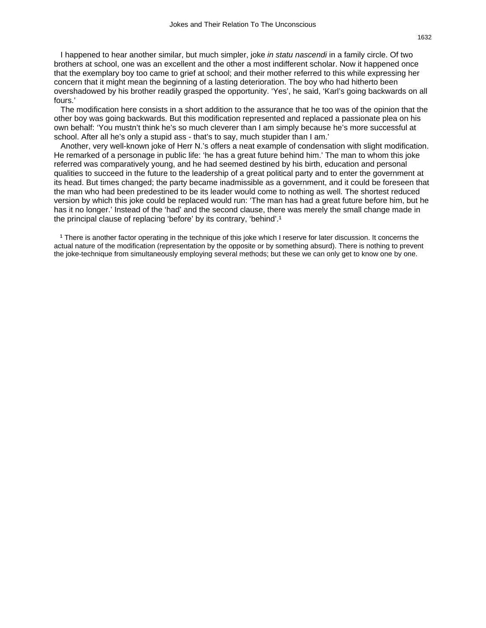I happened to hear another similar, but much simpler, joke *in statu nascendi* in a family circle. Of two brothers at school, one was an excellent and the other a most indifferent scholar. Now it happened once that the exemplary boy too came to grief at school; and their mother referred to this while expressing her concern that it might mean the beginning of a lasting deterioration. The boy who had hitherto been overshadowed by his brother readily grasped the opportunity. 'Yes', he said, 'Karl's going backwards on all fours.'

 The modification here consists in a short addition to the assurance that he too was of the opinion that the other boy was going backwards. But this modification represented and replaced a passionate plea on his own behalf: 'You mustn't think he's so much cleverer than I am simply because he's more successful at school. After all he's only a stupid ass - that's to say, much stupider than I am.'

 Another, very well-known joke of Herr N.'s offers a neat example of condensation with slight modification. He remarked of a personage in public life: 'he has a great future behind him.' The man to whom this joke referred was comparatively young, and he had seemed destined by his birth, education and personal qualities to succeed in the future to the leadership of a great political party and to enter the government at its head. But times changed; the party became inadmissible as a government, and it could be foreseen that the man who had been predestined to be its leader would come to nothing as well. The shortest reduced version by which this joke could be replaced would run: 'The man has had a great future before him, but he has it no longer.' Instead of the 'had' and the second clause, there was merely the small change made in the principal clause of replacing 'before' by its contrary, 'behind'.<sup>1</sup>

<sup>1</sup> There is another factor operating in the technique of this joke which I reserve for later discussion. It concerns the actual nature of the modification (representation by the opposite or by something absurd). There is nothing to prevent the joke-technique from simultaneously employing several methods; but these we can only get to know one by one.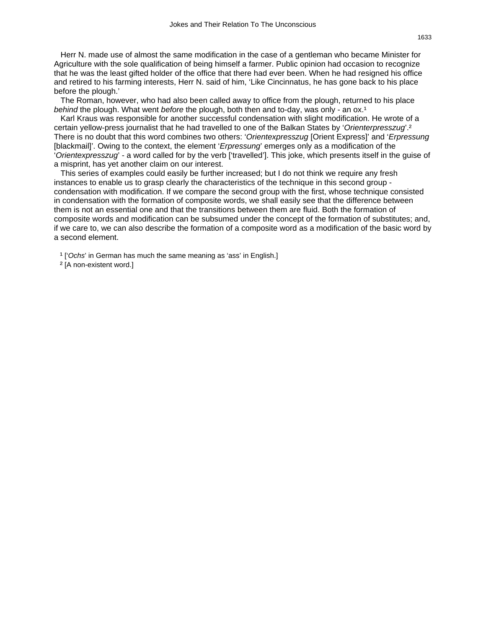Herr N. made use of almost the same modification in the case of a gentleman who became Minister for Agriculture with the sole qualification of being himself a farmer. Public opinion had occasion to recognize that he was the least gifted holder of the office that there had ever been. When he had resigned his office and retired to his farming interests, Herr N. said of him, 'Like Cincinnatus, he has gone back to his place before the plough.'

 The Roman, however, who had also been called away to office from the plough, returned to his place *behind* the plough. What went *before* the plough, both then and to-day, was only - an ox.<sup>1</sup>

 Karl Kraus was responsible for another successful condensation with slight modification. He wrote of a certain yellow-press journalist that he had travelled to one of the Balkan States by '*Orienterpresszug*'.² There is no doubt that this word combines two others: '*Orientexpresszug* [Orient Express]' and '*Erpressung* [blackmail]'. Owing to the context, the element '*Erpressung*' emerges only as a modification of the '*Orientexpresszug*' - a word called for by the verb ['travelled']. This joke, which presents itself in the guise of a misprint, has yet another claim on our interest.

 This series of examples could easily be further increased; but I do not think we require any fresh instances to enable us to grasp clearly the characteristics of the technique in this second group condensation with modification. If we compare the second group with the first, whose technique consisted in condensation with the formation of composite words, we shall easily see that the difference between them is not an essential one and that the transitions between them are fluid. Both the formation of composite words and modification can be subsumed under the concept of the formation of substitutes; and, if we care to, we can also describe the formation of a composite word as a modification of the basic word by a second element.

<sup>1</sup> ['Ochs' in German has much the same meaning as 'ass' in English.]

² [A non-existent word.]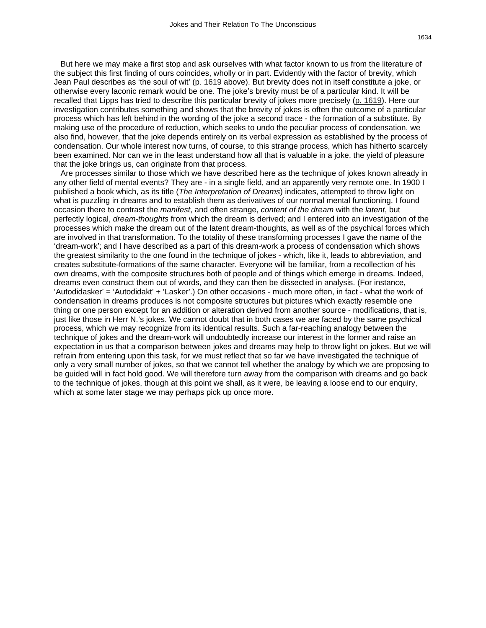But here we may make a first stop and ask ourselves with what factor known to us from the literature of the subject this first finding of ours coincides, wholly or in part. Evidently with the factor of brevity, which Jean Paul describes as 'the soul of wit' (p. 1619 above). But brevity does not in itself constitute a joke, or otherwise every laconic remark would be one. The joke's brevity must be of a particular kind. It will be recalled that Lipps has tried to describe this particular brevity of jokes more precisely (p. 1619). Here our investigation contributes something and shows that the brevity of jokes is often the outcome of a particular process which has left behind in the wording of the joke a second trace - the formation of a substitute. By making use of the procedure of reduction, which seeks to undo the peculiar process of condensation, we also find, however, that the joke depends entirely on its verbal expression as established by the process of condensation. Our whole interest now turns, of course, to this strange process, which has hitherto scarcely been examined. Nor can we in the least understand how all that is valuable in a joke, the yield of pleasure that the joke brings us, can originate from that process.

 Are processes similar to those which we have described here as the technique of jokes known already in any other field of mental events? They are - in a single field, and an apparently very remote one. In 1900 I published a book which, as its title (*The Interpretation of Dreams*) indicates, attempted to throw light on what is puzzling in dreams and to establish them as derivatives of our normal mental functioning. I found occasion there to contrast the *manifest*, and often strange, *content of the dream* with the *latent*, but perfectly logical, *dream-thoughts* from which the dream is derived; and I entered into an investigation of the processes which make the dream out of the latent dream-thoughts, as well as of the psychical forces which are involved in that transformation. To the totality of these transforming processes I gave the name of the 'dream-work'; and I have described as a part of this dream-work a process of condensation which shows the greatest similarity to the one found in the technique of jokes - which, like it, leads to abbreviation, and creates substitute-formations of the same character. Everyone will be familiar, from a recollection of his own dreams, with the composite structures both of people and of things which emerge in dreams. Indeed, dreams even construct them out of words, and they can then be dissected in analysis. (For instance, 'Autodidasker' = 'Autodidakt' + 'Lasker'.) On other occasions - much more often, in fact - what the work of condensation in dreams produces is not composite structures but pictures which exactly resemble one thing or one person except for an addition or alteration derived from another source - modifications, that is, just like those in Herr N.'s jokes. We cannot doubt that in both cases we are faced by the same psychical process, which we may recognize from its identical results. Such a far-reaching analogy between the technique of jokes and the dream-work will undoubtedly increase our interest in the former and raise an expectation in us that a comparison between jokes and dreams may help to throw light on jokes. But we will refrain from entering upon this task, for we must reflect that so far we have investigated the technique of only a very small number of jokes, so that we cannot tell whether the analogy by which we are proposing to be guided will in fact hold good. We will therefore turn away from the comparison with dreams and go back to the technique of jokes, though at this point we shall, as it were, be leaving a loose end to our enquiry, which at some later stage we may perhaps pick up once more.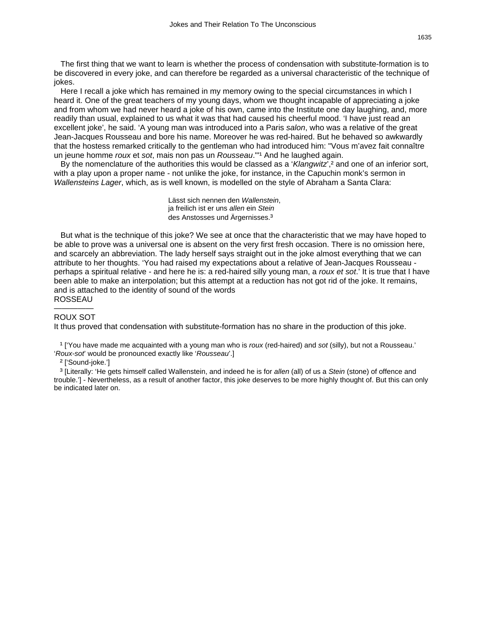The first thing that we want to learn is whether the process of condensation with substitute-formation is to be discovered in every joke, and can therefore be regarded as a universal characteristic of the technique of jokes.

 Here I recall a joke which has remained in my memory owing to the special circumstances in which I heard it. One of the great teachers of my young days, whom we thought incapable of appreciating a joke and from whom we had never heard a joke of his own, came into the Institute one day laughing, and, more readily than usual, explained to us what it was that had caused his cheerful mood. 'I have just read an excellent joke', he said. 'A young man was introduced into a Paris *salon*, who was a relative of the great Jean-Jacques Rousseau and bore his name. Moreover he was red-haired. But he behaved so awkwardly that the hostess remarked critically to the gentleman who had introduced him: "Vous m'avez fait connaître un jeune homme *roux* et *sot*, mais non pas un *Rousseau*."<sup>1</sup> And he laughed again.

By the nomenclature of the authorities this would be classed as a '*Klangwitz*',<sup>2</sup> and one of an inferior sort, with a play upon a proper name - not unlike the joke, for instance, in the Capuchin monk's sermon in *Wallensteins Lager*, which, as is well known, is modelled on the style of Abraham a Santa Clara:

> Lässt sich nennen den *Wallenstein*, ja freilich ist er uns *allen* ein *Stein* des Anstosses und Ärgernisses.<sup>3</sup>

 But what is the technique of this joke? We see at once that the characteristic that we may have hoped to be able to prove was a universal one is absent on the very first fresh occasion. There is no omission here, and scarcely an abbreviation. The lady herself says straight out in the joke almost everything that we can attribute to her thoughts. 'You had raised my expectations about a relative of Jean-Jacques Rousseau perhaps a spiritual relative - and here he is: a red-haired silly young man, a *roux et sot*.' It is true that I have been able to make an interpolation; but this attempt at a reduction has not got rid of the joke. It remains, and is attached to the identity of sound of the words ROSSEAU

#### ————— ROUX SOT

It thus proved that condensation with substitute-formation has no share in the production of this joke.

<sup>1</sup> ['You have made me acquainted with a young man who is *roux* (red-haired) and *sot* (silly), but not a Rousseau.' '*Roux-sot*' would be pronounced exactly like '*Rousseau*'.]

² ['Sound-joke.']

 ³ [Literally: 'He gets himself called Wallenstein, and indeed he is for *allen* (all) of us a *Stein* (stone) of offence and trouble.'] - Nevertheless, as a result of another factor, this joke deserves to be more highly thought of. But this can only be indicated later on.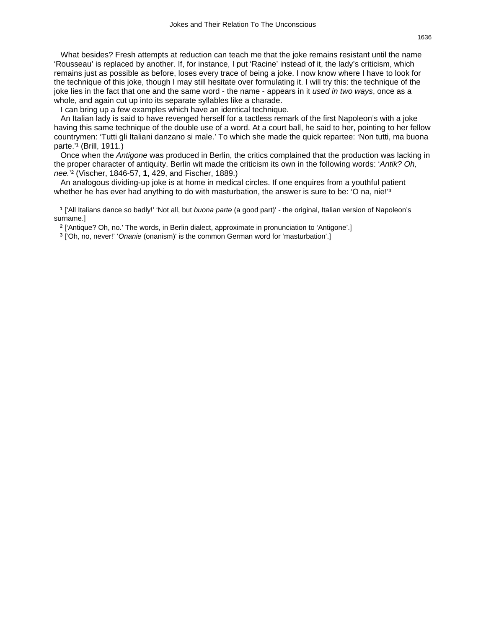What besides? Fresh attempts at reduction can teach me that the joke remains resistant until the name 'Rousseau' is replaced by another. If, for instance, I put 'Racine' instead of it, the lady's criticism, which remains just as possible as before, loses every trace of being a joke. I now know where I have to look for the technique of this joke, though I may still hesitate over formulating it. I will try this: the technique of the joke lies in the fact that one and the same word - the name - appears in it *used in two ways*, once as a whole, and again cut up into its separate syllables like a charade.

I can bring up a few examples which have an identical technique.

 An Italian lady is said to have revenged herself for a tactless remark of the first Napoleon's with a joke having this same technique of the double use of a word. At a court ball, he said to her, pointing to her fellow countrymen: 'Tutti gli Italiani danzano si male.' To which she made the quick repartee: 'Non tutti, ma buona parte.'<sup>1</sup> (Brill, 1911.)

 Once when the *Antigone* was produced in Berlin, the critics complained that the production was lacking in the proper character of antiquity. Berlin wit made the criticism its own in the following words: '*Antik? Oh, nee.*'² (Vischer, 1846-57, **1**, 429, and Fischer, 1889.)

 An analogous dividing-up joke is at home in medical circles. If one enquires from a youthful patient whether he has ever had anything to do with masturbation, the answer is sure to be: 'O na, nie!'<sup>3</sup>

<sup>1</sup> ['All Italians dance so badly!' 'Not all, but *buona parte* (a good part)' - the original, Italian version of Napoleon's surname.]

² ['Antique? Oh, no.' The words, in Berlin dialect, approximate in pronunciation to 'Antigone'.]

³ ['Oh, no, never!' '*Onanie* (onanism)' is the common German word for 'masturbation'.]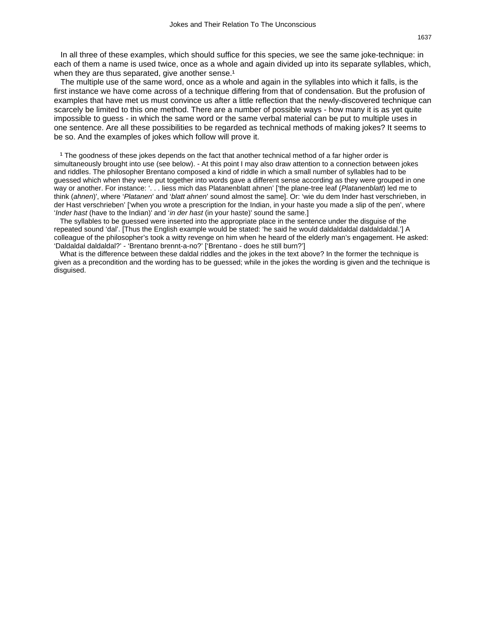In all three of these examples, which should suffice for this species, we see the same joke-technique: in each of them a name is used twice, once as a whole and again divided up into its separate syllables, which, when they are thus separated, give another sense.<sup>1</sup>

 The multiple use of the same word, once as a whole and again in the syllables into which it falls, is the first instance we have come across of a technique differing from that of condensation. But the profusion of examples that have met us must convince us after a little reflection that the newly-discovered technique can scarcely be limited to this one method. There are a number of possible ways - how many it is as yet quite impossible to guess - in which the same word or the same verbal material can be put to multiple uses in one sentence. Are all these possibilities to be regarded as technical methods of making jokes? It seems to be so. And the examples of jokes which follow will prove it.

<sup>1</sup> The goodness of these jokes depends on the fact that another technical method of a far higher order is simultaneously brought into use (see below). - At this point I may also draw attention to a connection between jokes and riddles. The philosopher Brentano composed a kind of riddle in which a small number of syllables had to be guessed which when they were put together into words gave a different sense according as they were grouped in one way or another. For instance: '. . . liess mich das Platanenblatt ahnen' ['the plane-tree leaf (*Platanenblatt*) led me to think (*ahnen*)', where '*Platanen*' and '*blatt ahnen*' sound almost the same]. Or: 'wie du dem Inder hast verschrieben, in der Hast verschrieben' ['when you wrote a prescription for the Indian, in your haste you made a slip of the pen', where '*Inder hast* (have to the Indian)' and '*in der hast* (in your haste)' sound the same.]

 The syllables to be guessed were inserted into the appropriate place in the sentence under the disguise of the repeated sound 'dal'. [Thus the English example would be stated: 'he said he would daldaldaldal daldaldaldal.'] A colleague of the philosopher's took a witty revenge on him when he heard of the elderly man's engagement. He asked: 'Daldaldal daldaldal?' - 'Brentano brennt-a-no?' ['Brentano - does he still burn?']

 What is the difference between these daldal riddles and the jokes in the text above? In the former the technique is given as a precondition and the wording has to be guessed; while in the jokes the wording is given and the technique is disguised.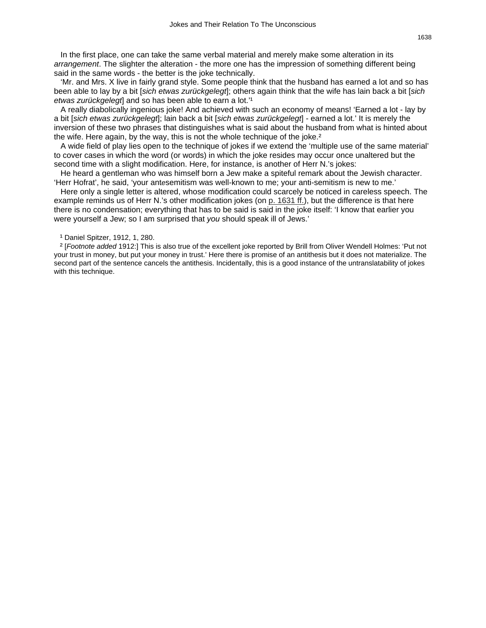In the first place, one can take the same verbal material and merely make some alteration in its *arrangement*. The slighter the alteration - the more one has the impression of something different being said in the same words - the better is the joke technically.

 'Mr. and Mrs. X live in fairly grand style. Some people think that the husband has earned a lot and so has been able to lay by a bit [*sich etwas zurückgelegt*]; others again think that the wife has lain back a bit [*sich*  etwas zurückgelegt and so has been able to earn a lot.<sup>11</sup>

 A really diabolically ingenious joke! And achieved with such an economy of means! 'Earned a lot - lay by a bit [*sich etwas zurückgelegt*]; lain back a bit [*sich etwas zurückgelegt*] - earned a lot.' It is merely the inversion of these two phrases that distinguishes what is said about the husband from what is hinted about the wife. Here again, by the way, this is not the whole technique of the joke.<sup>2</sup>

 A wide field of play lies open to the technique of jokes if we extend the 'multiple use of the same material' to cover cases in which the word (or words) in which the joke resides may occur once unaltered but the second time with a slight modification. Here, for instance, is another of Herr N.'s jokes:

 He heard a gentleman who was himself born a Jew make a spiteful remark about the Jewish character. 'Herr Hofrat', he said, 'your ant*e*semitism was well-known to me; your anti-semitism is new to me.'

 Here only a single letter is altered, whose modification could scarcely be noticed in careless speech. The example reminds us of Herr N.'s other modification jokes (on p. 1631 ff.), but the difference is that here there is no condensation; everything that has to be said is said in the joke itself: 'I know that earlier you were yourself a Jew; so I am surprised that *you* should speak ill of Jews.'

<sup>1</sup> Daniel Spitzer, 1912, 1, 280.

 ² [*Footnote added* 1912:] This is also true of the excellent joke reported by Brill from Oliver Wendell Holmes: 'Put not your trust in money, but put your money in trust.' Here there is promise of an antithesis but it does not materialize. The second part of the sentence cancels the antithesis. Incidentally, this is a good instance of the untranslatability of jokes with this technique.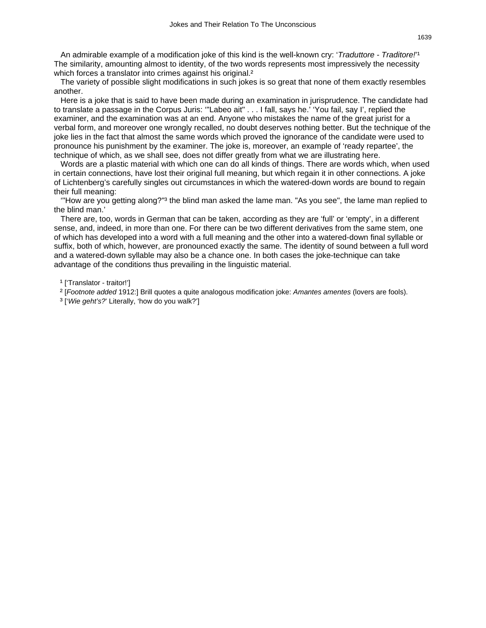An admirable example of a modification joke of this kind is the well-known cry: '*Traduttore - Traditore!*'<sup>1</sup> The similarity, amounting almost to identity, of the two words represents most impressively the necessity which forces a translator into crimes against his original.<sup>2</sup>

The variety of possible slight modifications in such jokes is so great that none of them exactly resembles another.

 Here is a joke that is said to have been made during an examination in jurisprudence. The candidate had to translate a passage in the Corpus Juris: '"Labeo ait" . . . I fall, says he.' 'You fail, say I', replied the examiner, and the examination was at an end. Anyone who mistakes the name of the great jurist for a verbal form, and moreover one wrongly recalled, no doubt deserves nothing better. But the technique of the joke lies in the fact that almost the same words which proved the ignorance of the candidate were used to pronounce his punishment by the examiner. The joke is, moreover, an example of 'ready repartee', the technique of which, as we shall see, does not differ greatly from what we are illustrating here.

 Words are a plastic material with which one can do all kinds of things. There are words which, when used in certain connections, have lost their original full meaning, but which regain it in other connections. A joke of Lichtenberg's carefully singles out circumstances in which the watered-down words are bound to regain their full meaning:

 '"How are you getting along?"³ the blind man asked the lame man. "As you see", the lame man replied to the blind man.'

 There are, too, words in German that can be taken, according as they are 'full' or 'empty', in a different sense, and, indeed, in more than one. For there can be two different derivatives from the same stem, one of which has developed into a word with a full meaning and the other into a watered-down final syllable or suffix, both of which, however, are pronounced exactly the same. The identity of sound between a full word and a watered-down syllable may also be a chance one. In both cases the joke-technique can take advantage of the conditions thus prevailing in the linguistic material.

³ ['*Wie geht's?*' Literally, 'how do you walk?']

<sup>&</sup>lt;sup>1</sup> ['Translator - traitor!']

² [*Footnote added* 1912:] Brill quotes a quite analogous modification joke: *Amantes amentes* (lovers are fools).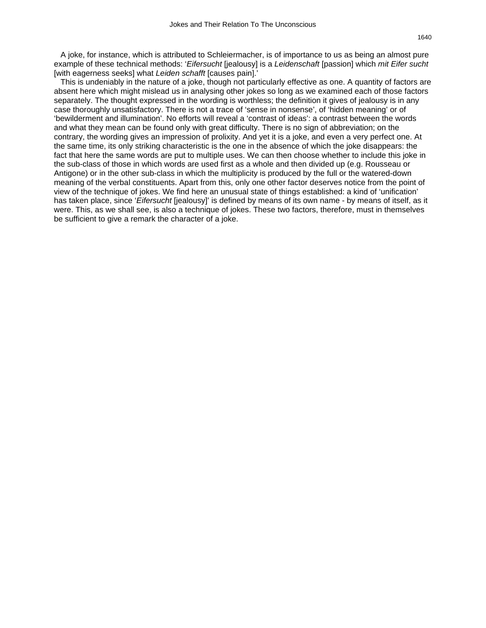A joke, for instance, which is attributed to Schleiermacher, is of importance to us as being an almost pure example of these technical methods: '*Eifersucht* [jealousy] is a *Leidenschaft* [passion] which *mit Eifer sucht* [with eagerness seeks] what *Leiden schafft* [causes pain].'

 This is undeniably in the nature of a joke, though not particularly effective as one. A quantity of factors are absent here which might mislead us in analysing other jokes so long as we examined each of those factors separately. The thought expressed in the wording is worthless; the definition it gives of jealousy is in any case thoroughly unsatisfactory. There is not a trace of 'sense in nonsense', of 'hidden meaning' or of 'bewilderment and illumination'. No efforts will reveal a 'contrast of ideas': a contrast between the words and what they mean can be found only with great difficulty. There is no sign of abbreviation; on the contrary, the wording gives an impression of prolixity. And yet it is a joke, and even a very perfect one. At the same time, its only striking characteristic is the one in the absence of which the joke disappears: the fact that here the same words are put to multiple uses. We can then choose whether to include this joke in the sub-class of those in which words are used first as a whole and then divided up (e.g. Rousseau or Antigone) or in the other sub-class in which the multiplicity is produced by the full or the watered-down meaning of the verbal constituents. Apart from this, only one other factor deserves notice from the point of view of the technique of jokes. We find here an unusual state of things established: a kind of 'unification' has taken place, since '*Eifersucht* [jealousy]' is defined by means of its own name - by means of itself, as it were. This, as we shall see, is also a technique of jokes. These two factors, therefore, must in themselves be sufficient to give a remark the character of a joke.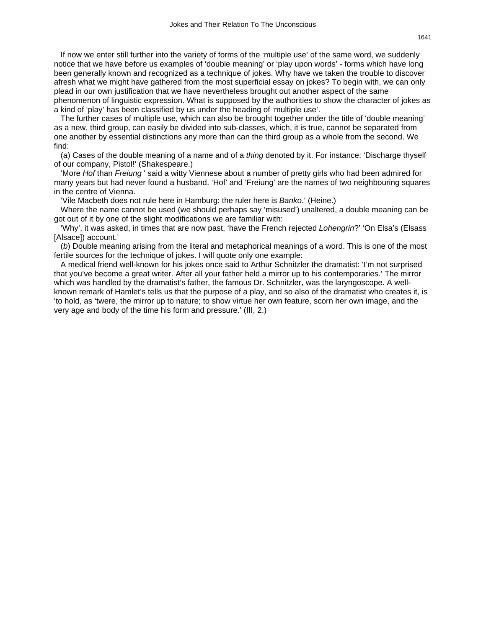If now we enter still further into the variety of forms of the 'multiple use' of the same word, we suddenly notice that we have before us examples of 'double meaning' or 'play upon words' - forms which have long been generally known and recognized as a technique of jokes. Why have we taken the trouble to discover afresh what we might have gathered from the most superficial essay on jokes? To begin with, we can only plead in our own justification that we have nevertheless brought out another aspect of the same phenomenon of linguistic expression. What is supposed by the authorities to show the character of jokes as a kind of 'play' has been classified by us under the heading of 'multiple use'.

 The further cases of multiple use, which can also be brought together under the title of 'double meaning' as a new, third group, can easily be divided into sub-classes, which, it is true, cannot be separated from one another by essential distinctions any more than can the third group as a whole from the second. We find:

 (*a*) Cases of the double meaning of a name and of a *thing* denoted by it. For instance: 'Discharge thyself of our company, Pistol!' (Shakespeare.)

 'More *Hof* than *Freiung* ' said a witty Viennese about a number of pretty girls who had been admired for many years but had never found a husband. 'Hof' and 'Freiung' are the names of two neighbouring squares in the centre of Vienna.

'Vile Macbeth does not rule here in Hamburg: the ruler here is *Banko*.' (Heine.)

 Where the name cannot be used (we should perhaps say 'misused') unaltered, a double meaning can be got out of it by one of the slight modifications we are familiar with:

 'Why', it was asked, in times that are now past, 'have the French rejected *Lohengrin*?' 'On Elsa's (Elsass [Alsace]) account.'

 (*b*) Double meaning arising from the literal and metaphorical meanings of a word. This is one of the most fertile sources for the technique of jokes. I will quote only one example:

 A medical friend well-known for his jokes once said to Arthur Schnitzler the dramatist: 'I'm not surprised that you've become a great writer. After all your father held a mirror up to his contemporaries.' The mirror which was handled by the dramatist's father, the famous Dr. Schnitzler, was the laryngoscope. A wellknown remark of Hamlet's tells us that the purpose of a play, and so also of the dramatist who creates it, is 'to hold, as 'twere, the mirror up to nature; to show virtue her own feature, scorn her own image, and the very age and body of the time his form and pressure.' (III, 2.)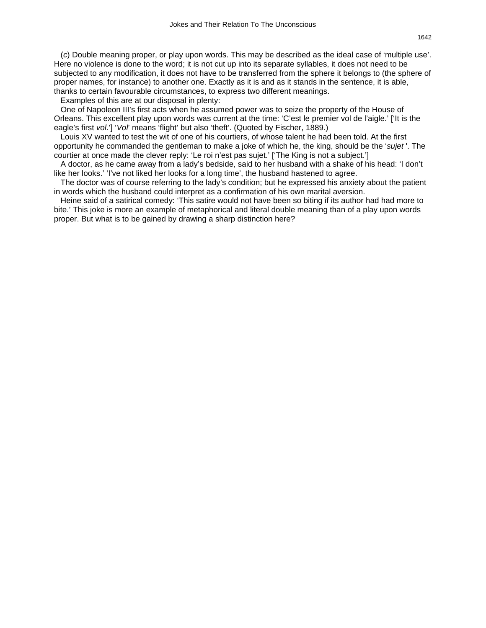(*c*) Double meaning proper, or play upon words. This may be described as the ideal case of 'multiple use'. Here no violence is done to the word; it is not cut up into its separate syllables, it does not need to be subjected to any modification, it does not have to be transferred from the sphere it belongs to (the sphere of proper names, for instance) to another one. Exactly as it is and as it stands in the sentence, it is able, thanks to certain favourable circumstances, to express two different meanings.

Examples of this are at our disposal in plenty:

 One of Napoleon III's first acts when he assumed power was to seize the property of the House of Orleans. This excellent play upon words was current at the time: 'C'est le premier vol de l'aigle.' ['It is the eagle's first *vol*.'] '*Vol*' means 'flight' but also 'theft'. (Quoted by Fischer, 1889.)

 Louis XV wanted to test the wit of one of his courtiers, of whose talent he had been told. At the first opportunity he commanded the gentleman to make a joke of which he, the king, should be the '*sujet* '. The courtier at once made the clever reply: 'Le roi n'est pas sujet.' ['The King is not a subject.']

 A doctor, as he came away from a lady's bedside, said to her husband with a shake of his head: 'I don't like her looks.' 'I've not liked her looks for a long time', the husband hastened to agree.

 The doctor was of course referring to the lady's condition; but he expressed his anxiety about the patient in words which the husband could interpret as a confirmation of his own marital aversion.

 Heine said of a satirical comedy: 'This satire would not have been so biting if its author had had more to bite.' This joke is more an example of metaphorical and literal double meaning than of a play upon words proper. But what is to be gained by drawing a sharp distinction here?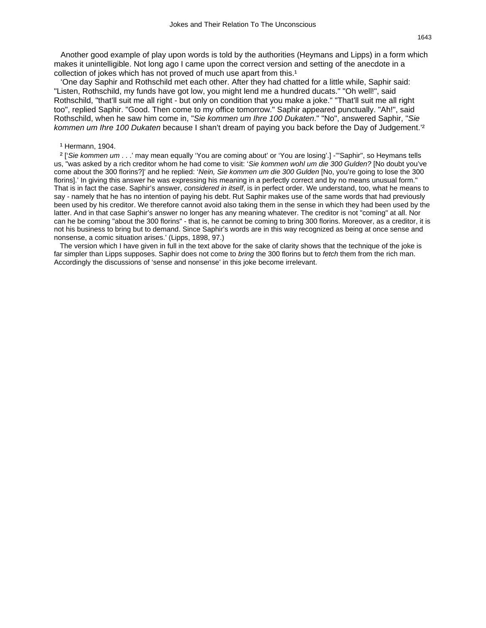Another good example of play upon words is told by the authorities (Heymans and Lipps) in a form which makes it unintelligible. Not long ago I came upon the correct version and setting of the anecdote in a collection of jokes which has not proved of much use apart from this.<sup>1</sup>

 'One day Saphir and Rothschild met each other. After they had chatted for a little while, Saphir said: "Listen, Rothschild, my funds have got low, you might lend me a hundred ducats." "Oh well!", said Rothschild, "that'll suit me all right - but only on condition that you make a joke." "That'll suit me all right too", replied Saphir. "Good. Then come to my office tomorrow." Saphir appeared punctually. "Ah!", said Rothschild, when he saw him come in, "*Sie kommen um Ihre 100 Dukaten*." "No", answered Saphir, "*Sie kommen um Ihre 100 Dukaten* because I shan't dream of paying you back before the Day of Judgement.'²

 ² ['*Sie kommen um* . . .' may mean equally 'You are coming about' or 'You are losing'.] -'"Saphir", so Heymans tells us, "was asked by a rich creditor whom he had come to visit: '*Sie kommen wohl um die 300 Gulden?* [No doubt you've come about the 300 florins?]' and he replied: '*Nein, Sie kommen um die 300 Gulden* [No, you're going to lose the 300 florins].' In giving this answer he was expressing his meaning in a perfectly correct and by no means unusual form." That is in fact the case. Saphir's answer, *considered in itself*, is in perfect order. We understand, too, what he means to say - namely that he has no intention of paying his debt. Rut Saphir makes use of the same words that had previously been used by his creditor. We therefore cannot avoid also taking them in the sense in which they had been used by the latter. And in that case Saphir's answer no longer has any meaning whatever. The creditor is not "coming" at all. Nor can he be coming "about the 300 florins" - that is, he cannot be coming to bring 300 florins. Moreover, as a creditor, it is not his business to bring but to demand. Since Saphir's words are in this way recognized as being at once sense and nonsense, a comic situation arises.' (Lipps, 1898, 97.)

 The version which I have given in full in the text above for the sake of clarity shows that the technique of the joke is far simpler than Lipps supposes. Saphir does not come to *bring* the 300 florins but to *fetch* them from the rich man. Accordingly the discussions of 'sense and nonsense' in this joke become irrelevant.

 $<sup>1</sup>$  Hermann, 1904.</sup>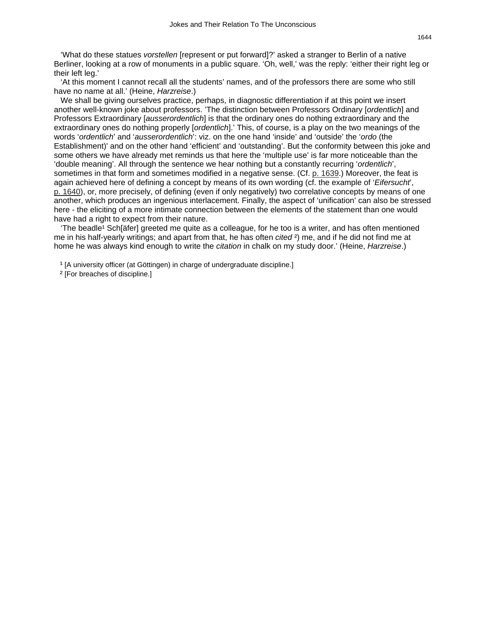'What do these statues *vorstellen* [represent or put forward]?' asked a stranger to Berlin of a native Berliner, looking at a row of monuments in a public square. 'Oh, well,' was the reply: 'either their right leg or their left leg.'

 'At this moment I cannot recall all the students' names, and of the professors there are some who still have no name at all.' (Heine, *Harzreise*.)

 We shall be giving ourselves practice, perhaps, in diagnostic differentiation if at this point we insert another well-known joke about professors. 'The distinction between Professors Ordinary [*ordentlich*] and Professors Extraordinary [*ausserordentlich*] is that the ordinary ones do nothing extraordinary and the extraordinary ones do nothing properly [*ordentlich*].' This, of course, is a play on the two meanings of the words '*ordentlich*' and '*ausserordentlich*': viz. on the one hand 'inside' and 'outside' the '*ordo* (the Establishment)' and on the other hand 'efficient' and 'outstanding'. But the conformity between this joke and some others we have already met reminds us that here the 'multiple use' is far more noticeable than the 'double meaning'. All through the sentence we hear nothing but a constantly recurring '*ordentlich*', sometimes in that form and sometimes modified in a negative sense. (Cf. p. 1639.) Moreover, the feat is again achieved here of defining a concept by means of its own wording (cf. the example of '*Eifersucht*', p. 1640), or, more precisely, of defining (even if only negatively) two correlative concepts by means of one another, which produces an ingenious interlacement. Finally, the aspect of 'unification' can also be stressed here - the eliciting of a more intimate connection between the elements of the statement than one would have had a right to expect from their nature.

'The beadle<sup>1</sup> Sch[äfer] greeted me quite as a colleague, for he too is a writer, and has often mentioned me in his half-yearly writings; and apart from that, he has often *cited* ²) me, and if he did not find me at home he was always kind enough to write the *citation* in chalk on my study door.' (Heine, *Harzreise*.)

<sup>1</sup> [A university officer (at Göttingen) in charge of undergraduate discipline.]

² [For breaches of discipline.]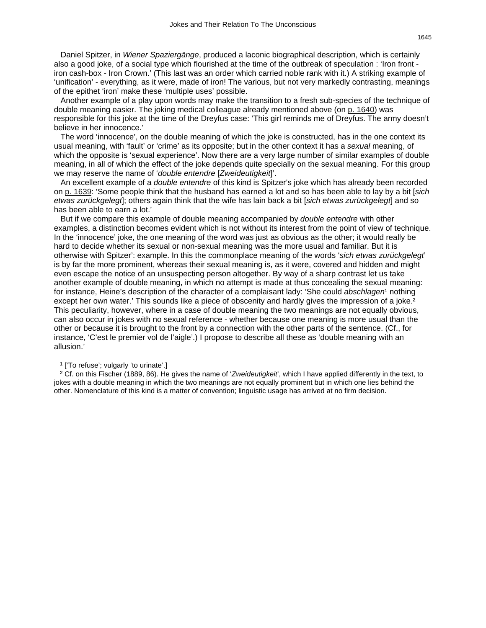Daniel Spitzer, in *Wiener Spaziergänge*, produced a laconic biographical description, which is certainly also a good joke, of a social type which flourished at the time of the outbreak of speculation : 'Iron front iron cash-box - Iron Crown.' (This last was an order which carried noble rank with it.) A striking example of 'unification' - everything, as it were, made of iron! The various, but not very markedly contrasting, meanings of the epithet 'iron' make these 'multiple uses' possible.

 Another example of a play upon words may make the transition to a fresh sub-species of the technique of double meaning easier. The joking medical colleague already mentioned above (on p. 1640) was responsible for this joke at the time of the Dreyfus case: 'This girl reminds me of Dreyfus. The army doesn't believe in her innocence.'

 The word 'innocence', on the double meaning of which the joke is constructed, has in the one context its usual meaning, with 'fault' or 'crime' as its opposite; but in the other context it has a *sexual* meaning, of which the opposite is 'sexual experience'. Now there are a very large number of similar examples of double meaning, in all of which the effect of the joke depends quite specially on the sexual meaning. For this group we may reserve the name of '*double entendre* [*Zweideutigkeit*]'.

 An excellent example of a *double entendre* of this kind is Spitzer's joke which has already been recorded on p. 1639: 'Some people think that the husband has earned a lot and so has been able to lay by a bit [*sich etwas zurückgelegt*]; others again think that the wife has lain back a bit [*sich etwas zurückgelegt*] and so has been able to earn a lot.'

 But if we compare this example of double meaning accompanied by *double entendre* with other examples, a distinction becomes evident which is not without its interest from the point of view of technique. In the 'innocence' joke, the one meaning of the word was just as obvious as the other; it would really be hard to decide whether its sexual or non-sexual meaning was the more usual and familiar. But it is otherwise with Spitzer': example. In this the commonplace meaning of the words '*sich etwas zurückgelegt*' is by far the more prominent, whereas their sexual meaning is, as it were, covered and hidden and might even escape the notice of an unsuspecting person altogether. By way of a sharp contrast let us take another example of double meaning, in which no attempt is made at thus concealing the sexual meaning: for instance, Heine's description of the character of a complaisant lady: 'She could *abschlagen*<sup>1</sup> nothing except her own water.' This sounds like a piece of obscenity and hardly gives the impression of a joke.<sup>2</sup> This peculiarity, however, where in a case of double meaning the two meanings are not equally obvious, can also occur in jokes with no sexual reference - whether because one meaning is more usual than the other or because it is brought to the front by a connection with the other parts of the sentence. (Cf., for instance, 'C'est le premier vol de l'aigle'.) I propose to describe all these as 'double meaning with an allusion.'

#### <sup>1</sup> ['To refuse'; vulgarly 'to urinate'.]

 ² Cf. on this Fischer (1889, 86). He gives the name of '*Zweideutigkeit*', which I have applied differently in the text, to jokes with a double meaning in which the two meanings are not equally prominent but in which one lies behind the other. Nomenclature of this kind is a matter of convention; linguistic usage has arrived at no firm decision.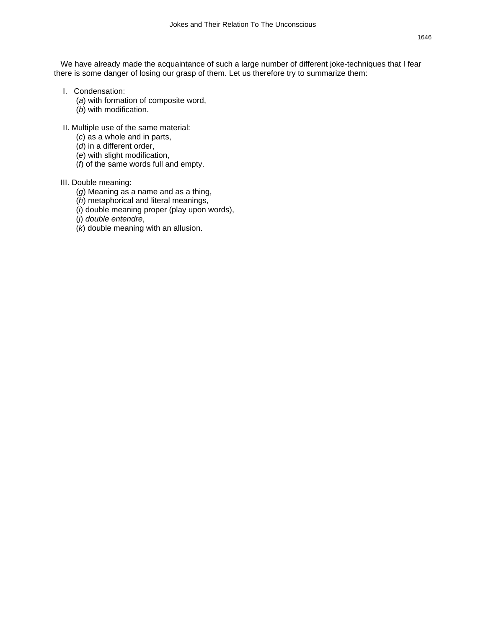We have already made the acquaintance of such a large number of different joke-techniques that I fear there is some danger of losing our grasp of them. Let us therefore try to summarize them:

- I. Condensation:
	- (*a*) with formation of composite word,
	- (*b*) with modification.
- II. Multiple use of the same material:
	- (*c*) as a whole and in parts,
	- (*d*) in a different order,
	- (*e*) with slight modification,
	- (*f*) of the same words full and empty.
- III. Double meaning:
	- (*g*) Meaning as a name and as a thing,
	- (*h*) metaphorical and literal meanings,
	- (*i*) double meaning proper (play upon words),
	- (*j*) *double entendre*,
	- (*k*) double meaning with an allusion.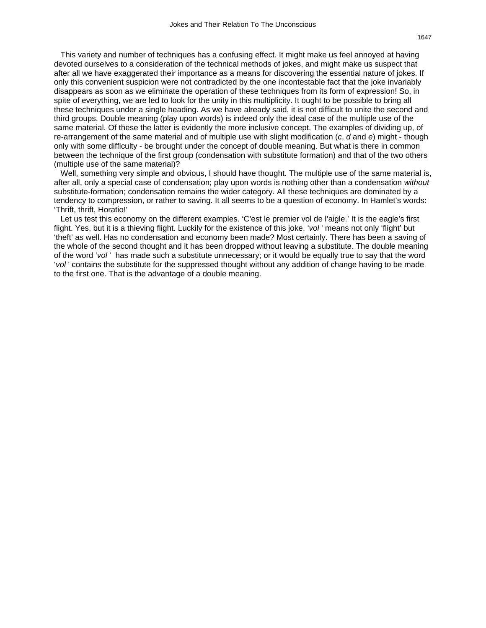This variety and number of techniques has a confusing effect. It might make us feel annoyed at having devoted ourselves to a consideration of the technical methods of jokes, and might make us suspect that after all we have exaggerated their importance as a means for discovering the essential nature of jokes. If only this convenient suspicion were not contradicted by the one incontestable fact that the joke invariably disappears as soon as we eliminate the operation of these techniques from its form of expression! So, in

spite of everything, we are led to look for the unity in this multiplicity. It ought to be possible to bring all these techniques under a single heading. As we have already said, it is not difficult to unite the second and third groups. Double meaning (play upon words) is indeed only the ideal case of the multiple use of the same material. Of these the latter is evidently the more inclusive concept. The examples of dividing up, of re-arrangement of the same material and of multiple use with slight modification (*c*, *d* and *e*) might - though only with some difficulty - be brought under the concept of double meaning. But what is there in common between the technique of the first group (condensation with substitute formation) and that of the two others (multiple use of the same material)?

 Well, something very simple and obvious, I should have thought. The multiple use of the same material is, after all, only a special case of condensation; play upon words is nothing other than a condensation *without* substitute-formation; condensation remains the wider category. All these techniques are dominated by a tendency to compression, or rather to saving. It all seems to be a question of economy. In Hamlet's words: 'Thrift, thrift, Horatio!'

 Let us test this economy on the different examples. 'C'est le premier vol de l'aigle.' It is the eagle's first flight. Yes, but it is a thieving flight. Luckily for the existence of this joke, '*vol* ' means not only 'flight' but 'theft' as well. Has no condensation and economy been made? Most certainly. There has been a saving of the whole of the second thought and it has been dropped without leaving a substitute. The double meaning of the word '*vol* ' has made such a substitute unnecessary; or it would be equally true to say that the word '*vol* ' contains the substitute for the suppressed thought without any addition of change having to be made to the first one. That is the advantage of a double meaning.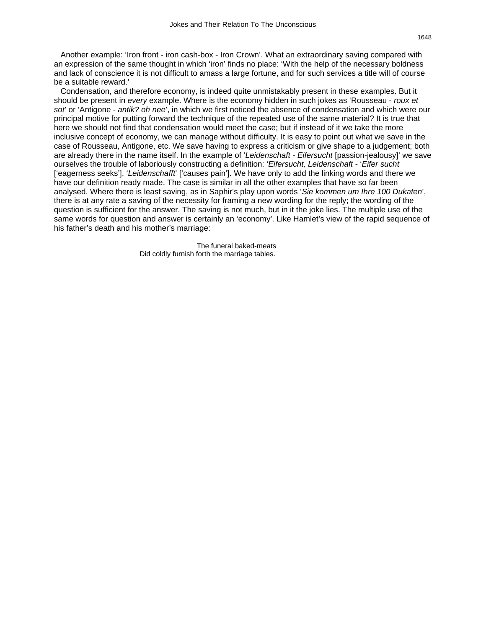Another example: 'Iron front - iron cash-box - Iron Crown'. What an extraordinary saving compared with an expression of the same thought in which 'iron' finds no place: 'With the help of the necessary boldness and lack of conscience it is not difficult to amass a large fortune, and for such services a title will of course be a suitable reward.'

 Condensation, and therefore economy, is indeed quite unmistakably present in these examples. But it should be present in *every* example. Where is the economy hidden in such jokes as 'Rousseau - *roux et sot*' or 'Antigone - *antik? oh nee*', in which we first noticed the absence of condensation and which were our principal motive for putting forward the technique of the repeated use of the same material? It is true that here we should not find that condensation would meet the case; but if instead of it we take the more inclusive concept of economy, we can manage without difficulty. It is easy to point out what we save in the case of Rousseau, Antigone, etc. We save having to express a criticism or give shape to a judgement; both are already there in the name itself. In the example of '*Leidenschaft - Eifersucht* [passion-jealousy]' we save ourselves the trouble of laboriously constructing a definition: '*Eifersucht, Leidenschaft* - '*Eifer sucht* ['eagerness seeks'], '*Leidenschafft*' ['causes pain']. We have only to add the linking words and there we have our definition ready made. The case is similar in all the other examples that have so far been analysed. Where there is least saving, as in Saphir's play upon words '*Sie kommen um Ihre 100 Dukaten*', there is at any rate a saving of the necessity for framing a new wording for the reply; the wording of the question is sufficient for the answer. The saving is not much, but in it the joke lies. The multiple use of the same words for question and answer is certainly an 'economy'. Like Hamlet's view of the rapid sequence of his father's death and his mother's marriage:

> The funeral baked-meats Did coldly furnish forth the marriage tables.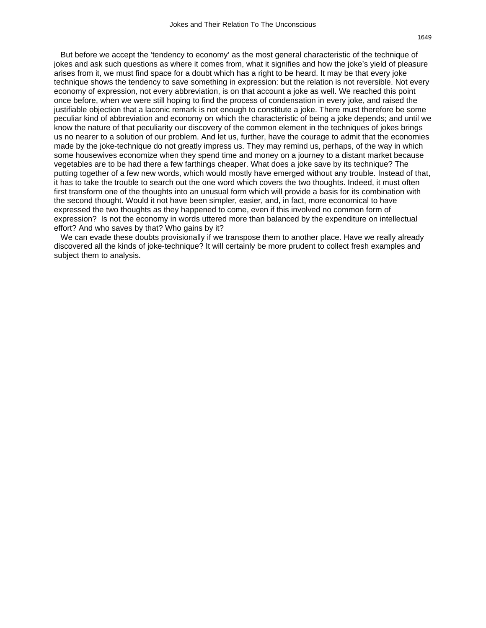But before we accept the 'tendency to economy' as the most general characteristic of the technique of jokes and ask such questions as where it comes from, what it signifies and how the joke's yield of pleasure arises from it, we must find space for a doubt which has a right to be heard. It may be that every joke technique shows the tendency to save something in expression: but the relation is not reversible. Not every economy of expression, not every abbreviation, is on that account a joke as well. We reached this point once before, when we were still hoping to find the process of condensation in every joke, and raised the justifiable objection that a laconic remark is not enough to constitute a joke. There must therefore be some peculiar kind of abbreviation and economy on which the characteristic of being a joke depends; and until we know the nature of that peculiarity our discovery of the common element in the techniques of jokes brings us no nearer to a solution of our problem. And let us, further, have the courage to admit that the economies made by the joke-technique do not greatly impress us. They may remind us, perhaps, of the way in which some housewives economize when they spend time and money on a journey to a distant market because vegetables are to be had there a few farthings cheaper. What does a joke save by its technique? The putting together of a few new words, which would mostly have emerged without any trouble. Instead of that, it has to take the trouble to search out the one word which covers the two thoughts. Indeed, it must often

effort? And who saves by that? Who gains by it? We can evade these doubts provisionally if we transpose them to another place. Have we really already discovered all the kinds of joke-technique? It will certainly be more prudent to collect fresh examples and subject them to analysis.

first transform one of the thoughts into an unusual form which will provide a basis for its combination with the second thought. Would it not have been simpler, easier, and, in fact, more economical to have expressed the two thoughts as they happened to come, even if this involved no common form of

expression? Is not the economy in words uttered more than balanced by the expenditure on intellectual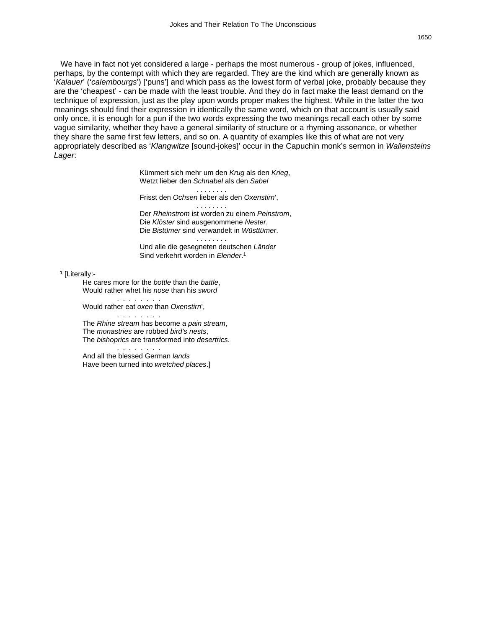We have in fact not yet considered a large - perhaps the most numerous - group of jokes, influenced, perhaps, by the contempt with which they are regarded. They are the kind which are generally known as '*Kalauer*' ('*calembourgs*') ['puns'] and which pass as the lowest form of verbal joke, probably because they are the 'cheapest' - can be made with the least trouble. And they do in fact make the least demand on the technique of expression, just as the play upon words proper makes the highest. While in the latter the two meanings should find their expression in identically the same word, which on that account is usually said only once, it is enough for a pun if the two words expressing the two meanings recall each other by some vague similarity, whether they have a general similarity of structure or a rhyming assonance, or whether they share the same first few letters, and so on. A quantity of examples like this of what are not very appropriately described as '*Klangwitze* [sound-jokes]' occur in the Capuchin monk's sermon in *Wallensteins Lager*:

> Kümmert sich mehr um den *Krug* als den *Krieg*, Wetzt lieber den *Schnabel* als den *Sabel*

 . . . . . . . . Frisst den *Ochsen* lieber als den *Oxenstirn*',

. . . . . . . .

 Der *Rheinstrom* ist worden zu einem *Peinstrom*, Die *Klöster* sind ausgenommene *Nester*, Die *Bistümer* sind verwandelt in *Wüsttümer*.

 . . . . . . . . Und alle die gesegneten deutschen *Länder* Sind verkehrt worden in *Flender*.<sup>1</sup>

<sup>1</sup> [Literally:-

 He cares more for the *bottle* than the *battle*, Would rather whet his *nose* than his *sword*

 . . . . . . . . Would rather eat *oxen* than *Oxenstirn*',

. . . . . . . .

 The *Rhine stream* has become a *pain stream*, The *monastries* are robbed *bird's nests*, The *bishoprics* are transformed into *desertrics*.

 . . . . . . . . And all the blessed German *lands* Have been turned into *wretched places*.]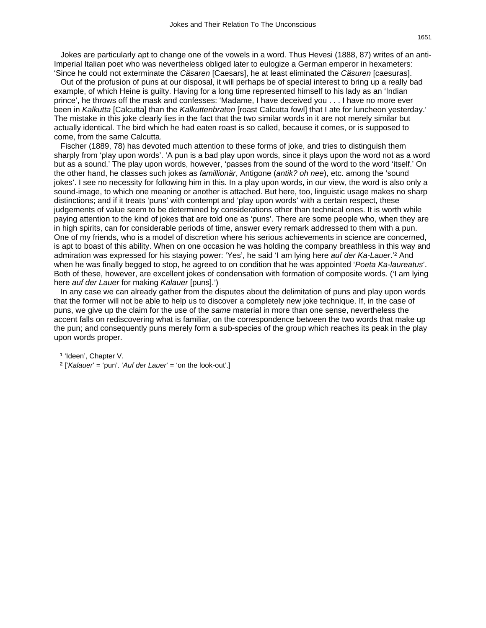Jokes are particularly apt to change one of the vowels in a word. Thus Hevesi (1888, 87) writes of an anti-Imperial Italian poet who was nevertheless obliged later to eulogize a German emperor in hexameters: 'Since he could not exterminate the *Cäsaren* [Caesars], he at least eliminated the *Cäsuren* [caesuras].

 Out of the profusion of puns at our disposal, it will perhaps be of special interest to bring up a really bad example, of which Heine is guilty. Having for a long time represented himself to his lady as an 'Indian prince', he throws off the mask and confesses: 'Madame, I have deceived you . . . I have no more ever been in *Kalkutta* [Calcutta] than the *Kalkuttenbraten* [roast Calcutta fowl] that I ate for luncheon yesterday.' The mistake in this joke clearly lies in the fact that the two similar words in it are not merely similar but actually identical. The bird which he had eaten roast is so called, because it comes, or is supposed to come, from the same Calcutta.

 Fischer (1889, 78) has devoted much attention to these forms of joke, and tries to distinguish them sharply from 'play upon words'. 'A pun is a bad play upon words, since it plays upon the word not as a word but as a sound.' The play upon words, however, 'passes from the sound of the word to the word 'itself.' On the other hand, he classes such jokes as *famillionär*, Antigone (*antik? oh nee*), etc. among the 'sound jokes'. I see no necessity for following him in this. In a play upon words, in our view, the word is also only a sound-image, to which one meaning or another is attached. But here, too, linguistic usage makes no sharp distinctions; and if it treats 'puns' with contempt and 'play upon words' with a certain respect, these judgements of value seem to be determined by considerations other than technical ones. It is worth while paying attention to the kind of jokes that are told one as 'puns'. There are some people who, when they are in high spirits, can for considerable periods of time, answer every remark addressed to them with a pun. One of my friends, who is a model of discretion where his serious achievements in science are concerned, is apt to boast of this ability. When on one occasion he was holding the company breathless in this way and admiration was expressed for his staying power: 'Yes', he said 'I am lying here *auf der Ka-Lauer*.'² And when he was finally begged to stop, he agreed to on condition that he was appointed '*Poeta Ka-laureatus*'. Both of these, however, are excellent jokes of condensation with formation of composite words. ('I am lying here *auf der Lauer* for making *Kalauer* [puns].')

 In any case we can already gather from the disputes about the delimitation of puns and play upon words that the former will not be able to help us to discover a completely new joke technique. If, in the case of puns, we give up the claim for the use of the *same* material in more than one sense, nevertheless the accent falls on rediscovering what is familiar, on the correspondence between the two words that make up the pun; and consequently puns merely form a sub-species of the group which reaches its peak in the play upon words proper.

<sup>1</sup> 'Ideen'. Chapter V. ² ['*Kalauer*' = 'pun'. '*Auf der Lauer*' = 'on the look-out'.]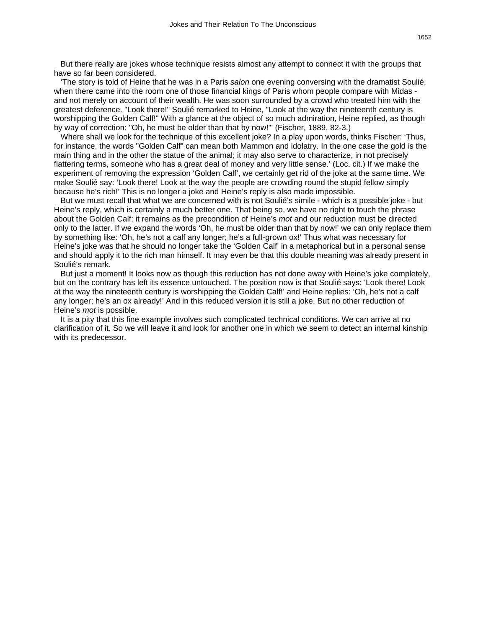But there really are jokes whose technique resists almost any attempt to connect it with the groups that have so far been considered.

 'The story is told of Heine that he was in a Paris *salon* one evening conversing with the dramatist Soulié, when there came into the room one of those financial kings of Paris whom people compare with Midas and not merely on account of their wealth. He was soon surrounded by a crowd who treated him with the greatest deference. "Look there!" Soulié remarked to Heine, "Look at the way the nineteenth century is worshipping the Golden Calf!" With a glance at the object of so much admiration, Heine replied, as though by way of correction: "Oh, he must be older than that by now!"' (Fischer, 1889, 82-3.)

 Where shall we look for the technique of this excellent joke? In a play upon words, thinks Fischer: 'Thus, for instance, the words "Golden Calf" can mean both Mammon and idolatry. In the one case the gold is the main thing and in the other the statue of the animal; it may also serve to characterize, in not precisely flattering terms, someone who has a great deal of money and very little sense.' (Loc. cit.) If we make the experiment of removing the expression 'Golden Calf', we certainly get rid of the joke at the same time. We make Soulié say: 'Look there! Look at the way the people are crowding round the stupid fellow simply because he's rich!' This is no longer a joke and Heine's reply is also made impossible.

 But we must recall that what we are concerned with is not Soulié's simile - which is a possible joke - but Heine's reply, which is certainly a much better one. That being so, we have no right to touch the phrase about the Golden Calf: it remains as the precondition of Heine's *mot* and our reduction must be directed only to the latter. If we expand the words 'Oh, he must be older than that by now!' we can only replace them by something like: 'Oh, he's not a calf any longer; he's a full-grown ox!' Thus what was necessary for Heine's joke was that he should no longer take the 'Golden Calf' in a metaphorical but in a personal sense and should apply it to the rich man himself. It may even be that this double meaning was already present in Soulié's remark.

 But just a moment! It looks now as though this reduction has not done away with Heine's joke completely, but on the contrary has left its essence untouched. The position now is that Soulié says: 'Look there! Look at the way the nineteenth century is worshipping the Golden Calf!' and Heine replies: 'Oh, he's not a calf any longer; he's an ox already!' And in this reduced version it is still a joke. But no other reduction of Heine's *mot* is possible.

 It is a pity that this fine example involves such complicated technical conditions. We can arrive at no clarification of it. So we will leave it and look for another one in which we seem to detect an internal kinship with its predecessor.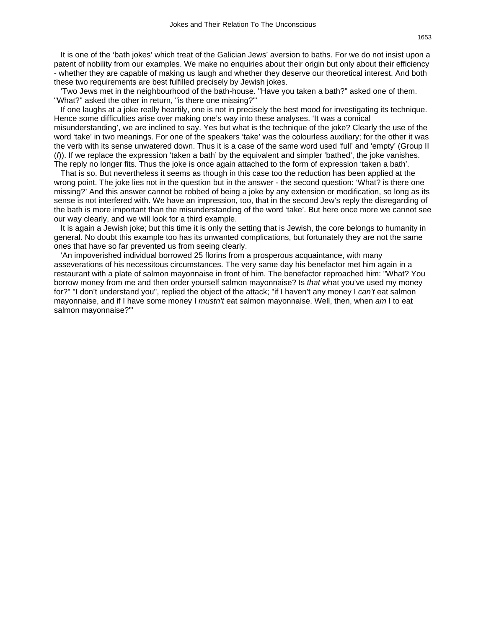It is one of the 'bath jokes' which treat of the Galician Jews' aversion to baths. For we do not insist upon a patent of nobility from our examples. We make no enquiries about their origin but only about their efficiency - whether they are capable of making us laugh and whether they deserve our theoretical interest. And both these two requirements are best fulfilled precisely by Jewish jokes.

 'Two Jews met in the neighbourhood of the bath-house. "Have you taken a bath?" asked one of them. "What?" asked the other in return, "is there one missing?"'

 If one laughs at a joke really heartily, one is not in precisely the best mood for investigating its technique. Hence some difficulties arise over making one's way into these analyses. 'It was a comical misunderstanding', we are inclined to say. Yes but what is the technique of the joke? Clearly the use of the word 'take' in two meanings. For one of the speakers 'take' was the colourless auxiliary; for the other it was the verb with its sense unwatered down. Thus it is a case of the same word used 'full' and 'empty' (Group II (*f*)). If we replace the expression 'taken a bath' by the equivalent and simpler 'bathed', the joke vanishes. The reply no longer fits. Thus the joke is once again attached to the form of expression 'taken a bath'.

 That is so. But nevertheless it seems as though in this case too the reduction has been applied at the wrong point. The joke lies not in the question but in the answer - the second question: 'What? is there one missing?' And this answer cannot be robbed of being a joke by any extension or modification, so long as its sense is not interfered with. We have an impression, too, that in the second Jew's reply the disregarding of the bath is more important than the misunderstanding of the word 'take'. But here once more we cannot see our way clearly, and we will look for a third example.

 It is again a Jewish joke; but this time it is only the setting that is Jewish, the core belongs to humanity in general. No doubt this example too has its unwanted complications, but fortunately they are not the same ones that have so far prevented us from seeing clearly.

 'An impoverished individual borrowed 25 florins from a prosperous acquaintance, with many asseverations of his necessitous circumstances. The very same day his benefactor met him again in a restaurant with a plate of salmon mayonnaise in front of him. The benefactor reproached him: "What? You borrow money from me and then order yourself salmon mayonnaise? Is *that* what you've used my money for?" "I don't understand you", replied the object of the attack; "if I haven't any money I *can't* eat salmon mayonnaise, and if I have some money I *mustn't* eat salmon mayonnaise. Well, then, when *am* I to eat salmon mayonnaise?"'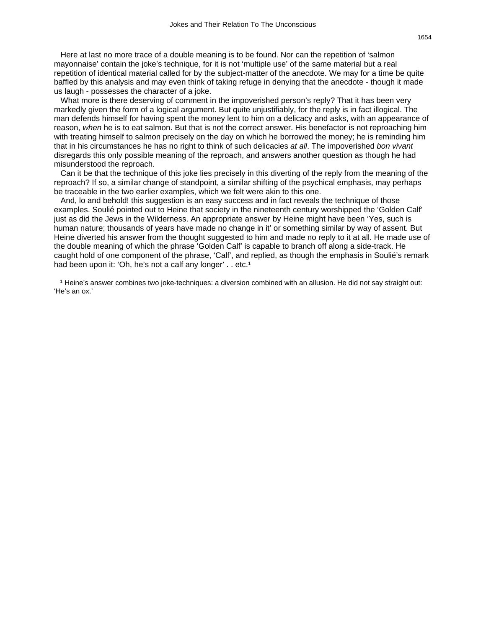Here at last no more trace of a double meaning is to be found. Nor can the repetition of 'salmon mayonnaise' contain the joke's technique, for it is not 'multiple use' of the same material but a real repetition of identical material called for by the subject-matter of the anecdote. We may for a time be quite baffled by this analysis and may even think of taking refuge in denying that the anecdote - though it made us laugh - possesses the character of a joke.

 What more is there deserving of comment in the impoverished person's reply? That it has been very markedly given the form of a logical argument. But quite uniustifiably, for the reply is in fact illogical. The man defends himself for having spent the money lent to him on a delicacy and asks, with an appearance of reason, *when* he is to eat salmon. But that is not the correct answer. His benefactor is not reproaching him with treating himself to salmon precisely on the day on which he borrowed the money; he is reminding him that in his circumstances he has no right to think of such delicacies *at all*. The impoverished *bon vivant* disregards this only possible meaning of the reproach, and answers another question as though he had misunderstood the reproach.

 Can it be that the technique of this joke lies precisely in this diverting of the reply from the meaning of the reproach? If so, a similar change of standpoint, a similar shifting of the psychical emphasis, may perhaps be traceable in the two earlier examples, which we felt were akin to this one.

 And, lo and behold! this suggestion is an easy success and in fact reveals the technique of those examples. Soulié pointed out to Heine that society in the nineteenth century worshipped the 'Golden Calf' just as did the Jews in the Wilderness. An appropriate answer by Heine might have been 'Yes, such is human nature; thousands of years have made no change in it' or something similar by way of assent. But Heine diverted his answer from the thought suggested to him and made no reply to it at all. He made use of the double meaning of which the phrase 'Golden Calf' is capable to branch off along a side-track. He caught hold of one component of the phrase, 'Calf', and replied, as though the emphasis in Soulié's remark had been upon it: 'Oh, he's not a calf any longer' . . etc.<sup>1</sup>

<sup>&</sup>lt;sup>1</sup> Heine's answer combines two joke-techniques: a diversion combined with an allusion. He did not say straight out: 'He's an ox.'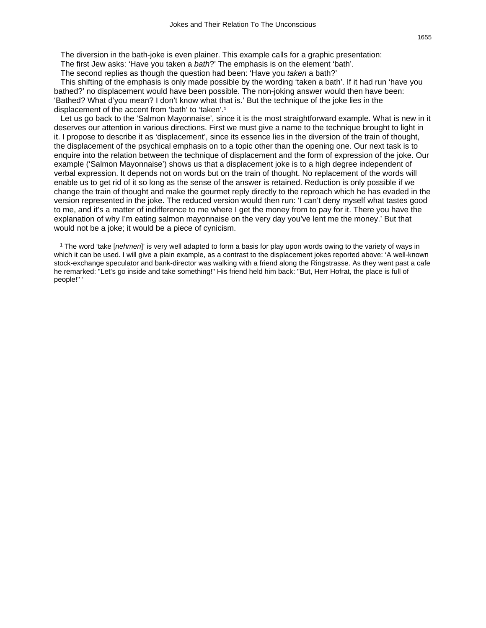The diversion in the bath-joke is even plainer. This example calls for a graphic presentation: The first Jew asks: 'Have you taken a *bath*?' The emphasis is on the element 'bath'.

The second replies as though the question had been: 'Have you *taken* a bath?'

 This shifting of the emphasis is only made possible by the wording 'taken a bath'. If it had run 'have you bathed?' no displacement would have been possible. The non-joking answer would then have been: 'Bathed? What d'you mean? I don't know what that is.' But the technique of the joke lies in the displacement of the accent from 'bath' to 'taken'.<sup>1</sup>

 Let us go back to the 'Salmon Mayonnaise', since it is the most straightforward example. What is new in it deserves our attention in various directions. First we must give a name to the technique brought to light in it. I propose to describe it as 'displacement', since its essence lies in the diversion of the train of thought, the displacement of the psychical emphasis on to a topic other than the opening one. Our next task is to enquire into the relation between the technique of displacement and the form of expression of the joke. Our example ('Salmon Mayonnaise') shows us that a displacement joke is to a high degree independent of verbal expression. It depends not on words but on the train of thought. No replacement of the words will enable us to get rid of it so long as the sense of the answer is retained. Reduction is only possible if we change the train of thought and make the gourmet reply directly to the reproach which he has evaded in the version represented in the joke. The reduced version would then run: 'I can't deny myself what tastes good to me, and it's a matter of indifference to me where I get the money from to pay for it. There you have the explanation of why I'm eating salmon mayonnaise on the very day you've lent me the money.' But that would not be a joke; it would be a piece of cynicism.

<sup>1</sup> The word 'take [*nehmen*]' is very well adapted to form a basis for play upon words owing to the variety of ways in which it can be used. I will give a plain example, as a contrast to the displacement jokes reported above: 'A well-known stock-exchange speculator and bank-director was walking with a friend along the Ringstrasse. As they went past a cafe he remarked: "Let's go inside and take something!" His friend held him back: "But, Herr Hofrat, the place is full of people!" '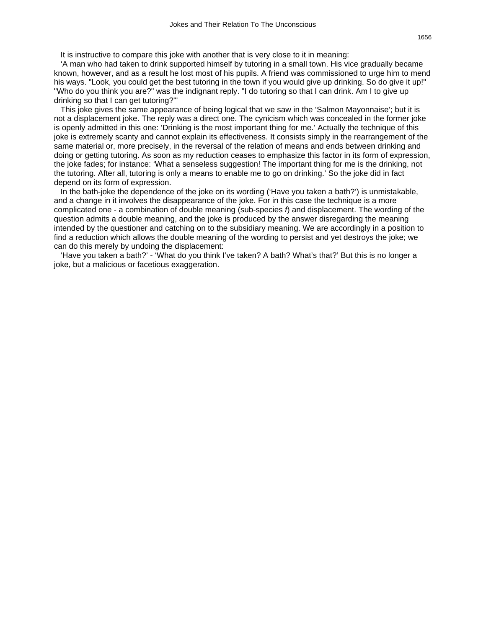It is instructive to compare this joke with another that is very close to it in meaning:

 'A man who had taken to drink supported himself by tutoring in a small town. His vice gradually became known, however, and as a result he lost most of his pupils. A friend was commissioned to urge him to mend his ways. "Look, you could get the best tutoring in the town if you would give up drinking. So do give it up!" "Who do you think you are?" was the indignant reply. "I do tutoring so that I can drink. Am I to give up drinking so that I can get tutoring?"'

 This joke gives the same appearance of being logical that we saw in the 'Salmon Mayonnaise'; but it is not a displacement joke. The reply was a direct one. The cynicism which was concealed in the former joke is openly admitted in this one: 'Drinking is the most important thing for me.' Actually the technique of this joke is extremely scanty and cannot explain its effectiveness. It consists simply in the rearrangement of the same material or, more precisely, in the reversal of the relation of means and ends between drinking and doing or getting tutoring. As soon as my reduction ceases to emphasize this factor in its form of expression, the joke fades; for instance: 'What a senseless suggestion! The important thing for me is the drinking, not the tutoring. After all, tutoring is only a means to enable me to go on drinking.' So the joke did in fact depend on its form of expression.

 In the bath-joke the dependence of the joke on its wording ('Have you taken a bath?') is unmistakable, and a change in it involves the disappearance of the joke. For in this case the technique is a more complicated one - a combination of double meaning (sub-species *f*) and displacement. The wording of the question admits a double meaning, and the joke is produced by the answer disregarding the meaning intended by the questioner and catching on to the subsidiary meaning. We are accordingly in a position to find a reduction which allows the double meaning of the wording to persist and yet destroys the joke; we can do this merely by undoing the displacement:

 'Have you taken a bath?' - 'What do you think I've taken? A bath? What's that?' But this is no longer a joke, but a malicious or facetious exaggeration.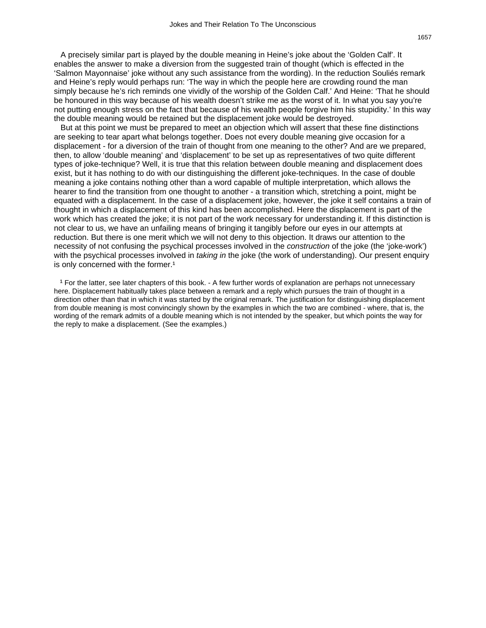A precisely similar part is played by the double meaning in Heine's joke about the 'Golden Calf'. It enables the answer to make a diversion from the suggested train of thought (which is effected in the 'Salmon Mayonnaise' joke without any such assistance from the wording). In the reduction Souliés remark and Heine's reply would perhaps run: 'The way in which the people here are crowding round the man simply because he's rich reminds one vividly of the worship of the Golden Calf.' And Heine: 'That he should be honoured in this way because of his wealth doesn't strike me as the worst of it. In what you say you're not putting enough stress on the fact that because of his wealth people forgive him his stupidity.' In this way the double meaning would be retained but the displacement joke would be destroyed.

 But at this point we must be prepared to meet an objection which will assert that these fine distinctions are seeking to tear apart what belongs together. Does not every double meaning give occasion for a displacement - for a diversion of the train of thought from one meaning to the other? And are we prepared, then, to allow 'double meaning' and 'displacement' to be set up as representatives of two quite different types of joke-technique? Well, it is true that this relation between double meaning and displacement does exist, but it has nothing to do with our distinguishing the different joke-techniques. In the case of double meaning a joke contains nothing other than a word capable of multiple interpretation, which allows the hearer to find the transition from one thought to another - a transition which, stretching a point, might be equated with a displacement. In the case of a displacement joke, however, the joke it self contains a train of thought in which a displacement of this kind has been accomplished. Here the displacement is part of the work which has created the joke; it is not part of the work necessary for understanding it. If this distinction is not clear to us, we have an unfailing means of bringing it tangibly before our eyes in our attempts at reduction. But there is one merit which we will not deny to this objection. It draws our attention to the necessity of not confusing the psychical processes involved in the *construction* of the joke (the 'joke-work') with the psychical processes involved in *taking in* the joke (the work of understanding). Our present enquiry is only concerned with the former.<sup>1</sup>

<sup>1</sup> For the latter, see later chapters of this book. - A few further words of explanation are perhaps not unnecessary here. Displacement habitually takes place between a remark and a reply which pursues the train of thought in a direction other than that in which it was started by the original remark. The justification for distinguishing displacement from double meaning is most convincingly shown by the examples in which the two are combined - where, that is, the wording of the remark admits of a double meaning which is not intended by the speaker, but which points the way for the reply to make a displacement. (See the examples.)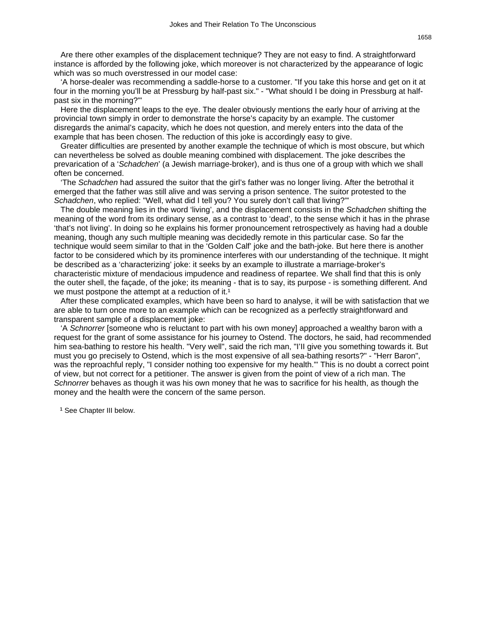Are there other examples of the displacement technique? They are not easy to find. A straightforward instance is afforded by the following joke, which moreover is not characterized by the appearance of logic which was so much overstressed in our model case:

 'A horse-dealer was recommending a saddle-horse to a customer. "If you take this horse and get on it at four in the morning you'll be at Pressburg by half-past six." - "What should I be doing in Pressburg at halfpast six in the morning?"'

 Here the displacement leaps to the eye. The dealer obviously mentions the early hour of arriving at the provincial town simply in order to demonstrate the horse's capacity by an example. The customer disregards the animal's capacity, which he does not question, and merely enters into the data of the example that has been chosen. The reduction of this joke is accordingly easy to give.

 Greater difficulties are presented by another example the technique of which is most obscure, but which can nevertheless be solved as double meaning combined with displacement. The joke describes the prevarication of a '*Schadchen*' (a Jewish marriage-broker), and is thus one of a group with which we shall often be concerned.

 'The *Schadchen* had assured the suitor that the girl's father was no longer living. After the betrothal it emerged that the father was still alive and was serving a prison sentence. The suitor protested to the *Schadchen*, who replied: "Well, what did I tell you? You surely don't call that living?"'

 The double meaning lies in the word 'living', and the displacement consists in the *Schadchen* shifting the meaning of the word from its ordinary sense, as a contrast to 'dead', to the sense which it has in the phrase 'that's not living'. In doing so he explains his former pronouncement retrospectively as having had a double meaning, though any such multiple meaning was decidedly remote in this particular case. So far the technique would seem similar to that in the 'Golden Calf' joke and the bath-joke. But here there is another factor to be considered which by its prominence interferes with our understanding of the technique. It might be described as a 'characterizing' joke: it seeks by an example to illustrate a marriage-broker's characteristic mixture of mendacious impudence and readiness of repartee. We shall find that this is only the outer shell, the façade, of the joke; its meaning - that is to say, its purpose - is something different. And we must postpone the attempt at a reduction of it.<sup>1</sup>

 After these complicated examples, which have been so hard to analyse, it will be with satisfaction that we are able to turn once more to an example which can be recognized as a perfectly straightforward and transparent sample of a displacement joke:

 'A *Schnorrer* [someone who is reluctant to part with his own money] approached a wealthy baron with a request for the grant of some assistance for his journey to Ostend. The doctors, he said, had recommended him sea-bathing to restore his health. "Very well", said the rich man, "I'II give you something towards it. But must you go precisely to Ostend, which is the most expensive of all sea-bathing resorts?" - "Herr Baron", was the reproachful reply, "I consider nothing too expensive for my health."' This is no doubt a correct point of view, but not correct for a petitioner. The answer is given from the point of view of a rich man. The *Schnorrer* behaves as though it was his own money that he was to sacrifice for his health, as though the money and the health were the concern of the same person.

<sup>1</sup> See Chapter III below.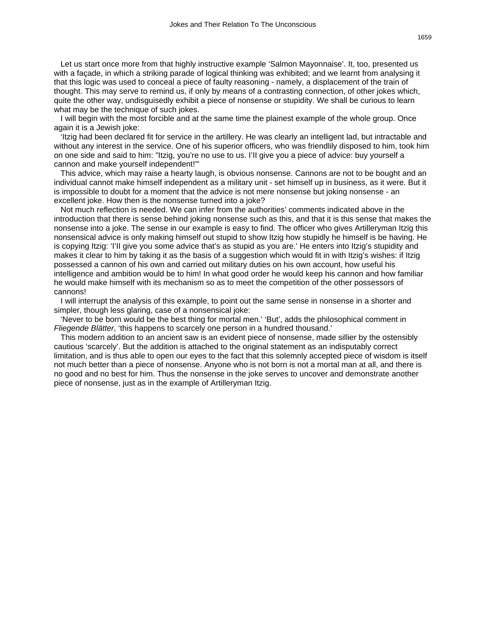Let us start once more from that highly instructive example 'Salmon Mayonnaise'. It, too, presented us with a façade, in which a striking parade of logical thinking was exhibited; and we learnt from analysing it that this logic was used to conceal a piece of faulty reasoning - namely, a displacement of the train of thought. This may serve to remind us, if only by means of a contrasting connection, of other jokes which, quite the other way, undisguisedly exhibit a piece of nonsense or stupidity. We shall be curious to learn what may be the technique of such jokes.

 I will begin with the most forcible and at the same time the plainest example of the whole group. Once again it is a Jewish joke:

 'Itzig had been declared fit for service in the artillery. He was clearly an intelligent lad, but intractable and without any interest in the service. One of his superior officers, who was friendlily disposed to him, took him on one side and said to him: "Itzig, you're no use to us. I'II give you a piece of advice: buy yourself a cannon and make yourself independent!"'

 This advice, which may raise a hearty laugh, is obvious nonsense. Cannons are not to be bought and an individual cannot make himself independent as a military unit - set himself up in business, as it were. But it is impossible to doubt for a moment that the advice is not mere nonsense but joking nonsense - an excellent joke. How then is the nonsense turned into a joke?

 Not much reflection is needed. We can infer from the authorities' comments indicated above in the introduction that there is sense behind joking nonsense such as this, and that it is this sense that makes the nonsense into a joke. The sense in our example is easy to find. The officer who gives Artilleryman Itzig this nonsensical advice is only making himself out stupid to show Itzig how stupidly he himself is be having. He is copying Itzig: 'I'II give you some advice that's as stupid as you are.' He enters into Itzig's stupidity and makes it clear to him by taking it as the basis of a suggestion which would fit in with Itzig's wishes: if Itzig possessed a cannon of his own and carried out military duties on his own account, how useful his intelligence and ambition would be to him! In what good order he would keep his cannon and how familiar he would make himself with its mechanism so as to meet the competition of the other possessors of cannons!

 I will interrupt the analysis of this example, to point out the same sense in nonsense in a shorter and simpler, though less glaring, case of a nonsensical joke:

 'Never to be born would be the best thing for mortal men.' 'But', adds the philosophical comment in *Fliegende Blätter*, 'this happens to scarcely one person in a hundred thousand.'

 This modern addition to an ancient saw is an evident piece of nonsense, made sillier by the ostensibly cautious 'scarcely'. But the addition is attached to the original statement as an indisputably correct limitation, and is thus able to open our eyes to the fact that this solemnly accepted piece of wisdom is itself not much better than a piece of nonsense. Anyone who is not born is not a mortal man at all, and there is no good and no best for him. Thus the nonsense in the joke serves to uncover and demonstrate another piece of nonsense, just as in the example of Artilleryman Itzig.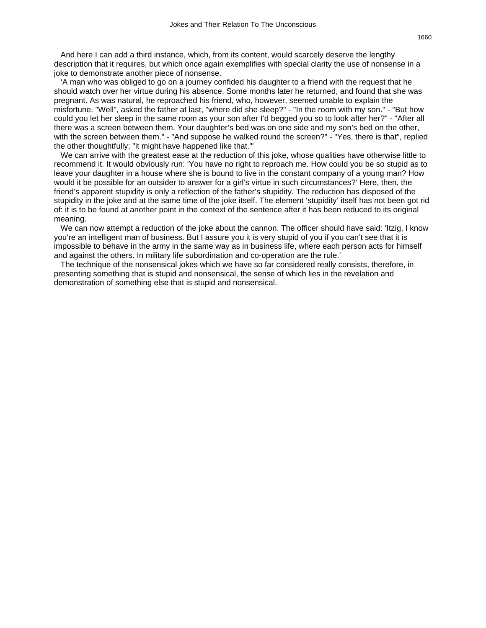And here I can add a third instance, which, from its content, would scarcely deserve the lengthy description that it requires, but which once again exemplifies with special clarity the use of nonsense in a joke to demonstrate another piece of nonsense.

 'A man who was obliged to go on a journey confided his daughter to a friend with the request that he should watch over her virtue during his absence. Some months later he returned, and found that she was pregnant. As was natural, he reproached his friend, who, however, seemed unable to explain the misfortune. "Well", asked the father at last, "where did she sleep?" - "In the room with my son." - "But how could you let her sleep in the same room as your son after I'd begged you so to look after her?" - "After all there was a screen between them. Your daughter's bed was on one side and my son's bed on the other, with the screen between them." - "And suppose he walked round the screen?" - "Yes, there is that", replied the other thoughtfully; "it might have happened like that."'

 We can arrive with the greatest ease at the reduction of this joke, whose qualities have otherwise little to recommend it. It would obviously run: 'You have no right to reproach me. How could you be so stupid as to leave your daughter in a house where she is bound to live in the constant company of a young man? How would it be possible for an outsider to answer for a girl's virtue in such circumstances?' Here, then, the friend's apparent stupidity is only a reflection of the father's stupidity. The reduction has disposed of the stupidity in the joke and at the same time of the joke itself. The element 'stupidity' itself has not been got rid of: it is to be found at another point in the context of the sentence after it has been reduced to its original meaning.

We can now attempt a reduction of the joke about the cannon. The officer should have said: 'Itzig, I know you're an intelligent man of business. But I assure you it is very stupid of you if you can't see that it is impossible to behave in the army in the same way as in business life, where each person acts for himself and against the others. In military life subordination and co-operation are the rule.'

 The technique of the nonsensical jokes which we have so far considered really consists, therefore, in presenting something that is stupid and nonsensical, the sense of which lies in the revelation and demonstration of something else that is stupid and nonsensical.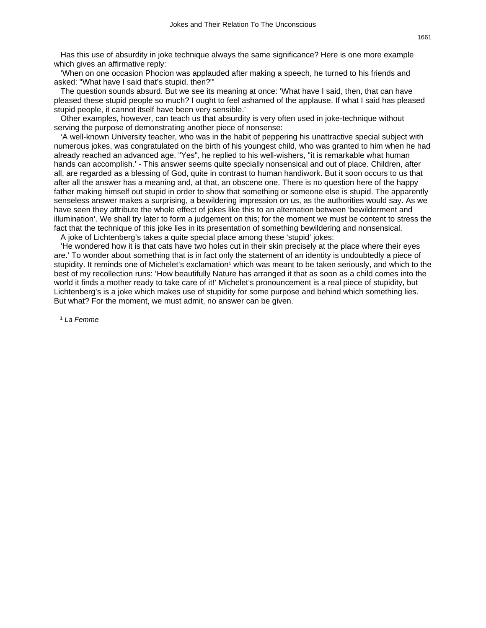Has this use of absurdity in joke technique always the same significance? Here is one more example which gives an affirmative reply:

 'When on one occasion Phocion was applauded after making a speech, he turned to his friends and asked: "What have I said that's stupid, then?"'

 The question sounds absurd. But we see its meaning at once: 'What have I said, then, that can have pleased these stupid people so much? I ought to feel ashamed of the applause. If what I said has pleased stupid people, it cannot itself have been very sensible.'

 Other examples, however, can teach us that absurdity is very often used in joke-technique without serving the purpose of demonstrating another piece of nonsense:

 'A well-known University teacher, who was in the habit of peppering his unattractive special subject with numerous jokes, was congratulated on the birth of his youngest child, who was granted to him when he had already reached an advanced age. "Yes", he replied to his well-wishers, "it is remarkable what human hands can accomplish.' - This answer seems quite specially nonsensical and out of place. Children, after all, are regarded as a blessing of God, quite in contrast to human handiwork. But it soon occurs to us that after all the answer has a meaning and, at that, an obscene one. There is no question here of the happy father making himself out stupid in order to show that something or someone else is stupid. The apparently senseless answer makes a surprising, a bewildering impression on us, as the authorities would say. As we have seen they attribute the whole effect of jokes like this to an alternation between 'bewilderment and illumination'. We shall try later to form a judgement on this; for the moment we must be content to stress the fact that the technique of this joke lies in its presentation of something bewildering and nonsensical.

A joke of Lichtenberg's takes a quite special place among these 'stupid' jokes:

 'He wondered how it is that cats have two holes cut in their skin precisely at the place where their eyes are.' To wonder about something that is in fact only the statement of an identity is undoubtedly a piece of stupidity. It reminds one of Michelet's exclamation<sup>1</sup> which was meant to be taken seriously, and which to the best of my recollection runs: 'How beautifully Nature has arranged it that as soon as a child comes into the world it finds a mother ready to take care of it!' Michelet's pronouncement is a real piece of stupidity, but Lichtenberg's is a joke which makes use of stupidity for some purpose and behind which something lies. But what? For the moment, we must admit, no answer can be given.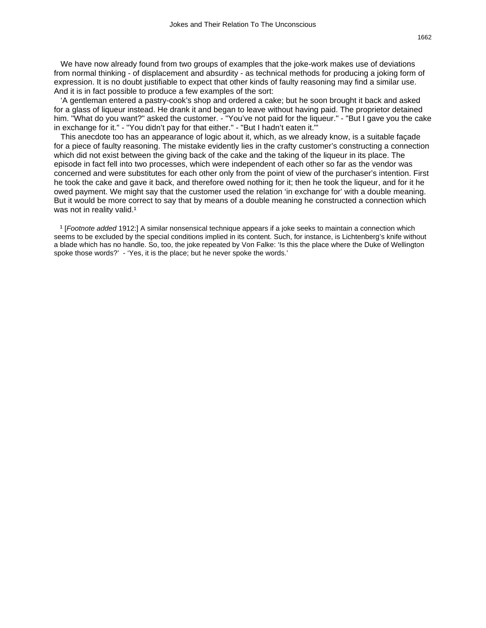We have now already found from two groups of examples that the joke-work makes use of deviations from normal thinking - of displacement and absurdity - as technical methods for producing a joking form of expression. It is no doubt justifiable to expect that other kinds of faulty reasoning may find a similar use. And it is in fact possible to produce a few examples of the sort:

 'A gentleman entered a pastry-cook's shop and ordered a cake; but he soon brought it back and asked for a glass of liqueur instead. He drank it and began to leave without having paid. The proprietor detained him. "What do you want?" asked the customer. - "You've not paid for the liqueur." - "But I gave you the cake in exchange for it." - "You didn't pay for that either." - "But I hadn't eaten it."'

 This anecdote too has an appearance of logic about it, which, as we already know, is a suitable façade for a piece of faulty reasoning. The mistake evidently lies in the crafty customer's constructing a connection which did not exist between the giving back of the cake and the taking of the liqueur in its place. The episode in fact fell into two processes, which were independent of each other so far as the vendor was concerned and were substitutes for each other only from the point of view of the purchaser's intention. First he took the cake and gave it back, and therefore owed nothing for it; then he took the liqueur, and for it he owed payment. We might say that the customer used the relation 'in exchange for' with a double meaning. But it would be more correct to say that by means of a double meaning he constructed a connection which was not in reality valid.<sup>1</sup>

<sup>1</sup> [*Footnote added* 1912:] A similar nonsensical technique appears if a joke seeks to maintain a connection which seems to be excluded by the special conditions implied in its content. Such, for instance, is Lichtenberg's knife without a blade which has no handle. So, too, the joke repeated by Von Falke: 'Is this the place where the Duke of Wellington spoke those words?' - 'Yes, it is the place; but he never spoke the words.'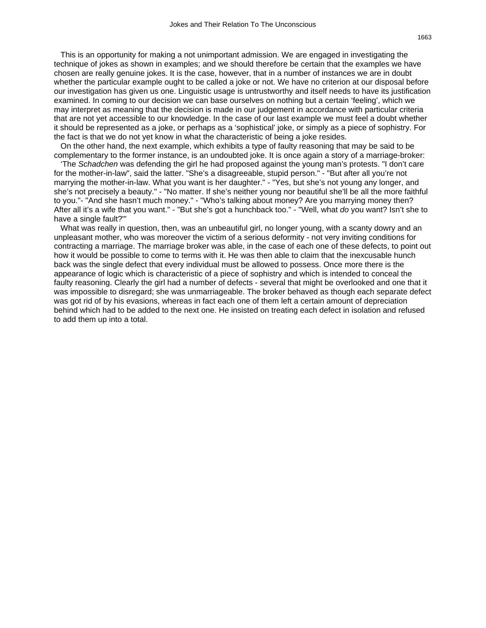This is an opportunity for making a not unimportant admission. We are engaged in investigating the technique of jokes as shown in examples; and we should therefore be certain that the examples we have chosen are really genuine jokes. It is the case, however, that in a number of instances we are in doubt whether the particular example ought to be called a joke or not. We have no criterion at our disposal before our investigation has given us one. Linguistic usage is untrustworthy and itself needs to have its justification examined. In coming to our decision we can base ourselves on nothing but a certain 'feeling', which we may interpret as meaning that the decision is made in our judgement in accordance with particular criteria that are not yet accessible to our knowledge. In the case of our last example we must feel a doubt whether it should be represented as a joke, or perhaps as a 'sophistical' joke, or simply as a piece of sophistry. For the fact is that we do not yet know in what the characteristic of being a joke resides.

 On the other hand, the next example, which exhibits a type of faulty reasoning that may be said to be complementary to the former instance, is an undoubted joke. It is once again a story of a marriage-broker:

 'The *Schadchen* was defending the girl he had proposed against the young man's protests. "I don't care for the mother-in-law", said the latter. "She's a disagreeable, stupid person." - "But after all you're not marrying the mother-in-law. What you want is her daughter." - "Yes, but she's not young any longer, and she's not precisely a beauty." - "No matter. If she's neither young nor beautiful she'll be all the more faithful to you."- "And she hasn't much money." - "Who's talking about money? Are you marrying money then? After all it's a wife that you want." - "But she's got a hunchback too." - "Well, what *do* you want? Isn't she to have a single fault?"'

 What was really in question, then, was an unbeautiful girl, no longer young, with a scanty dowry and an unpleasant mother, who was moreover the victim of a serious deformity - not very inviting conditions for contracting a marriage. The marriage broker was able, in the case of each one of these defects, to point out how it would be possible to come to terms with it. He was then able to claim that the inexcusable hunch back was the single defect that every individual must be allowed to possess. Once more there is the appearance of logic which is characteristic of a piece of sophistry and which is intended to conceal the faulty reasoning. Clearly the girl had a number of defects - several that might be overlooked and one that it was impossible to disregard; she was unmarriageable. The broker behaved as though each separate defect was got rid of by his evasions, whereas in fact each one of them left a certain amount of depreciation behind which had to be added to the next one. He insisted on treating each defect in isolation and refused to add them up into a total.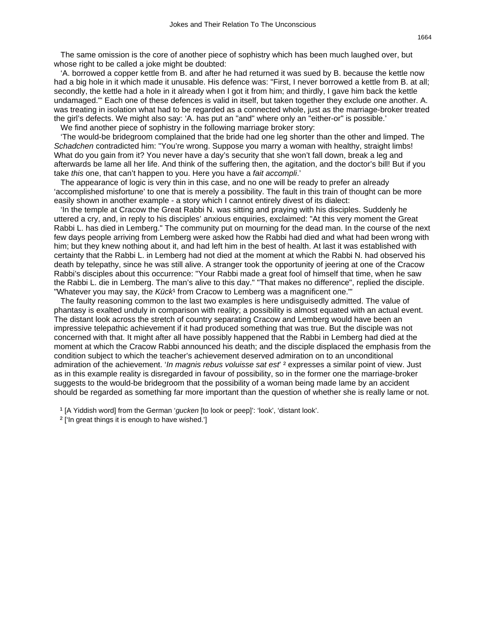The same omission is the core of another piece of sophistry which has been much laughed over, but whose right to be called a joke might be doubted:

 'A. borrowed a copper kettle from B. and after he had returned it was sued by B. because the kettle now had a big hole in it which made it unusable. His defence was: "First, I never borrowed a kettle from B. at all; secondly, the kettle had a hole in it already when I got it from him; and thirdly, I gave him back the kettle undamaged."' Each one of these defences is valid in itself, but taken together they exclude one another. A. was treating in isolation what had to be regarded as a connected whole, just as the marriage-broker treated the girl's defects. We might also say: 'A. has put an "and" where only an "either-or" is possible.'

We find another piece of sophistry in the following marriage broker story:

 'The would-be bridegroom complained that the bride had one leg shorter than the other and limped. The *Schadchen* contradicted him: "You're wrong. Suppose you marry a woman with healthy, straight limbs! What do you gain from it? You never have a day's security that she won't fall down, break a leg and afterwards be lame all her life. And think of the suffering then, the agitation, and the doctor's bill! But if you take *this* one, that can't happen to you. Here you have a *fait accompli*.'

 The appearance of logic is very thin in this case, and no one will be ready to prefer an already 'accomplished misfortune' to one that is merely a possibility. The fault in this train of thought can be more easily shown in another example - a story which I cannot entirely divest of its dialect:

 'In the temple at Cracow the Great Rabbi N. was sitting and praying with his disciples. Suddenly he uttered a cry, and, in reply to his disciples' anxious enquiries, exclaimed: "At this very moment the Great Rabbi L. has died in Lemberg." The community put on mourning for the dead man. In the course of the next few days people arriving from Lemberg were asked how the Rabbi had died and what had been wrong with him; but they knew nothing about it, and had left him in the best of health. At last it was established with certainty that the Rabbi L. in Lemberg had not died at the moment at which the Rabbi N. had observed his death by telepathy, since he was still alive. A stranger took the opportunity of jeering at one of the Cracow Rabbi's disciples about this occurrence: "Your Rabbi made a great fool of himself that time, when he saw the Rabbi L. die in Lemberg. The man's alive to this day." "That makes no difference", replied the disciple. "Whatever you may say, the *Kück*<sup>1</sup> from Cracow to Lemberg was a magnificent one."'

 The faulty reasoning common to the last two examples is here undisguisedly admitted. The value of phantasy is exalted unduly in comparison with reality; a possibility is almost equated with an actual event. The distant look across the stretch of country separating Cracow and Lemberg would have been an impressive telepathic achievement if it had produced something that was true. But the disciple was not concerned with that. It might after all have possibly happened that the Rabbi in Lemberg had died at the moment at which the Cracow Rabbi announced his death; and the disciple displaced the emphasis from the condition subject to which the teacher's achievement deserved admiration on to an unconditional admiration of the achievement. '*In magnis rebus voluisse sat est*' ² expresses a similar point of view. Just as in this example reality is disregarded in favour of possibility, so in the former one the marriage-broker suggests to the would-be bridegroom that the possibility of a woman being made lame by an accident should be regarded as something far more important than the question of whether she is really lame or not.

<sup>&</sup>lt;sup>1</sup> [A Yiddish word] from the German '*gucken* [to look or peep]': 'look', 'distant look'.

² ['In great things it is enough to have wished.']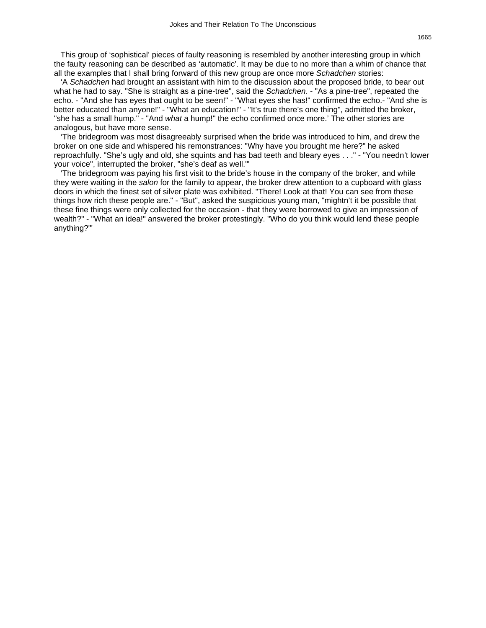This group of 'sophistical' pieces of faulty reasoning is resembled by another interesting group in which the faulty reasoning can be described as 'automatic'. It may be due to no more than a whim of chance that all the examples that I shall bring forward of this new group are once more *Schadchen* stories:

 'A *Schadchen* had brought an assistant with him to the discussion about the proposed bride, to bear out what he had to say. "She is straight as a pine-tree", said the *Schadchen*. - "As a pine-tree", repeated the echo. - "And she has eyes that ought to be seen!" - "What eyes she has!" confirmed the echo.- "And she is better educated than anyone!" - "What an education!" - "It's true there's one thing", admitted the broker, "she has a small hump." - "And *what* a hump!" the echo confirmed once more.' The other stories are analogous, but have more sense.

 'The bridegroom was most disagreeably surprised when the bride was introduced to him, and drew the broker on one side and whispered his remonstrances: "Why have you brought me here?" he asked reproachfully. "She's ugly and old, she squints and has bad teeth and bleary eyes . . ." - "You needn't lower your voice", interrupted the broker, "she's deaf as well."'

 'The bridegroom was paying his first visit to the bride's house in the company of the broker, and while they were waiting in the *salon* for the family to appear, the broker drew attention to a cupboard with glass doors in which the finest set of silver plate was exhibited. "There! Look at that! You can see from these things how rich these people are." - "But", asked the suspicious young man, "mightn't it be possible that these fine things were only collected for the occasion - that they were borrowed to give an impression of wealth?" - "What an idea!" answered the broker protestingly. "Who do you think would lend these people anything?"'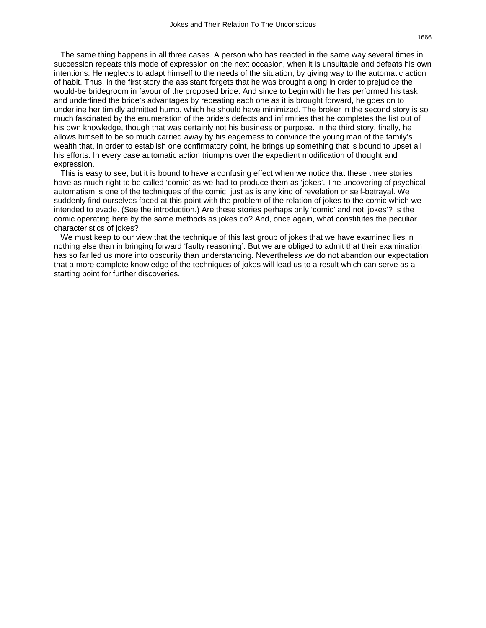The same thing happens in all three cases. A person who has reacted in the same way several times in succession repeats this mode of expression on the next occasion, when it is unsuitable and defeats his own intentions. He neglects to adapt himself to the needs of the situation, by giving way to the automatic action of habit. Thus, in the first story the assistant forgets that he was brought along in order to prejudice the would-be bridegroom in favour of the proposed bride. And since to begin with he has performed his task and underlined the bride's advantages by repeating each one as it is brought forward, he goes on to underline her timidly admitted hump, which he should have minimized. The broker in the second story is so much fascinated by the enumeration of the bride's defects and infirmities that he completes the list out of his own knowledge, though that was certainly not his business or purpose. In the third story, finally, he allows himself to be so much carried away by his eagerness to convince the young man of the family's wealth that, in order to establish one confirmatory point, he brings up something that is bound to upset all his efforts. In every case automatic action triumphs over the expedient modification of thought and expression.

 This is easy to see; but it is bound to have a confusing effect when we notice that these three stories have as much right to be called 'comic' as we had to produce them as 'jokes'. The uncovering of psychical automatism is one of the techniques of the comic, just as is any kind of revelation or self-betrayal. We suddenly find ourselves faced at this point with the problem of the relation of jokes to the comic which we intended to evade. (See the introduction.) Are these stories perhaps only 'comic' and not 'jokes'? Is the comic operating here by the same methods as jokes do? And, once again, what constitutes the peculiar characteristics of jokes?

 We must keep to our view that the technique of this last group of jokes that we have examined lies in nothing else than in bringing forward 'faulty reasoning'. But we are obliged to admit that their examination has so far led us more into obscurity than understanding. Nevertheless we do not abandon our expectation that a more complete knowledge of the techniques of jokes will lead us to a result which can serve as a starting point for further discoveries.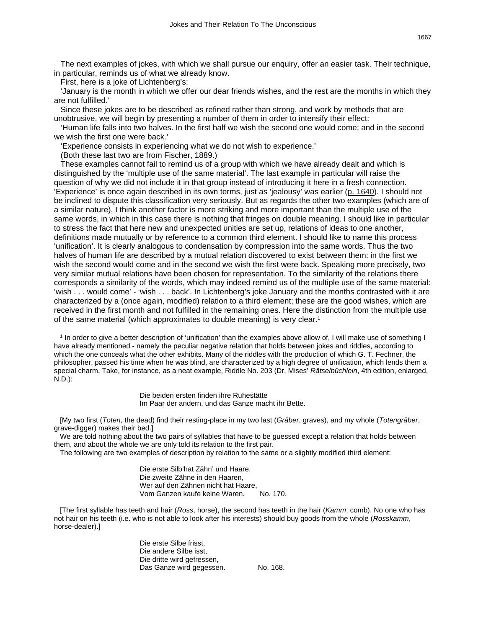The next examples of jokes, with which we shall pursue our enquiry, offer an easier task. Their technique, in particular, reminds us of what we already know.

First, here is a joke of Lichtenberg's:

 'January is the month in which we offer our dear friends wishes, and the rest are the months in which they are not fulfilled.'

 Since these jokes are to be described as refined rather than strong, and work by methods that are unobtrusive, we will begin by presenting a number of them in order to intensify their effect:

 'Human life falls into two halves. In the first half we wish the second one would come; and in the second we wish the first one were back.'

'Experience consists in experiencing what we do not wish to experience.'

(Both these last two are from Fischer, 1889.)

 These examples cannot fail to remind us of a group with which we have already dealt and which is distinguished by the 'multiple use of the same material'. The last example in particular will raise the question of why we did not include it in that group instead of introducing it here in a fresh connection. 'Experience' is once again described in its own terms, just as 'jealousy' was earlier (p. 1640). I should not be inclined to dispute this classification very seriously. But as regards the other two examples (which are of a similar nature), I think another factor is more striking and more important than the multiple use of the same words, in which in this case there is nothing that fringes on double meaning. I should like in particular to stress the fact that here new and unexpected unities are set up, relations of ideas to one another, definitions made mutually or by reference to a common third element. I should like to name this process 'unification'. It is clearly analogous to condensation by compression into the same words. Thus the two halves of human life are described by a mutual relation discovered to exist between them: in the first we wish the second would come and in the second we wish the first were back. Speaking more precisely, two very similar mutual relations have been chosen for representation. To the similarity of the relations there corresponds a similarity of the words, which may indeed remind us of the multiple use of the same material: 'wish . . . would come' - 'wish . . . back'. In Lichtenberg's joke January and the months contrasted with it are characterized by a (once again, modified) relation to a third element; these are the good wishes, which are received in the first month and not fulfilled in the remaining ones. Here the distinction from the multiple use of the same material (which approximates to double meaning) is very clear.<sup>1</sup>

<sup>1</sup> In order to give a better description of 'unification' than the examples above allow of. I will make use of something I have already mentioned - namely the peculiar negative relation that holds between jokes and riddles, according to which the one conceals what the other exhibits. Many of the riddles with the production of which G. T. Fechner, the philosopher, passed his time when he was blind, are characterized by a high degree of unification, which lends them a special charm. Take, for instance, as a neat example, Riddle No. 203 (Dr. Mises' *Rätselbüchlein*, 4th edition, enlarged, N.D.):

> Die beiden ersten finden ihre Ruhestätte Im Paar der andern, und das Ganze macht ihr Bette.

 [My two first (*Toten*, the dead) find their resting-place in my two last (*Gräber*, graves), and my whole (*Totengräber*, grave-digger) makes their bed.]

 We are told nothing about the two pairs of syllables that have to be guessed except a relation that holds between them, and about the whole we are only told its relation to the first pair.

The following are two examples of description by relation to the same or a slightly modified third element:

 Die erste Silb'hat Zähn' und Haare, Die zweite Zähne in den Haaren, Wer auf den Zähnen nicht hat Haare, Vom Ganzen kaufe keine Waren. No. 170.

 [The first syllable has teeth and hair (*Ross*, horse), the second has teeth in the hair (*Kamm*, comb). No one who has not hair on his teeth (i.e. who is not able to look after his interests) should buy goods from the whole (*Rosskamm*, horse-dealer).]

> Die erste Silbe frisst, Die andere Silbe isst, Die dritte wird gefressen, Das Ganze wird gegessen. No. 168.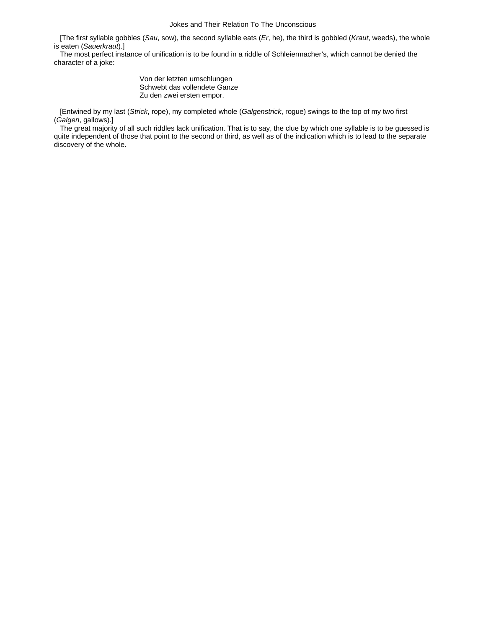## Jokes and Their Relation To The Unconscious

 [The first syllable gobbles (*Sau*, sow), the second syllable eats (*Er*, he), the third is gobbled (*Kraut*, weeds), the whole is eaten (*Sauerkraut*).]

 The most perfect instance of unification is to be found in a riddle of Schleiermacher's, which cannot be denied the character of a joke:

> Von der letzten umschlungen Schwebt das vollendete Ganze Zu den zwei ersten empor.

 [Entwined by my last (*Strick*, rope), my completed whole (*Galgenstrick*, rogue) swings to the top of my two first (*Galgen*, gallows).]

 The great majority of all such riddles lack unification. That is to say, the clue by which one syllable is to be guessed is quite independent of those that point to the second or third, as well as of the indication which is to lead to the separate discovery of the whole.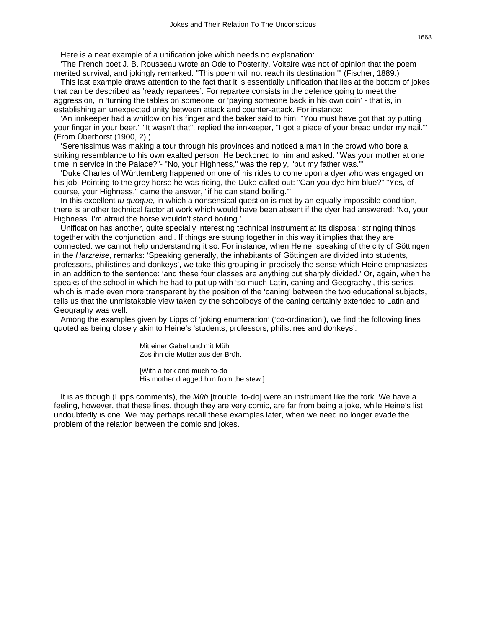Here is a neat example of a unification joke which needs no explanation:

 'The French poet J. B. Rousseau wrote an Ode to Posterity. Voltaire was not of opinion that the poem merited survival, and jokingly remarked: "This poem will not reach its destination."' (Fischer, 1889.)

 This last example draws attention to the fact that it is essentially unification that lies at the bottom of jokes that can be described as 'ready repartees'. For repartee consists in the defence going to meet the aggression, in 'turning the tables on someone' or 'paying someone back in his own coin' - that is, in establishing an unexpected unity between attack and counter-attack. For instance:

 'An innkeeper had a whitlow on his finger and the baker said to him: "You must have got that by putting your finger in your beer." "It wasn't that", replied the innkeeper, "I got a piece of your bread under my nail."' (From Überhorst (1900, 2).)

 'Serenissimus was making a tour through his provinces and noticed a man in the crowd who bore a striking resemblance to his own exalted person. He beckoned to him and asked: "Was your mother at one time in service in the Palace?"- "No, your Highness," was the reply, "but my father was."'

 'Duke Charles of Württemberg happened on one of his rides to come upon a dyer who was engaged on his job. Pointing to the grey horse he was riding, the Duke called out: "Can you dye him blue?" "Yes, of course, your Highness," came the answer, "if he can stand boiling."'

 In this excellent *tu quoque*, in which a nonsensical question is met by an equally impossible condition, there is another technical factor at work which would have been absent if the dyer had answered: 'No, your Highness. I'm afraid the horse wouldn't stand boiling.'

 Unification has another, quite specially interesting technical instrument at its disposal: stringing things together with the conjunction 'and'. If things are strung together in this way it implies that they are connected: we cannot help understanding it so. For instance, when Heine, speaking of the city of Göttingen in the *Harzreise*, remarks: 'Speaking generally, the inhabitants of Göttingen are divided into students, professors, philistines and donkeys', we take this grouping in precisely the sense which Heine emphasizes in an addition to the sentence: 'and these four classes are anything but sharply divided.' Or, again, when he speaks of the school in which he had to put up with 'so much Latin, caning and Geography', this series, which is made even more transparent by the position of the 'caning' between the two educational subjects, tells us that the unmistakable view taken by the schoolboys of the caning certainly extended to Latin and Geography was well.

 Among the examples given by Lipps of 'joking enumeration' ('co-ordination'), we find the following lines quoted as being closely akin to Heine's 'students, professors, philistines and donkeys':

> Mit einer Gabel und mit Müh' Zos ihn die Mutter aus der Brüh.

 [With a fork and much to-do His mother dragged him from the stew.]

 It is as though (Lipps comments), the *Müh* [trouble, to-do] were an instrument like the fork. We have a feeling, however, that these lines, though they are very comic, are far from being a joke, while Heine's list undoubtedly is one. We may perhaps recall these examples later, when we need no longer evade the problem of the relation between the comic and jokes.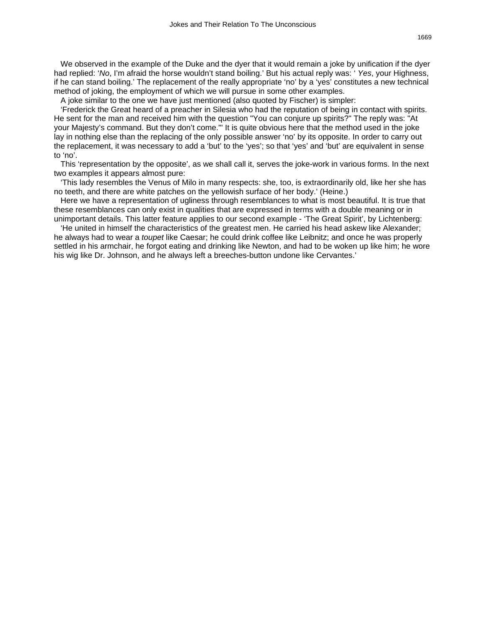We observed in the example of the Duke and the dyer that it would remain a joke by unification if the dyer had replied: '*No*, I'm afraid the horse wouldn't stand boiling.' But his actual reply was: ' *Yes*, your Highness, if he can stand boiling.' The replacement of the really appropriate 'no' by a 'yes' constitutes a new technical method of joking, the employment of which we will pursue in some other examples.

A joke similar to the one we have just mentioned (also quoted by Fischer) is simpler:

 'Frederick the Great heard of a preacher in Silesia who had the reputation of being in contact with spirits. He sent for the man and received him with the question "You can conjure up spirits?" The reply was: "At your Majesty's command. But they don't come."' It is quite obvious here that the method used in the joke lay in nothing else than the replacing of the only possible answer 'no' by its opposite. In order to carry out the replacement, it was necessary to add a 'but' to the 'yes'; so that 'yes' and 'but' are equivalent in sense to 'no'.

 This 'representation by the opposite', as we shall call it, serves the joke-work in various forms. In the next two examples it appears almost pure:

 'This lady resembles the Venus of Milo in many respects: she, too, is extraordinarily old, like her she has no teeth, and there are white patches on the yellowish surface of her body.' (Heine.)

 Here we have a representation of ugliness through resemblances to what is most beautiful. It is true that these resemblances can only exist in qualities that are expressed in terms with a double meaning or in unimportant details. This latter feature applies to our second example - 'The Great Spirit', by Lichtenberg:

 'He united in himself the characteristics of the greatest men. He carried his head askew like Alexander; he always had to wear a *toupet* like Caesar; he could drink coffee like Leibnitz; and once he was properly settled in his armchair, he forgot eating and drinking like Newton, and had to be woken up like him; he wore his wig like Dr. Johnson, and he always left a breeches-button undone like Cervantes.'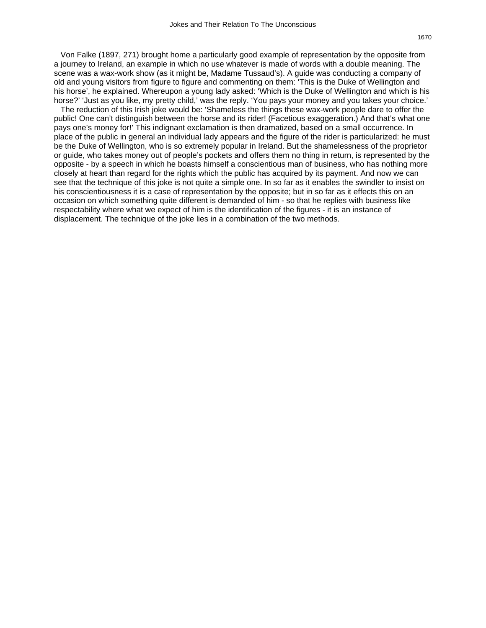Von Falke (1897, 271) brought home a particularly good example of representation by the opposite from a journey to Ireland, an example in which no use whatever is made of words with a double meaning. The scene was a wax-work show (as it might be, Madame Tussaud's). A guide was conducting a company of old and young visitors from figure to figure and commenting on them: 'This is the Duke of Wellington and his horse', he explained. Whereupon a young lady asked: 'Which is the Duke of Wellington and which is his horse?' 'Just as you like, my pretty child,' was the reply. 'You pays your money and you takes your choice.'

 The reduction of this Irish joke would be: 'Shameless the things these wax-work people dare to offer the public! One can't distinguish between the horse and its rider! (Facetious exaggeration.) And that's what one pays one's money for!' This indignant exclamation is then dramatized, based on a small occurrence. In place of the public in general an individual lady appears and the figure of the rider is particularized: he must be the Duke of Wellington, who is so extremely popular in Ireland. But the shamelessness of the proprietor or guide, who takes money out of people's pockets and offers them no thing in return, is represented by the opposite - by a speech in which he boasts himself a conscientious man of business, who has nothing more closely at heart than regard for the rights which the public has acquired by its payment. And now we can see that the technique of this joke is not quite a simple one. In so far as it enables the swindler to insist on his conscientiousness it is a case of representation by the opposite; but in so far as it effects this on an occasion on which something quite different is demanded of him - so that he replies with business like respectability where what we expect of him is the identification of the figures - it is an instance of displacement. The technique of the joke lies in a combination of the two methods.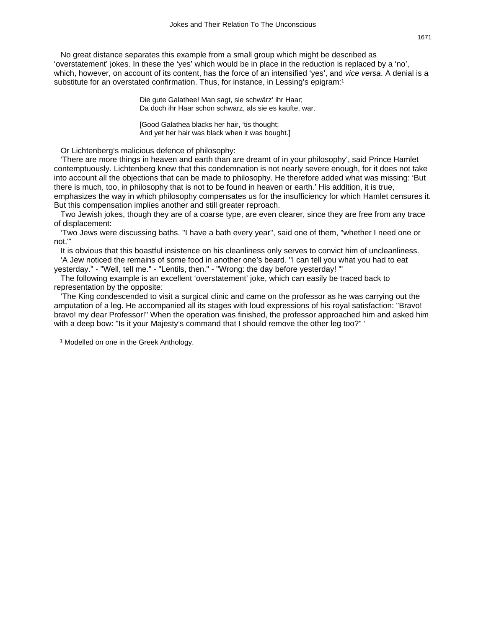No great distance separates this example from a small group which might be described as 'overstatement' jokes. In these the 'yes' which would be in place in the reduction is replaced by a 'no', which, however, on account of its content, has the force of an intensified 'yes', and *vice versa*. A denial is a substitute for an overstated confirmation. Thus, for instance, in Lessing's epigram:<sup>1</sup>

> Die gute Galathee! Man sagt, sie schwärz' ihr Haar; Da doch ihr Haar schon schwarz, als sie es kaufte, war.

 [Good Galathea blacks her hair, 'tis thought; And yet her hair was black when it was bought.]

Or Lichtenberg's malicious defence of philosophy:

 'There are more things in heaven and earth than are dreamt of in your philosophy', said Prince Hamlet contemptuously. Lichtenberg knew that this condemnation is not nearly severe enough, for it does not take into account all the objections that can be made to philosophy. He therefore added what was missing: 'But there is much, too, in philosophy that is not to be found in heaven or earth.' His addition, it is true, emphasizes the way in which philosophy compensates us for the insufficiency for which Hamlet censures it. But this compensation implies another and still greater reproach.

 Two Jewish jokes, though they are of a coarse type, are even clearer, since they are free from any trace of displacement:

 'Two Jews were discussing baths. "I have a bath every year", said one of them, "whether I need one or not."'

It is obvious that this boastful insistence on his cleanliness only serves to convict him of uncleanliness.

 'A Jew noticed the remains of some food in another one's beard. "I can tell you what you had to eat yesterday." - "Well, tell me." - "Lentils, then." - "Wrong: the day before yesterday! "'

 The following example is an excellent 'overstatement' joke, which can easily be traced back to representation by the opposite:

 'The King condescended to visit a surgical clinic and came on the professor as he was carrying out the amputation of a leg. He accompanied all its stages with loud expressions of his royal satisfaction: "Bravo! bravo! my dear Professor!" When the operation was finished, the professor approached him and asked him with a deep bow: "Is it your Majesty's command that I should remove the other leg too?" '

<sup>1</sup> Modelled on one in the Greek Anthology.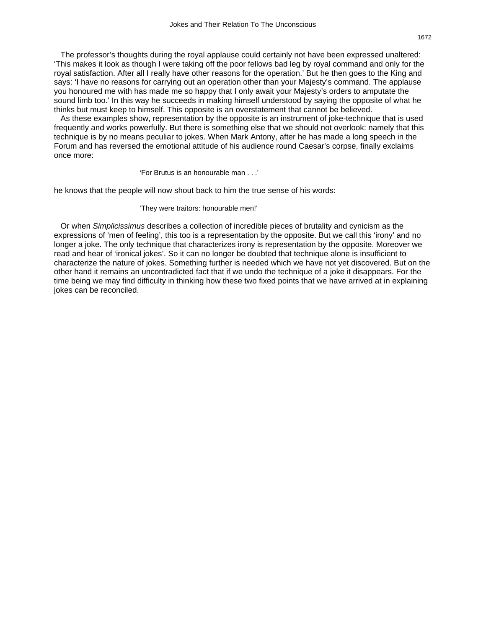The professor's thoughts during the royal applause could certainly not have been expressed unaltered: 'This makes it look as though I were taking off the poor fellows bad leg by royal command and only for the royal satisfaction. After all I really have other reasons for the operation.' But he then goes to the King and says: 'I have no reasons for carrying out an operation other than your Majesty's command. The applause you honoured me with has made me so happy that I only await your Majesty's orders to amputate the sound limb too.' In this way he succeeds in making himself understood by saying the opposite of what he thinks but must keep to himself. This opposite is an overstatement that cannot be believed.

 As these examples show, representation by the opposite is an instrument of joke-technique that is used frequently and works powerfully. But there is something else that we should not overlook: namely that this technique is by no means peculiar to jokes. When Mark Antony, after he has made a long speech in the Forum and has reversed the emotional attitude of his audience round Caesar's corpse, finally exclaims once more:

'For Brutus is an honourable man . . .'

he knows that the people will now shout back to him the true sense of his words:

'They were traitors: honourable men!'

 Or when *Simplicissimus* describes a collection of incredible pieces of brutality and cynicism as the expressions of 'men of feeling', this too is a representation by the opposite. But we call this 'irony' and no longer a joke. The only technique that characterizes irony is representation by the opposite. Moreover we read and hear of 'ironical jokes'. So it can no longer be doubted that technique alone is insufficient to characterize the nature of jokes. Something further is needed which we have not yet discovered. But on the other hand it remains an uncontradicted fact that if we undo the technique of a joke it disappears. For the time being we may find difficulty in thinking how these two fixed points that we have arrived at in explaining jokes can be reconciled.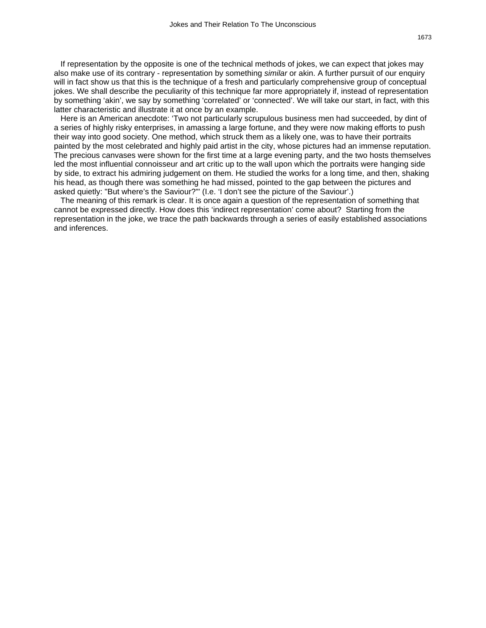If representation by the opposite is one of the technical methods of jokes, we can expect that jokes may also make use of its contrary - representation by something *similar* or akin. A further pursuit of our enquiry will in fact show us that this is the technique of a fresh and particularly comprehensive group of conceptual jokes. We shall describe the peculiarity of this technique far more appropriately if, instead of representation by something 'akin', we say by something 'correlated' or 'connected'. We will take our start, in fact, with this latter characteristic and illustrate it at once by an example.

 Here is an American anecdote: 'Two not particularly scrupulous business men had succeeded, by dint of a series of highly risky enterprises, in amassing a large fortune, and they were now making efforts to push their way into good society. One method, which struck them as a likely one, was to have their portraits painted by the most celebrated and highly paid artist in the city, whose pictures had an immense reputation. The precious canvases were shown for the first time at a large evening party, and the two hosts themselves led the most influential connoisseur and art critic up to the wall upon which the portraits were hanging side by side, to extract his admiring judgement on them. He studied the works for a long time, and then, shaking his head, as though there was something he had missed, pointed to the gap between the pictures and asked quietly: "But where's the Saviour?"' (I.e. 'I don't see the picture of the Saviour'.)

 The meaning of this remark is clear. It is once again a question of the representation of something that cannot be expressed directly. How does this 'indirect representation' come about? Starting from the representation in the joke, we trace the path backwards through a series of easily established associations and inferences.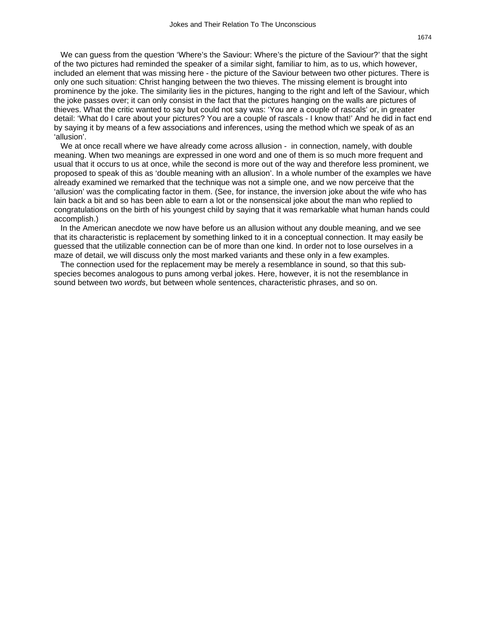We can guess from the question 'Where's the Saviour: Where's the picture of the Saviour?' that the sight of the two pictures had reminded the speaker of a similar sight, familiar to him, as to us, which however, included an element that was missing here - the picture of the Saviour between two other pictures. There is only one such situation: Christ hanging between the two thieves. The missing element is brought into prominence by the joke. The similarity lies in the pictures, hanging to the right and left of the Saviour, which the joke passes over; it can only consist in the fact that the pictures hanging on the walls are pictures of thieves. What the critic wanted to say but could not say was: 'You are a couple of rascals' or, in greater detail: 'What do I care about your pictures? You are a couple of rascals - I know that!' And he did in fact end by saying it by means of a few associations and inferences, using the method which we speak of as an 'allusion'.

We at once recall where we have already come across allusion - in connection, namely, with double meaning. When two meanings are expressed in one word and one of them is so much more frequent and usual that it occurs to us at once, while the second is more out of the way and therefore less prominent, we proposed to speak of this as 'double meaning with an allusion'. In a whole number of the examples we have already examined we remarked that the technique was not a simple one, and we now perceive that the 'allusion' was the complicating factor in them. (See, for instance, the inversion joke about the wife who has lain back a bit and so has been able to earn a lot or the nonsensical joke about the man who replied to congratulations on the birth of his youngest child by saying that it was remarkable what human hands could accomplish.)

 In the American anecdote we now have before us an allusion without any double meaning, and we see that its characteristic is replacement by something linked to it in a conceptual connection. It may easily be guessed that the utilizable connection can be of more than one kind. In order not to lose ourselves in a maze of detail, we will discuss only the most marked variants and these only in a few examples.

 The connection used for the replacement may be merely a resemblance in sound, so that this subspecies becomes analogous to puns among verbal jokes. Here, however, it is not the resemblance in sound between two *words*, but between whole sentences, characteristic phrases, and so on.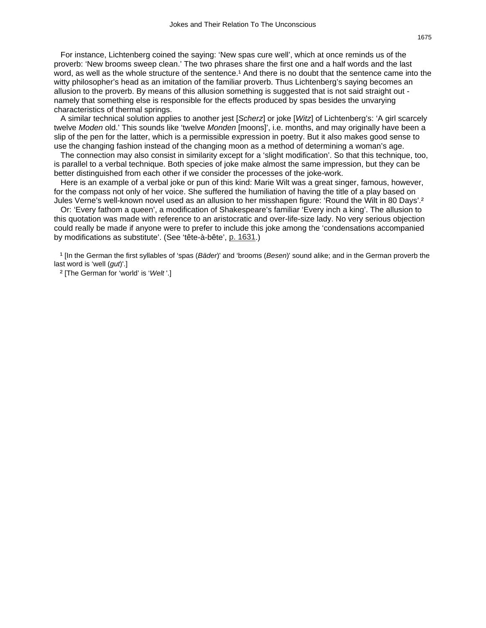For instance, Lichtenberg coined the saying: 'New spas cure well', which at once reminds us of the proverb: 'New brooms sweep clean.' The two phrases share the first one and a half words and the last word, as well as the whole structure of the sentence.<sup>1</sup> And there is no doubt that the sentence came into the witty philosopher's head as an imitation of the familiar proverb. Thus Lichtenberg's saying becomes an allusion to the proverb. By means of this allusion something is suggested that is not said straight out namely that something else is responsible for the effects produced by spas besides the unvarying characteristics of thermal springs.

 A similar technical solution applies to another jest [*Scherz*] or joke [*Witz*] of Lichtenberg's: 'A girl scarcely twelve *Moden* old.' This sounds like 'twelve *Monden* [moons]', i.e. months, and may originally have been a slip of the pen for the latter, which is a permissible expression in poetry. But it also makes good sense to use the changing fashion instead of the changing moon as a method of determining a woman's age.

 The connection may also consist in similarity except for a 'slight modification'. So that this technique, too, is parallel to a verbal technique. Both species of joke make almost the same impression, but they can be better distinguished from each other if we consider the processes of the joke-work.

 Here is an example of a verbal joke or pun of this kind: Marie Wilt was a great singer, famous, however, for the compass not only of her voice. She suffered the humiliation of having the title of a play based on Jules Verne's well-known novel used as an allusion to her misshapen figure: 'Round the Wilt in 80 Days'.²

 Or: 'Every fathom a queen', a modification of Shakespeare's familiar 'Every inch a king'. The allusion to this quotation was made with reference to an aristocratic and over-life-size lady. No very serious objection could really be made if anyone were to prefer to include this joke among the 'condensations accompanied by modifications as substitute'. (See 'tête-à-bête', p. 1631.)

<sup>1</sup> [In the German the first syllables of 'spas (*Bäder*)' and 'brooms (*Besen*)' sound alike; and in the German proverb the last word is 'well (*gut*)'.]

² [The German for 'world' is '*Welt* '.]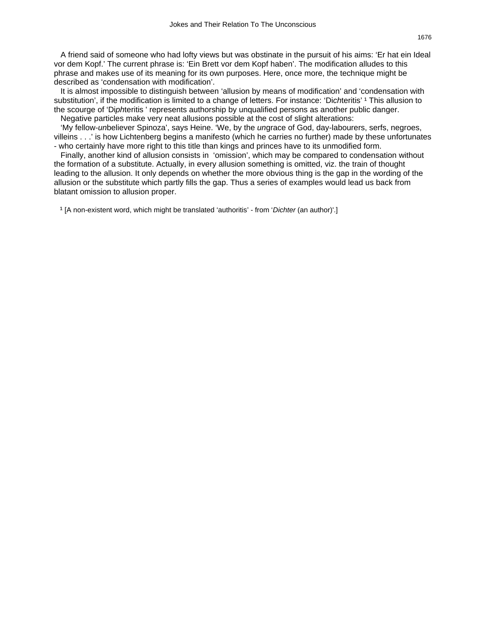## Jokes and Their Relation To The Unconscious

 A friend said of someone who had lofty views but was obstinate in the pursuit of his aims: 'Er hat ein Ideal vor dem Kopf.' The current phrase is: 'Ein Brett vor dem Kopf haben'. The modification alludes to this phrase and makes use of its meaning for its own purposes. Here, once more, the technique might be

described as 'condensation with modification'.

 It is almost impossible to distinguish between 'allusion by means of modification' and 'condensation with substitution', if the modification is limited to a change of letters. For instance: 'Dichteritis' <sup>1</sup> This allusion to the scourge of 'Di*ph*teritis ' represents authorship by unqualified persons as another public danger.

Negative particles make very neat allusions possible at the cost of slight alterations:

 'My fellow-*un*believer Spinoza', says Heine. 'We, by the *un*grace of God, day-labourers, serfs, negroes, villeins . . .' is how Lichtenberg begins a manifesto (which he carries no further) made by these unfortunates - who certainly have more right to this title than kings and princes have to its unmodified form.

 Finally, another kind of allusion consists in 'omission', which may be compared to condensation without the formation of a substitute. Actually, in every allusion something is omitted, viz. the train of thought leading to the allusion. It only depends on whether the more obvious thing is the gap in the wording of the allusion or the substitute which partly fills the gap. Thus a series of examples would lead us back from blatant omission to allusion proper.

<sup>1</sup> [A non-existent word, which might be translated 'authoritis' - from '*Dichter* (an author)'.]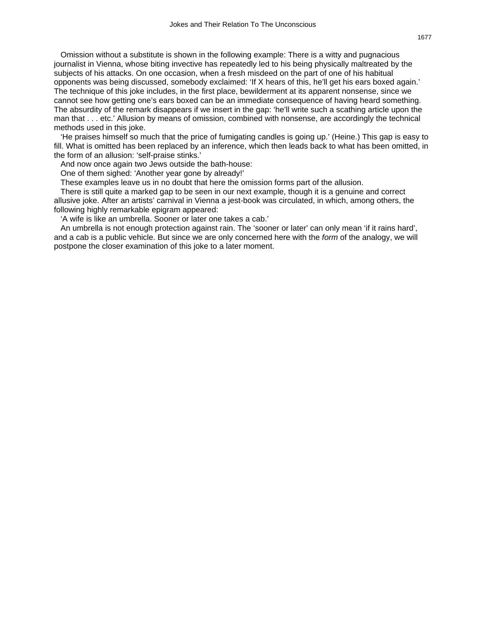Omission without a substitute is shown in the following example: There is a witty and pugnacious journalist in Vienna, whose biting invective has repeatedly led to his being physically maltreated by the subjects of his attacks. On one occasion, when a fresh misdeed on the part of one of his habitual opponents was being discussed, somebody exclaimed: 'If X hears of this, he'll get his ears boxed again.' The technique of this joke includes, in the first place, bewilderment at its apparent nonsense, since we cannot see how getting one's ears boxed can be an immediate consequence of having heard something. The absurdity of the remark disappears if we insert in the gap: 'he'll write such a scathing article upon the man that . . . etc.' Allusion by means of omission, combined with nonsense, are accordingly the technical methods used in this joke.

 'He praises himself so much that the price of fumigating candles is going up.' (Heine.) This gap is easy to fill. What is omitted has been replaced by an inference, which then leads back to what has been omitted, in the form of an allusion: 'self-praise stinks.'

And now once again two Jews outside the bath-house:

One of them sighed: 'Another year gone by already!'

These examples leave us in no doubt that here the omission forms part of the allusion.

 There is still quite a marked gap to be seen in our next example, though it is a genuine and correct allusive joke. After an artists' carnival in Vienna a jest-book was circulated, in which, among others, the following highly remarkable epigram appeared:

'A wife is like an umbrella. Sooner or later one takes a cab.'

 An umbrella is not enough protection against rain. The 'sooner or later' can only mean 'if it rains hard', and a cab is a public vehicle. But since we are only concerned here with the *form* of the analogy, we will postpone the closer examination of this joke to a later moment.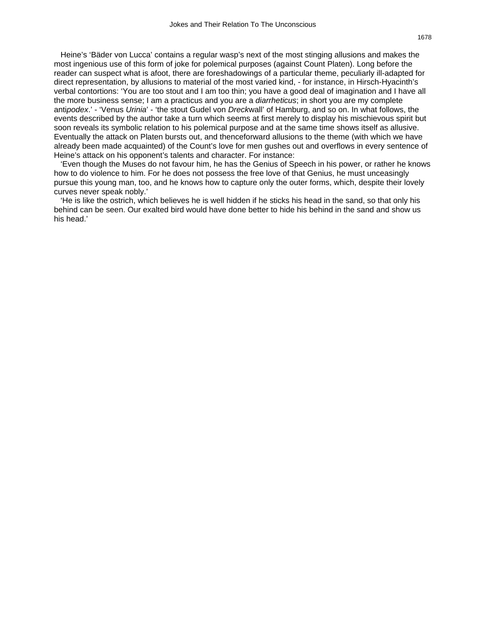Heine's 'Bäder von Lucca' contains a regular wasp's next of the most stinging allusions and makes the most ingenious use of this form of joke for polemical purposes (against Count Platen). Long before the reader can suspect what is afoot, there are foreshadowings of a particular theme, peculiarly ill-adapted for direct representation, by allusions to material of the most varied kind, - for instance, in Hirsch-Hyacinth's verbal contortions: 'You are too stout and I am too thin; you have a good deal of imagination and I have all the more business sense; I am a practicus and you are a *diarrheticus*; in short you are my complete anti*podex*.' - 'Venus *Urinia*' - 'the stout Gudel von *Dreck*wall' of Hamburg, and so on. In what follows, the events described by the author take a turn which seems at first merely to display his mischievous spirit but soon reveals its symbolic relation to his polemical purpose and at the same time shows itself as allusive. Eventually the attack on Platen bursts out, and thenceforward allusions to the theme (with which we have already been made acquainted) of the Count's love for men gushes out and overflows in every sentence of Heine's attack on his opponent's talents and character. For instance:

 'Even though the Muses do not favour him, he has the Genius of Speech in his power, or rather he knows how to do violence to him. For he does not possess the free love of that Genius, he must unceasingly pursue this young man, too, and he knows how to capture only the outer forms, which, despite their lovely curves never speak nobly.'

 'He is like the ostrich, which believes he is well hidden if he sticks his head in the sand, so that only his behind can be seen. Our exalted bird would have done better to hide his behind in the sand and show us his head.'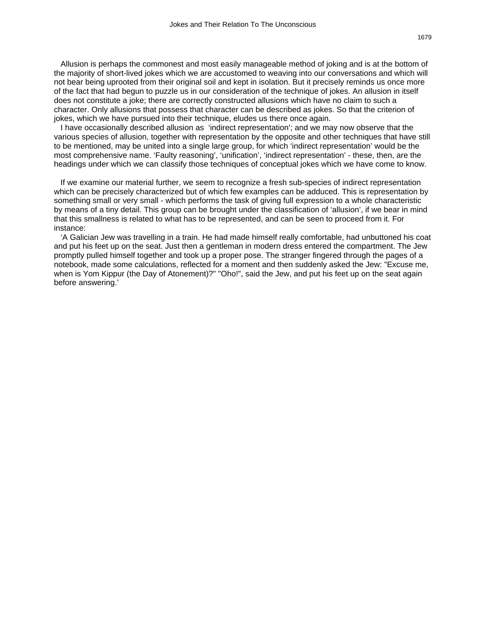Allusion is perhaps the commonest and most easily manageable method of joking and is at the bottom of the majority of short-lived jokes which we are accustomed to weaving into our conversations and which will not bear being uprooted from their original soil and kept in isolation. But it precisely reminds us once more of the fact that had begun to puzzle us in our consideration of the technique of jokes. An allusion in itself does not constitute a joke; there are correctly constructed allusions which have no claim to such a character. Only allusions that possess that character can be described as jokes. So that the criterion of jokes, which we have pursued into their technique, eludes us there once again.

 I have occasionally described allusion as 'indirect representation'; and we may now observe that the various species of allusion, together with representation by the opposite and other techniques that have still to be mentioned, may be united into a single large group, for which 'indirect representation' would be the most comprehensive name. 'Faulty reasoning', 'unification', 'indirect representation' - these, then, are the headings under which we can classify those techniques of conceptual jokes which we have come to know.

 If we examine our material further, we seem to recognize a fresh sub-species of indirect representation which can be precisely characterized but of which few examples can be adduced. This is representation by something small or very small - which performs the task of giving full expression to a whole characteristic by means of a tiny detail. This group can be brought under the classification of 'allusion', if we bear in mind that this smallness is related to what has to be represented, and can be seen to proceed from it. For instance:

 'A Galician Jew was travelling in a train. He had made himself really comfortable, had unbuttoned his coat and put his feet up on the seat. Just then a gentleman in modern dress entered the compartment. The Jew promptly pulled himself together and took up a proper pose. The stranger fingered through the pages of a notebook, made some calculations, reflected for a moment and then suddenly asked the Jew: "Excuse me, when is Yom Kippur (the Day of Atonement)?" "Oho!", said the Jew, and put his feet up on the seat again before answering.'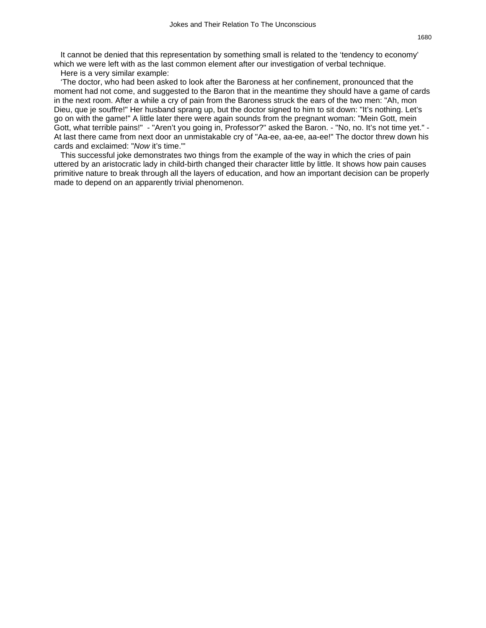It cannot be denied that this representation by something small is related to the 'tendency to economy' which we were left with as the last common element after our investigation of verbal technique. Here is a very similar example:

 'The doctor, who had been asked to look after the Baroness at her confinement, pronounced that the moment had not come, and suggested to the Baron that in the meantime they should have a game of cards in the next room. After a while a cry of pain from the Baroness struck the ears of the two men: "Ah, mon Dieu, que je souffre!" Her husband sprang up, but the doctor signed to him to sit down: "It's nothing. Let's go on with the game!" A little later there were again sounds from the pregnant woman: "Mein Gott, mein Gott, what terrible pains!" - "Aren't you going in, Professor?" asked the Baron. - "No, no. It's not time yet." - At last there came from next door an unmistakable cry of "Aa-ee, aa-ee, aa-ee!" The doctor threw down his cards and exclaimed: "*Now* it's time."'

 This successful joke demonstrates two things from the example of the way in which the cries of pain uttered by an aristocratic lady in child-birth changed their character little by little. It shows how pain causes primitive nature to break through all the layers of education, and how an important decision can be properly made to depend on an apparently trivial phenomenon.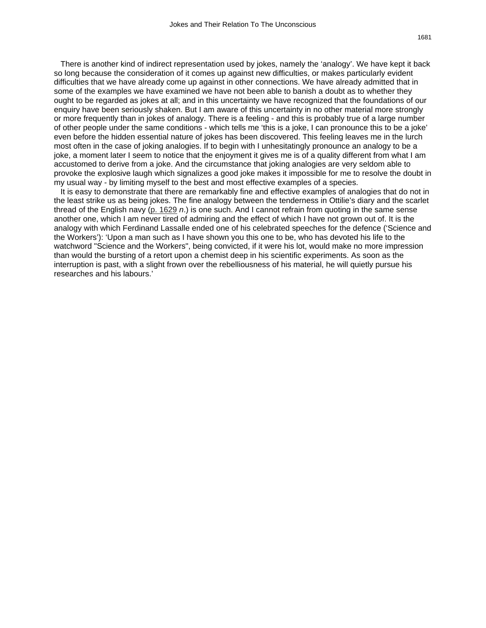There is another kind of indirect representation used by jokes, namely the 'analogy'. We have kept it back so long because the consideration of it comes up against new difficulties, or makes particularly evident difficulties that we have already come up against in other connections. We have already admitted that in some of the examples we have examined we have not been able to banish a doubt as to whether they ought to be regarded as jokes at all; and in this uncertainty we have recognized that the foundations of our enquiry have been seriously shaken. But I am aware of this uncertainty in no other material more strongly or more frequently than in jokes of analogy. There is a feeling - and this is probably true of a large number of other people under the same conditions - which tells me 'this is a joke, I can pronounce this to be a joke' even before the hidden essential nature of jokes has been discovered. This feeling leaves me in the lurch most often in the case of joking analogies. If to begin with I unhesitatingly pronounce an analogy to be a joke, a moment later I seem to notice that the enjoyment it gives me is of a quality different from what I am accustomed to derive from a joke. And the circumstance that joking analogies are very seldom able to provoke the explosive laugh which signalizes a good joke makes it impossible for me to resolve the doubt in my usual way - by limiting myself to the best and most effective examples of a species.

 It is easy to demonstrate that there are remarkably fine and effective examples of analogies that do not in the least strike us as being jokes. The fine analogy between the tenderness in Ottilie's diary and the scarlet thread of the English navy (p. 1629 *n*.) is one such. And I cannot refrain from quoting in the same sense another one, which I am never tired of admiring and the effect of which I have not grown out of. It is the analogy with which Ferdinand Lassalle ended one of his celebrated speeches for the defence ('Science and the Workers'): 'Upon a man such as I have shown you this one to be, who has devoted his life to the watchword "Science and the Workers", being convicted, if it were his lot, would make no more impression than would the bursting of a retort upon a chemist deep in his scientific experiments. As soon as the interruption is past, with a slight frown over the rebelliousness of his material, he will quietly pursue his researches and his labours.'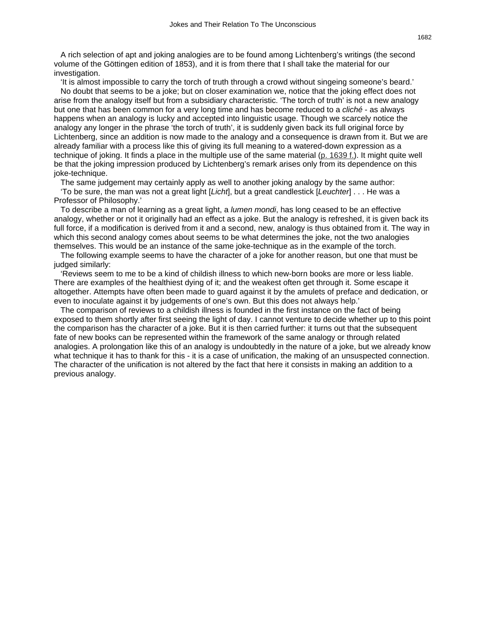A rich selection of apt and joking analogies are to be found among Lichtenberg's writings (the second volume of the Göttingen edition of 1853), and it is from there that I shall take the material for our investigation.

 'It is almost impossible to carry the torch of truth through a crowd without singeing someone's beard.' No doubt that seems to be a joke; but on closer examination we, notice that the joking effect does not arise from the analogy itself but from a subsidiary characteristic. 'The torch of truth' is not a new analogy but one that has been common for a very long time and has become reduced to a *cliché* - as always happens when an analogy is lucky and accepted into linguistic usage. Though we scarcely notice the analogy any longer in the phrase 'the torch of truth', it is suddenly given back its full original force by Lichtenberg, since an addition is now made to the analogy and a consequence is drawn from it. But we are already familiar with a process like this of giving its full meaning to a watered-down expression as a technique of joking. It finds a place in the multiple use of the same material (p. 1639 f.). It might quite well be that the joking impression produced by Lichtenberg's remark arises only from its dependence on this joke-technique.

The same judgement may certainly apply as well to another joking analogy by the same author:

 'To be sure, the man was not a great light [*Licht*], but a great candlestick [*Leuchter*] . . . He was a Professor of Philosophy.'

 To describe a man of learning as a great light, a *lumen mondi*, has long ceased to be an effective analogy, whether or not it originally had an effect as a joke. But the analogy is refreshed, it is given back its full force, if a modification is derived from it and a second, new, analogy is thus obtained from it. The way in which this second analogy comes about seems to be what determines the joke, not the two analogies themselves. This would be an instance of the same joke-technique as in the example of the torch.

 The following example seems to have the character of a joke for another reason, but one that must be judged similarly:

 'Reviews seem to me to be a kind of childish illness to which new-born books are more or less liable. There are examples of the healthiest dying of it; and the weakest often get through it. Some escape it altogether. Attempts have often been made to guard against it by the amulets of preface and dedication, or even to inoculate against it by judgements of one's own. But this does not always help.'

 The comparison of reviews to a childish illness is founded in the first instance on the fact of being exposed to them shortly after first seeing the light of day. I cannot venture to decide whether up to this point the comparison has the character of a joke. But it is then carried further: it turns out that the subsequent fate of new books can be represented within the framework of the same analogy or through related analogies. A prolongation like this of an analogy is undoubtedly in the nature of a joke, but we already know what technique it has to thank for this - it is a case of unification, the making of an unsuspected connection. The character of the unification is not altered by the fact that here it consists in making an addition to a previous analogy.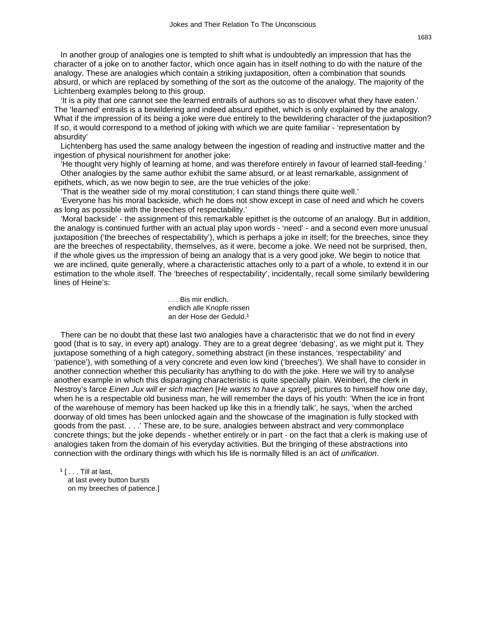In another group of analogies one is tempted to shift what is undoubtedly an impression that has the character of a joke on to another factor, which once again has in itself nothing to do with the nature of the analogy. These are analogies which contain a striking juxtaposition, often a combination that sounds absurd, or which are replaced by something of the sort as the outcome of the analogy. The majority of the Lichtenberg examples belong to this group.

 'It is a pity that one cannot see the learned entrails of authors so as to discover what they have eaten.' The 'learned' entrails is a bewildering and indeed absurd epithet, which is only explained by the analogy. What if the impression of its being a joke were due entirely to the bewildering character of the juxtaposition? If so, it would correspond to a method of joking with which we are quite familiar - 'representation by absurdity'

 Lichtenberg has used the same analogy between the ingestion of reading and instructive matter and the ingestion of physical nourishment for another joke:

 'He thought very highly of learning at home, and was therefore entirely in favour of learned stall-feeding.' Other analogies by the same author exhibit the same absurd, or at least remarkable, assignment of epithets, which, as we now begin to see, are the true vehicles of the joke:

'That is the weather side of my moral constitution; I can stand things there quite well.'

 'Everyone has his moral backside, which he does not show except in case of need and which he covers as long as possible with the breeches of respectability.'

 'Moral backside' - the assignment of this remarkable epithet is the outcome of an analogy. But in addition, the analogy is continued further with an actual play upon words - 'need' - and a second even more unusual juxtaposition ('the breeches of respectability'), which is perhaps a joke in itself; for the breeches, since they are the breeches of respectability, themselves, as it were, become a joke. We need not be surprised, then, if the whole gives us the impression of being an analogy that is a very good joke. We begin to notice that we are inclined, quite generally, where a characteristic attaches only to a part of a whole, to extend it in our estimation to the whole itself. The 'breeches of respectability', incidentally, recall some similarly bewildering lines of Heine's:

> . . . Bis mir endlich, endlich alle Knopfe rissen an der Hose der Geduld.<sup>1</sup>

 There can be no doubt that these last two analogies have a characteristic that we do not find in every good (that is to say, in every apt) analogy. They are to a great degree 'debasing', as we might put it. They juxtapose something of a high category, something abstract (in these instances, 'respectability' and 'patience'), with something of a very concrete and even low kind ('breeches'). We shall have to consider in another connection whether this peculiarity has anything to do with the joke. Here we will try to analyse another example in which this disparaging characteristic is quite specially plain. Weinberl, the clerk in Nestroy's farce *Einen Jux will er sich machen* [*He wants to have a spree*], pictures to himself how one day, when he is a respectable old business man, he will remember the days of his youth: 'When the ice in front of the warehouse of memory has been hacked up like this in a friendly talk', he says, 'when the arched doorway of old times has been unlocked again and the showcase of the imagination is fully stocked with goods from the past. . . .' These are, to be sure, analogies between abstract and very commonplace concrete things; but the joke depends - whether entirely or in part - on the fact that a clerk is making use of analogies taken from the domain of his everyday activities. But the bringing of these abstractions into connection with the ordinary things with which his life is normally filled is an act of *unification*.

 $1$  [  $\dots$  Till at last, at last every button bursts on my breeches of patience.]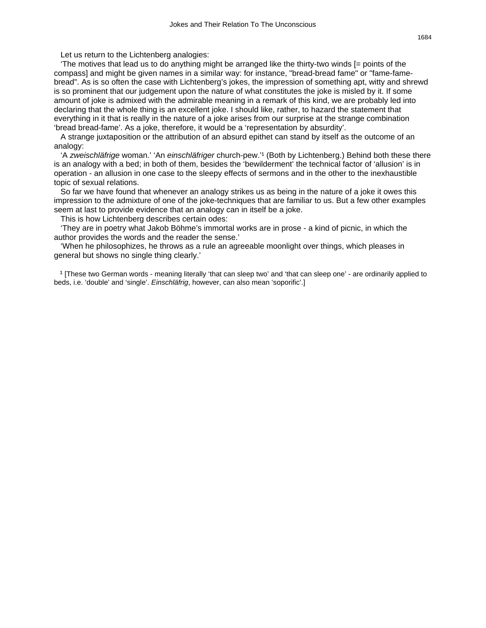Let us return to the Lichtenberg analogies:

 'The motives that lead us to do anything might be arranged like the thirty-two winds [= points of the compass] and might be given names in a similar way: for instance, "bread-bread fame" or "fame-famebread". As is so often the case with Lichtenberg's jokes, the impression of something apt, witty and shrewd is so prominent that our judgement upon the nature of what constitutes the joke is misled by it. If some amount of joke is admixed with the admirable meaning in a remark of this kind, we are probably led into declaring that the whole thing is an excellent joke. I should like, rather, to hazard the statement that everything in it that is really in the nature of a joke arises from our surprise at the strange combination 'bread bread-fame'. As a joke, therefore, it would be a 'representation by absurdity'.

 A strange juxtaposition or the attribution of an absurd epithet can stand by itself as the outcome of an analogy:

'A zweischläfrige woman.' 'An einschläfriger church-pew.'<sup>1</sup> (Both by Lichtenberg.) Behind both these there is an analogy with a bed; in both of them, besides the 'bewilderment' the technical factor of 'allusion' is in operation - an allusion in one case to the sleepy effects of sermons and in the other to the inexhaustible topic of sexual relations.

 So far we have found that whenever an analogy strikes us as being in the nature of a joke it owes this impression to the admixture of one of the joke-techniques that are familiar to us. But a few other examples seem at last to provide evidence that an analogy can in itself be a joke.

This is how Lichtenberg describes certain odes:

 'They are in poetry what Jakob Böhme's immortal works are in prose - a kind of picnic, in which the author provides the words and the reader the sense.'

 'When he philosophizes, he throws as a rule an agreeable moonlight over things, which pleases in general but shows no single thing clearly.'

<sup>1</sup> [These two German words - meaning literally 'that can sleep two' and 'that can sleep one' - are ordinarily applied to beds, i.e. 'double' and 'single'. *Einschläfrig*, however, can also mean 'soporific'.]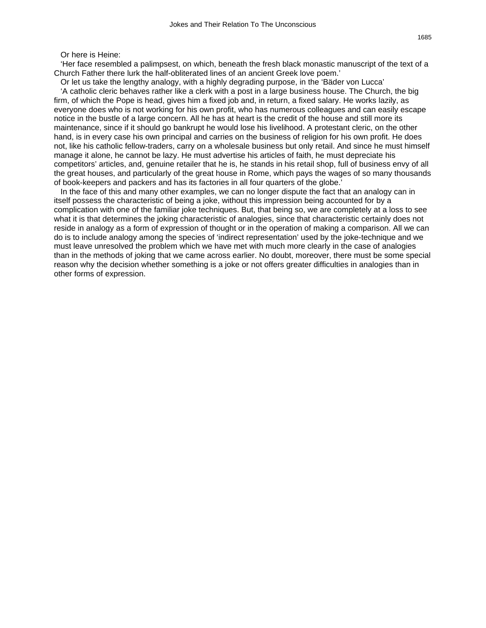## Or here is Heine:

 'Her face resembled a palimpsest, on which, beneath the fresh black monastic manuscript of the text of a Church Father there lurk the half-obliterated lines of an ancient Greek love poem.'

 Or let us take the lengthy analogy, with a highly degrading purpose, in the 'Bäder von Lucca' 'A catholic cleric behaves rather like a clerk with a post in a large business house. The Church, the big firm, of which the Pope is head, gives him a fixed job and, in return, a fixed salary. He works lazily, as everyone does who is not working for his own profit, who has numerous colleagues and can easily escape notice in the bustle of a large concern. All he has at heart is the credit of the house and still more its maintenance, since if it should go bankrupt he would lose his livelihood. A protestant cleric, on the other hand, is in every case his own principal and carries on the business of religion for his own profit. He does not, like his catholic fellow-traders, carry on a wholesale business but only retail. And since he must himself manage it alone, he cannot be lazy. He must advertise his articles of faith, he must depreciate his competitors' articles, and, genuine retailer that he is, he stands in his retail shop, full of business envy of all the great houses, and particularly of the great house in Rome, which pays the wages of so many thousands of book-keepers and packers and has its factories in all four quarters of the globe.'

 In the face of this and many other examples, we can no longer dispute the fact that an analogy can in itself possess the characteristic of being a joke, without this impression being accounted for by a complication with one of the familiar joke techniques. But, that being so, we are completely at a loss to see what it is that determines the joking characteristic of analogies, since that characteristic certainly does not reside in analogy as a form of expression of thought or in the operation of making a comparison. All we can do is to include analogy among the species of 'indirect representation' used by the joke-technique and we must leave unresolved the problem which we have met with much more clearly in the case of analogies than in the methods of joking that we came across earlier. No doubt, moreover, there must be some special reason why the decision whether something is a joke or not offers greater difficulties in analogies than in other forms of expression.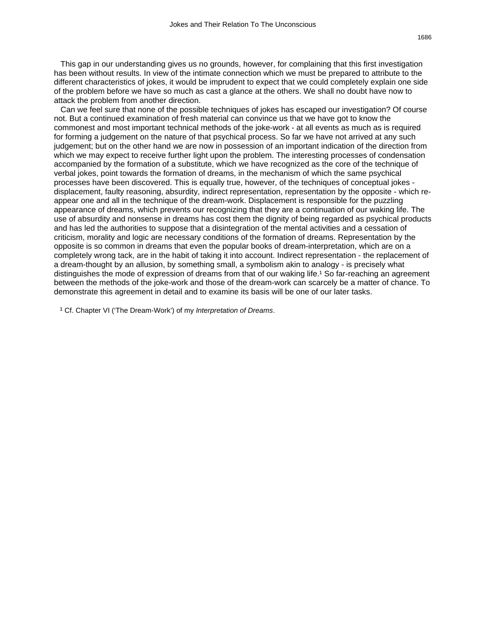This gap in our understanding gives us no grounds, however, for complaining that this first investigation has been without results. In view of the intimate connection which we must be prepared to attribute to the different characteristics of jokes, it would be imprudent to expect that we could completely explain one side of the problem before we have so much as cast a glance at the others. We shall no doubt have now to attack the problem from another direction.

 Can we feel sure that none of the possible techniques of jokes has escaped our investigation? Of course not. But a continued examination of fresh material can convince us that we have got to know the commonest and most important technical methods of the joke-work - at all events as much as is required for forming a judgement on the nature of that psychical process. So far we have not arrived at any such judgement; but on the other hand we are now in possession of an important indication of the direction from which we may expect to receive further light upon the problem. The interesting processes of condensation accompanied by the formation of a substitute, which we have recognized as the core of the technique of verbal jokes, point towards the formation of dreams, in the mechanism of which the same psychical processes have been discovered. This is equally true, however, of the techniques of conceptual jokes displacement, faulty reasoning, absurdity, indirect representation, representation by the opposite - which reappear one and all in the technique of the dream-work. Displacement is responsible for the puzzling appearance of dreams, which prevents our recognizing that they are a continuation of our waking life. The use of absurdity and nonsense in dreams has cost them the dignity of being regarded as psychical products and has led the authorities to suppose that a disintegration of the mental activities and a cessation of criticism, morality and logic are necessary conditions of the formation of dreams. Representation by the opposite is so common in dreams that even the popular books of dream-interpretation, which are on a completely wrong tack, are in the habit of taking it into account. Indirect representation - the replacement of a dream-thought by an allusion, by something small, a symbolism akin to analogy - is precisely what distinguishes the mode of expression of dreams from that of our waking life.<sup>1</sup> So far-reaching an agreement between the methods of the joke-work and those of the dream-work can scarcely be a matter of chance. To demonstrate this agreement in detail and to examine its basis will be one of our later tasks.

<sup>1</sup> Cf. Chapter VI ('The Dream-Work') of my *Interpretation of Dreams*.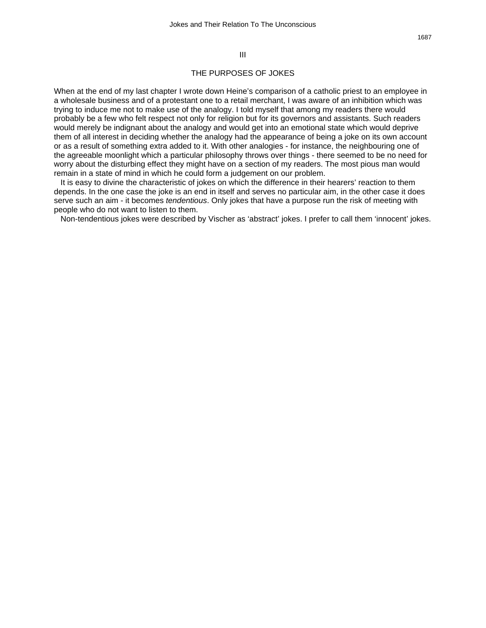## Jokes and Their Relation To The Unconscious

## THE PURPOSES OF JOKES

III

When at the end of my last chapter I wrote down Heine's comparison of a catholic priest to an employee in a wholesale business and of a protestant one to a retail merchant, I was aware of an inhibition which was trying to induce me not to make use of the analogy. I told myself that among my readers there would probably be a few who felt respect not only for religion but for its governors and assistants. Such readers would merely be indignant about the analogy and would get into an emotional state which would deprive them of all interest in deciding whether the analogy had the appearance of being a joke on its own account or as a result of something extra added to it. With other analogies - for instance, the neighbouring one of the agreeable moonlight which a particular philosophy throws over things - there seemed to be no need for worry about the disturbing effect they might have on a section of my readers. The most pious man would remain in a state of mind in which he could form a judgement on our problem.

 It is easy to divine the characteristic of jokes on which the difference in their hearers' reaction to them depends. In the one case the joke is an end in itself and serves no particular aim, in the other case it does serve such an aim - it becomes *tendentious*. Only jokes that have a purpose run the risk of meeting with people who do not want to listen to them.

Non-tendentious jokes were described by Vischer as 'abstract' jokes. I prefer to call them 'innocent' jokes.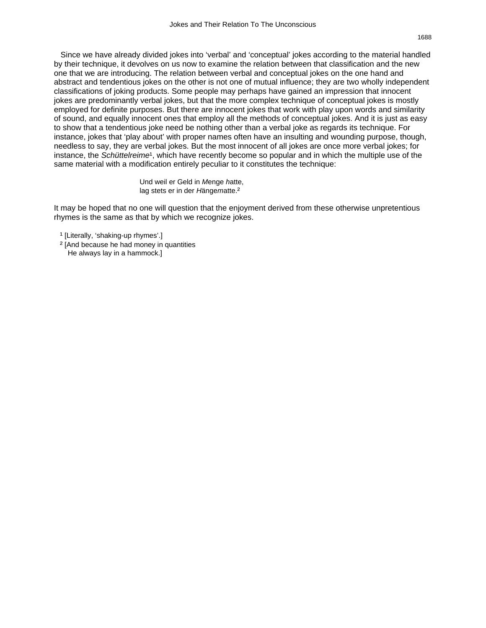Since we have already divided jokes into 'verbal' and 'conceptual' jokes according to the material handled by their technique, it devolves on us now to examine the relation between that classification and the new one that we are introducing. The relation between verbal and conceptual jokes on the one hand and abstract and tendentious jokes on the other is not one of mutual influence; they are two wholly independent classifications of joking products. Some people may perhaps have gained an impression that innocent jokes are predominantly verbal jokes, but that the more complex technique of conceptual jokes is mostly employed for definite purposes. But there are innocent jokes that work with play upon words and similarity of sound, and equally innocent ones that employ all the methods of conceptual jokes. And it is just as easy to show that a tendentious joke need be nothing other than a verbal joke as regards its technique. For instance, jokes that 'play about' with proper names often have an insulting and wounding purpose, though, needless to say, they are verbal jokes. But the most innocent of all jokes are once more verbal jokes; for instance, the *Schüttelreime*<sup>1</sup>, which have recently become so popular and in which the multiple use of the same material with a modification entirely peculiar to it constitutes the technique:

> Und weil er Geld in *M*enge *h*atte, lag stets er in der *H*änge*m*atte.²

It may be hoped that no one will question that the enjoyment derived from these otherwise unpretentious rhymes is the same as that by which we recognize jokes.

<sup>1</sup> [Literally, 'shaking-up rhymes'.]

 ² [And because he had money in quantities He always lay in a hammock.]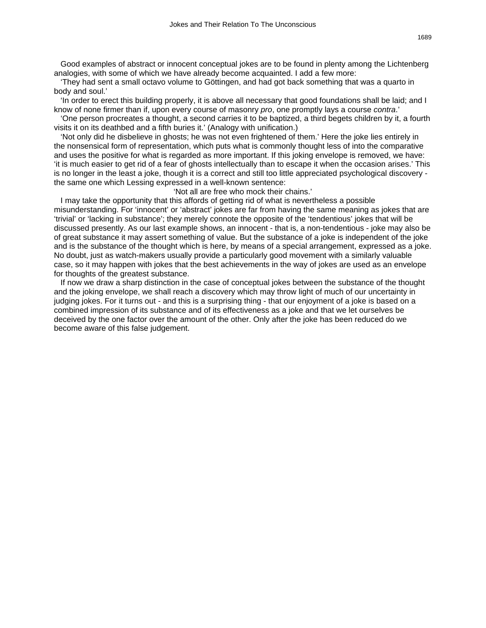Good examples of abstract or innocent conceptual jokes are to be found in plenty among the Lichtenberg analogies, with some of which we have already become acquainted. I add a few more:

 'They had sent a small octavo volume to Göttingen, and had got back something that was a quarto in body and soul.'

 'In order to erect this building properly, it is above all necessary that good foundations shall be laid; and I know of none firmer than if, upon every course of masonry *pro*, one promptly lays a course *contra*.'

 'One person procreates a thought, a second carries it to be baptized, a third begets children by it, a fourth visits it on its deathbed and a fifth buries it.' (Analogy with unification.)

 'Not only did he disbelieve in ghosts; he was not even frightened of them.' Here the joke lies entirely in the nonsensical form of representation, which puts what is commonly thought less of into the comparative and uses the positive for what is regarded as more important. If this joking envelope is removed, we have: 'it is much easier to get rid of a fear of ghosts intellectually than to escape it when the occasion arises.' This is no longer in the least a joke, though it is a correct and still too little appreciated psychological discovery the same one which Lessing expressed in a well-known sentence:

'Not all are free who mock their chains.'

 I may take the opportunity that this affords of getting rid of what is nevertheless a possible misunderstanding. For 'innocent' or 'abstract' jokes are far from having the same meaning as jokes that are 'trivial' or 'lacking in substance'; they merely connote the opposite of the 'tendentious' jokes that will be discussed presently. As our last example shows, an innocent - that is, a non-tendentious - joke may also be of great substance it may assert something of value. But the substance of a joke is independent of the joke and is the substance of the thought which is here, by means of a special arrangement, expressed as a joke. No doubt, just as watch-makers usually provide a particularly good movement with a similarly valuable case, so it may happen with jokes that the best achievements in the way of jokes are used as an envelope for thoughts of the greatest substance.

 If now we draw a sharp distinction in the case of conceptual jokes between the substance of the thought and the joking envelope, we shall reach a discovery which may throw light of much of our uncertainty in judging jokes. For it turns out - and this is a surprising thing - that our enjoyment of a joke is based on a combined impression of its substance and of its effectiveness as a joke and that we let ourselves be deceived by the one factor over the amount of the other. Only after the joke has been reduced do we become aware of this false judgement.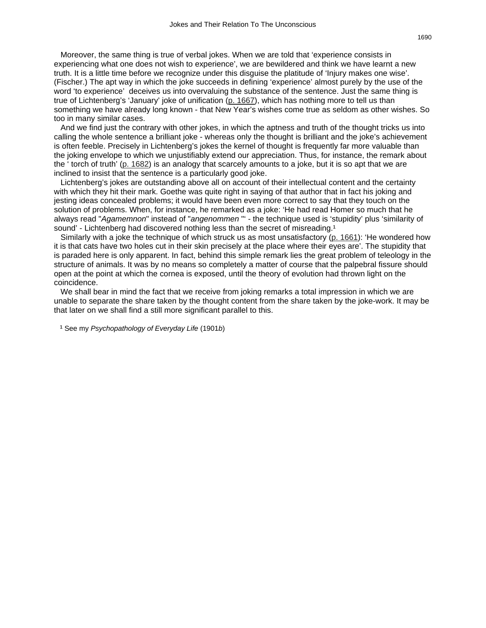Moreover, the same thing is true of verbal jokes. When we are told that 'experience consists in experiencing what one does not wish to experience', we are bewildered and think we have learnt a new truth. It is a little time before we recognize under this disguise the platitude of 'Injury makes one wise'. (Fischer.) The apt way in which the joke succeeds in defining 'experience' almost purely by the use of the word 'to experience' deceives us into overvaluing the substance of the sentence. Just the same thing is true of Lichtenberg's 'January' joke of unification (p. 1667), which has nothing more to tell us than something we have already long known - that New Year's wishes come true as seldom as other wishes. So too in many similar cases.

 And we find just the contrary with other jokes, in which the aptness and truth of the thought tricks us into calling the whole sentence a brilliant joke - whereas only the thought is brilliant and the joke's achievement is often feeble. Precisely in Lichtenberg's jokes the kernel of thought is frequently far more valuable than the joking envelope to which we unjustifiably extend our appreciation. Thus, for instance, the remark about the ' torch of truth' (p. 1682) is an analogy that scarcely amounts to a joke, but it is so apt that we are inclined to insist that the sentence is a particularly good joke.

 Lichtenberg's jokes are outstanding above all on account of their intellectual content and the certainty with which they hit their mark. Goethe was quite right in saying of that author that in fact his joking and jesting ideas concealed problems; it would have been even more correct to say that they touch on the solution of problems. When, for instance, he remarked as a joke: 'He had read Homer so much that he always read "*Agamemnon*" instead of "*angenommen* "' - the technique used is 'stupidity' plus 'similarity of sound' - Lichtenberg had discovered nothing less than the secret of misreading.<sup>1</sup>

 Similarly with a joke the technique of which struck us as most unsatisfactory (p. 1661): 'He wondered how it is that cats have two holes cut in their skin precisely at the place where their eyes are'. The stupidity that is paraded here is only apparent. In fact, behind this simple remark lies the great problem of teleology in the structure of animals. It was by no means so completely a matter of course that the palpebral fissure should open at the point at which the cornea is exposed, until the theory of evolution had thrown light on the coincidence.

 We shall bear in mind the fact that we receive from joking remarks a total impression in which we are unable to separate the share taken by the thought content from the share taken by the joke-work. It may be that later on we shall find a still more significant parallel to this.

<sup>1</sup> See my *Psychopathology of Everyday Life* (1901*b*)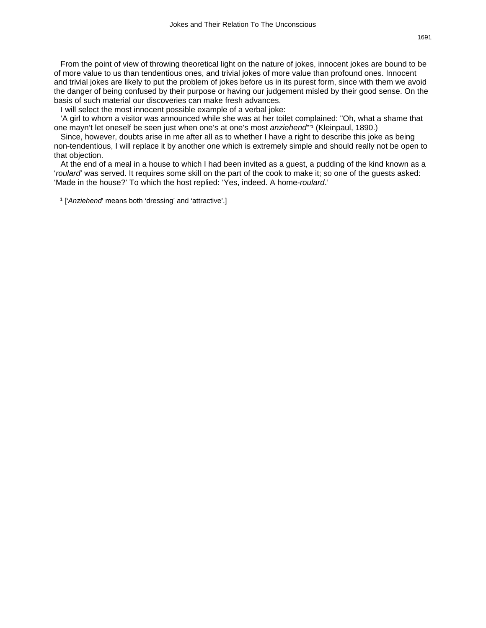From the point of view of throwing theoretical light on the nature of jokes, innocent jokes are bound to be of more value to us than tendentious ones, and trivial jokes of more value than profound ones. Innocent and trivial jokes are likely to put the problem of jokes before us in its purest form, since with them we avoid the danger of being confused by their purpose or having our judgement misled by their good sense. On the basis of such material our discoveries can make fresh advances.

I will select the most innocent possible example of a verbal joke:

 'A girl to whom a visitor was announced while she was at her toilet complained: "Oh, what a shame that one mayn't let oneself be seen just when one's at one's most *anziehend*"<sup>1</sup> (Kleinpaul, 1890.)

 Since, however, doubts arise in me after all as to whether I have a right to describe this joke as being non-tendentious, I will replace it by another one which is extremely simple and should really not be open to that objection.

 At the end of a meal in a house to which I had been invited as a guest, a pudding of the kind known as a '*roulard*' was served. It requires some skill on the part of the cook to make it; so one of the guests asked: 'Made in the house?' To which the host replied: 'Yes, indeed. A home-*roulard*.'

<sup>1</sup> ['*Anziehend*' means both 'dressing' and 'attractive'.]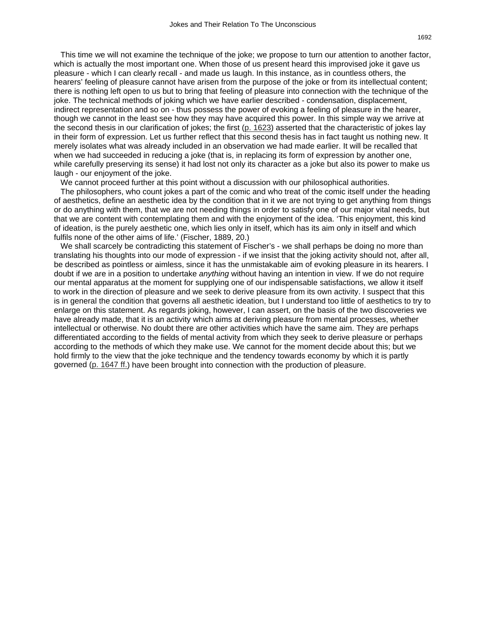This time we will not examine the technique of the joke; we propose to turn our attention to another factor, which is actually the most important one. When those of us present heard this improvised joke it gave us pleasure - which I can clearly recall - and made us laugh. In this instance, as in countless others, the hearers' feeling of pleasure cannot have arisen from the purpose of the joke or from its intellectual content; there is nothing left open to us but to bring that feeling of pleasure into connection with the technique of the joke. The technical methods of joking which we have earlier described - condensation, displacement, indirect representation and so on - thus possess the power of evoking a feeling of pleasure in the hearer, though we cannot in the least see how they may have acquired this power. In this simple way we arrive at the second thesis in our clarification of jokes; the first (p. 1623) asserted that the characteristic of jokes lay in their form of expression. Let us further reflect that this second thesis has in fact taught us nothing new. It merely isolates what was already included in an observation we had made earlier. It will be recalled that when we had succeeded in reducing a joke (that is, in replacing its form of expression by another one, while carefully preserving its sense) it had lost not only its character as a joke but also its power to make us laugh - our enjoyment of the joke.

We cannot proceed further at this point without a discussion with our philosophical authorities.

 The philosophers, who count jokes a part of the comic and who treat of the comic itself under the heading of aesthetics, define an aesthetic idea by the condition that in it we are not trying to get anything from things or do anything with them, that we are not needing things in order to satisfy one of our major vital needs, but that we are content with contemplating them and with the enjoyment of the idea. 'This enjoyment, this kind of ideation, is the purely aesthetic one, which lies only in itself, which has its aim only in itself and which fulfils none of the other aims of life.' (Fischer, 1889, 20.)

We shall scarcely be contradicting this statement of Fischer's - we shall perhaps be doing no more than translating his thoughts into our mode of expression - if we insist that the joking activity should not, after all, be described as pointless or aimless, since it has the unmistakable aim of evoking pleasure in its hearers. I doubt if we are in a position to undertake *anything* without having an intention in view. If we do not require our mental apparatus at the moment for supplying one of our indispensable satisfactions, we allow it itself to work in the direction of pleasure and we seek to derive pleasure from its own activity. I suspect that this is in general the condition that governs all aesthetic ideation, but I understand too little of aesthetics to try to enlarge on this statement. As regards joking, however, I can assert, on the basis of the two discoveries we have already made, that it is an activity which aims at deriving pleasure from mental processes, whether intellectual or otherwise. No doubt there are other activities which have the same aim. They are perhaps differentiated according to the fields of mental activity from which they seek to derive pleasure or perhaps according to the methods of which they make use. We cannot for the moment decide about this; but we hold firmly to the view that the joke technique and the tendency towards economy by which it is partly governed (p. 1647 ff.) have been brought into connection with the production of pleasure.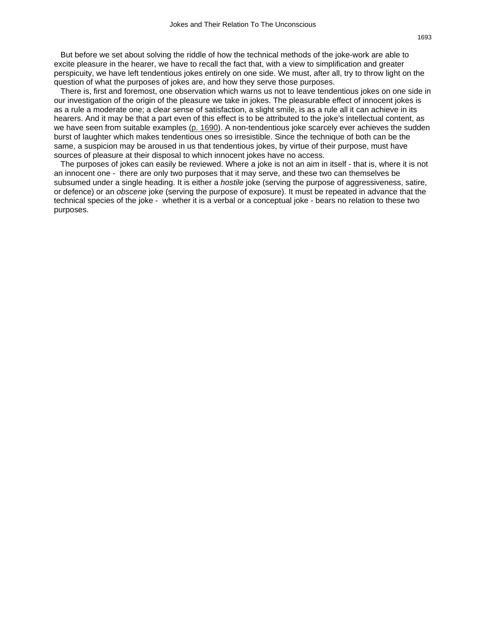But before we set about solving the riddle of how the technical methods of the joke-work are able to excite pleasure in the hearer, we have to recall the fact that, with a view to simplification and greater perspicuity, we have left tendentious jokes entirely on one side. We must, after all, try to throw light on the question of what the purposes of jokes are, and how they serve those purposes.

 There is, first and foremost, one observation which warns us not to leave tendentious jokes on one side in our investigation of the origin of the pleasure we take in jokes. The pleasurable effect of innocent jokes is as a rule a moderate one; a clear sense of satisfaction, a slight smile, is as a rule all it can achieve in its hearers. And it may be that a part even of this effect is to be attributed to the joke's intellectual content, as we have seen from suitable examples (p. 1690). A non-tendentious joke scarcely ever achieves the sudden burst of laughter which makes tendentious ones so irresistible. Since the technique of both can be the same, a suspicion may be aroused in us that tendentious jokes, by virtue of their purpose, must have sources of pleasure at their disposal to which innocent jokes have no access.

 The purposes of jokes can easily be reviewed. Where a joke is not an aim in itself - that is, where it is not an innocent one - there are only two purposes that it may serve, and these two can themselves be subsumed under a single heading. It is either a *hostile* joke (serving the purpose of aggressiveness, satire, or defence) or an *obscene* joke (serving the purpose of exposure). It must be repeated in advance that the technical species of the joke - whether it is a verbal or a conceptual joke - bears no relation to these two purposes.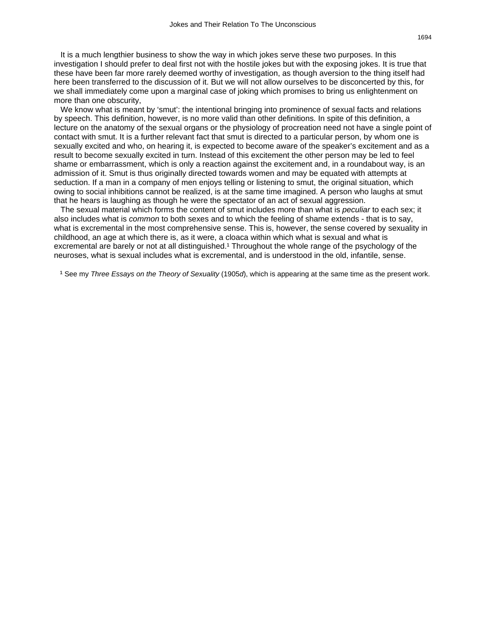It is a much lengthier business to show the way in which jokes serve these two purposes. In this investigation I should prefer to deal first not with the hostile jokes but with the exposing jokes. It is true that these have been far more rarely deemed worthy of investigation, as though aversion to the thing itself had here been transferred to the discussion of it. But we will not allow ourselves to be disconcerted by this, for we shall immediately come upon a marginal case of joking which promises to bring us enlightenment on more than one obscurity,

 We know what is meant by 'smut': the intentional bringing into prominence of sexual facts and relations by speech. This definition, however, is no more valid than other definitions. In spite of this definition, a lecture on the anatomy of the sexual organs or the physiology of procreation need not have a single point of contact with smut. It is a further relevant fact that smut is directed to a particular person, by whom one is sexually excited and who, on hearing it, is expected to become aware of the speaker's excitement and as a result to become sexually excited in turn. Instead of this excitement the other person may be led to feel shame or embarrassment, which is only a reaction against the excitement and, in a roundabout way, is an admission of it. Smut is thus originally directed towards women and may be equated with attempts at seduction. If a man in a company of men enjoys telling or listening to smut, the original situation, which owing to social inhibitions cannot be realized, is at the same time imagined. A person who laughs at smut that he hears is laughing as though he were the spectator of an act of sexual aggression.

 The sexual material which forms the content of smut includes more than what is *peculiar* to each sex; it also includes what is *common* to both sexes and to which the feeling of shame extends - that is to say, what is excremental in the most comprehensive sense. This is, however, the sense covered by sexuality in childhood, an age at which there is, as it were, a cloaca within which what is sexual and what is excremental are barely or not at all distinguished.<sup>1</sup> Throughout the whole range of the psychology of the neuroses, what is sexual includes what is excremental, and is understood in the old, infantile, sense.

<sup>1</sup> See my *Three Essays on the Theory of Sexuality* (1905*d*), which is appearing at the same time as the present work.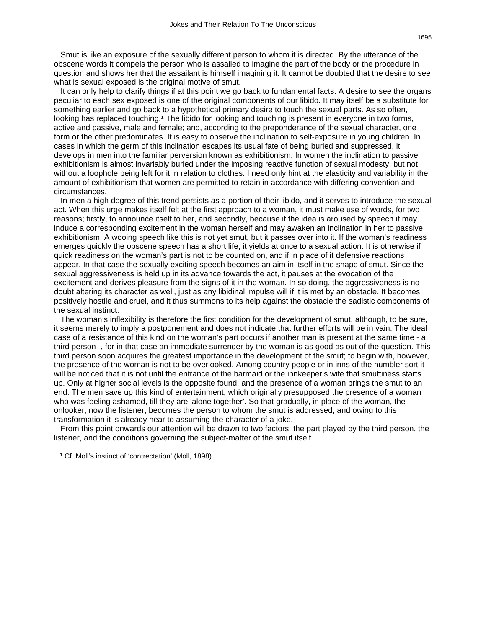Smut is like an exposure of the sexually different person to whom it is directed. By the utterance of the obscene words it compels the person who is assailed to imagine the part of the body or the procedure in question and shows her that the assailant is himself imagining it. It cannot be doubted that the desire to see what is sexual exposed is the original motive of smut.

 It can only help to clarify things if at this point we go back to fundamental facts. A desire to see the organs peculiar to each sex exposed is one of the original components of our libido. It may itself be a substitute for something earlier and go back to a hypothetical primary desire to touch the sexual parts. As so often, looking has replaced touching.<sup>1</sup> The libido for looking and touching is present in everyone in two forms, active and passive, male and female; and, according to the preponderance of the sexual character, one form or the other predominates. It is easy to observe the inclination to self-exposure in young children. In cases in which the germ of this inclination escapes its usual fate of being buried and suppressed, it develops in men into the familiar perversion known as exhibitionism. In women the inclination to passive exhibitionism is almost invariably buried under the imposing reactive function of sexual modesty, but not without a loophole being left for it in relation to clothes. I need only hint at the elasticity and variability in the amount of exhibitionism that women are permitted to retain in accordance with differing convention and circumstances.

 In men a high degree of this trend persists as a portion of their libido, and it serves to introduce the sexual act. When this urge makes itself felt at the first approach to a woman, it must make use of words, for two reasons; firstly, to announce itself to her, and secondly, because if the idea is aroused by speech it may induce a corresponding excitement in the woman herself and may awaken an inclination in her to passive exhibitionism. A wooing speech like this is not yet smut, but it passes over into it. If the woman's readiness emerges quickly the obscene speech has a short life; it yields at once to a sexual action. It is otherwise if quick readiness on the woman's part is not to be counted on, and if in place of it defensive reactions appear. In that case the sexually exciting speech becomes an aim in itself in the shape of smut. Since the sexual aggressiveness is held up in its advance towards the act, it pauses at the evocation of the excitement and derives pleasure from the signs of it in the woman. In so doing, the aggressiveness is no doubt altering its character as well, just as any libidinal impulse will if it is met by an obstacle. It becomes positively hostile and cruel, and it thus summons to its help against the obstacle the sadistic components of the sexual instinct.

 The woman's inflexibility is therefore the first condition for the development of smut, although, to be sure, it seems merely to imply a postponement and does not indicate that further efforts will be in vain. The ideal case of a resistance of this kind on the woman's part occurs if another man is present at the same time - a third person -, for in that case an immediate surrender by the woman is as good as out of the question. This third person soon acquires the greatest importance in the development of the smut; to begin with, however, the presence of the woman is not to be overlooked. Among country people or in inns of the humbler sort it will be noticed that it is not until the entrance of the barmaid or the innkeeper's wife that smuttiness starts up. Only at higher social levels is the opposite found, and the presence of a woman brings the smut to an end. The men save up this kind of entertainment, which originally presupposed the presence of a woman who was feeling ashamed, till they are 'alone together'. So that gradually, in place of the woman, the onlooker, now the listener, becomes the person to whom the smut is addressed, and owing to this transformation it is already near to assuming the character of a joke.

 From this point onwards our attention will be drawn to two factors: the part played by the third person, the listener, and the conditions governing the subject-matter of the smut itself.

<sup>1</sup> Cf. Moll's instinct of 'contrectation' (Moll, 1898).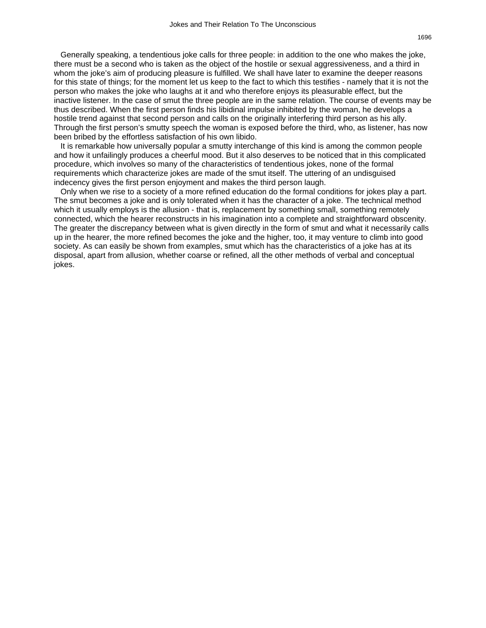Generally speaking, a tendentious joke calls for three people: in addition to the one who makes the joke, there must be a second who is taken as the object of the hostile or sexual aggressiveness, and a third in whom the joke's aim of producing pleasure is fulfilled. We shall have later to examine the deeper reasons for this state of things; for the moment let us keep to the fact to which this testifies - namely that it is not the person who makes the joke who laughs at it and who therefore enjoys its pleasurable effect, but the inactive listener. In the case of smut the three people are in the same relation. The course of events may be thus described. When the first person finds his libidinal impulse inhibited by the woman, he develops a hostile trend against that second person and calls on the originally interfering third person as his ally. Through the first person's smutty speech the woman is exposed before the third, who, as listener, has now been bribed by the effortless satisfaction of his own libido.

 It is remarkable how universally popular a smutty interchange of this kind is among the common people and how it unfailingly produces a cheerful mood. But it also deserves to be noticed that in this complicated procedure, which involves so many of the characteristics of tendentious jokes, none of the formal requirements which characterize jokes are made of the smut itself. The uttering of an undisguised indecency gives the first person enjoyment and makes the third person laugh.

 Only when we rise to a society of a more refined education do the formal conditions for jokes play a part. The smut becomes a joke and is only tolerated when it has the character of a joke. The technical method which it usually employs is the allusion - that is, replacement by something small, something remotely connected, which the hearer reconstructs in his imagination into a complete and straightforward obscenity. The greater the discrepancy between what is given directly in the form of smut and what it necessarily calls up in the hearer, the more refined becomes the joke and the higher, too, it may venture to climb into good society. As can easily be shown from examples, smut which has the characteristics of a joke has at its disposal, apart from allusion, whether coarse or refined, all the other methods of verbal and conceptual jokes.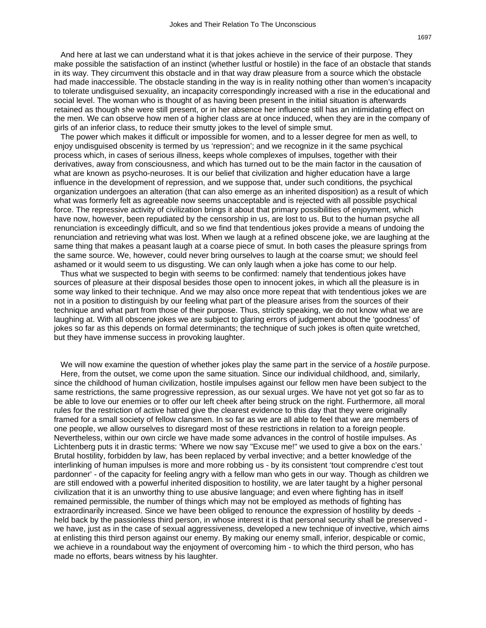And here at last we can understand what it is that jokes achieve in the service of their purpose. They make possible the satisfaction of an instinct (whether lustful or hostile) in the face of an obstacle that stands in its way. They circumvent this obstacle and in that way draw pleasure from a source which the obstacle had made inaccessible. The obstacle standing in the way is in reality nothing other than women's incapacity to tolerate undisguised sexuality, an incapacity correspondingly increased with a rise in the educational and social level. The woman who is thought of as having been present in the initial situation is afterwards retained as though she were still present, or in her absence her influence still has an intimidating effect on the men. We can observe how men of a higher class are at once induced, when they are in the company of girls of an inferior class, to reduce their smutty jokes to the level of simple smut.

 The power which makes it difficult or impossible for women, and to a lesser degree for men as well, to enjoy undisguised obscenity is termed by us 'repression'; and we recognize in it the same psychical process which, in cases of serious illness, keeps whole complexes of impulses, together with their derivatives, away from consciousness, and which has turned out to be the main factor in the causation of what are known as psycho-neuroses. It is our belief that civilization and higher education have a large influence in the development of repression, and we suppose that, under such conditions, the psychical organization undergoes an alteration (that can also emerge as an inherited disposition) as a result of which what was formerly felt as agreeable now seems unacceptable and is rejected with all possible psychical force. The repressive activity of civilization brings it about that primary possibilities of enjoyment, which have now, however, been repudiated by the censorship in us, are lost to us. But to the human psyche all renunciation is exceedingly difficult, and so we find that tendentious jokes provide a means of undoing the renunciation and retrieving what was lost. When we laugh at a refined obscene joke, we are laughing at the same thing that makes a peasant laugh at a coarse piece of smut. In both cases the pleasure springs from the same source. We, however, could never bring ourselves to laugh at the coarse smut; we should feel ashamed or it would seem to us disgusting. We can only laugh when a joke has come to our help.

 Thus what we suspected to begin with seems to be confirmed: namely that tendentious jokes have sources of pleasure at their disposal besides those open to innocent jokes, in which all the pleasure is in some way linked to their technique. And we may also once more repeat that with tendentious jokes we are not in a position to distinguish by our feeling what part of the pleasure arises from the sources of their technique and what part from those of their purpose. Thus, strictly speaking, we do not know what we are laughing at. With all obscene jokes we are subject to glaring errors of judgement about the 'goodness' of jokes so far as this depends on formal determinants; the technique of such jokes is often quite wretched, but they have immense success in provoking laughter.

 We will now examine the question of whether jokes play the same part in the service of a *hostile* purpose. Here, from the outset, we come upon the same situation. Since our individual childhood, and, similarly, since the childhood of human civilization, hostile impulses against our fellow men have been subject to the same restrictions, the same progressive repression, as our sexual urges. We have not yet got so far as to be able to love our enemies or to offer our left cheek after being struck on the right. Furthermore, all moral rules for the restriction of active hatred give the clearest evidence to this day that they were originally framed for a small society of fellow clansmen. In so far as we are all able to feel that we are members of one people, we allow ourselves to disregard most of these restrictions in relation to a foreign people. Nevertheless, within our own circle we have made some advances in the control of hostile impulses. As Lichtenberg puts it in drastic terms: 'Where we now say "Excuse me!" we used to give a box on the ears.' Brutal hostility, forbidden by law, has been replaced by verbal invective; and a better knowledge of the interlinking of human impulses is more and more robbing us - by its consistent 'tout comprendre c'est tout pardonner' - of the capacity for feeling angry with a fellow man who gets in our way. Though as children we are still endowed with a powerful inherited disposition to hostility, we are later taught by a higher personal civilization that it is an unworthy thing to use abusive language; and even where fighting has in itself remained permissible, the number of things which may not be employed as methods of fighting has extraordinarily increased. Since we have been obliged to renounce the expression of hostility by deeds held back by the passionless third person, in whose interest it is that personal security shall be preserved we have, just as in the case of sexual aggressiveness, developed a new technique of invective, which aims at enlisting this third person against our enemy. By making our enemy small, inferior, despicable or comic, we achieve in a roundabout way the enjoyment of overcoming him - to which the third person, who has made no efforts, bears witness by his laughter.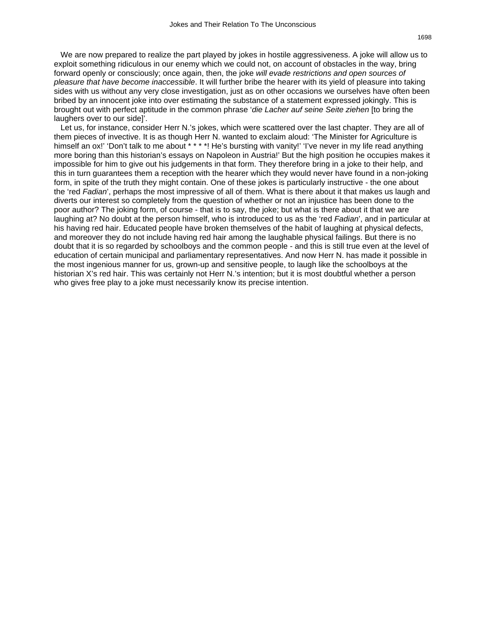We are now prepared to realize the part played by jokes in hostile aggressiveness. A joke will allow us to exploit something ridiculous in our enemy which we could not, on account of obstacles in the way, bring forward openly or consciously; once again, then, the joke *will evade restrictions and open sources of pleasure that have become inaccessible*. It will further bribe the hearer with its yield of pleasure into taking sides with us without any very close investigation, just as on other occasions we ourselves have often been bribed by an innocent joke into over estimating the substance of a statement expressed jokingly. This is brought out with perfect aptitude in the common phrase '*die Lacher auf seine Seite ziehen* [to bring the laughers over to our side]'.

 Let us, for instance, consider Herr N.'s jokes, which were scattered over the last chapter. They are all of them pieces of invective. It is as though Herr N. wanted to exclaim aloud: 'The Minister for Agriculture is himself an ox!' 'Don't talk to me about \* \* \* \*! He's bursting with vanity!' 'I've never in my life read anything more boring than this historian's essays on Napoleon in Austria!' But the high position he occupies makes it impossible for him to give out his judgements in that form. They therefore bring in a joke to their help, and this in turn guarantees them a reception with the hearer which they would never have found in a non-joking form, in spite of the truth they might contain. One of these jokes is particularly instructive - the one about the 'red *Fadian*', perhaps the most impressive of all of them. What is there about it that makes us laugh and diverts our interest so completely from the question of whether or not an injustice has been done to the poor author? The joking form, of course - that is to say, the joke; but what is there about it that we are laughing at? No doubt at the person himself, who is introduced to us as the 'red *Fadian*', and in particular at his having red hair. Educated people have broken themselves of the habit of laughing at physical defects, and moreover they do not include having red hair among the laughable physical failings. But there is no doubt that it is so regarded by schoolboys and the common people - and this is still true even at the level of education of certain municipal and parliamentary representatives. And now Herr N. has made it possible in the most ingenious manner for us, grown-up and sensitive people, to laugh like the schoolboys at the historian X's red hair. This was certainly not Herr N.'s intention; but it is most doubtful whether a person who gives free play to a joke must necessarily know its precise intention.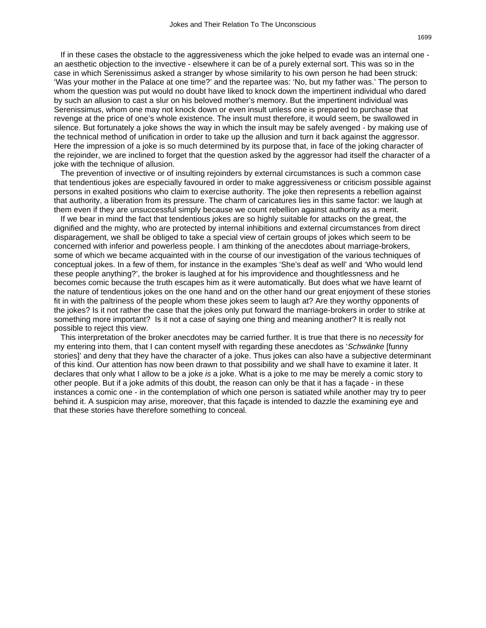If in these cases the obstacle to the aggressiveness which the joke helped to evade was an internal one an aesthetic objection to the invective - elsewhere it can be of a purely external sort. This was so in the case in which Serenissimus asked a stranger by whose similarity to his own person he had been struck: 'Was your mother in the Palace at one time?' and the repartee was: 'No, but my father was.' The person to whom the question was put would no doubt have liked to knock down the impertinent individual who dared by such an allusion to cast a slur on his beloved mother's memory. But the impertinent individual was Serenissimus, whom one may not knock down or even insult unless one is prepared to purchase that revenge at the price of one's whole existence. The insult must therefore, it would seem, be swallowed in silence. But fortunately a joke shows the way in which the insult may be safely avenged - by making use of the technical method of unification in order to take up the allusion and turn it back against the aggressor. Here the impression of a joke is so much determined by its purpose that, in face of the joking character of the rejoinder, we are inclined to forget that the question asked by the aggressor had itself the character of a joke with the technique of allusion.

 The prevention of invective or of insulting rejoinders by external circumstances is such a common case that tendentious jokes are especially favoured in order to make aggressiveness or criticism possible against persons in exalted positions who claim to exercise authority. The joke then represents a rebellion against that authority, a liberation from its pressure. The charm of caricatures lies in this same factor: we laugh at them even if they are unsuccessful simply because we count rebellion against authority as a merit.

 If we bear in mind the fact that tendentious jokes are so highly suitable for attacks on the great, the dignified and the mighty, who are protected by internal inhibitions and external circumstances from direct disparagement, we shall be obliged to take a special view of certain groups of jokes which seem to be concerned with inferior and powerless people. I am thinking of the anecdotes about marriage-brokers, some of which we became acquainted with in the course of our investigation of the various techniques of conceptual jokes. In a few of them, for instance in the examples 'She's deaf as well' and 'Who would lend these people anything?', the broker is laughed at for his improvidence and thoughtlessness and he becomes comic because the truth escapes him as it were automatically. But does what we have learnt of the nature of tendentious jokes on the one hand and on the other hand our great enjoyment of these stories fit in with the paltriness of the people whom these jokes seem to laugh at? Are they worthy opponents of the jokes? Is it not rather the case that the jokes only put forward the marriage-brokers in order to strike at something more important? Is it not a case of saying one thing and meaning another? It is really not possible to reject this view.

 This interpretation of the broker anecdotes may be carried further. It is true that there is no *necessity* for my entering into them, that I can content myself with regarding these anecdotes as '*Schwänke* [funny stories]' and deny that they have the character of a joke. Thus jokes can also have a subjective determinant of this kind. Our attention has now been drawn to that possibility and we shall have to examine it later. It declares that only what I allow to be a joke *is* a joke. What is a joke to me may be merely a comic story to other people. But if a joke admits of this doubt, the reason can only be that it has a façade - in these instances a comic one - in the contemplation of which one person is satiated while another may try to peer behind it. A suspicion may arise, moreover, that this façade is intended to dazzle the examining eye and that these stories have therefore something to conceal.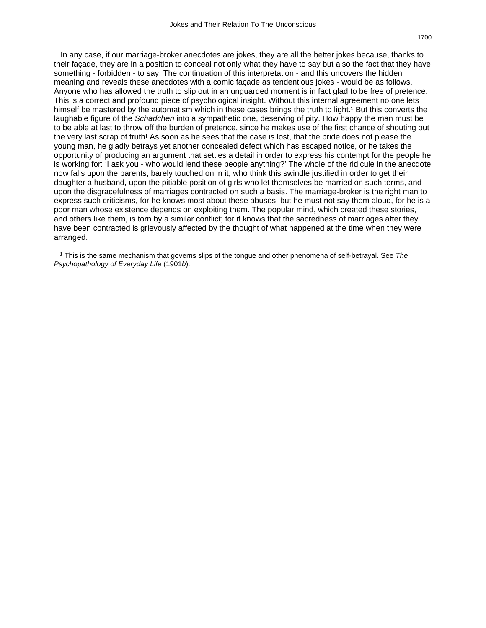In any case, if our marriage-broker anecdotes are jokes, they are all the better jokes because, thanks to their façade, they are in a position to conceal not only what they have to say but also the fact that they have something - forbidden - to say. The continuation of this interpretation - and this uncovers the hidden meaning and reveals these anecdotes with a comic façade as tendentious jokes - would be as follows. Anyone who has allowed the truth to slip out in an unguarded moment is in fact glad to be free of pretence. This is a correct and profound piece of psychological insight. Without this internal agreement no one lets himself be mastered by the automatism which in these cases brings the truth to light.<sup>1</sup> But this converts the laughable figure of the *Schadchen* into a sympathetic one, deserving of pity. How happy the man must be to be able at last to throw off the burden of pretence, since he makes use of the first chance of shouting out the very last scrap of truth! As soon as he sees that the case is lost, that the bride does not please the young man, he gladly betrays yet another concealed defect which has escaped notice, or he takes the opportunity of producing an argument that settles a detail in order to express his contempt for the people he is working for: 'I ask you - who would lend these people anything?' The whole of the ridicule in the anecdote now falls upon the parents, barely touched on in it, who think this swindle justified in order to get their daughter a husband, upon the pitiable position of girls who let themselves be married on such terms, and upon the disgracefulness of marriages contracted on such a basis. The marriage-broker is the right man to express such criticisms, for he knows most about these abuses; but he must not say them aloud, for he is a poor man whose existence depends on exploiting them. The popular mind, which created these stories, and others like them, is torn by a similar conflict; for it knows that the sacredness of marriages after they have been contracted is grievously affected by the thought of what happened at the time when they were arranged.

<sup>1</sup> This is the same mechanism that governs slips of the tongue and other phenomena of self-betrayal. See *The Psychopathology of Everyday Life* (1901*b*).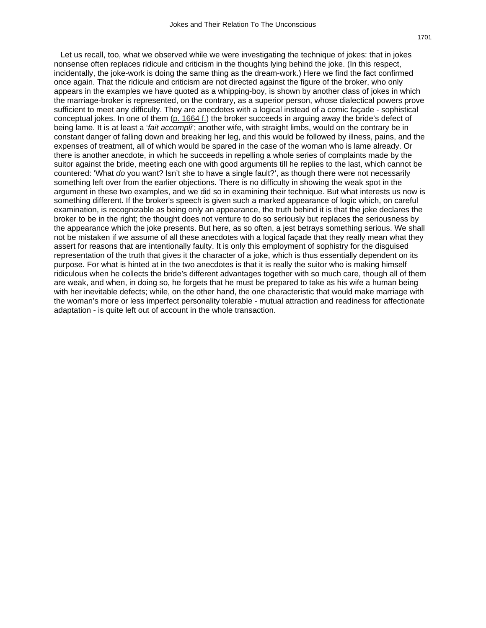Let us recall, too, what we observed while we were investigating the technique of jokes: that in jokes nonsense often replaces ridicule and criticism in the thoughts lying behind the joke. (In this respect, incidentally, the joke-work is doing the same thing as the dream-work.) Here we find the fact confirmed once again. That the ridicule and criticism are not directed against the figure of the broker, who only appears in the examples we have quoted as a whipping-boy, is shown by another class of jokes in which the marriage-broker is represented, on the contrary, as a superior person, whose dialectical powers prove sufficient to meet any difficulty. They are anecdotes with a logical instead of a comic façade - sophistical conceptual jokes. In one of them (p. 1664 f.) the broker succeeds in arguing away the bride's defect of being lame. It is at least a '*fait accompli*'; another wife, with straight limbs, would on the contrary be in constant danger of falling down and breaking her leg, and this would be followed by illness, pains, and the expenses of treatment, all of which would be spared in the case of the woman who is lame already. Or there is another anecdote, in which he succeeds in repelling a whole series of complaints made by the suitor against the bride, meeting each one with good arguments till he replies to the last, which cannot be countered: 'What *do* you want? Isn't she to have a single fault?', as though there were not necessarily something left over from the earlier objections. There is no difficulty in showing the weak spot in the argument in these two examples, and we did so in examining their technique. But what interests us now is something different. If the broker's speech is given such a marked appearance of logic which, on careful examination, is recognizable as being only an appearance, the truth behind it is that the joke declares the broker to be in the right; the thought does not venture to do so seriously but replaces the seriousness by the appearance which the joke presents. But here, as so often, a jest betrays something serious. We shall not be mistaken if we assume of all these anecdotes with a logical façade that they really mean what they assert for reasons that are intentionally faulty. It is only this employment of sophistry for the disguised representation of the truth that gives it the character of a joke, which is thus essentially dependent on its purpose. For what is hinted at in the two anecdotes is that it is really the suitor who is making himself ridiculous when he collects the bride's different advantages together with so much care, though all of them are weak, and when, in doing so, he forgets that he must be prepared to take as his wife a human being with her inevitable defects; while, on the other hand, the one characteristic that would make marriage with the woman's more or less imperfect personality tolerable - mutual attraction and readiness for affectionate adaptation - is quite left out of account in the whole transaction.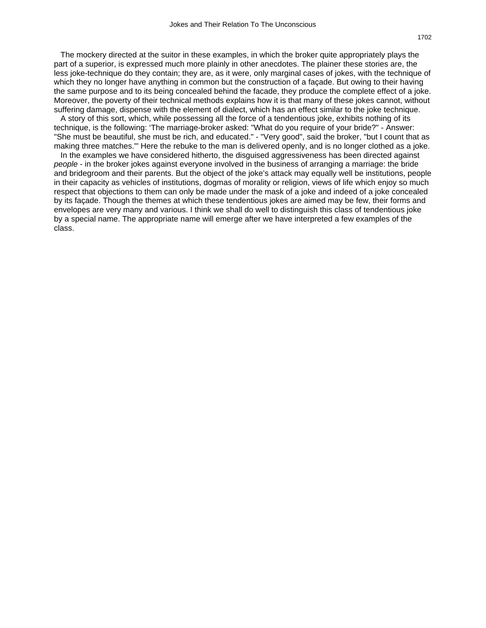The mockery directed at the suitor in these examples, in which the broker quite appropriately plays the part of a superior, is expressed much more plainly in other anecdotes. The plainer these stories are, the less joke-technique do they contain; they are, as it were, only marginal cases of jokes, with the technique of which they no longer have anything in common but the construction of a facade. But owing to their having the same purpose and to its being concealed behind the facade, they produce the complete effect of a joke. Moreover, the poverty of their technical methods explains how it is that many of these jokes cannot, without suffering damage, dispense with the element of dialect, which has an effect similar to the joke technique.

 A story of this sort, which, while possessing all the force of a tendentious joke, exhibits nothing of its technique, is the following: 'The marriage-broker asked: "What do you require of your bride?" - Answer: "She must be beautiful, she must be rich, and educated." - "Very good", said the broker, "but I count that as making three matches."' Here the rebuke to the man is delivered openly, and is no longer clothed as a joke.

 In the examples we have considered hitherto, the disguised aggressiveness has been directed against *people* - in the broker jokes against everyone involved in the business of arranging a marriage: the bride and bridegroom and their parents. But the object of the joke's attack may equally well be institutions, people in their capacity as vehicles of institutions, dogmas of morality or religion, views of life which enjoy so much respect that objections to them can only be made under the mask of a joke and indeed of a joke concealed by its façade. Though the themes at which these tendentious jokes are aimed may be few, their forms and envelopes are very many and various. I think we shall do well to distinguish this class of tendentious joke by a special name. The appropriate name will emerge after we have interpreted a few examples of the class.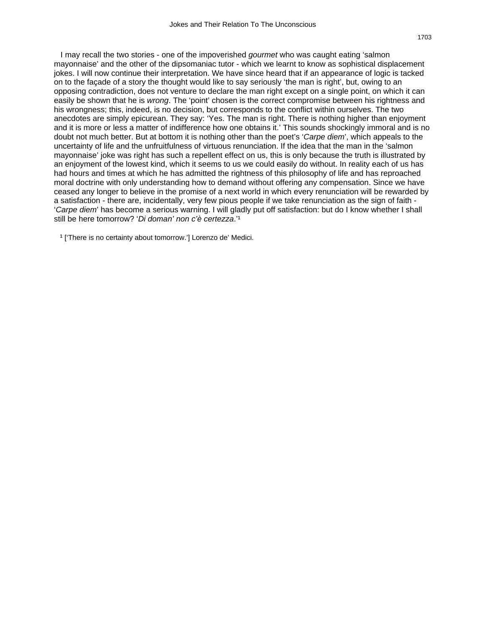I may recall the two stories - one of the impoverished *gourmet* who was caught eating 'salmon mayonnaise' and the other of the dipsomaniac tutor - which we learnt to know as sophistical displacement jokes. I will now continue their interpretation. We have since heard that if an appearance of logic is tacked on to the façade of a story the thought would like to say seriously 'the man is right', but, owing to an opposing contradiction, does not venture to declare the man right except on a single point, on which it can easily be shown that he is *wrong*. The 'point' chosen is the correct compromise between his rightness and his wrongness; this, indeed, is no decision, but corresponds to the conflict within ourselves. The two anecdotes are simply epicurean. They say: 'Yes. The man is right. There is nothing higher than enjoyment and it is more or less a matter of indifference how one obtains it.' This sounds shockingly immoral and is no doubt not much better. But at bottom it is nothing other than the poet's '*Carpe diem*', which appeals to the uncertainty of life and the unfruitfulness of virtuous renunciation. If the idea that the man in the 'salmon mayonnaise' joke was right has such a repellent effect on us, this is only because the truth is illustrated by an enjoyment of the lowest kind, which it seems to us we could easily do without. In reality each of us has had hours and times at which he has admitted the rightness of this philosophy of life and has reproached moral doctrine with only understanding how to demand without offering any compensation. Since we have ceased any longer to believe in the promise of a next world in which every renunciation will be rewarded by a satisfaction - there are, incidentally, very few pious people if we take renunciation as the sign of faith - '*Carpe diem*' has become a serious warning. I will gladly put off satisfaction: but do I know whether I shall still be here tomorrow? '*Di doman' non c'è certezza*.'<sup>1</sup>

<sup>1</sup> ['There is no certainty about tomorrow.'] Lorenzo de' Medici.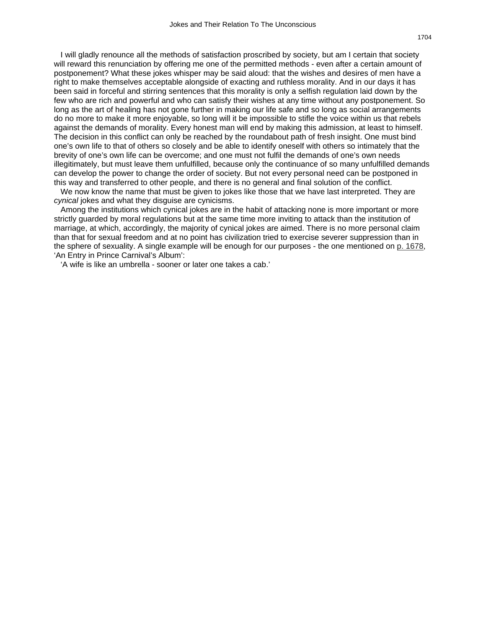I will gladly renounce all the methods of satisfaction proscribed by society, but am I certain that society will reward this renunciation by offering me one of the permitted methods - even after a certain amount of postponement? What these jokes whisper may be said aloud: that the wishes and desires of men have a right to make themselves acceptable alongside of exacting and ruthless morality. And in our days it has been said in forceful and stirring sentences that this morality is only a selfish regulation laid down by the few who are rich and powerful and who can satisfy their wishes at any time without any postponement. So long as the art of healing has not gone further in making our life safe and so long as social arrangements do no more to make it more enjoyable, so long will it be impossible to stifle the voice within us that rebels against the demands of morality. Every honest man will end by making this admission, at least to himself. The decision in this conflict can only be reached by the roundabout path of fresh insight. One must bind one's own life to that of others so closely and be able to identify oneself with others so intimately that the brevity of one's own life can be overcome; and one must not fulfil the demands of one's own needs illegitimately, but must leave them unfulfilled, because only the continuance of so many unfulfilled demands

can develop the power to change the order of society. But not every personal need can be postponed in this way and transferred to other people, and there is no general and final solution of the conflict.

We now know the name that must be given to jokes like those that we have last interpreted. They are *cynical* jokes and what they disguise are cynicisms.

 Among the institutions which cynical jokes are in the habit of attacking none is more important or more strictly guarded by moral regulations but at the same time more inviting to attack than the institution of marriage, at which, accordingly, the majority of cynical jokes are aimed. There is no more personal claim than that for sexual freedom and at no point has civilization tried to exercise severer suppression than in the sphere of sexuality. A single example will be enough for our purposes - the one mentioned on p. 1678, 'An Entry in Prince Carnival's Album':

'A wife is like an umbrella - sooner or later one takes a cab.'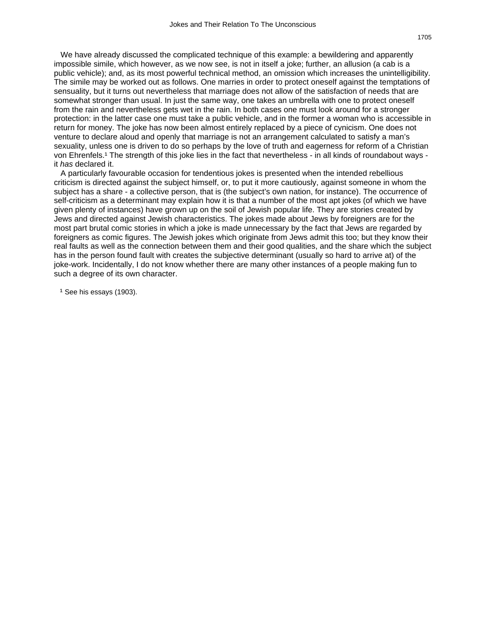We have already discussed the complicated technique of this example: a bewildering and apparently impossible simile, which however, as we now see, is not in itself a joke; further, an allusion (a cab is a public vehicle); and, as its most powerful technical method, an omission which increases the unintelligibility. The simile may be worked out as follows. One marries in order to protect oneself against the temptations of sensuality, but it turns out nevertheless that marriage does not allow of the satisfaction of needs that are somewhat stronger than usual. In just the same way, one takes an umbrella with one to protect oneself from the rain and nevertheless gets wet in the rain. In both cases one must look around for a stronger protection: in the latter case one must take a public vehicle, and in the former a woman who is accessible in return for money. The joke has now been almost entirely replaced by a piece of cynicism. One does not venture to declare aloud and openly that marriage is not an arrangement calculated to satisfy a man's sexuality, unless one is driven to do so perhaps by the love of truth and eagerness for reform of a Christian von Ehrenfels.<sup>1</sup> The strength of this joke lies in the fact that nevertheless - in all kinds of roundabout ways it *has* declared it.

 A particularly favourable occasion for tendentious jokes is presented when the intended rebellious criticism is directed against the subject himself, or, to put it more cautiously, against someone in whom the subject has a share - a collective person, that is (the subject's own nation, for instance). The occurrence of self-criticism as a determinant may explain how it is that a number of the most apt jokes (of which we have given plenty of instances) have grown up on the soil of Jewish popular life. They are stories created by Jews and directed against Jewish characteristics. The jokes made about Jews by foreigners are for the most part brutal comic stories in which a joke is made unnecessary by the fact that Jews are regarded by foreigners as comic figures. The Jewish jokes which originate from Jews admit this too; but they know their real faults as well as the connection between them and their good qualities, and the share which the subject has in the person found fault with creates the subjective determinant (usually so hard to arrive at) of the joke-work. Incidentally, I do not know whether there are many other instances of a people making fun to such a degree of its own character.

 $1$  See his essays (1903).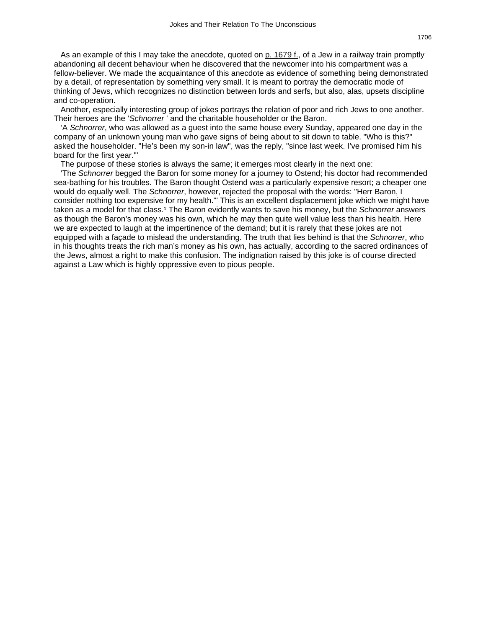As an example of this I may take the anecdote, quoted on p. 1679 f., of a Jew in a railway train promptly abandoning all decent behaviour when he discovered that the newcomer into his compartment was a fellow-believer. We made the acquaintance of this anecdote as evidence of something being demonstrated by a detail, of representation by something very small. It is meant to portray the democratic mode of thinking of Jews, which recognizes no distinction between lords and serfs, but also, alas, upsets discipline and co-operation.

 Another, especially interesting group of jokes portrays the relation of poor and rich Jews to one another. Their heroes are the '*Schnorrer* ' and the charitable householder or the Baron.

 'A *Schnorrer*, who was allowed as a guest into the same house every Sunday, appeared one day in the company of an unknown young man who gave signs of being about to sit down to table. "Who is this?" asked the householder. "He's been my son-in law", was the reply, "since last week. I've promised him his board for the first year."'

The purpose of these stories is always the same; it emerges most clearly in the next one:

 'The *Schnorrer* begged the Baron for some money for a journey to Ostend; his doctor had recommended sea-bathing for his troubles. The Baron thought Ostend was a particularly expensive resort; a cheaper one would do equally well. The *Schnorrer*, however, rejected the proposal with the words: "Herr Baron, I consider nothing too expensive for my health."' This is an excellent displacement joke which we might have taken as a model for that class.<sup>1</sup> The Baron evidently wants to save his money, but the *Schnorrer* answers as though the Baron's money was his own, which he may then quite well value less than his health. Here we are expected to laugh at the impertinence of the demand; but it is rarely that these jokes are not equipped with a façade to mislead the understanding. The truth that lies behind is that the *Schnorrer*, who in his thoughts treats the rich man's money as his own, has actually, according to the sacred ordinances of the Jews, almost a right to make this confusion. The indignation raised by this joke is of course directed against a Law which is highly oppressive even to pious people.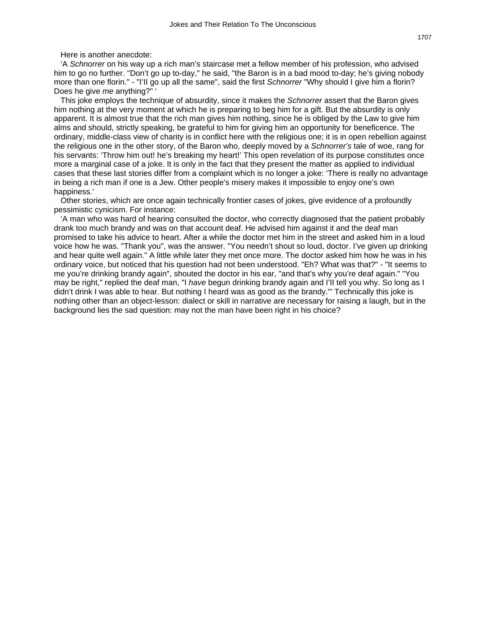Here is another anecdote:

 'A *Schnorrer* on his way up a rich man's staircase met a fellow member of his profession, who advised him to go no further. "Don't go up to-day," he said, "the Baron is in a bad mood to-day; he's giving nobody more than one florin." - "I'II go up all the same", said the first *Schnorrer* "Why should I give him a florin? Does he give *me* anything?" '

 This joke employs the technique of absurdity, since it makes the *Schnorrer* assert that the Baron gives him nothing at the very moment at which he is preparing to beg him for a gift. But the absurdity is only apparent. It is almost true that the rich man gives him nothing, since he is obliged by the Law to give him alms and should, strictly speaking, be grateful to him for giving him an opportunity for beneficence. The ordinary, middle-class view of charity is in conflict here with the religious one; it is in open rebellion against the religious one in the other story, of the Baron who, deeply moved by a *Schnorrer's* tale of woe, rang for his servants: 'Throw him out! he's breaking my heart!' This open revelation of its purpose constitutes once more a marginal case of a joke. It is only in the fact that they present the matter as applied to individual cases that these last stories differ from a complaint which is no longer a joke: 'There is really no advantage in being a rich man if one is a Jew. Other people's misery makes it impossible to enjoy one's own happiness.'

 Other stories, which are once again technically frontier cases of jokes, give evidence of a profoundly pessimistic cynicism. For instance:

 'A man who was hard of hearing consulted the doctor, who correctly diagnosed that the patient probably drank too much brandy and was on that account deaf. He advised him against it and the deaf man promised to take his advice to heart. After a while the doctor met him in the street and asked him in a loud voice how he was. "Thank you", was the answer. "You needn't shout so loud, doctor. I've given up drinking and hear quite well again." A little while later they met once more. The doctor asked him how he was in his ordinary voice, but noticed that his question had not been understood. "Eh? What was that?" - "It seems to me you're drinking brandy again", shouted the doctor in his ear, "and that's why you're deaf again." "You may be right," replied the deaf man, "I *have* begun drinking brandy again and I'II tell you why. So long as I didn't drink I was able to hear. But nothing I heard was as good as the brandy."' Technically this joke is nothing other than an object-lesson: dialect or skill in narrative are necessary for raising a laugh, but in the background lies the sad question: may not the man have been right in his choice?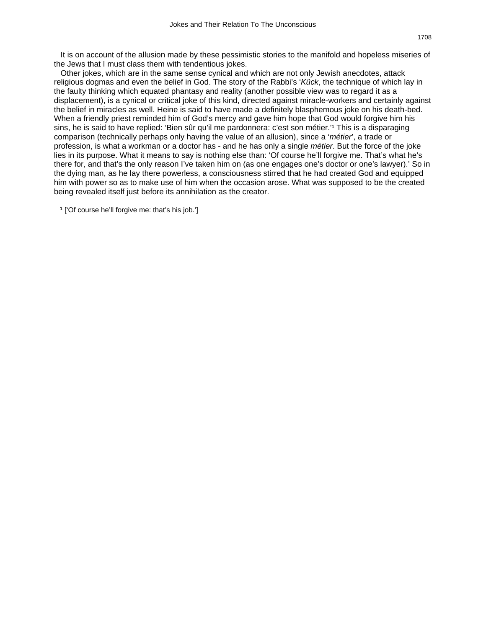It is on account of the allusion made by these pessimistic stories to the manifold and hopeless miseries of the Jews that I must class them with tendentious jokes.

 Other jokes, which are in the same sense cynical and which are not only Jewish anecdotes, attack religious dogmas and even the belief in God. The story of the Rabbi's '*Kück*, the technique of which lay in the faulty thinking which equated phantasy and reality (another possible view was to regard it as a displacement), is a cynical or critical joke of this kind, directed against miracle-workers and certainly against the belief in miracles as well. Heine is said to have made a definitely blasphemous joke on his death-bed. When a friendly priest reminded him of God's mercy and gave him hope that God would forgive him his sins, he is said to have replied: 'Bien sûr qu'il me pardonnera: c'est son métier.'1 This is a disparaging comparison (technically perhaps only having the value of an allusion), since a '*métier*', a trade or profession, is what a workman or a doctor has - and he has only a single *métier*. But the force of the joke lies in its purpose. What it means to say is nothing else than: 'Of course he'll forgive me. That's what he's there for, and that's the only reason I've taken him on (as one engages one's doctor or one's lawyer).' So in the dying man, as he lay there powerless, a consciousness stirred that he had created God and equipped him with power so as to make use of him when the occasion arose. What was supposed to be the created being revealed itself just before its annihilation as the creator.

 $1$  ['Of course he'll forgive me: that's his job.']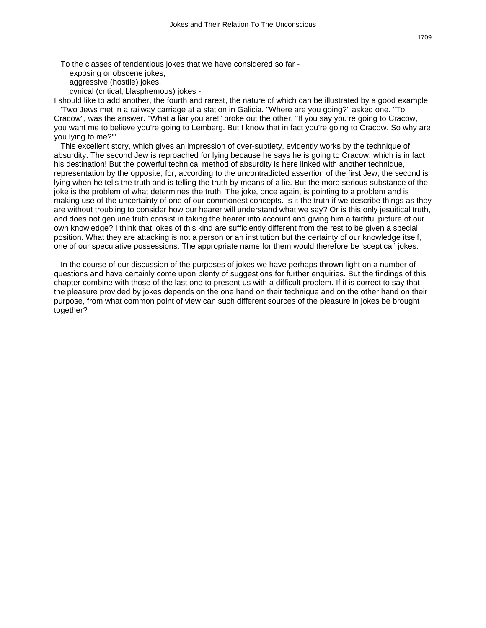To the classes of tendentious jokes that we have considered so far -

exposing or obscene jokes,

aggressive (hostile) jokes,

cynical (critical, blasphemous) jokes -

I should like to add another, the fourth and rarest, the nature of which can be illustrated by a good example:

 'Two Jews met in a railway carriage at a station in Galicia. "Where are you going?" asked one. "To Cracow", was the answer. "What a liar you are!" broke out the other. "If you say you're going to Cracow, you want me to believe you're going to Lemberg. But I know that in fact you're going to Cracow. So why are you lying to me?"'

 This excellent story, which gives an impression of over-subtlety, evidently works by the technique of absurdity. The second Jew is reproached for lying because he says he is going to Cracow, which is in fact his destination! But the powerful technical method of absurdity is here linked with another technique, representation by the opposite, for, according to the uncontradicted assertion of the first Jew, the second is lying when he tells the truth and is telling the truth by means of a lie. But the more serious substance of the joke is the problem of what determines the truth. The joke, once again, is pointing to a problem and is making use of the uncertainty of one of our commonest concepts. Is it the truth if we describe things as they are without troubling to consider how our hearer will understand what we say? Or is this only jesuitical truth, and does not genuine truth consist in taking the hearer into account and giving him a faithful picture of our own knowledge? I think that jokes of this kind are sufficiently different from the rest to be given a special position. What they are attacking is not a person or an institution but the certainty of our knowledge itself, one of our speculative possessions. The appropriate name for them would therefore be 'sceptical' jokes.

 In the course of our discussion of the purposes of jokes we have perhaps thrown light on a number of questions and have certainly come upon plenty of suggestions for further enquiries. But the findings of this chapter combine with those of the last one to present us with a difficult problem. If it is correct to say that the pleasure provided by jokes depends on the one hand on their technique and on the other hand on their purpose, from what common point of view can such different sources of the pleasure in jokes be brought together?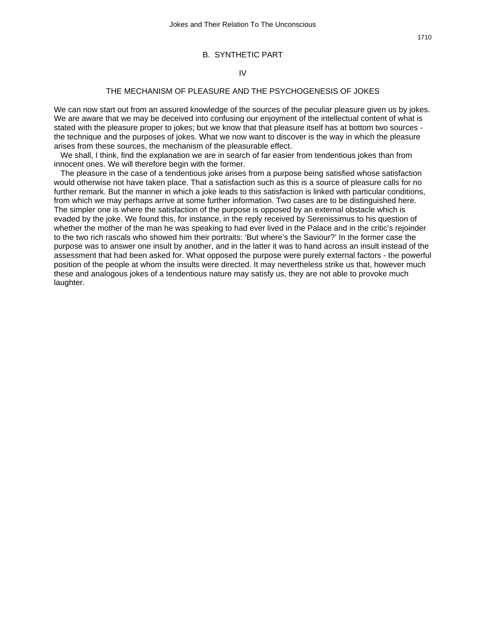IV

## THE MECHANISM OF PLEASURE AND THE PSYCHOGENESIS OF JOKES

We can now start out from an assured knowledge of the sources of the peculiar pleasure given us by jokes. We are aware that we may be deceived into confusing our enjoyment of the intellectual content of what is stated with the pleasure proper to jokes; but we know that that pleasure itself has at bottom two sources the technique and the purposes of jokes. What we now want to discover is the way in which the pleasure arises from these sources, the mechanism of the pleasurable effect.

 We shall, I think, find the explanation we are in search of far easier from tendentious jokes than from innocent ones. We will therefore begin with the former.

 The pleasure in the case of a tendentious joke arises from a purpose being satisfied whose satisfaction would otherwise not have taken place. That a satisfaction such as this is a source of pleasure calls for no further remark. But the manner in which a joke leads to this satisfaction is linked with particular conditions, from which we may perhaps arrive at some further information. Two cases are to be distinguished here. The simpler one is where the satisfaction of the purpose is opposed by an external obstacle which is evaded by the joke. We found this, for instance, in the reply received by Serenissimus to his question of whether the mother of the man he was speaking to had ever lived in the Palace and in the critic's rejoinder to the two rich rascals who showed him their portraits: 'But where's the Saviour?' In the former case the purpose was to answer one insult by another, and in the latter it was to hand across an insult instead of the assessment that had been asked for. What opposed the purpose were purely external factors - the powerful position of the people at whom the insults were directed. It may nevertheless strike us that, however much these and analogous jokes of a tendentious nature may satisfy us, they are not able to provoke much laughter.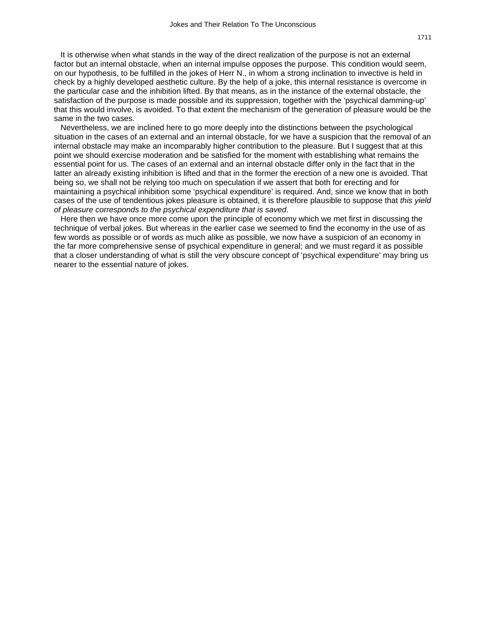It is otherwise when what stands in the way of the direct realization of the purpose is not an external factor but an internal obstacle, when an internal impulse opposes the purpose. This condition would seem, on our hypothesis, to be fulfilled in the jokes of Herr N., in whom a strong inclination to invective is held in check by a highly developed aesthetic culture. By the help of a joke, this internal resistance is overcome in the particular case and the inhibition lifted. By that means, as in the instance of the external obstacle, the satisfaction of the purpose is made possible and its suppression, together with the 'psychical damming-up' that this would involve, is avoided. To that extent the mechanism of the generation of pleasure would be the same in the two cases.

 Nevertheless, we are inclined here to go more deeply into the distinctions between the psychological situation in the cases of an external and an internal obstacle, for we have a suspicion that the removal of an internal obstacle may make an incomparably higher contribution to the pleasure. But I suggest that at this point we should exercise moderation and be satisfied for the moment with establishing what remains the essential point for us. The cases of an external and an internal obstacle differ only in the fact that in the latter an already existing inhibition is lifted and that in the former the erection of a new one is avoided. That being so, we shall not be relying too much on speculation if we assert that both for erecting and for maintaining a psychical inhibition some 'psychical expenditure' is required. And, since we know that in both cases of the use of tendentious jokes pleasure is obtained, it is therefore plausible to suppose that *this yield of pleasure corresponds to the psychical expenditure that is saved*.

 Here then we have once more come upon the principle of economy which we met first in discussing the technique of verbal jokes. But whereas in the earlier case we seemed to find the economy in the use of as few words as possible or of words as much alike as possible, we now have a suspicion of an economy in the far more comprehensive sense of psychical expenditure in general; and we must regard it as possible that a closer understanding of what is still the very obscure concept of 'psychical expenditure' may bring us nearer to the essential nature of jokes.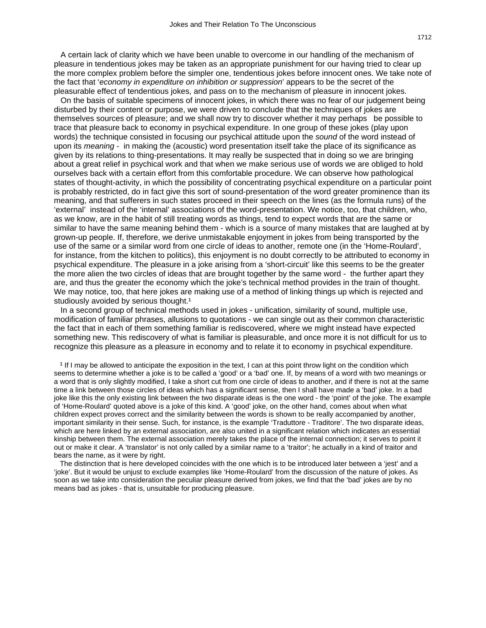A certain lack of clarity which we have been unable to overcome in our handling of the mechanism of pleasure in tendentious jokes may be taken as an appropriate punishment for our having tried to clear up the more complex problem before the simpler one, tendentious jokes before innocent ones. We take note of the fact that '*economy in expenditure on inhibition or suppression*' appears to be the secret of the pleasurable effect of tendentious jokes, and pass on to the mechanism of pleasure in innocent jokes.

 On the basis of suitable specimens of innocent jokes, in which there was no fear of our judgement being disturbed by their content or purpose, we were driven to conclude that the techniques of jokes are themselves sources of pleasure; and we shall now try to discover whether it may perhaps be possible to trace that pleasure back to economy in psychical expenditure. In one group of these jokes (play upon words) the technique consisted in focusing our psychical attitude upon the *sound* of the word instead of upon its *meaning* - in making the (acoustic) word presentation itself take the place of its significance as given by its relations to thing-presentations. It may really be suspected that in doing so we are bringing about a great relief in psychical work and that when we make serious use of words we are obliged to hold ourselves back with a certain effort from this comfortable procedure. We can observe how pathological states of thought-activity, in which the possibility of concentrating psychical expenditure on a particular point is probably restricted, do in fact give this sort of sound-presentation of the word greater prominence than its meaning, and that sufferers in such states proceed in their speech on the lines (as the formula runs) of the 'external' instead of the 'internal' associations of the word-presentation. We notice, too, that children, who, as we know, are in the habit of still treating words as things, tend to expect words that are the same or similar to have the same meaning behind them - which is a source of many mistakes that are laughed at by grown-up people. If, therefore, we derive unmistakable enjoyment in jokes from being transported by the use of the same or a similar word from one circle of ideas to another, remote one (in the 'Home-Roulard', for instance, from the kitchen to politics), this enjoyment is no doubt correctly to be attributed to economy in psychical expenditure. The pleasure in a joke arising from a 'short-circuit' like this seems to be the greater the more alien the two circles of ideas that are brought together by the same word - the further apart they are, and thus the greater the economy which the joke's technical method provides in the train of thought. We may notice, too, that here jokes are making use of a method of linking things up which is rejected and studiously avoided by serious thought.<sup>1</sup>

 In a second group of technical methods used in jokes - unification, similarity of sound, multiple use, modification of familiar phrases, allusions to quotations - we can single out as their common characteristic the fact that in each of them something familiar is rediscovered, where we might instead have expected something new. This rediscovery of what is familiar is pleasurable, and once more it is not difficult for us to recognize this pleasure as a pleasure in economy and to relate it to economy in psychical expenditure.

 $1$  If I may be allowed to anticipate the exposition in the text, I can at this point throw light on the condition which seems to determine whether a joke is to be called a 'good' or a 'bad' one. If, by means of a word with two meanings or a word that is only slightly modified, I take a short cut from one circle of ideas to another, and if there is not at the same time a link between those circles of ideas which has a significant sense, then I shall have made a 'bad' joke. In a bad joke like this the only existing link between the two disparate ideas is the one word - the 'point' of the joke. The example of 'Home-Roulard' quoted above is a joke of this kind. A 'good' joke, on the other hand, comes about when what children expect proves correct and the similarity between the words is shown to be really accompanied by another, important similarity in their sense. Such, for instance, is the example 'Traduttore - Traditore'. The two disparate ideas, which are here linked by an external association, are also united in a significant relation which indicates an essential kinship between them. The external association merely takes the place of the internal connection; it serves to point it out or make it clear. A 'translator' is not only called by a similar name to a 'traitor'; he actually in a kind of traitor and bears the name, as it were by right.

 The distinction that is here developed coincides with the one which is to be introduced later between a 'jest' and a 'joke'. But it would be unjust to exclude examples like 'Home-Roulard' from the discussion of the nature of jokes. As soon as we take into consideration the peculiar pleasure derived from jokes, we find that the 'bad' jokes are by no means bad as jokes - that is, unsuitable for producing pleasure.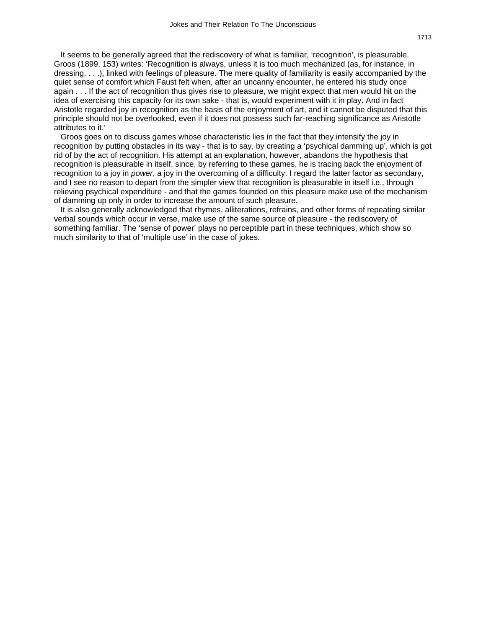It seems to be generally agreed that the rediscovery of what is familiar, 'recognition', is pleasurable. Groos (1899, 153) writes: 'Recognition is always, unless it is too much mechanized (as, for instance, in dressing, . . .), linked with feelings of pleasure. The mere quality of familiarity is easily accompanied by the quiet sense of comfort which Faust felt when, after an uncanny encounter, he entered his study once again . . . If the act of recognition thus gives rise to pleasure, we might expect that men would hit on the idea of exercising this capacity for its own sake - that is, would experiment with it in play. And in fact Aristotle regarded joy in recognition as the basis of the enjoyment of art, and it cannot be disputed that this principle should not be overlooked, even if it does not possess such far-reaching significance as Aristotle attributes to it.'

 Groos goes on to discuss games whose characteristic lies in the fact that they intensify the joy in recognition by putting obstacles in its way - that is to say, by creating a 'psychical damming up', which is got rid of by the act of recognition. His attempt at an explanation, however, abandons the hypothesis that recognition is pleasurable in itself, since, by referring to these games, he is tracing back the enjoyment of recognition to a joy in *power*, a joy in the overcoming of a difficulty. I regard the latter factor as secondary, and I see no reason to depart from the simpler view that recognition is pleasurable in itself i.e., through relieving psychical expenditure - and that the games founded on this pleasure make use of the mechanism of damming up only in order to increase the amount of such pleasure.

 It is also generally acknowledged that rhymes, alliterations, refrains, and other forms of repeating similar verbal sounds which occur in verse, make use of the same source of pleasure - the rediscovery of something familiar. The 'sense of power' plays no perceptible part in these techniques, which show so much similarity to that of 'multiple use' in the case of jokes.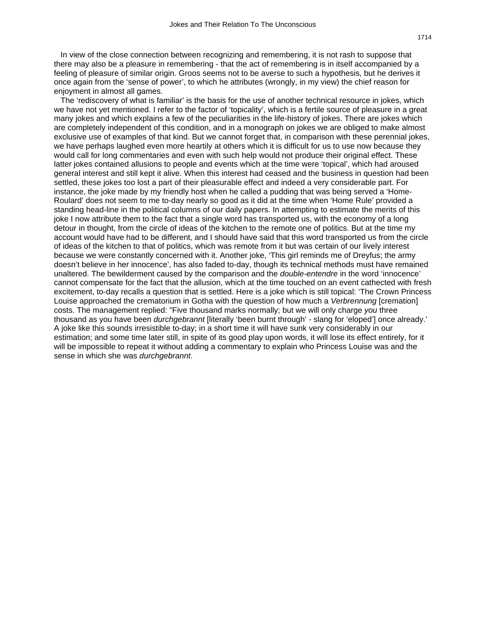In view of the close connection between recognizing and remembering, it is not rash to suppose that there may also be a pleasure in remembering - that the act of remembering is in itself accompanied by a feeling of pleasure of similar origin. Groos seems not to be averse to such a hypothesis, but he derives it once again from the 'sense of power', to which he attributes (wrongly, in my view) the chief reason for enjoyment in almost all games.

 The 'rediscovery of what is familiar' is the basis for the use of another technical resource in jokes, which we have not yet mentioned. I refer to the factor of 'topicality', which is a fertile source of pleasure in a great many jokes and which explains a few of the peculiarities in the life-history of jokes. There are jokes which are completely independent of this condition, and in a monograph on jokes we are obliged to make almost exclusive use of examples of that kind. But we cannot forget that, in comparison with these perennial jokes, we have perhaps laughed even more heartily at others which it is difficult for us to use now because they would call for long commentaries and even with such help would not produce their original effect. These latter jokes contained allusions to people and events which at the time were 'topical', which had aroused general interest and still kept it alive. When this interest had ceased and the business in question had been settled, these jokes too lost a part of their pleasurable effect and indeed a very considerable part. For instance, the joke made by my friendly host when he called a pudding that was being served a 'Home-Roulard' does not seem to me to-day nearly so good as it did at the time when 'Home Rule' provided a standing head-line in the political columns of our daily papers. In attempting to estimate the merits of this joke I now attribute them to the fact that a single word has transported us, with the economy of a long detour in thought, from the circle of ideas of the kitchen to the remote one of politics. But at the time my account would have had to be different, and I should have said that this word transported us from the circle of ideas of the kitchen to that of politics, which was remote from it but was certain of our lively interest because we were constantly concerned with it. Another joke, 'This girl reminds me of Dreyfus; the army doesn't believe in her innocence', has also faded to-day, though its technical methods must have remained unaltered. The bewilderment caused by the comparison and the *double-entendre* in the word 'innocence' cannot compensate for the fact that the allusion, which at the time touched on an event cathected with fresh excitement, to-day recalls a question that is settled. Here is a joke which is still topical: 'The Crown Princess Louise approached the crematorium in Gotha with the question of how much a *Verbrennung* [cremation] costs. The management replied: "Five thousand marks normally; but we will only charge *you* three thousand as you have been *durchgebrannt* [literally 'been burnt through' - slang for 'eloped'] once already.' A joke like this sounds irresistible to-day; in a short time it will have sunk very considerably in our estimation; and some time later still, in spite of its good play upon words, it will lose its effect entirely, for it will be impossible to repeat it without adding a commentary to explain who Princess Louise was and the sense in which she was *durchgebrannt*.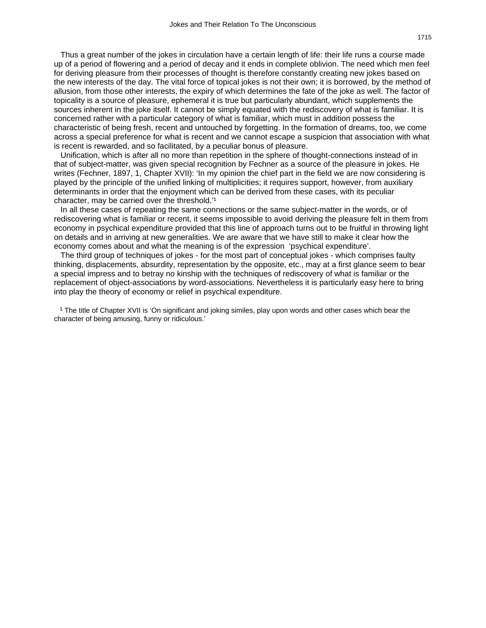Thus a great number of the jokes in circulation have a certain length of life: their life runs a course made up of a period of flowering and a period of decay and it ends in complete oblivion. The need which men feel for deriving pleasure from their processes of thought is therefore constantly creating new jokes based on the new interests of the day. The vital force of topical jokes is not their own; it is borrowed, by the method of allusion, from those other interests, the expiry of which determines the fate of the joke as well. The factor of topicality is a source of pleasure, ephemeral it is true but particularly abundant, which supplements the sources inherent in the joke itself. It cannot be simply equated with the rediscovery of what is familiar. It is concerned rather with a particular category of what is familiar, which must in addition possess the characteristic of being fresh, recent and untouched by forgetting. In the formation of dreams, too, we come across a special preference for what is recent and we cannot escape a suspicion that association with what is recent is rewarded, and so facilitated, by a peculiar bonus of pleasure.

 Unification, which is after all no more than repetition in the sphere of thought-connections instead of in that of subject-matter, was given special recognition by Fechner as a source of the pleasure in jokes. He writes (Fechner, 1897, 1, Chapter XVII): 'In my opinion the chief part in the field we are now considering is played by the principle of the unified linking of multiplicities; it requires support, however, from auxiliary determinants in order that the enjoyment which can be derived from these cases, with its peculiar character, may be carried over the threshold.<sup>'1</sup>

 In all these cases of repeating the same connections or the same subject-matter in the words, or of rediscovering what is familiar or recent, it seems impossible to avoid deriving the pleasure felt in them from economy in psychical expenditure provided that this line of approach turns out to be fruitful in throwing light on details and in arriving at new generalities. We are aware that we have still to make it clear how the economy comes about and what the meaning is of the expression 'psychical expenditure'.

 The third group of techniques of jokes - for the most part of conceptual jokes - which comprises faulty thinking, displacements, absurdity, representation by the opposite, etc., may at a first glance seem to bear a special impress and to betray no kinship with the techniques of rediscovery of what is familiar or the replacement of object-associations by word-associations. Nevertheless it is particularly easy here to bring into play the theory of economy or relief in psychical expenditure.

<sup>1</sup> The title of Chapter XVII is 'On significant and joking similes, play upon words and other cases which bear the character of being amusing, funny or ridiculous.'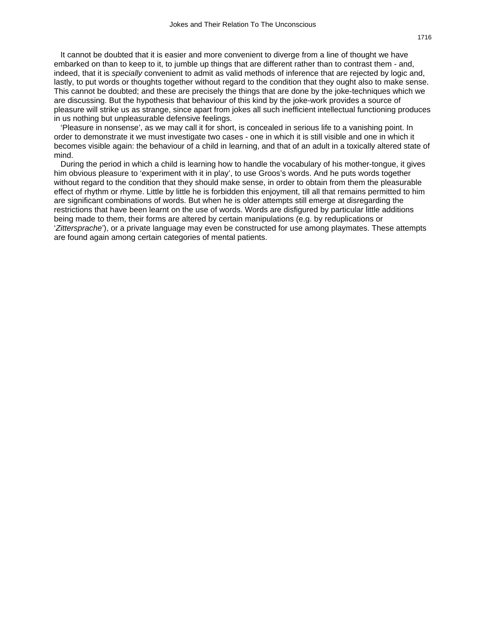It cannot be doubted that it is easier and more convenient to diverge from a line of thought we have embarked on than to keep to it, to jumble up things that are different rather than to contrast them - and, indeed, that it is *specially* convenient to admit as valid methods of inference that are rejected by logic and, lastly, to put words or thoughts together without regard to the condition that they ought also to make sense. This cannot be doubted; and these are precisely the things that are done by the joke-techniques which we are discussing. But the hypothesis that behaviour of this kind by the joke-work provides a source of pleasure will strike us as strange, since apart from jokes all such inefficient intellectual functioning produces in us nothing but unpleasurable defensive feelings.

 'Pleasure in nonsense', as we may call it for short, is concealed in serious life to a vanishing point. In order to demonstrate it we must investigate two cases - one in which it is still visible and one in which it becomes visible again: the behaviour of a child in learning, and that of an adult in a toxically altered state of mind.

 During the period in which a child is learning how to handle the vocabulary of his mother-tongue, it gives him obvious pleasure to 'experiment with it in play', to use Groos's words. And he puts words together without regard to the condition that they should make sense, in order to obtain from them the pleasurable effect of rhythm or rhyme. Little by little he is forbidden this enjoyment, till all that remains permitted to him are significant combinations of words. But when he is older attempts still emerge at disregarding the restrictions that have been learnt on the use of words. Words are disfigured by particular little additions being made to them, their forms are altered by certain manipulations (e.g. by reduplications or '*Zittersprache*'), or a private language may even be constructed for use among playmates. These attempts are found again among certain categories of mental patients.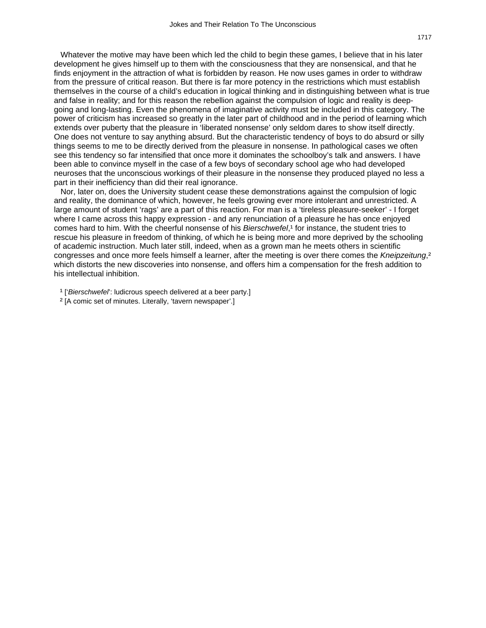Whatever the motive may have been which led the child to begin these games, I believe that in his later development he gives himself up to them with the consciousness that they are nonsensical, and that he finds enjoyment in the attraction of what is forbidden by reason. He now uses games in order to withdraw from the pressure of critical reason. But there is far more potency in the restrictions which must establish themselves in the course of a child's education in logical thinking and in distinguishing between what is true and false in reality; and for this reason the rebellion against the compulsion of logic and reality is deepgoing and long-lasting. Even the phenomena of imaginative activity must be included in this category. The power of criticism has increased so greatly in the later part of childhood and in the period of learning which extends over puberty that the pleasure in 'liberated nonsense' only seldom dares to show itself directly. One does not venture to say anything absurd. But the characteristic tendency of boys to do absurd or silly things seems to me to be directly derived from the pleasure in nonsense. In pathological cases we often see this tendency so far intensified that once more it dominates the schoolboy's talk and answers. I have been able to convince myself in the case of a few boys of secondary school age who had developed neuroses that the unconscious workings of their pleasure in the nonsense they produced played no less a part in their inefficiency than did their real ignorance.

 Nor, later on, does the University student cease these demonstrations against the compulsion of logic and reality, the dominance of which, however, he feels growing ever more intolerant and unrestricted. A large amount of student 'rags' are a part of this reaction. For man is a 'tireless pleasure-seeker' - I forget where I came across this happy expression - and any renunciation of a pleasure he has once enjoyed comes hard to him. With the cheerful nonsense of his *Bierschwefel*,<sup>1</sup> for instance, the student tries to rescue his pleasure in freedom of thinking, of which he is being more and more deprived by the schooling of academic instruction. Much later still, indeed, when as a grown man he meets others in scientific congresses and once more feels himself a learner, after the meeting is over there comes the *Kneipzeitung*,² which distorts the new discoveries into nonsense, and offers him a compensation for the fresh addition to his intellectual inhibition.

<sup>&</sup>lt;sup>1</sup> ['*Bierschwefel*': ludicrous speech delivered at a beer party.]

² [A comic set of minutes. Literally, 'tavern newspaper'.]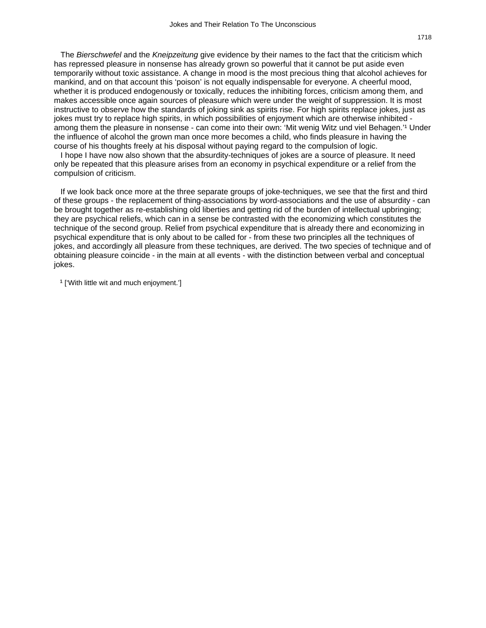The *Bierschwefel* and the *Kneipzeitung* give evidence by their names to the fact that the criticism which has repressed pleasure in nonsense has already grown so powerful that it cannot be put aside even temporarily without toxic assistance. A change in mood is the most precious thing that alcohol achieves for mankind, and on that account this 'poison' is not equally indispensable for everyone. A cheerful mood, whether it is produced endogenously or toxically, reduces the inhibiting forces, criticism among them, and makes accessible once again sources of pleasure which were under the weight of suppression. It is most instructive to observe how the standards of joking sink as spirits rise. For high spirits replace jokes, just as jokes must try to replace high spirits, in which possibilities of enjoyment which are otherwise inhibited among them the pleasure in nonsense - can come into their own: 'Mit wenig Witz und viel Behagen.'1 Under the influence of alcohol the grown man once more becomes a child, who finds pleasure in having the course of his thoughts freely at his disposal without paying regard to the compulsion of logic.

 I hope I have now also shown that the absurdity-techniques of jokes are a source of pleasure. It need only be repeated that this pleasure arises from an economy in psychical expenditure or a relief from the compulsion of criticism.

 If we look back once more at the three separate groups of joke-techniques, we see that the first and third of these groups - the replacement of thing-associations by word-associations and the use of absurdity - can be brought together as re-establishing old liberties and getting rid of the burden of intellectual upbringing; they are psychical reliefs, which can in a sense be contrasted with the economizing which constitutes the technique of the second group. Relief from psychical expenditure that is already there and economizing in psychical expenditure that is only about to be called for - from these two principles all the techniques of jokes, and accordingly all pleasure from these techniques, are derived. The two species of technique and of obtaining pleasure coincide - in the main at all events - with the distinction between verbal and conceptual jokes.

<sup>1</sup> ['With little wit and much enjoyment.']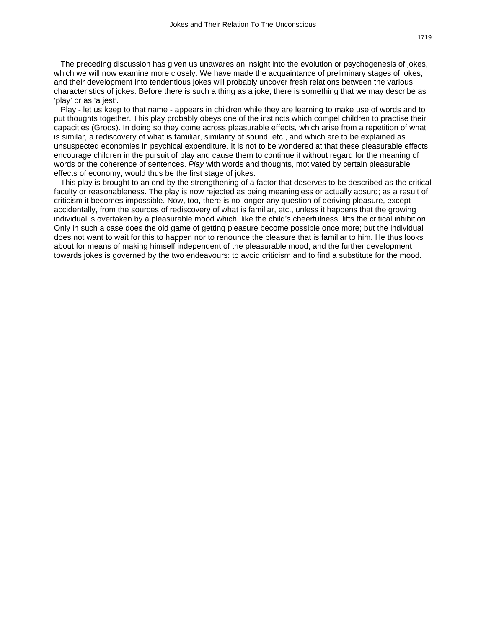The preceding discussion has given us unawares an insight into the evolution or psychogenesis of jokes, which we will now examine more closely. We have made the acquaintance of preliminary stages of jokes, and their development into tendentious jokes will probably uncover fresh relations between the various characteristics of jokes. Before there is such a thing as a joke, there is something that we may describe as 'play' or as 'a jest'.

 Play - let us keep to that name - appears in children while they are learning to make use of words and to put thoughts together. This play probably obeys one of the instincts which compel children to practise their capacities (Groos). In doing so they come across pleasurable effects, which arise from a repetition of what is similar, a rediscovery of what is familiar, similarity of sound, etc., and which are to be explained as unsuspected economies in psychical expenditure. It is not to be wondered at that these pleasurable effects encourage children in the pursuit of play and cause them to continue it without regard for the meaning of words or the coherence of sentences. *Play* with words and thoughts, motivated by certain pleasurable effects of economy, would thus be the first stage of jokes.

 This play is brought to an end by the strengthening of a factor that deserves to be described as the critical faculty or reasonableness. The play is now rejected as being meaningless or actually absurd; as a result of criticism it becomes impossible. Now, too, there is no longer any question of deriving pleasure, except accidentally, from the sources of rediscovery of what is familiar, etc., unless it happens that the growing individual is overtaken by a pleasurable mood which, like the child's cheerfulness, lifts the critical inhibition. Only in such a case does the old game of getting pleasure become possible once more; but the individual does not want to wait for this to happen nor to renounce the pleasure that is familiar to him. He thus looks about for means of making himself independent of the pleasurable mood, and the further development towards jokes is governed by the two endeavours: to avoid criticism and to find a substitute for the mood.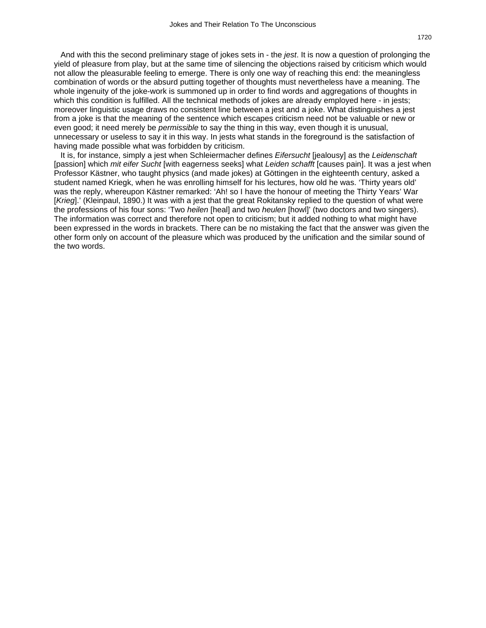And with this the second preliminary stage of jokes sets in - the *jest*. It is now a question of prolonging the yield of pleasure from play, but at the same time of silencing the objections raised by criticism which would not allow the pleasurable feeling to emerge. There is only one way of reaching this end: the meaningless combination of words or the absurd putting together of thoughts must nevertheless have a meaning. The whole ingenuity of the joke-work is summoned up in order to find words and aggregations of thoughts in which this condition is fulfilled. All the technical methods of jokes are already employed here - in jests; moreover linguistic usage draws no consistent line between a jest and a joke. What distinguishes a jest from a joke is that the meaning of the sentence which escapes criticism need not be valuable or new or even good; it need merely be *permissible* to say the thing in this way, even though it is unusual, unnecessary or useless to say it in this way. In jests what stands in the foreground is the satisfaction of having made possible what was forbidden by criticism.

 It is, for instance, simply a jest when Schleiermacher defines *Eifersucht* [jealousy] as the *Leidenschaft* [passion] which *mit eifer Sucht* [with eagerness seeks] what *Leiden schafft* [causes pain]. It was a jest when Professor Kästner, who taught physics (and made jokes) at Göttingen in the eighteenth century, asked a student named Kriegk, when he was enrolling himself for his lectures, how old he was. 'Thirty years old' was the reply, whereupon Kästner remarked: 'Ah! so I have the honour of meeting the Thirty Years' War [Krieg].' (Kleinpaul, 1890.) It was with a jest that the great Rokitansky replied to the question of what were the professions of his four sons: 'Two *heilen* [heal] and two *heulen* [howl]' (two doctors and two singers). The information was correct and therefore not open to criticism; but it added nothing to what might have been expressed in the words in brackets. There can be no mistaking the fact that the answer was given the other form only on account of the pleasure which was produced by the unification and the similar sound of the two words.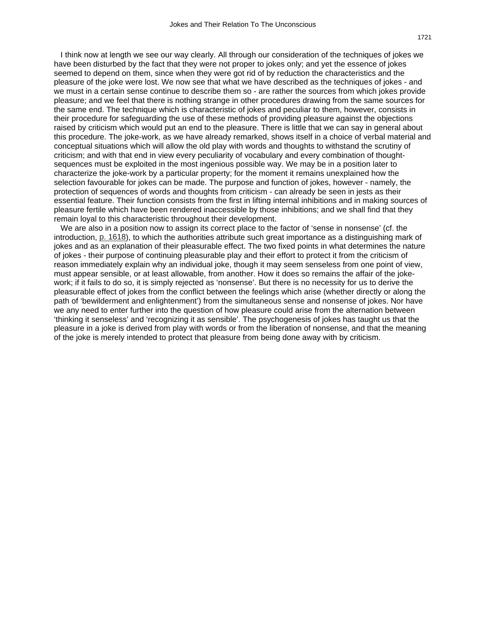I think now at length we see our way clearly. All through our consideration of the techniques of jokes we have been disturbed by the fact that they were not proper to jokes only; and yet the essence of jokes seemed to depend on them, since when they were got rid of by reduction the characteristics and the pleasure of the joke were lost. We now see that what we have described as the techniques of jokes - and we must in a certain sense continue to describe them so - are rather the sources from which jokes provide pleasure; and we feel that there is nothing strange in other procedures drawing from the same sources for the same end. The technique which is characteristic of jokes and peculiar to them, however, consists in their procedure for safeguarding the use of these methods of providing pleasure against the objections raised by criticism which would put an end to the pleasure. There is little that we can say in general about this procedure. The joke-work, as we have already remarked, shows itself in a choice of verbal material and conceptual situations which will allow the old play with words and thoughts to withstand the scrutiny of criticism; and with that end in view every peculiarity of vocabulary and every combination of thoughtsequences must be exploited in the most ingenious possible way. We may be in a position later to characterize the joke-work by a particular property; for the moment it remains unexplained how the selection favourable for jokes can be made. The purpose and function of jokes, however - namely, the protection of sequences of words and thoughts from criticism - can already be seen in jests as their essential feature. Their function consists from the first in lifting internal inhibitions and in making sources of pleasure fertile which have been rendered inaccessible by those inhibitions; and we shall find that they remain loyal to this characteristic throughout their development.

 We are also in a position now to assign its correct place to the factor of 'sense in nonsense' (cf. the introduction, p. 1618), to which the authorities attribute such great importance as a distinguishing mark of jokes and as an explanation of their pleasurable effect. The two fixed points in what determines the nature of jokes - their purpose of continuing pleasurable play and their effort to protect it from the criticism of reason immediately explain why an individual joke, though it may seem senseless from one point of view, must appear sensible, or at least allowable, from another. How it does so remains the affair of the jokework; if it fails to do so, it is simply rejected as 'nonsense'. But there is no necessity for us to derive the pleasurable effect of jokes from the conflict between the feelings which arise (whether directly or along the path of 'bewilderment and enlightenment') from the simultaneous sense and nonsense of jokes. Nor have we any need to enter further into the question of how pleasure could arise from the alternation between 'thinking it senseless' and 'recognizing it as sensible'. The psychogenesis of jokes has taught us that the pleasure in a joke is derived from play with words or from the liberation of nonsense, and that the meaning of the joke is merely intended to protect that pleasure from being done away with by criticism.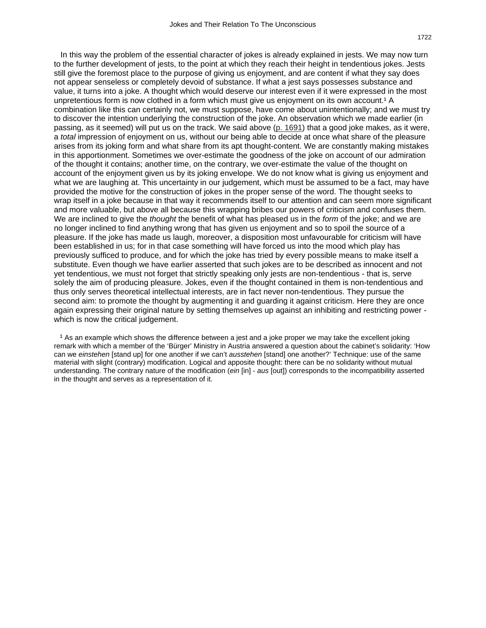In this way the problem of the essential character of jokes is already explained in jests. We may now turn to the further development of jests, to the point at which they reach their height in tendentious jokes. Jests still give the foremost place to the purpose of giving us enjoyment, and are content if what they say does not appear senseless or completely devoid of substance. If what a jest says possesses substance and value, it turns into a joke. A thought which would deserve our interest even if it were expressed in the most unpretentious form is now clothed in a form which must give us enjoyment on its own account.<sup>1</sup> A combination like this can certainly not, we must suppose, have come about unintentionally; and we must try to discover the intention underlying the construction of the joke. An observation which we made earlier (in passing, as it seemed) will put us on the track. We said above (p. 1691) that a good joke makes, as it were, a *total* impression of enjoyment on us, without our being able to decide at once what share of the pleasure arises from its joking form and what share from its apt thought-content. We are constantly making mistakes in this apportionment. Sometimes we over-estimate the goodness of the joke on account of our admiration of the thought it contains; another time, on the contrary, we over-estimate the value of the thought on account of the enjoyment given us by its joking envelope. We do not know what is giving us enjoyment and what we are laughing at. This uncertainty in our judgement, which must be assumed to be a fact, may have provided the motive for the construction of jokes in the proper sense of the word. The thought seeks to wrap itself in a joke because in that way it recommends itself to our attention and can seem more significant and more valuable, but above all because this wrapping bribes our powers of criticism and confuses them. We are inclined to give the *thought* the benefit of what has pleased us in the *form* of the joke; and we are no longer inclined to find anything wrong that has given us enjoyment and so to spoil the source of a pleasure. If the joke has made us laugh, moreover, a disposition most unfavourable for criticism will have been established in us; for in that case something will have forced us into the mood which play has previously sufficed to produce, and for which the joke has tried by every possible means to make itself a substitute. Even though we have earlier asserted that such jokes are to be described as innocent and not yet tendentious, we must not forget that strictly speaking only jests are non-tendentious - that is, serve solely the aim of producing pleasure. Jokes, even if the thought contained in them is non-tendentious and thus only serves theoretical intellectual interests, are in fact never non-tendentious. They pursue the second aim: to promote the thought by augmenting it and guarding it against criticism. Here they are once again expressing their original nature by setting themselves up against an inhibiting and restricting power which is now the critical judgement.

<sup>1</sup> As an example which shows the difference between a jest and a joke proper we may take the excellent joking remark with which a member of the 'Bürger' Ministry in Austria answered a question about the cabinet's solidarity: 'How can we *einstehen* [stand up] for one another if we can't *ausstehen* [stand] one another?' Technique: use of the same material with slight (contrary) modification. Logical and apposite thought: there can be no solidarity without mutual understanding. The contrary nature of the modification (*ein* [in] - *aus* [out]) corresponds to the incompatibility asserted in the thought and serves as a representation of it.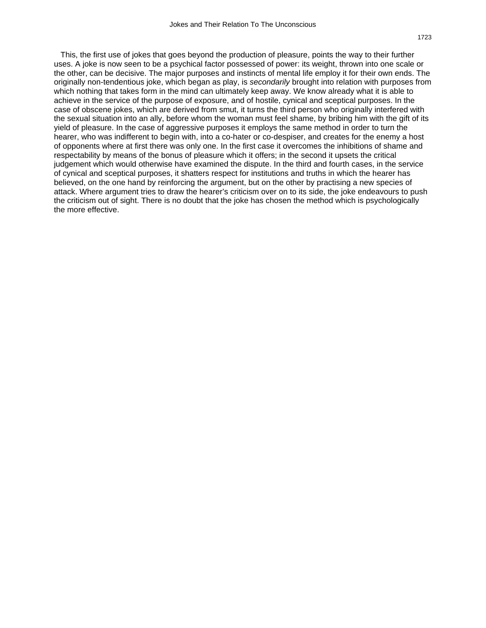## Jokes and Their Relation To The Unconscious

 This, the first use of jokes that goes beyond the production of pleasure, points the way to their further uses. A joke is now seen to be a psychical factor possessed of power: its weight, thrown into one scale or the other, can be decisive. The major purposes and instincts of mental life employ it for their own ends. The originally non-tendentious joke, which began as play, is *secondarily* brought into relation with purposes from which nothing that takes form in the mind can ultimately keep away. We know already what it is able to achieve in the service of the purpose of exposure, and of hostile, cynical and sceptical purposes. In the case of obscene jokes, which are derived from smut, it turns the third person who originally interfered with the sexual situation into an ally, before whom the woman must feel shame, by bribing him with the gift of its yield of pleasure. In the case of aggressive purposes it employs the same method in order to turn the hearer, who was indifferent to begin with, into a co-hater or co-despiser, and creates for the enemy a host of opponents where at first there was only one. In the first case it overcomes the inhibitions of shame and respectability by means of the bonus of pleasure which it offers; in the second it upsets the critical judgement which would otherwise have examined the dispute. In the third and fourth cases, in the service of cynical and sceptical purposes, it shatters respect for institutions and truths in which the hearer has believed, on the one hand by reinforcing the argument, but on the other by practising a new species of attack. Where argument tries to draw the hearer's criticism over on to its side, the joke endeavours to push the criticism out of sight. There is no doubt that the joke has chosen the method which is psychologically the more effective.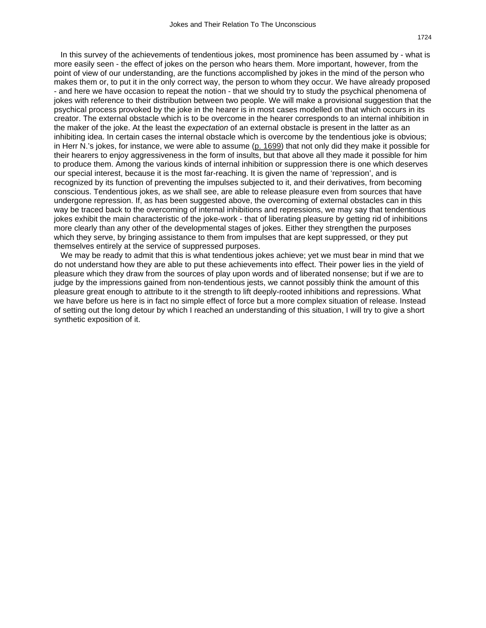In this survey of the achievements of tendentious jokes, most prominence has been assumed by - what is more easily seen - the effect of jokes on the person who hears them. More important, however, from the point of view of our understanding, are the functions accomplished by jokes in the mind of the person who makes them or, to put it in the only correct way, the person to whom they occur. We have already proposed - and here we have occasion to repeat the notion - that we should try to study the psychical phenomena of jokes with reference to their distribution between two people. We will make a provisional suggestion that the psychical process provoked by the joke in the hearer is in most cases modelled on that which occurs in its creator. The external obstacle which is to be overcome in the hearer corresponds to an internal inhibition in the maker of the joke. At the least the *expectation* of an external obstacle is present in the latter as an inhibiting idea. In certain cases the internal obstacle which is overcome by the tendentious joke is obvious; in Herr N.'s jokes, for instance, we were able to assume (p. 1699) that not only did they make it possible for their hearers to enjoy aggressiveness in the form of insults, but that above all they made it possible for him to produce them. Among the various kinds of internal inhibition or suppression there is one which deserves our special interest, because it is the most far-reaching. It is given the name of 'repression', and is recognized by its function of preventing the impulses subjected to it, and their derivatives, from becoming conscious. Tendentious jokes, as we shall see, are able to release pleasure even from sources that have undergone repression. If, as has been suggested above, the overcoming of external obstacles can in this way be traced back to the overcoming of internal inhibitions and repressions, we may say that tendentious jokes exhibit the main characteristic of the joke-work - that of liberating pleasure by getting rid of inhibitions more clearly than any other of the developmental stages of jokes. Either they strengthen the purposes which they serve, by bringing assistance to them from impulses that are kept suppressed, or they put themselves entirely at the service of suppressed purposes.

 We may be ready to admit that this is what tendentious jokes achieve; yet we must bear in mind that we do not understand how they are able to put these achievements into effect. Their power lies in the yield of pleasure which they draw from the sources of play upon words and of liberated nonsense; but if we are to judge by the impressions gained from non-tendentious jests, we cannot possibly think the amount of this pleasure great enough to attribute to it the strength to lift deeply-rooted inhibitions and repressions. What we have before us here is in fact no simple effect of force but a more complex situation of release. Instead of setting out the long detour by which I reached an understanding of this situation, I will try to give a short synthetic exposition of it.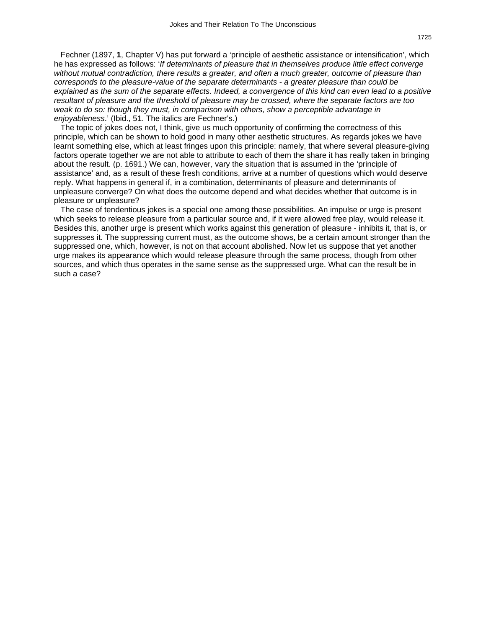Fechner (1897, **1**, Chapter V) has put forward a 'principle of aesthetic assistance or intensification', which he has expressed as follows: '*If determinants of pleasure that in themselves produce little effect converge without mutual contradiction, there results a greater, and often a much greater, outcome of pleasure than corresponds to the pleasure-value of the separate determinants - a greater pleasure than could be explained as the sum of the separate effects. Indeed, a convergence of this kind can even lead to a positive resultant of pleasure and the threshold of pleasure may be crossed, where the separate factors are too weak to do so: though they must, in comparison with others, show a perceptible advantage in enjoyableness*.' (Ibid., 51. The italics are Fechner's.)

 The topic of jokes does not, I think, give us much opportunity of confirming the correctness of this principle, which can be shown to hold good in many other aesthetic structures. As regards jokes we have learnt something else, which at least fringes upon this principle: namely, that where several pleasure-giving factors operate together we are not able to attribute to each of them the share it has really taken in bringing about the result. (p. 1691.) We can, however, vary the situation that is assumed in the 'principle of assistance' and, as a result of these fresh conditions, arrive at a number of questions which would deserve reply. What happens in general if, in a combination, determinants of pleasure and determinants of unpleasure converge? On what does the outcome depend and what decides whether that outcome is in pleasure or unpleasure?

 The case of tendentious jokes is a special one among these possibilities. An impulse or urge is present which seeks to release pleasure from a particular source and, if it were allowed free play, would release it. Besides this, another urge is present which works against this generation of pleasure - inhibits it, that is, or suppresses it. The suppressing current must, as the outcome shows, be a certain amount stronger than the suppressed one, which, however, is not on that account abolished. Now let us suppose that yet another urge makes its appearance which would release pleasure through the same process, though from other sources, and which thus operates in the same sense as the suppressed urge. What can the result be in such a case?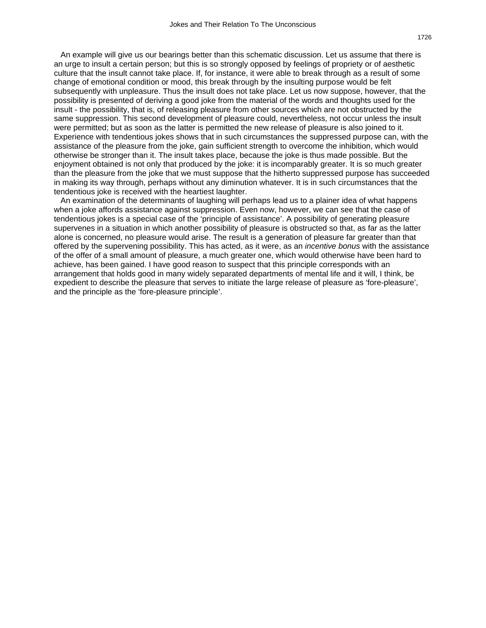An example will give us our bearings better than this schematic discussion. Let us assume that there is an urge to insult a certain person; but this is so strongly opposed by feelings of propriety or of aesthetic culture that the insult cannot take place. If, for instance, it were able to break through as a result of some change of emotional condition or mood, this break through by the insulting purpose would be felt subsequently with unpleasure. Thus the insult does not take place. Let us now suppose, however, that the possibility is presented of deriving a good joke from the material of the words and thoughts used for the insult - the possibility, that is, of releasing pleasure from other sources which are not obstructed by the same suppression. This second development of pleasure could, nevertheless, not occur unless the insult were permitted; but as soon as the latter is permitted the new release of pleasure is also joined to it. Experience with tendentious jokes shows that in such circumstances the suppressed purpose can, with the assistance of the pleasure from the joke, gain sufficient strength to overcome the inhibition, which would otherwise be stronger than it. The insult takes place, because the joke is thus made possible. But the enjoyment obtained is not only that produced by the joke: it is incomparably greater. It is so much greater than the pleasure from the joke that we must suppose that the hitherto suppressed purpose has succeeded in making its way through, perhaps without any diminution whatever. It is in such circumstances that the tendentious joke is received with the heartiest laughter.

 An examination of the determinants of laughing will perhaps lead us to a plainer idea of what happens when a joke affords assistance against suppression. Even now, however, we can see that the case of tendentious jokes is a special case of the 'principle of assistance'. A possibility of generating pleasure supervenes in a situation in which another possibility of pleasure is obstructed so that, as far as the latter alone is concerned, no pleasure would arise. The result is a generation of pleasure far greater than that offered by the supervening possibility. This has acted, as it were, as an *incentive bonus* with the assistance of the offer of a small amount of pleasure, a much greater one, which would otherwise have been hard to achieve, has been gained. I have good reason to suspect that this principle corresponds with an arrangement that holds good in many widely separated departments of mental life and it will, I think, be expedient to describe the pleasure that serves to initiate the large release of pleasure as 'fore-pleasure', and the principle as the 'fore-pleasure principle'.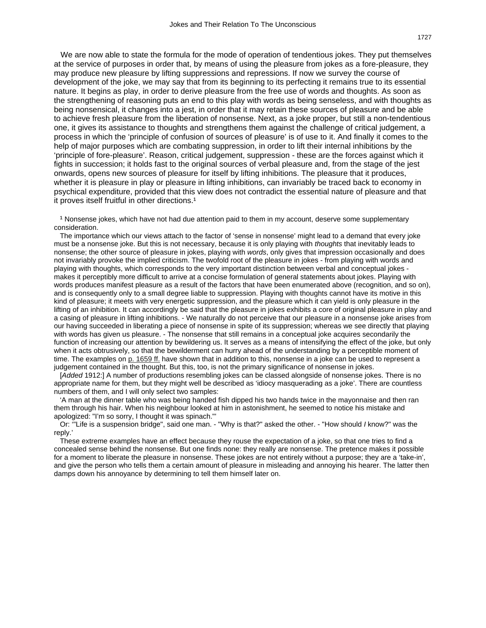We are now able to state the formula for the mode of operation of tendentious jokes. They put themselves at the service of purposes in order that, by means of using the pleasure from jokes as a fore-pleasure, they may produce new pleasure by lifting suppressions and repressions. If now we survey the course of development of the joke, we may say that from its beginning to its perfecting it remains true to its essential nature. It begins as play, in order to derive pleasure from the free use of words and thoughts. As soon as the strengthening of reasoning puts an end to this play with words as being senseless, and with thoughts as being nonsensical, it changes into a jest, in order that it may retain these sources of pleasure and be able to achieve fresh pleasure from the liberation of nonsense. Next, as a joke proper, but still a non-tendentious one, it gives its assistance to thoughts and strengthens them against the challenge of critical judgement, a process in which the 'principle of confusion of sources of pleasure' is of use to it. And finally it comes to the help of major purposes which are combating suppression, in order to lift their internal inhibitions by the 'principle of fore-pleasure'. Reason, critical judgement, suppression - these are the forces against which it fights in succession; it holds fast to the original sources of verbal pleasure and, from the stage of the jest onwards, opens new sources of pleasure for itself by lifting inhibitions. The pleasure that it produces, whether it is pleasure in play or pleasure in lifting inhibitions, can invariably be traced back to economy in psychical expenditure, provided that this view does not contradict the essential nature of pleasure and that it proves itself fruitful in other directions.<sup>1</sup>

<sup>1</sup> Nonsense jokes, which have not had due attention paid to them in my account, deserve some supplementary consideration.

 The importance which our views attach to the factor of 'sense in nonsense' might lead to a demand that every joke must be a nonsense joke. But this is not necessary, because it is only playing with *thoughts* that inevitably leads to nonsense; the other source of pleasure in jokes, playing with *words*, only gives that impression occasionally and does not invariably provoke the implied criticism. The twofold root of the pleasure in jokes - from playing with words and playing with thoughts, which corresponds to the very important distinction between verbal and conceptual jokes makes it perceptibly more difficult to arrive at a concise formulation of general statements about jokes. Playing with words produces manifest pleasure as a result of the factors that have been enumerated above (recognition, and so on), and is consequently only to a small degree liable to suppression. Playing with thoughts cannot have its motive in this kind of pleasure; it meets with very energetic suppression, and the pleasure which it can yield is only pleasure in the lifting of an inhibition. It can accordingly be said that the pleasure in jokes exhibits a core of original pleasure in play and a casing of pleasure in lifting inhibitions. - We naturally do not perceive that our pleasure in a nonsense joke arises from our having succeeded in liberating a piece of nonsense in spite of its suppression; whereas we see directly that playing with words has given us pleasure. - The nonsense that still remains in a conceptual joke acquires secondarily the function of increasing our attention by bewildering us. It serves as a means of intensifying the effect of the joke, but only when it acts obtrusively, so that the bewilderment can hurry ahead of the understanding by a perceptible moment of time. The examples on p. 1659 ff. have shown that in addition to this, nonsense in a joke can be used to represent a judgement contained in the thought. But this, too, is not the primary significance of nonsense in jokes.

 [*Added* 1912:] A number of productions resembling jokes can be classed alongside of nonsense jokes. There is no appropriate name for them, but they might well be described as 'idiocy masquerading as a joke'. There are countless numbers of them, and I will only select two samples:

 'A man at the dinner table who was being handed fish dipped his two hands twice in the mayonnaise and then ran them through his hair. When his neighbour looked at him in astonishment, he seemed to notice his mistake and apologized: "I'm so sorry, I thought it was spinach."'

 Or: '"Life is a suspension bridge", said one man. - "Why is that?" asked the other. - "How should *I* know?" was the reply.'

 These extreme examples have an effect because they rouse the expectation of a joke, so that one tries to find a concealed sense behind the nonsense. But one finds none: they really are nonsense. The pretence makes it possible for a moment to liberate the pleasure in nonsense. These jokes are not entirely without a purpose; they are a 'take-in', and give the person who tells them a certain amount of pleasure in misleading and annoying his hearer. The latter then damps down his annoyance by determining to tell them himself later on.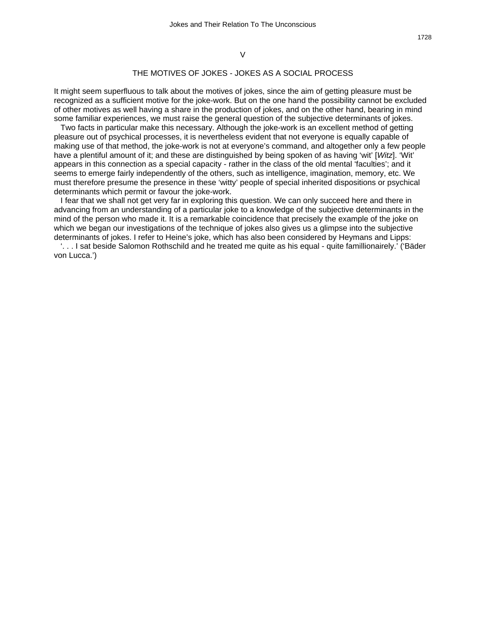V

## THE MOTIVES OF JOKES - JOKES AS A SOCIAL PROCESS

It might seem superfluous to talk about the motives of jokes, since the aim of getting pleasure must be recognized as a sufficient motive for the joke-work. But on the one hand the possibility cannot be excluded of other motives as well having a share in the production of jokes, and on the other hand, bearing in mind some familiar experiences, we must raise the general question of the subjective determinants of jokes.

 Two facts in particular make this necessary. Although the joke-work is an excellent method of getting pleasure out of psychical processes, it is nevertheless evident that not everyone is equally capable of making use of that method, the joke-work is not at everyone's command, and altogether only a few people have a plentiful amount of it; and these are distinguished by being spoken of as having 'wit' [*Witz*]. 'Wit' appears in this connection as a special capacity - rather in the class of the old mental 'faculties'; and it seems to emerge fairly independently of the others, such as intelligence, imagination, memory, etc. We must therefore presume the presence in these 'witty' people of special inherited dispositions or psychical determinants which permit or favour the joke-work.

 I fear that we shall not get very far in exploring this question. We can only succeed here and there in advancing from an understanding of a particular joke to a knowledge of the subjective determinants in the mind of the person who made it. It is a remarkable coincidence that precisely the example of the joke on which we began our investigations of the technique of jokes also gives us a glimpse into the subjective determinants of jokes. I refer to Heine's joke, which has also been considered by Heymans and Lipps:

 '. . . I sat beside Salomon Rothschild and he treated me quite as his equal - quite famillionairely.' ('Bäder von Lucca.')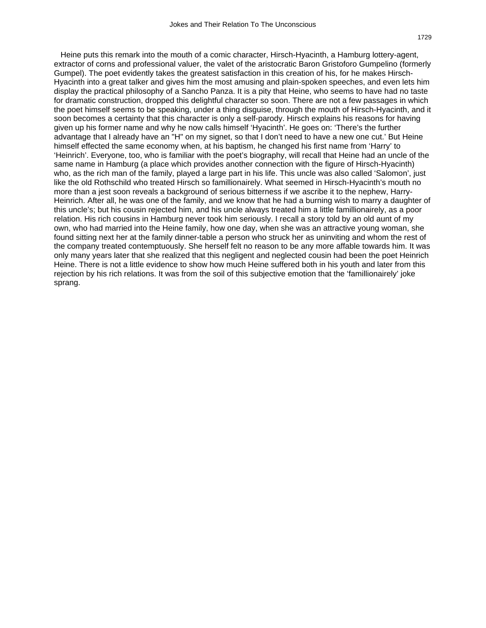Heine puts this remark into the mouth of a comic character, Hirsch-Hyacinth, a Hamburg lottery-agent, extractor of corns and professional valuer, the valet of the aristocratic Baron Gristoforo Gumpelino (formerly Gumpel). The poet evidently takes the greatest satisfaction in this creation of his, for he makes Hirsch-Hyacinth into a great talker and gives him the most amusing and plain-spoken speeches, and even lets him display the practical philosophy of a Sancho Panza. It is a pity that Heine, who seems to have had no taste for dramatic construction, dropped this delightful character so soon. There are not a few passages in which the poet himself seems to be speaking, under a thing disguise, through the mouth of Hirsch-Hyacinth, and it soon becomes a certainty that this character is only a self-parody. Hirsch explains his reasons for having given up his former name and why he now calls himself 'Hyacinth'. He goes on: 'There's the further advantage that I already have an "H" on my signet, so that I don't need to have a new one cut.' But Heine himself effected the same economy when, at his baptism, he changed his first name from 'Harry' to 'Heinrich'. Everyone, too, who is familiar with the poet's biography, will recall that Heine had an uncle of the same name in Hamburg (a place which provides another connection with the figure of Hirsch-Hyacinth) who, as the rich man of the family, played a large part in his life. This uncle was also called 'Salomon', just like the old Rothschild who treated Hirsch so famillionairely. What seemed in Hirsch-Hyacinth's mouth no more than a jest soon reveals a background of serious bitterness if we ascribe it to the nephew, Harry-Heinrich. After all, he was one of the family, and we know that he had a burning wish to marry a daughter of this uncle's; but his cousin rejected him, and his uncle always treated him a little famillionairely, as a poor relation. His rich cousins in Hamburg never took him seriously. I recall a story told by an old aunt of my own, who had married into the Heine family, how one day, when she was an attractive young woman, she found sitting next her at the family dinner-table a person who struck her as uninviting and whom the rest of the company treated contemptuously. She herself felt no reason to be any more affable towards him. It was only many years later that she realized that this negligent and neglected cousin had been the poet Heinrich Heine. There is not a little evidence to show how much Heine suffered both in his youth and later from this rejection by his rich relations. It was from the soil of this subjective emotion that the 'famillionairely' joke sprang.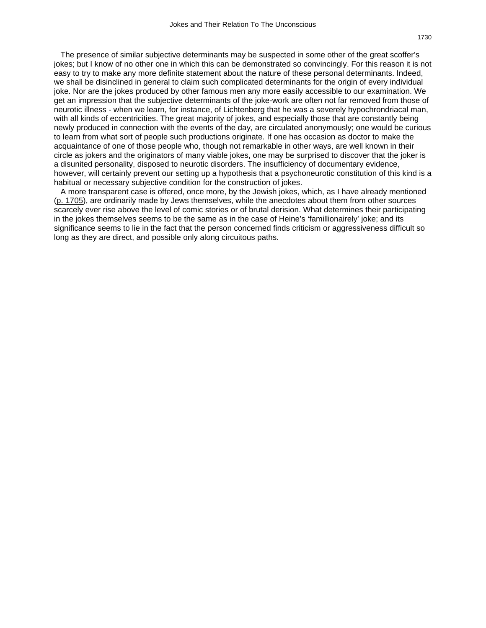The presence of similar subjective determinants may be suspected in some other of the great scoffer's jokes; but I know of no other one in which this can be demonstrated so convincingly. For this reason it is not easy to try to make any more definite statement about the nature of these personal determinants. Indeed, we shall be disinclined in general to claim such complicated determinants for the origin of every individual joke. Nor are the jokes produced by other famous men any more easily accessible to our examination. We get an impression that the subjective determinants of the joke-work are often not far removed from those of neurotic illness - when we learn, for instance, of Lichtenberg that he was a severely hypochrondriacal man, with all kinds of eccentricities. The great majority of jokes, and especially those that are constantly being newly produced in connection with the events of the day, are circulated anonymously; one would be curious to learn from what sort of people such productions originate. If one has occasion as doctor to make the acquaintance of one of those people who, though not remarkable in other ways, are well known in their circle as jokers and the originators of many viable jokes, one may be surprised to discover that the joker is a disunited personality, disposed to neurotic disorders. The insufficiency of documentary evidence, however, will certainly prevent our setting up a hypothesis that a psychoneurotic constitution of this kind is a habitual or necessary subjective condition for the construction of jokes.

 A more transparent case is offered, once more, by the Jewish jokes, which, as I have already mentioned (p. 1705), are ordinarily made by Jews themselves, while the anecdotes about them from other sources scarcely ever rise above the level of comic stories or of brutal derision. What determines their participating in the jokes themselves seems to be the same as in the case of Heine's 'famillionairely' joke; and its significance seems to lie in the fact that the person concerned finds criticism or aggressiveness difficult so long as they are direct, and possible only along circuitous paths.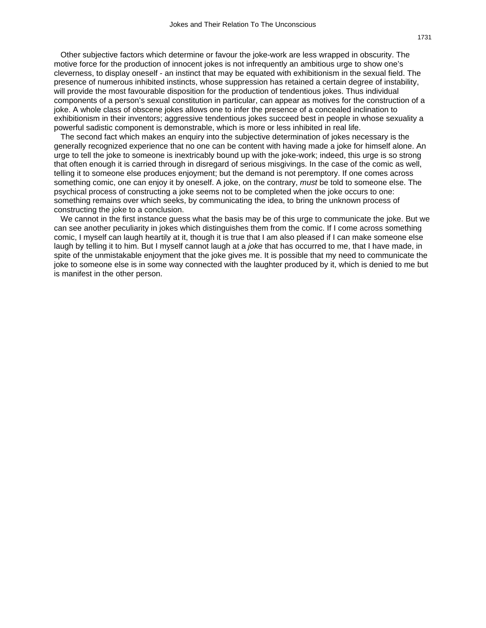Other subjective factors which determine or favour the joke-work are less wrapped in obscurity. The motive force for the production of innocent jokes is not infrequently an ambitious urge to show one's cleverness, to display oneself - an instinct that may be equated with exhibitionism in the sexual field. The presence of numerous inhibited instincts, whose suppression has retained a certain degree of instability, will provide the most favourable disposition for the production of tendentious jokes. Thus individual components of a person's sexual constitution in particular, can appear as motives for the construction of a joke. A whole class of obscene jokes allows one to infer the presence of a concealed inclination to exhibitionism in their inventors; aggressive tendentious jokes succeed best in people in whose sexuality a powerful sadistic component is demonstrable, which is more or less inhibited in real life.

 The second fact which makes an enquiry into the subjective determination of jokes necessary is the generally recognized experience that no one can be content with having made a joke for himself alone. An urge to tell the joke to someone is inextricably bound up with the joke-work; indeed, this urge is so strong that often enough it is carried through in disregard of serious misgivings. In the case of the comic as well, telling it to someone else produces enjoyment; but the demand is not peremptory. If one comes across something comic, one can enjoy it by oneself. A joke, on the contrary, *must* be told to someone else. The psychical process of constructing a joke seems not to be completed when the joke occurs to one: something remains over which seeks, by communicating the idea, to bring the unknown process of constructing the joke to a conclusion.

 We cannot in the first instance guess what the basis may be of this urge to communicate the joke. But we can see another peculiarity in jokes which distinguishes them from the comic. If I come across something comic, I myself can laugh heartily at it, though it is true that I am also pleased if I can make someone else laugh by telling it to him. But I myself cannot laugh at a *joke* that has occurred to me, that I have made, in spite of the unmistakable enjoyment that the joke gives me. It is possible that my need to communicate the joke to someone else is in some way connected with the laughter produced by it, which is denied to me but is manifest in the other person.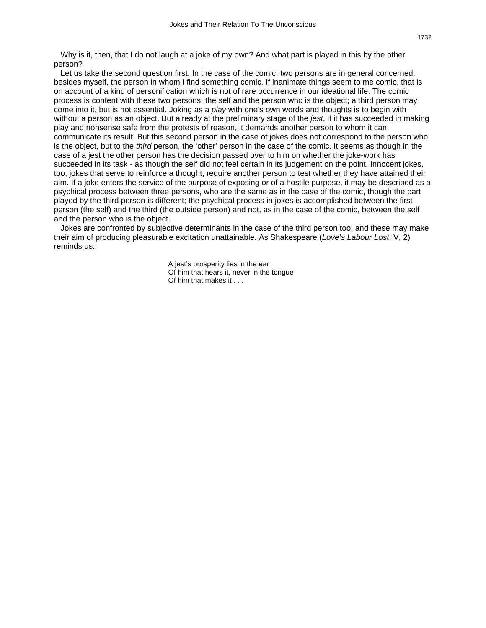Why is it, then, that I do not laugh at a joke of my own? And what part is played in this by the other person?

 Let us take the second question first. In the case of the comic, two persons are in general concerned: besides myself, the person in whom I find something comic. If inanimate things seem to me comic, that is on account of a kind of personification which is not of rare occurrence in our ideational life. The comic process is content with these two persons: the self and the person who is the object; a third person may come into it, but is not essential. Joking as a *play* with one's own words and thoughts is to begin with without a person as an object. But already at the preliminary stage of the *jest*, if it has succeeded in making play and nonsense safe from the protests of reason, it demands another person to whom it can communicate its result. But this second person in the case of jokes does not correspond to the person who is the object, but to the *third* person, the 'other' person in the case of the comic. It seems as though in the case of a jest the other person has the decision passed over to him on whether the joke-work has succeeded in its task - as though the self did not feel certain in its judgement on the point. Innocent jokes, too, jokes that serve to reinforce a thought, require another person to test whether they have attained their aim. If a joke enters the service of the purpose of exposing or of a hostile purpose, it may be described as a psychical process between three persons, who are the same as in the case of the comic, though the part played by the third person is different; the psychical process in jokes is accomplished between the first person (the self) and the third (the outside person) and not, as in the case of the comic, between the self and the person who is the object.

 Jokes are confronted by subjective determinants in the case of the third person too, and these may make their aim of producing pleasurable excitation unattainable. As Shakespeare (*Love's Labour Lost*, V, 2) reminds us:

> A jest's prosperity lies in the ear Of him that hears it, never in the tongue Of him that makes it . . .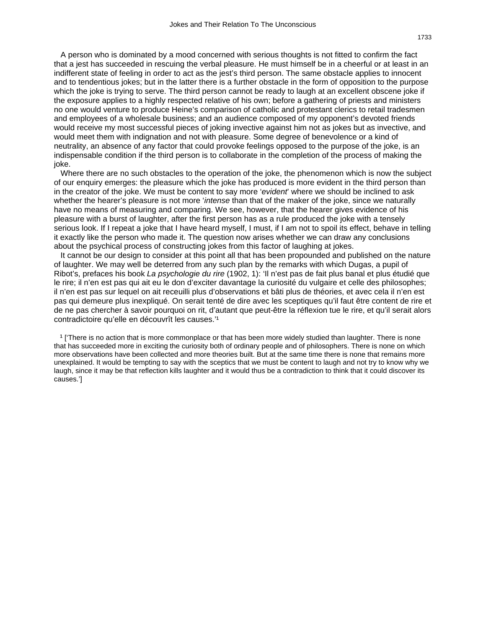A person who is dominated by a mood concerned with serious thoughts is not fitted to confirm the fact that a jest has succeeded in rescuing the verbal pleasure. He must himself be in a cheerful or at least in an indifferent state of feeling in order to act as the jest's third person. The same obstacle applies to innocent and to tendentious jokes; but in the latter there is a further obstacle in the form of opposition to the purpose which the joke is trying to serve. The third person cannot be ready to laugh at an excellent obscene joke if the exposure applies to a highly respected relative of his own; before a gathering of priests and ministers no one would venture to produce Heine's comparison of catholic and protestant clerics to retail tradesmen and employees of a wholesale business; and an audience composed of my opponent's devoted friends would receive my most successful pieces of joking invective against him not as jokes but as invective, and would meet them with indignation and not with pleasure. Some degree of benevolence or a kind of neutrality, an absence of any factor that could provoke feelings opposed to the purpose of the joke, is an indispensable condition if the third person is to collaborate in the completion of the process of making the joke.

 Where there are no such obstacles to the operation of the joke, the phenomenon which is now the subject of our enquiry emerges: the pleasure which the joke has produced is more evident in the third person than in the creator of the joke. We must be content to say more '*evident*' where we should be inclined to ask whether the hearer's pleasure is not more '*intense* than that of the maker of the joke, since we naturally have no means of measuring and comparing. We see, however, that the hearer gives evidence of his pleasure with a burst of laughter, after the first person has as a rule produced the joke with a tensely serious look. If I repeat a joke that I have heard myself, I must, if I am not to spoil its effect, behave in telling it exactly like the person who made it. The question now arises whether we can draw any conclusions about the psychical process of constructing jokes from this factor of laughing at jokes.

 It cannot be our design to consider at this point all that has been propounded and published on the nature of laughter. We may well be deterred from any such plan by the remarks with which Dugas, a pupil of Ribot's, prefaces his book *La psychologie du rire* (1902, 1): 'Il n'est pas de fait plus banal et plus étudié que le rire; il n'en est pas qui ait eu le don d'exciter davantage la curiosité du vulgaire et celle des philosophes; il n'en est pas sur lequel on ait receuilli plus d'observations et bâti plus de théories, et avec cela il n'en est pas qui demeure plus inexpliqué. On serait tenté de dire avec les sceptiques qu'il faut être content de rire et de ne pas chercher à savoir pourquoi on rit, d'autant que peut-être la réflexion tue le rire, et qu'il serait alors contradictoire qu'elle en découvrît les causes.'<sup>1</sup>

<sup>1</sup> ['There is no action that is more commonplace or that has been more widely studied than laughter. There is none that has succeeded more in exciting the curiosity both of ordinary people and of philosophers. There is none on which more observations have been collected and more theories built. But at the same time there is none that remains more unexplained. It would be tempting to say with the sceptics that we must be content to laugh and not try to know why we laugh, since it may be that reflection kills laughter and it would thus be a contradiction to think that it could discover its causes.']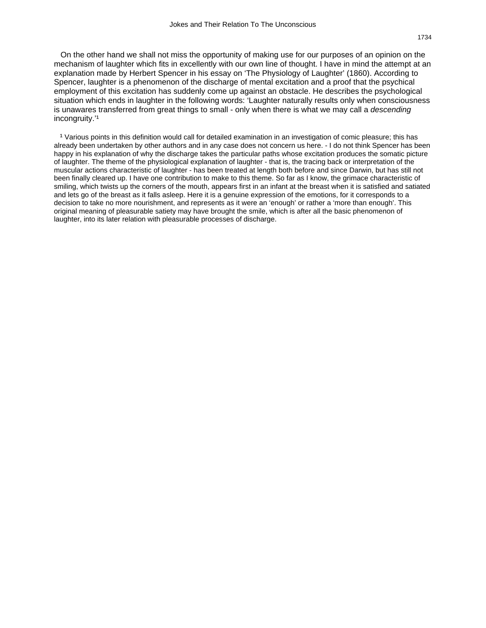On the other hand we shall not miss the opportunity of making use for our purposes of an opinion on the mechanism of laughter which fits in excellently with our own line of thought. I have in mind the attempt at an explanation made by Herbert Spencer in his essay on 'The Physiology of Laughter' (1860). According to Spencer, laughter is a phenomenon of the discharge of mental excitation and a proof that the psychical employment of this excitation has suddenly come up against an obstacle. He describes the psychological situation which ends in laughter in the following words: 'Laughter naturally results only when consciousness is unawares transferred from great things to small - only when there is what we may call a *descending* incongruity.<sup>'1</sup>

<sup>1</sup> Various points in this definition would call for detailed examination in an investigation of comic pleasure; this has already been undertaken by other authors and in any case does not concern us here. - I do not think Spencer has been happy in his explanation of why the discharge takes the particular paths whose excitation produces the somatic picture of laughter. The theme of the physiological explanation of laughter - that is, the tracing back or interpretation of the muscular actions characteristic of laughter - has been treated at length both before and since Darwin, but has still not been finally cleared up. I have one contribution to make to this theme. So far as I know, the grimace characteristic of smiling, which twists up the corners of the mouth, appears first in an infant at the breast when it is satisfied and satiated and lets go of the breast as it falls asleep. Here it is a genuine expression of the emotions, for it corresponds to a decision to take no more nourishment, and represents as it were an 'enough' or rather a 'more than enough'. This original meaning of pleasurable satiety may have brought the smile, which is after all the basic phenomenon of laughter, into its later relation with pleasurable processes of discharge.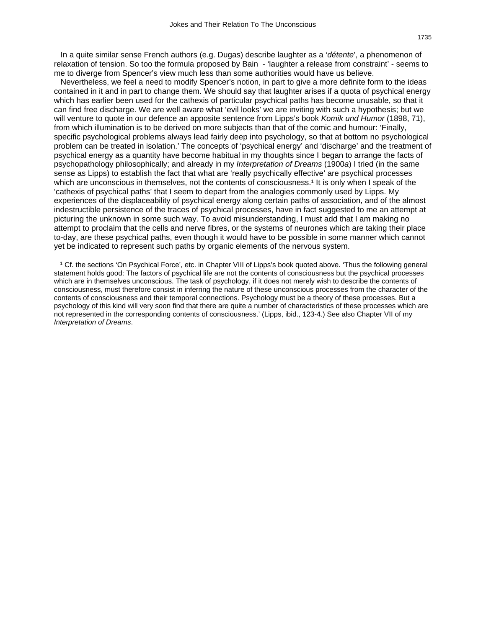In a quite similar sense French authors (e.g. Dugas) describe laughter as a '*détente*', a phenomenon of relaxation of tension. So too the formula proposed by Bain - 'laughter a release from constraint' - seems to me to diverge from Spencer's view much less than some authorities would have us believe.

 Nevertheless, we feel a need to modify Spencer's notion, in part to give a more definite form to the ideas contained in it and in part to change them. We should say that laughter arises if a quota of psychical energy which has earlier been used for the cathexis of particular psychical paths has become unusable, so that it can find free discharge. We are well aware what 'evil looks' we are inviting with such a hypothesis; but we will venture to quote in our defence an apposite sentence from Lipps's book *Komik und Humor* (1898, 71), from which illumination is to be derived on more subjects than that of the comic and humour: 'Finally, specific psychological problems always lead fairly deep into psychology, so that at bottom no psychological problem can be treated in isolation.' The concepts of 'psychical energy' and 'discharge' and the treatment of psychical energy as a quantity have become habitual in my thoughts since I began to arrange the facts of psychopathology philosophically; and already in my *Interpretation of Dreams* (1900*a*) I tried (in the same sense as Lipps) to establish the fact that what are 'really psychically effective' are psychical processes which are unconscious in themselves, not the contents of consciousness.<sup>1</sup> It is only when I speak of the 'cathexis of psychical paths' that I seem to depart from the analogies commonly used by Lipps. My experiences of the displaceability of psychical energy along certain paths of association, and of the almost indestructible persistence of the traces of psychical processes, have in fact suggested to me an attempt at picturing the unknown in some such way. To avoid misunderstanding, I must add that I am making no attempt to proclaim that the cells and nerve fibres, or the systems of neurones which are taking their place to-day, are these psychical paths, even though it would have to be possible in some manner which cannot yet be indicated to represent such paths by organic elements of the nervous system.

<sup>1</sup> Cf. the sections 'On Psychical Force', etc. in Chapter VIII of Lipps's book quoted above. 'Thus the following general statement holds good: The factors of psychical life are not the contents of consciousness but the psychical processes which are in themselves unconscious. The task of psychology, if it does not merely wish to describe the contents of consciousness, must therefore consist in inferring the nature of these unconscious processes from the character of the contents of consciousness and their temporal connections. Psychology must be a theory of these processes. But a psychology of this kind will very soon find that there are quite a number of characteristics of these processes which are not represented in the corresponding contents of consciousness.' (Lipps, ibid., 123-4.) See also Chapter VII of my *Interpretation of Dreams*.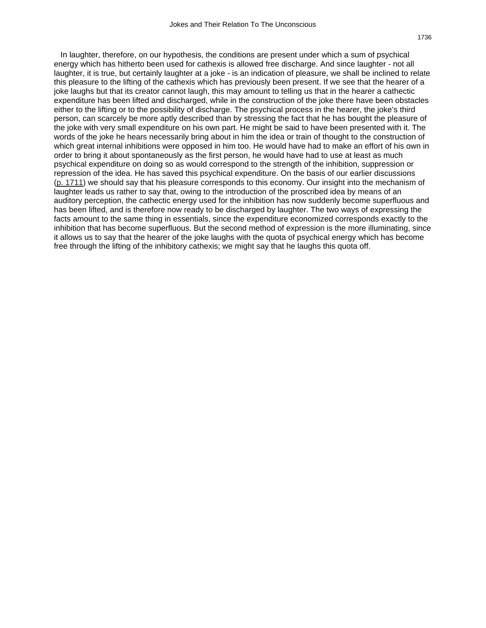In laughter, therefore, on our hypothesis, the conditions are present under which a sum of psychical energy which has hitherto been used for cathexis is allowed free discharge. And since laughter - not all laughter, it is true, but certainly laughter at a joke - is an indication of pleasure, we shall be inclined to relate this pleasure to the lifting of the cathexis which has previously been present. If we see that the hearer of a joke laughs but that its creator cannot laugh, this may amount to telling us that in the hearer a cathectic expenditure has been lifted and discharged, while in the construction of the joke there have been obstacles either to the lifting or to the possibility of discharge. The psychical process in the hearer, the joke's third person, can scarcely be more aptly described than by stressing the fact that he has bought the pleasure of the joke with very small expenditure on his own part. He might be said to have been presented with it. The words of the joke he hears necessarily bring about in him the idea or train of thought to the construction of which great internal inhibitions were opposed in him too. He would have had to make an effort of his own in order to bring it about spontaneously as the first person, he would have had to use at least as much psychical expenditure on doing so as would correspond to the strength of the inhibition, suppression or repression of the idea. He has saved this psychical expenditure. On the basis of our earlier discussions (p. 1711) we should say that his pleasure corresponds to this economy. Our insight into the mechanism of laughter leads us rather to say that, owing to the introduction of the proscribed idea by means of an auditory perception, the cathectic energy used for the inhibition has now suddenly become superfluous and has been lifted, and is therefore now ready to be discharged by laughter. The two ways of expressing the facts amount to the same thing in essentials, since the expenditure economized corresponds exactly to the inhibition that has become superfluous. But the second method of expression is the more illuminating, since it allows us to say that the hearer of the joke laughs with the quota of psychical energy which has become free through the lifting of the inhibitory cathexis; we might say that he laughs this quota off.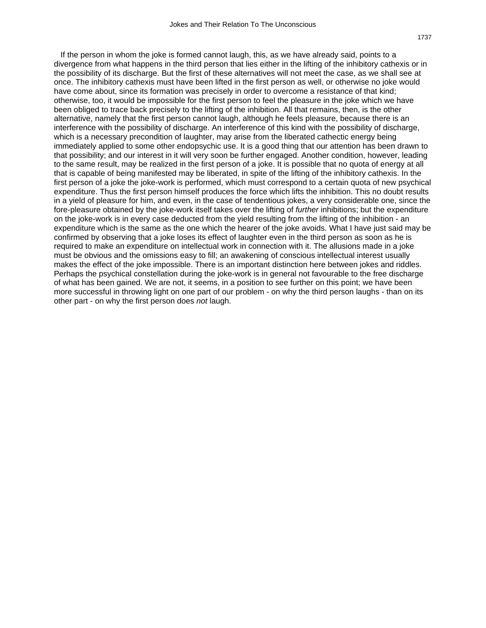If the person in whom the joke is formed cannot laugh, this, as we have already said, points to a divergence from what happens in the third person that lies either in the lifting of the inhibitory cathexis or in the possibility of its discharge. But the first of these alternatives will not meet the case, as we shall see at once. The inhibitory cathexis must have been lifted in the first person as well, or otherwise no joke would have come about, since its formation was precisely in order to overcome a resistance of that kind; otherwise, too, it would be impossible for the first person to feel the pleasure in the joke which we have been obliged to trace back precisely to the lifting of the inhibition. All that remains, then, is the other alternative, namely that the first person cannot laugh, although he feels pleasure, because there is an interference with the possibility of discharge. An interference of this kind with the possibility of discharge, which is a necessary precondition of laughter, may arise from the liberated cathectic energy being immediately applied to some other endopsychic use. It is a good thing that our attention has been drawn to that possibility; and our interest in it will very soon be further engaged. Another condition, however, leading to the same result, may be realized in the first person of a joke. It is possible that no quota of energy at all that is capable of being manifested may be liberated, in spite of the lifting of the inhibitory cathexis. In the first person of a joke the joke-work is performed, which must correspond to a certain quota of new psychical expenditure. Thus the first person himself produces the force which lifts the inhibition. This no doubt results in a yield of pleasure for him, and even, in the case of tendentious jokes, a very considerable one, since the fore-pleasure obtained by the joke-work itself takes over the lifting of *further* inhibitions; but the expenditure on the joke-work is in every case deducted from the yield resulting from the lifting of the inhibition - an expenditure which is the same as the one which the hearer of the joke avoids. What I have just said may be confirmed by observing that a joke loses its effect of laughter even in the third person as soon as he is required to make an expenditure on intellectual work in connection with it. The allusions made in a joke must be obvious and the omissions easy to fill; an awakening of conscious intellectual interest usually makes the effect of the joke impossible. There is an important distinction here between jokes and riddles. Perhaps the psychical constellation during the joke-work is in general not favourable to the free discharge of what has been gained. We are not, it seems, in a position to see further on this point; we have been more successful in throwing light on one part of our problem - on why the third person laughs - than on its other part - on why the first person does *not* laugh.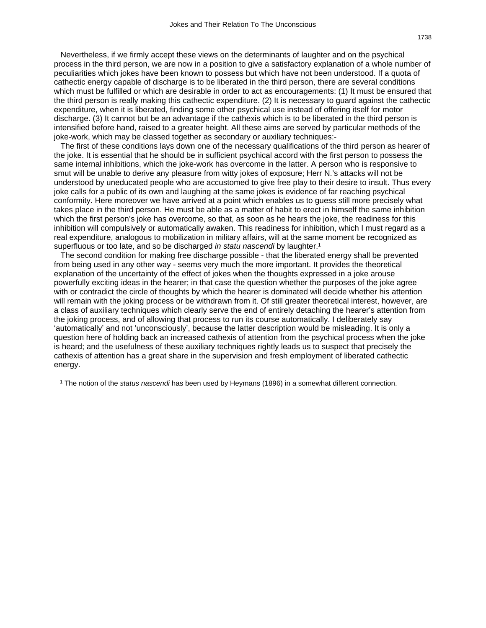Nevertheless, if we firmly accept these views on the determinants of laughter and on the psychical process in the third person, we are now in a position to give a satisfactory explanation of a whole number of peculiarities which jokes have been known to possess but which have not been understood. If a quota of cathectic energy capable of discharge is to be liberated in the third person, there are several conditions which must be fulfilled or which are desirable in order to act as encouragements: (1) It must be ensured that the third person is really making this cathectic expenditure. (2) It is necessary to guard against the cathectic expenditure, when it is liberated, finding some other psychical use instead of offering itself for motor discharge. (3) It cannot but be an advantage if the cathexis which is to be liberated in the third person is intensified before hand, raised to a greater height. All these aims are served by particular methods of the joke-work, which may be classed together as secondary or auxiliary techniques:-

 The first of these conditions lays down one of the necessary qualifications of the third person as hearer of the joke. It is essential that he should be in sufficient psychical accord with the first person to possess the same internal inhibitions, which the joke-work has overcome in the latter. A person who is responsive to smut will be unable to derive any pleasure from witty jokes of exposure; Herr N.'s attacks will not be understood by uneducated people who are accustomed to give free play to their desire to insult. Thus every joke calls for a public of its own and laughing at the same jokes is evidence of far reaching psychical conformity. Here moreover we have arrived at a point which enables us to guess still more precisely what takes place in the third person. He must be able as a matter of habit to erect in himself the same inhibition which the first person's joke has overcome, so that, as soon as he hears the joke, the readiness for this inhibition will compulsively or automatically awaken. This readiness for inhibition, which I must regard as a real expenditure, analogous to mobilization in military affairs, will at the same moment be recognized as superfluous or too late, and so be discharged *in statu nascendi* by laughter.<sup>1</sup>

 The second condition for making free discharge possible - that the liberated energy shall be prevented from being used in any other way - seems very much the more important. It provides the theoretical explanation of the uncertainty of the effect of jokes when the thoughts expressed in a joke arouse powerfully exciting ideas in the hearer; in that case the question whether the purposes of the joke agree with or contradict the circle of thoughts by which the hearer is dominated will decide whether his attention will remain with the joking process or be withdrawn from it. Of still greater theoretical interest, however, are a class of auxiliary techniques which clearly serve the end of entirely detaching the hearer's attention from the joking process, and of allowing that process to run its course automatically. I deliberately say 'automatically' and not 'unconsciously', because the latter description would be misleading. It is only a question here of holding back an increased cathexis of attention from the psychical process when the joke is heard; and the usefulness of these auxiliary techniques rightly leads us to suspect that precisely the cathexis of attention has a great share in the supervision and fresh employment of liberated cathectic energy.

<sup>&</sup>lt;sup>1</sup> The notion of the *status nascendi* has been used by Heymans (1896) in a somewhat different connection.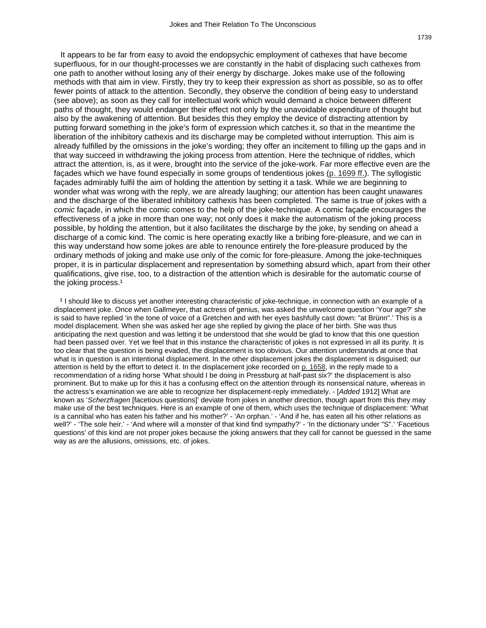It appears to be far from easy to avoid the endopsychic employment of cathexes that have become superfluous, for in our thought-processes we are constantly in the habit of displacing such cathexes from one path to another without losing any of their energy by discharge. Jokes make use of the following methods with that aim in view. Firstly, they try to keep their expression as short as possible, so as to offer fewer points of attack to the attention. Secondly, they observe the condition of being easy to understand (see above); as soon as they call for intellectual work which would demand a choice between different paths of thought, they would endanger their effect not only by the unavoidable expenditure of thought but also by the awakening of attention. But besides this they employ the device of distracting attention by putting forward something in the joke's form of expression which catches it, so that in the meantime the liberation of the inhibitory cathexis and its discharge may be completed without interruption. This aim is already fulfilled by the omissions in the joke's wording; they offer an incitement to filling up the gaps and in that way succeed in withdrawing the joking process from attention. Here the technique of riddles, which attract the attention, is, as it were, brought into the service of the joke-work. Far more effective even are the façades which we have found especially in some groups of tendentious jokes (p. 1699 ff.). The syllogistic façades admirably fulfil the aim of holding the attention by setting it a task. While we are beginning to wonder what was wrong with the reply, we are already laughing; our attention has been caught unawares and the discharge of the liberated inhibitory cathexis has been completed. The same is true of jokes with a *comic* façade, in which the comic comes to the help of the joke-technique. A comic façade encourages the effectiveness of a joke in more than one way; not only does it make the automatism of the joking process possible, by holding the attention, but it also facilitates the discharge by the joke, by sending on ahead a discharge of a comic kind. The comic is here operating exactly like a bribing fore-pleasure, and we can in this way understand how some jokes are able to renounce entirely the fore-pleasure produced by the ordinary methods of joking and make use only of the comic for fore-pleasure. Among the joke-techniques proper, it is in particular displacement and representation by something absurd which, apart from their other qualifications, give rise, too, to a distraction of the attention which is desirable for the automatic course of the joking process.<sup>1</sup>

<sup>1</sup> I should like to discuss yet another interesting characteristic of joke-technique, in connection with an example of a displacement joke. Once when Gallmeyer, that actress of genius, was asked the unwelcome question 'Your age?' she is said to have replied 'in the tone of voice of a Gretchen and with her eyes bashfully cast down: "at Brünn".' This is a model displacement. When she was asked her age she replied by giving the place of her birth. She was thus anticipating the next question and was letting it be understood that she would be glad to know that this one question had been passed over. Yet we feel that in this instance the characteristic of jokes is not expressed in all its purity. It is too clear that the question is being evaded, the displacement is too obvious. Our attention understands at once that what is in question is an intentional displacement. In the other displacement jokes the displacement is disguised; our attention is held by the effort to detect it. In the displacement joke recorded on p. 1658, in the reply made to a recommendation of a riding horse 'What should I be doing in Pressburg at half-past six?' the displacement is also prominent. But to make up for this it has a confusing effect on the attention through its nonsensical nature, whereas in the actress's examination we are able to recognize her displacement-reply immediately. - [*Added* 1912] What are known as '*Scherzfragen* [facetious questions]' deviate from jokes in another direction, though apart from this they may make use of the best techniques. Here is an example of one of them, which uses the technique of displacement: 'What is a cannibal who has eaten his father and his mother?' - 'An orphan.' - 'And if he, has eaten all his other relations as well?' - 'The sole heir.' - 'And where will a monster of that kind find sympathy?' - 'In the dictionary under "S".' 'Facetious questions' of this kind are not proper jokes because the joking answers that they call for cannot be guessed in the same way as are the allusions, omissions, etc. of jokes.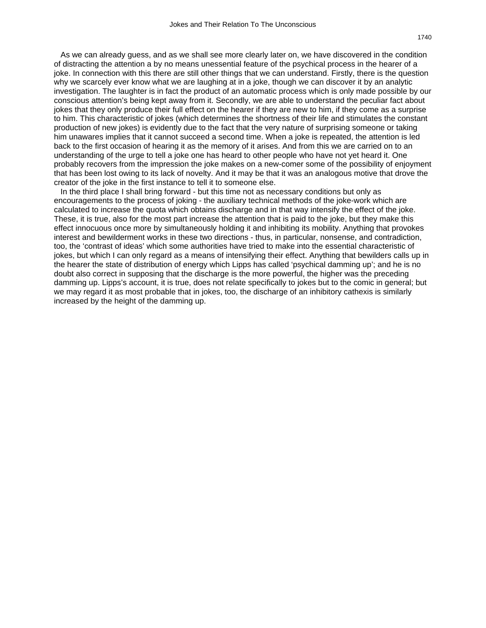As we can already guess, and as we shall see more clearly later on, we have discovered in the condition of distracting the attention a by no means unessential feature of the psychical process in the hearer of a joke. In connection with this there are still other things that we can understand. Firstly, there is the question why we scarcely ever know what we are laughing at in a joke, though we can discover it by an analytic investigation. The laughter is in fact the product of an automatic process which is only made possible by our conscious attention's being kept away from it. Secondly, we are able to understand the peculiar fact about jokes that they only produce their full effect on the hearer if they are new to him, if they come as a surprise to him. This characteristic of jokes (which determines the shortness of their life and stimulates the constant production of new jokes) is evidently due to the fact that the very nature of surprising someone or taking him unawares implies that it cannot succeed a second time. When a joke is repeated, the attention is led back to the first occasion of hearing it as the memory of it arises. And from this we are carried on to an understanding of the urge to tell a joke one has heard to other people who have not yet heard it. One probably recovers from the impression the joke makes on a new-comer some of the possibility of enjoyment that has been lost owing to its lack of novelty. And it may be that it was an analogous motive that drove the creator of the joke in the first instance to tell it to someone else.

 In the third place I shall bring forward - but this time not as necessary conditions but only as encouragements to the process of joking - the auxiliary technical methods of the joke-work which are calculated to increase the quota which obtains discharge and in that way intensify the effect of the joke. These, it is true, also for the most part increase the attention that is paid to the joke, but they make this effect innocuous once more by simultaneously holding it and inhibiting its mobility. Anything that provokes interest and bewilderment works in these two directions - thus, in particular, nonsense, and contradiction, too, the 'contrast of ideas' which some authorities have tried to make into the essential characteristic of jokes, but which I can only regard as a means of intensifying their effect. Anything that bewilders calls up in the hearer the state of distribution of energy which Lipps has called 'psychical damming up'; and he is no doubt also correct in supposing that the discharge is the more powerful, the higher was the preceding damming up. Lipps's account, it is true, does not relate specifically to jokes but to the comic in general; but we may regard it as most probable that in jokes, too, the discharge of an inhibitory cathexis is similarly increased by the height of the damming up.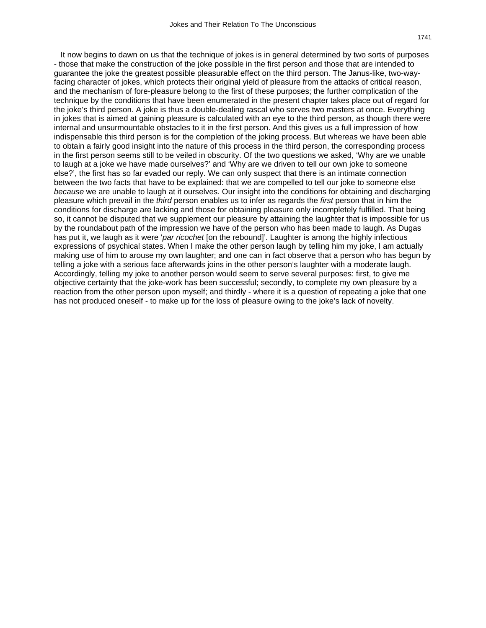It now begins to dawn on us that the technique of jokes is in general determined by two sorts of purposes - those that make the construction of the joke possible in the first person and those that are intended to guarantee the joke the greatest possible pleasurable effect on the third person. The Janus-like, two-wayfacing character of jokes, which protects their original yield of pleasure from the attacks of critical reason, and the mechanism of fore-pleasure belong to the first of these purposes; the further complication of the technique by the conditions that have been enumerated in the present chapter takes place out of regard for the joke's third person. A joke is thus a double-dealing rascal who serves two masters at once. Everything in jokes that is aimed at gaining pleasure is calculated with an eye to the third person, as though there were internal and unsurmountable obstacles to it in the first person. And this gives us a full impression of how indispensable this third person is for the completion of the joking process. But whereas we have been able to obtain a fairly good insight into the nature of this process in the third person, the corresponding process in the first person seems still to be veiled in obscurity. Of the two questions we asked, 'Why are we unable to laugh at a joke we have made ourselves?' and 'Why are we driven to tell our own joke to someone else?', the first has so far evaded our reply. We can only suspect that there is an intimate connection between the two facts that have to be explained: that we are compelled to tell our joke to someone else *because* we are unable to laugh at it ourselves. Our insight into the conditions for obtaining and discharging pleasure which prevail in the *third* person enables us to infer as regards the *first* person that in him the conditions for discharge are lacking and those for obtaining pleasure only incompletely fulfilled. That being so, it cannot be disputed that we supplement our pleasure by attaining the laughter that is impossible for us by the roundabout path of the impression we have of the person who has been made to laugh. As Dugas has put it, we laugh as it were '*par ricochet* [on the rebound]'. Laughter is among the highly infectious expressions of psychical states. When I make the other person laugh by telling him my joke, I am actually making use of him to arouse my own laughter; and one can in fact observe that a person who has begun by telling a joke with a serious face afterwards joins in the other person's laughter with a moderate laugh. Accordingly, telling my joke to another person would seem to serve several purposes: first, to give me objective certainty that the joke-work has been successful; secondly, to complete my own pleasure by a reaction from the other person upon myself; and thirdly - where it is a question of repeating a joke that one has not produced oneself - to make up for the loss of pleasure owing to the joke's lack of novelty.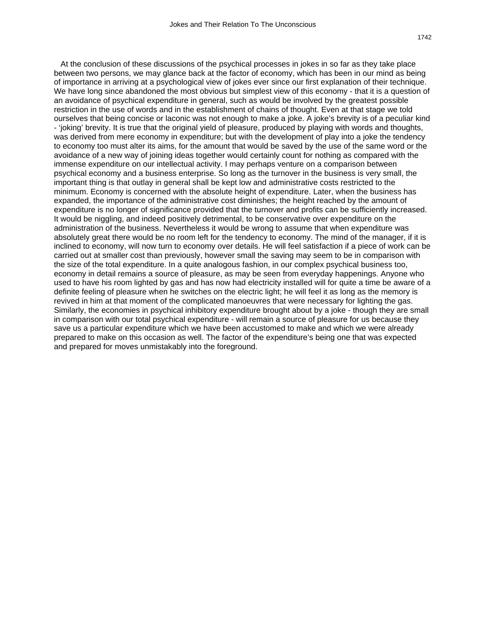At the conclusion of these discussions of the psychical processes in jokes in so far as they take place between two persons, we may glance back at the factor of economy, which has been in our mind as being of importance in arriving at a psychological view of jokes ever since our first explanation of their technique. We have long since abandoned the most obvious but simplest view of this economy - that it is a question of an avoidance of psychical expenditure in general, such as would be involved by the greatest possible restriction in the use of words and in the establishment of chains of thought. Even at that stage we told ourselves that being concise or laconic was not enough to make a joke. A joke's brevity is of a peculiar kind - 'joking' brevity. It is true that the original yield of pleasure, produced by playing with words and thoughts, was derived from mere economy in expenditure; but with the development of play into a joke the tendency to economy too must alter its aims, for the amount that would be saved by the use of the same word or the avoidance of a new way of joining ideas together would certainly count for nothing as compared with the immense expenditure on our intellectual activity. I may perhaps venture on a comparison between psychical economy and a business enterprise. So long as the turnover in the business is very small, the important thing is that outlay in general shall be kept low and administrative costs restricted to the minimum. Economy is concerned with the absolute height of expenditure. Later, when the business has expanded, the importance of the administrative cost diminishes; the height reached by the amount of expenditure is no longer of significance provided that the turnover and profits can be sufficiently increased. It would be niggling, and indeed positively detrimental, to be conservative over expenditure on the administration of the business. Nevertheless it would be wrong to assume that when expenditure was absolutely great there would be no room left for the tendency to economy. The mind of the manager, if it is inclined to economy, will now turn to economy over details. He will feel satisfaction if a piece of work can be carried out at smaller cost than previously, however small the saving may seem to be in comparison with the size of the total expenditure. In a quite analogous fashion, in our complex psychical business too, economy in detail remains a source of pleasure, as may be seen from everyday happenings. Anyone who used to have his room lighted by gas and has now had electricity installed will for quite a time be aware of a definite feeling of pleasure when he switches on the electric light; he will feel it as long as the memory is revived in him at that moment of the complicated manoeuvres that were necessary for lighting the gas. Similarly, the economies in psychical inhibitory expenditure brought about by a joke - though they are small in comparison with our total psychical expenditure - will remain a source of pleasure for us because they save us a particular expenditure which we have been accustomed to make and which we were already prepared to make on this occasion as well. The factor of the expenditure's being one that was expected and prepared for moves unmistakably into the foreground.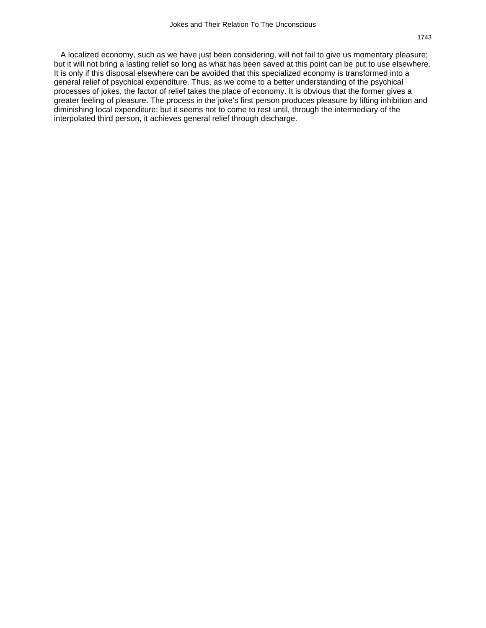A localized economy, such as we have just been considering, will not fail to give us momentary pleasure; but it will not bring a lasting relief so long as what has been saved at this point can be put to use elsewhere. It is only if this disposal elsewhere can be avoided that this specialized economy is transformed into a general relief of psychical expenditure. Thus, as we come to a better understanding of the psychical processes of jokes, the factor of relief takes the place of economy. It is obvious that the former gives a greater feeling of pleasure. The process in the joke's first person produces pleasure by lifting inhibition and diminishing local expenditure; but it seems not to come to rest until, through the intermediary of the interpolated third person, it achieves general relief through discharge.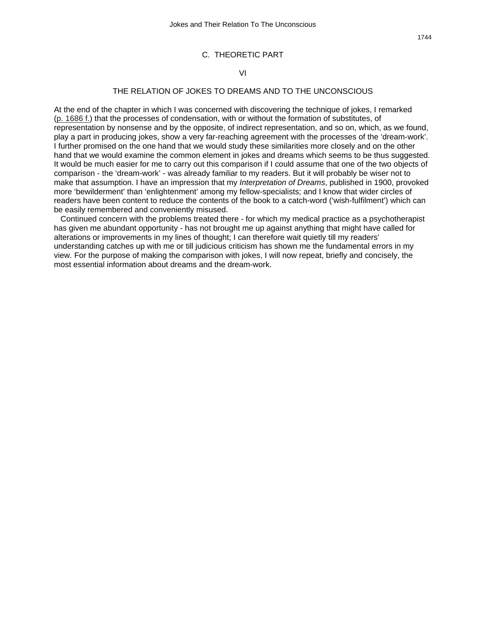# C. THEORETIC PART

VI

## THE RELATION OF JOKES TO DREAMS AND TO THE UNCONSCIOUS

At the end of the chapter in which I was concerned with discovering the technique of jokes, I remarked (p. 1686 f.) that the processes of condensation, with or without the formation of substitutes, of representation by nonsense and by the opposite, of indirect representation, and so on, which, as we found, play a part in producing jokes, show a very far-reaching agreement with the processes of the 'dream-work'. I further promised on the one hand that we would study these similarities more closely and on the other hand that we would examine the common element in jokes and dreams which seems to be thus suggested. It would be much easier for me to carry out this comparison if I could assume that one of the two objects of comparison - the 'dream-work' - was already familiar to my readers. But it will probably be wiser not to make that assumption. I have an impression that my *Interpretation of Dreams*, published in 1900, provoked more 'bewilderment' than 'enlightenment' among my fellow-specialists; and I know that wider circles of readers have been content to reduce the contents of the book to a catch-word ('wish-fulfilment') which can be easily remembered and conveniently misused.

 Continued concern with the problems treated there - for which my medical practice as a psychotherapist has given me abundant opportunity - has not brought me up against anything that might have called for alterations or improvements in my lines of thought; I can therefore wait quietly till my readers' understanding catches up with me or till judicious criticism has shown me the fundamental errors in my view. For the purpose of making the comparison with jokes, I will now repeat, briefly and concisely, the most essential information about dreams and the dream-work.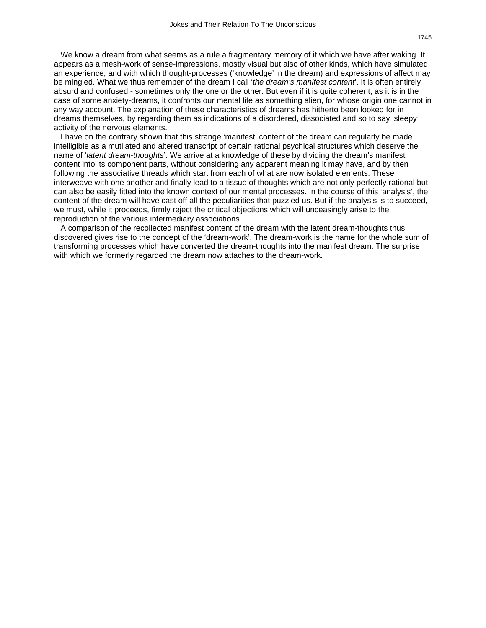We know a dream from what seems as a rule a fragmentary memory of it which we have after waking. It appears as a mesh-work of sense-impressions, mostly visual but also of other kinds, which have simulated an experience, and with which thought-processes ('knowledge' in the dream) and expressions of affect may be mingled. What we thus remember of the dream I call '*the dream's manifest content*'. It is often entirely absurd and confused - sometimes only the one or the other. But even if it is quite coherent, as it is in the case of some anxiety-dreams, it confronts our mental life as something alien, for whose origin one cannot in any way account. The explanation of these characteristics of dreams has hitherto been looked for in dreams themselves, by regarding them as indications of a disordered, dissociated and so to say 'sleepy' activity of the nervous elements.

 I have on the contrary shown that this strange 'manifest' content of the dream can regularly be made intelligible as a mutilated and altered transcript of certain rational psychical structures which deserve the name of '*latent dream-thoughts*'. We arrive at a knowledge of these by dividing the dream's manifest content into its component parts, without considering any apparent meaning it may have, and by then following the associative threads which start from each of what are now isolated elements. These interweave with one another and finally lead to a tissue of thoughts which are not only perfectly rational but can also be easily fitted into the known context of our mental processes. In the course of this 'analysis', the content of the dream will have cast off all the peculiarities that puzzled us. But if the analysis is to succeed, we must, while it proceeds, firmly reject the critical objections which will unceasingly arise to the reproduction of the various intermediary associations.

 A comparison of the recollected manifest content of the dream with the latent dream-thoughts thus discovered gives rise to the concept of the 'dream-work'. The dream-work is the name for the whole sum of transforming processes which have converted the dream-thoughts into the manifest dream. The surprise with which we formerly regarded the dream now attaches to the dream-work.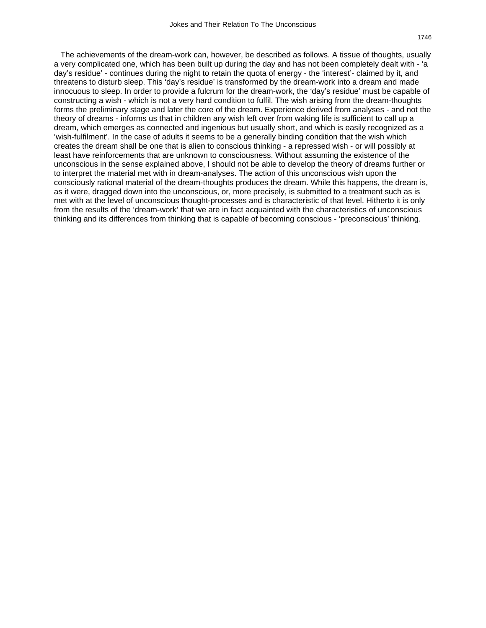The achievements of the dream-work can, however, be described as follows. A tissue of thoughts, usually a very complicated one, which has been built up during the day and has not been completely dealt with - 'a day's residue' - continues during the night to retain the quota of energy - the 'interest'- claimed by it, and threatens to disturb sleep. This 'day's residue' is transformed by the dream-work into a dream and made innocuous to sleep. In order to provide a fulcrum for the dream-work, the 'day's residue' must be capable of constructing a wish - which is not a very hard condition to fulfil. The wish arising from the dream-thoughts forms the preliminary stage and later the core of the dream. Experience derived from analyses - and not the theory of dreams - informs us that in children any wish left over from waking life is sufficient to call up a dream, which emerges as connected and ingenious but usually short, and which is easily recognized as a 'wish-fulfilment'. In the case of adults it seems to be a generally binding condition that the wish which creates the dream shall be one that is alien to conscious thinking - a repressed wish - or will possibly at least have reinforcements that are unknown to consciousness. Without assuming the existence of the unconscious in the sense explained above, I should not be able to develop the theory of dreams further or to interpret the material met with in dream-analyses. The action of this unconscious wish upon the consciously rational material of the dream-thoughts produces the dream. While this happens, the dream is, as it were, dragged down into the unconscious, or, more precisely, is submitted to a treatment such as is met with at the level of unconscious thought-processes and is characteristic of that level. Hitherto it is only from the results of the 'dream-work' that we are in fact acquainted with the characteristics of unconscious thinking and its differences from thinking that is capable of becoming conscious - 'preconscious' thinking.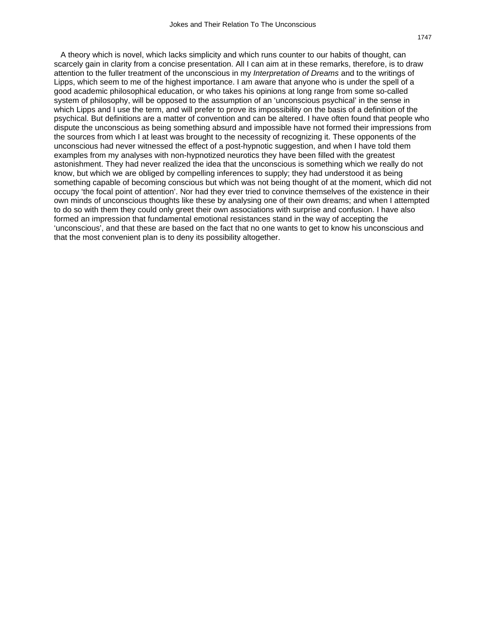A theory which is novel, which lacks simplicity and which runs counter to our habits of thought, can scarcely gain in clarity from a concise presentation. All I can aim at in these remarks, therefore, is to draw attention to the fuller treatment of the unconscious in my *Interpretation of Dreams* and to the writings of Lipps, which seem to me of the highest importance. I am aware that anyone who is under the spell of a good academic philosophical education, or who takes his opinions at long range from some so-called system of philosophy, will be opposed to the assumption of an 'unconscious psychical' in the sense in which Lipps and I use the term, and will prefer to prove its impossibility on the basis of a definition of the psychical. But definitions are a matter of convention and can be altered. I have often found that people who dispute the unconscious as being something absurd and impossible have not formed their impressions from the sources from which I at least was brought to the necessity of recognizing it. These opponents of the unconscious had never witnessed the effect of a post-hypnotic suggestion, and when I have told them examples from my analyses with non-hypnotized neurotics they have been filled with the greatest astonishment. They had never realized the idea that the unconscious is something which we really do not know, but which we are obliged by compelling inferences to supply; they had understood it as being something capable of becoming conscious but which was not being thought of at the moment, which did not occupy 'the focal point of attention'. Nor had they ever tried to convince themselves of the existence in their own minds of unconscious thoughts like these by analysing one of their own dreams; and when I attempted to do so with them they could only greet their own associations with surprise and confusion. I have also formed an impression that fundamental emotional resistances stand in the way of accepting the 'unconscious', and that these are based on the fact that no one wants to get to know his unconscious and that the most convenient plan is to deny its possibility altogether.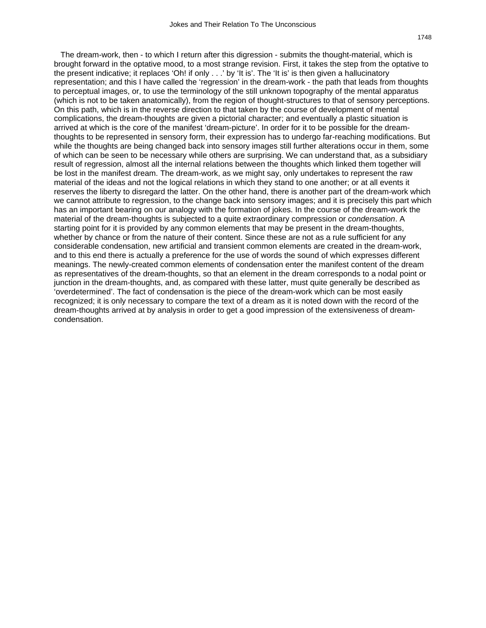The dream-work, then - to which I return after this digression - submits the thought-material, which is brought forward in the optative mood, to a most strange revision. First, it takes the step from the optative to the present indicative; it replaces 'Oh! if only . . .' by 'It is'. The 'It is' is then given a hallucinatory representation; and this I have called the 'regression' in the dream-work - the path that leads from thoughts to perceptual images, or, to use the terminology of the still unknown topography of the mental apparatus (which is not to be taken anatomically), from the region of thought-structures to that of sensory perceptions. On this path, which is in the reverse direction to that taken by the course of development of mental complications, the dream-thoughts are given a pictorial character; and eventually a plastic situation is arrived at which is the core of the manifest 'dream-picture'. In order for it to be possible for the dreamthoughts to be represented in sensory form, their expression has to undergo far-reaching modifications. But while the thoughts are being changed back into sensory images still further alterations occur in them, some of which can be seen to be necessary while others are surprising. We can understand that, as a subsidiary result of regression, almost all the internal relations between the thoughts which linked them together will be lost in the manifest dream. The dream-work, as we might say, only undertakes to represent the raw material of the ideas and not the logical relations in which they stand to one another; or at all events it reserves the liberty to disregard the latter. On the other hand, there is another part of the dream-work which we cannot attribute to regression, to the change back into sensory images; and it is precisely this part which has an important bearing on our analogy with the formation of jokes. In the course of the dream-work the material of the dream-thoughts is subjected to a quite extraordinary compression or *condensation*. A starting point for it is provided by any common elements that may be present in the dream-thoughts, whether by chance or from the nature of their content. Since these are not as a rule sufficient for any considerable condensation, new artificial and transient common elements are created in the dream-work, and to this end there is actually a preference for the use of words the sound of which expresses different meanings. The newly-created common elements of condensation enter the manifest content of the dream as representatives of the dream-thoughts, so that an element in the dream corresponds to a nodal point or junction in the dream-thoughts, and, as compared with these latter, must quite generally be described as 'overdetermined'. The fact of condensation is the piece of the dream-work which can be most easily recognized; it is only necessary to compare the text of a dream as it is noted down with the record of the dream-thoughts arrived at by analysis in order to get a good impression of the extensiveness of dreamcondensation.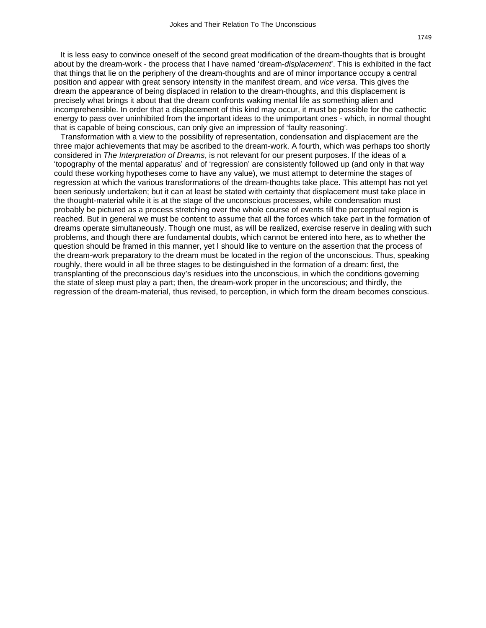It is less easy to convince oneself of the second great modification of the dream-thoughts that is brought about by the dream-work - the process that I have named 'dream-*displacement*'. This is exhibited in the fact that things that lie on the periphery of the dream-thoughts and are of minor importance occupy a central position and appear with great sensory intensity in the manifest dream, and *vice versa*. This gives the dream the appearance of being displaced in relation to the dream-thoughts, and this displacement is precisely what brings it about that the dream confronts waking mental life as something alien and incomprehensible. In order that a displacement of this kind may occur, it must be possible for the cathectic energy to pass over uninhibited from the important ideas to the unimportant ones - which, in normal thought that is capable of being conscious, can only give an impression of 'faulty reasoning'.

 Transformation with a view to the possibility of representation, condensation and displacement are the three major achievements that may be ascribed to the dream-work. A fourth, which was perhaps too shortly considered in *The Interpretation of Dreams*, is not relevant for our present purposes. If the ideas of a 'topography of the mental apparatus' and of 'regression' are consistently followed up (and only in that way could these working hypotheses come to have any value), we must attempt to determine the stages of regression at which the various transformations of the dream-thoughts take place. This attempt has not yet been seriously undertaken; but it can at least be stated with certainty that displacement must take place in the thought-material while it is at the stage of the unconscious processes, while condensation must probably be pictured as a process stretching over the whole course of events till the perceptual region is reached. But in general we must be content to assume that all the forces which take part in the formation of dreams operate simultaneously. Though one must, as will be realized, exercise reserve in dealing with such problems, and though there are fundamental doubts, which cannot be entered into here, as to whether the question should be framed in this manner, yet I should like to venture on the assertion that the process of the dream-work preparatory to the dream must be located in the region of the unconscious. Thus, speaking roughly, there would in all be three stages to be distinguished in the formation of a dream: first, the transplanting of the preconscious day's residues into the unconscious, in which the conditions governing the state of sleep must play a part; then, the dream-work proper in the unconscious; and thirdly, the regression of the dream-material, thus revised, to perception, in which form the dream becomes conscious.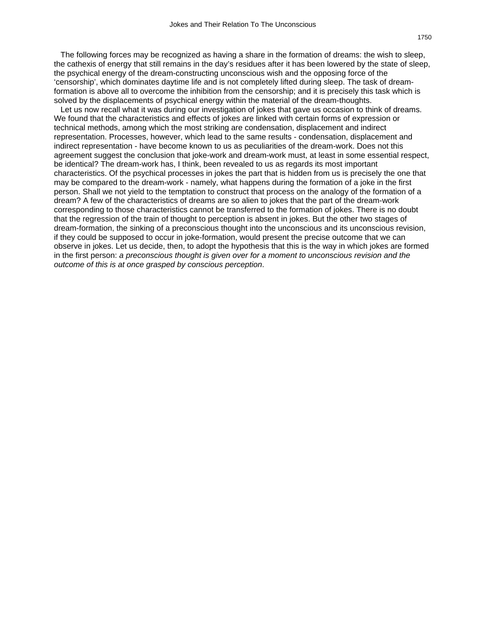The following forces may be recognized as having a share in the formation of dreams: the wish to sleep, the cathexis of energy that still remains in the day's residues after it has been lowered by the state of sleep, the psychical energy of the dream-constructing unconscious wish and the opposing force of the 'censorship', which dominates daytime life and is not completely lifted during sleep. The task of dreamformation is above all to overcome the inhibition from the censorship; and it is precisely this task which is solved by the displacements of psychical energy within the material of the dream-thoughts.

 Let us now recall what it was during our investigation of jokes that gave us occasion to think of dreams. We found that the characteristics and effects of jokes are linked with certain forms of expression or technical methods, among which the most striking are condensation, displacement and indirect representation. Processes, however, which lead to the same results - condensation, displacement and indirect representation - have become known to us as peculiarities of the dream-work. Does not this agreement suggest the conclusion that joke-work and dream-work must, at least in some essential respect, be identical? The dream-work has, I think, been revealed to us as regards its most important characteristics. Of the psychical processes in jokes the part that is hidden from us is precisely the one that may be compared to the dream-work - namely, what happens during the formation of a joke in the first person. Shall we not yield to the temptation to construct that process on the analogy of the formation of a dream? A few of the characteristics of dreams are so alien to jokes that the part of the dream-work corresponding to those characteristics cannot be transferred to the formation of jokes. There is no doubt that the regression of the train of thought to perception is absent in jokes. But the other two stages of dream-formation, the sinking of a preconscious thought into the unconscious and its unconscious revision, if they could be supposed to occur in joke-formation, would present the precise outcome that we can observe in jokes. Let us decide, then, to adopt the hypothesis that this is the way in which jokes are formed in the first person: *a preconscious thought is given over for a moment to unconscious revision and the outcome of this is at once grasped by conscious perception*.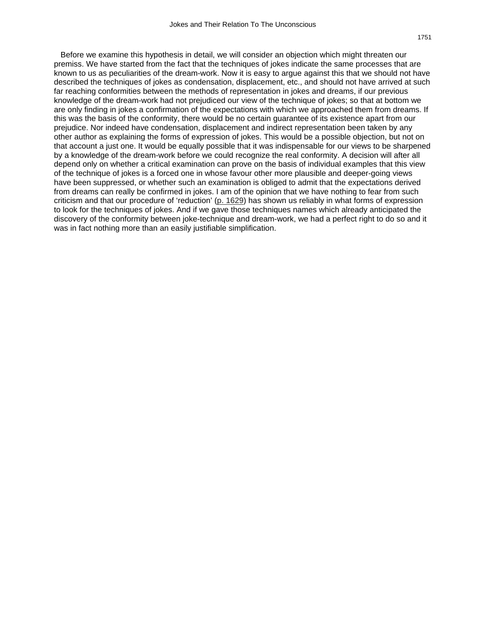#### Jokes and Their Relation To The Unconscious

 Before we examine this hypothesis in detail, we will consider an objection which might threaten our premiss. We have started from the fact that the techniques of jokes indicate the same processes that are known to us as peculiarities of the dream-work. Now it is easy to argue against this that we should not have described the techniques of jokes as condensation, displacement, etc., and should not have arrived at such far reaching conformities between the methods of representation in jokes and dreams, if our previous knowledge of the dream-work had not prejudiced our view of the technique of jokes; so that at bottom we are only finding in jokes a confirmation of the expectations with which we approached them from dreams. If this was the basis of the conformity, there would be no certain guarantee of its existence apart from our prejudice. Nor indeed have condensation, displacement and indirect representation been taken by any other author as explaining the forms of expression of jokes. This would be a possible objection, but not on that account a just one. It would be equally possible that it was indispensable for our views to be sharpened by a knowledge of the dream-work before we could recognize the real conformity. A decision will after all depend only on whether a critical examination can prove on the basis of individual examples that this view of the technique of jokes is a forced one in whose favour other more plausible and deeper-going views have been suppressed, or whether such an examination is obliged to admit that the expectations derived from dreams can really be confirmed in jokes. I am of the opinion that we have nothing to fear from such criticism and that our procedure of 'reduction' (p. 1629) has shown us reliably in what forms of expression to look for the techniques of jokes. And if we gave those techniques names which already anticipated the discovery of the conformity between joke-technique and dream-work, we had a perfect right to do so and it was in fact nothing more than an easily justifiable simplification.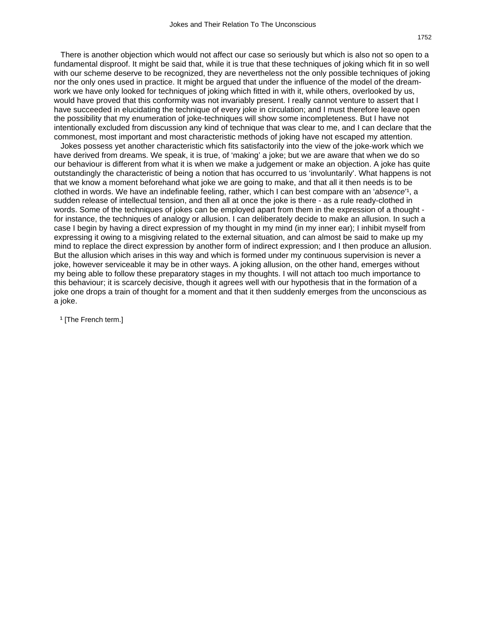There is another objection which would not affect our case so seriously but which is also not so open to a fundamental disproof. It might be said that, while it is true that these techniques of joking which fit in so well with our scheme deserve to be recognized, they are nevertheless not the only possible techniques of joking nor the only ones used in practice. It might be argued that under the influence of the model of the dreamwork we have only looked for techniques of joking which fitted in with it, while others, overlooked by us, would have proved that this conformity was not invariably present. I really cannot venture to assert that I have succeeded in elucidating the technique of every joke in circulation; and I must therefore leave open the possibility that my enumeration of joke-techniques will show some incompleteness. But I have not intentionally excluded from discussion any kind of technique that was clear to me, and I can declare that the commonest, most important and most characteristic methods of joking have not escaped my attention.

 Jokes possess yet another characteristic which fits satisfactorily into the view of the joke-work which we have derived from dreams. We speak, it is true, of 'making' a joke; but we are aware that when we do so our behaviour is different from what it is when we make a judgement or make an objection. A joke has quite outstandingly the characteristic of being a notion that has occurred to us 'involuntarily'. What happens is not that we know a moment beforehand what joke we are going to make, and that all it then needs is to be clothed in words. We have an indefinable feeling, rather, which I can best compare with an 'absence'<sup>1</sup>, a sudden release of intellectual tension, and then all at once the joke is there - as a rule ready-clothed in words. Some of the techniques of jokes can be employed apart from them in the expression of a thought for instance, the techniques of analogy or allusion. I can deliberately decide to make an allusion. In such a case I begin by having a direct expression of my thought in my mind (in my inner ear); I inhibit myself from expressing it owing to a misgiving related to the external situation, and can almost be said to make up my mind to replace the direct expression by another form of indirect expression; and I then produce an allusion. But the allusion which arises in this way and which is formed under my continuous supervision is never a joke, however serviceable it may be in other ways. A joking allusion, on the other hand, emerges without my being able to follow these preparatory stages in my thoughts. I will not attach too much importance to this behaviour; it is scarcely decisive, though it agrees well with our hypothesis that in the formation of a joke one drops a train of thought for a moment and that it then suddenly emerges from the unconscious as a joke.

<sup>1</sup> [The French term.]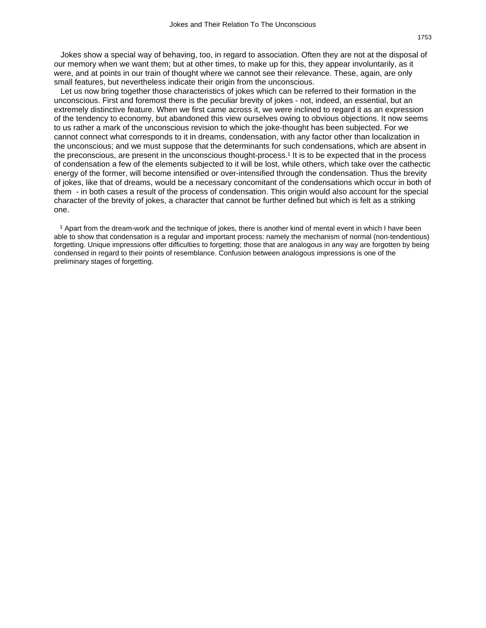Jokes show a special way of behaving, too, in regard to association. Often they are not at the disposal of our memory when we want them; but at other times, to make up for this, they appear involuntarily, as it were, and at points in our train of thought where we cannot see their relevance. These, again, are only small features, but nevertheless indicate their origin from the unconscious.

 Let us now bring together those characteristics of jokes which can be referred to their formation in the unconscious. First and foremost there is the peculiar brevity of jokes - not, indeed, an essential, but an extremely distinctive feature. When we first came across it, we were inclined to regard it as an expression of the tendency to economy, but abandoned this view ourselves owing to obvious objections. It now seems to us rather a mark of the unconscious revision to which the joke-thought has been subjected. For we cannot connect what corresponds to it in dreams, condensation, with any factor other than localization in the unconscious; and we must suppose that the determinants for such condensations, which are absent in the preconscious, are present in the unconscious thought-process.<sup>1</sup> It is to be expected that in the process of condensation a few of the elements subjected to it will be lost, while others, which take over the cathectic energy of the former, will become intensified or over-intensified through the condensation. Thus the brevity of jokes, like that of dreams, would be a necessary concomitant of the condensations which occur in both of them - in both cases a result of the process of condensation. This origin would also account for the special character of the brevity of jokes, a character that cannot be further defined but which is felt as a striking one.

<sup>1</sup> Apart from the dream-work and the technique of jokes, there is another kind of mental event in which I have been able to show that condensation is a regular and important process: namely the mechanism of normal (non-tendentious) forgetting. Unique impressions offer difficulties to forgetting; those that are analogous in any way are forgotten by being condensed in regard to their points of resemblance. Confusion between analogous impressions is one of the preliminary stages of forgetting.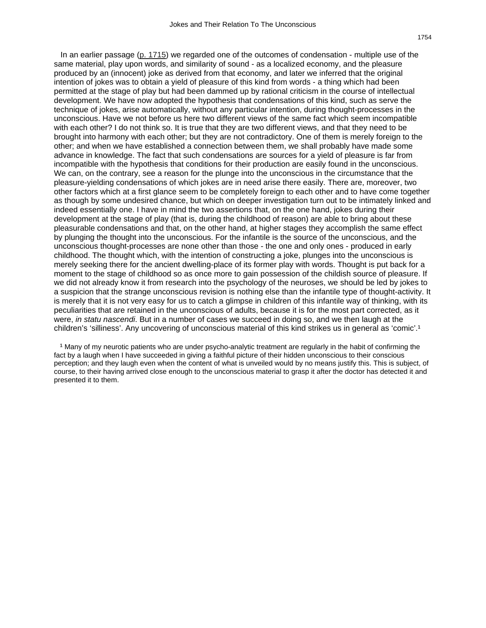In an earlier passage (p. 1715) we regarded one of the outcomes of condensation - multiple use of the same material, play upon words, and similarity of sound - as a localized economy, and the pleasure produced by an (innocent) joke as derived from that economy, and later we inferred that the original intention of jokes was to obtain a yield of pleasure of this kind from words - a thing which had been permitted at the stage of play but had been dammed up by rational criticism in the course of intellectual development. We have now adopted the hypothesis that condensations of this kind, such as serve the technique of jokes, arise automatically, without any particular intention, during thought-processes in the unconscious. Have we not before us here two different views of the same fact which seem incompatible with each other? I do not think so. It is true that they are two different views, and that they need to be brought into harmony with each other; but they are not contradictory. One of them is merely foreign to the other; and when we have established a connection between them, we shall probably have made some advance in knowledge. The fact that such condensations are sources for a yield of pleasure is far from incompatible with the hypothesis that conditions for their production are easily found in the unconscious. We can, on the contrary, see a reason for the plunge into the unconscious in the circumstance that the pleasure-yielding condensations of which jokes are in need arise there easily. There are, moreover, two other factors which at a first glance seem to be completely foreign to each other and to have come together as though by some undesired chance, but which on deeper investigation turn out to be intimately linked and indeed essentially one. I have in mind the two assertions that, on the one hand, jokes during their development at the stage of play (that is, during the childhood of reason) are able to bring about these pleasurable condensations and that, on the other hand, at higher stages they accomplish the same effect by plunging the thought into the unconscious. For the infantile is the source of the unconscious, and the unconscious thought-processes are none other than those - the one and only ones - produced in early childhood. The thought which, with the intention of constructing a joke, plunges into the unconscious is merely seeking there for the ancient dwelling-place of its former play with words. Thought is put back for a moment to the stage of childhood so as once more to gain possession of the childish source of pleasure. If we did not already know it from research into the psychology of the neuroses, we should be led by jokes to a suspicion that the strange unconscious revision is nothing else than the infantile type of thought-activity. It is merely that it is not very easy for us to catch a glimpse in children of this infantile way of thinking, with its peculiarities that are retained in the unconscious of adults, because it is for the most part corrected, as it were, *in statu nascendi*. But in a number of cases we succeed in doing so, and we then laugh at the children's 'silliness'. Any uncovering of unconscious material of this kind strikes us in general as 'comic'.<sup>1</sup>

<sup>1</sup> Many of my neurotic patients who are under psycho-analytic treatment are regularly in the habit of confirming the fact by a laugh when I have succeeded in giving a faithful picture of their hidden unconscious to their conscious perception; and they laugh even when the content of what is unveiled would by no means justify this. This is subject, of course, to their having arrived close enough to the unconscious material to grasp it after the doctor has detected it and presented it to them.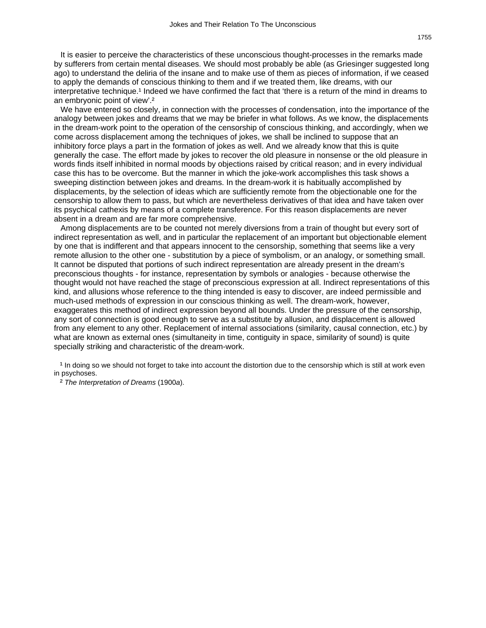It is easier to perceive the characteristics of these unconscious thought-processes in the remarks made by sufferers from certain mental diseases. We should most probably be able (as Griesinger suggested long ago) to understand the deliria of the insane and to make use of them as pieces of information, if we ceased to apply the demands of conscious thinking to them and if we treated them, like dreams, with our interpretative technique.<sup>1</sup> Indeed we have confirmed the fact that 'there is a return of the mind in dreams to an embryonic point of view'.²

 We have entered so closely, in connection with the processes of condensation, into the importance of the analogy between jokes and dreams that we may be briefer in what follows. As we know, the displacements in the dream-work point to the operation of the censorship of conscious thinking, and accordingly, when we come across displacement among the techniques of jokes, we shall be inclined to suppose that an inhibitory force plays a part in the formation of jokes as well. And we already know that this is quite generally the case. The effort made by jokes to recover the old pleasure in nonsense or the old pleasure in words finds itself inhibited in normal moods by objections raised by critical reason; and in every individual case this has to be overcome. But the manner in which the joke-work accomplishes this task shows a sweeping distinction between jokes and dreams. In the dream-work it is habitually accomplished by displacements, by the selection of ideas which are sufficiently remote from the objectionable one for the censorship to allow them to pass, but which are nevertheless derivatives of that idea and have taken over its psychical cathexis by means of a complete transference. For this reason displacements are never absent in a dream and are far more comprehensive.

 Among displacements are to be counted not merely diversions from a train of thought but every sort of indirect representation as well, and in particular the replacement of an important but objectionable element by one that is indifferent and that appears innocent to the censorship, something that seems like a very remote allusion to the other one - substitution by a piece of symbolism, or an analogy, or something small. It cannot be disputed that portions of such indirect representation are already present in the dream's preconscious thoughts - for instance, representation by symbols or analogies - because otherwise the thought would not have reached the stage of preconscious expression at all. Indirect representations of this kind, and allusions whose reference to the thing intended is easy to discover, are indeed permissible and much-used methods of expression in our conscious thinking as well. The dream-work, however, exaggerates this method of indirect expression beyond all bounds. Under the pressure of the censorship, any sort of connection is good enough to serve as a substitute by allusion, and displacement is allowed from any element to any other. Replacement of internal associations (similarity, causal connection, etc.) by what are known as external ones (simultaneity in time, contiguity in space, similarity of sound) is quite specially striking and characteristic of the dream-work.

 $<sup>1</sup>$  In doing so we should not forget to take into account the distortion due to the censorship which is still at work even</sup> in psychoses.

² *The Interpretation of Dreams* (1900*a*).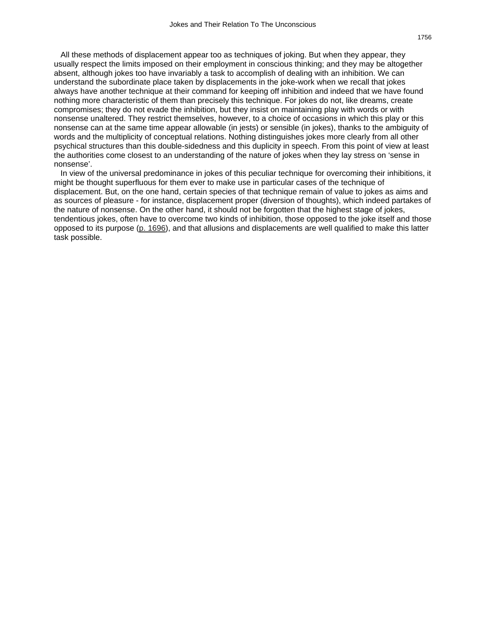All these methods of displacement appear too as techniques of joking. But when they appear, they usually respect the limits imposed on their employment in conscious thinking; and they may be altogether absent, although jokes too have invariably a task to accomplish of dealing with an inhibition. We can understand the subordinate place taken by displacements in the joke-work when we recall that jokes always have another technique at their command for keeping off inhibition and indeed that we have found nothing more characteristic of them than precisely this technique. For jokes do not, like dreams, create compromises; they do not evade the inhibition, but they insist on maintaining play with words or with nonsense unaltered. They restrict themselves, however, to a choice of occasions in which this play or this nonsense can at the same time appear allowable (in jests) or sensible (in jokes), thanks to the ambiguity of words and the multiplicity of conceptual relations. Nothing distinguishes jokes more clearly from all other psychical structures than this double-sidedness and this duplicity in speech. From this point of view at least the authorities come closest to an understanding of the nature of jokes when they lay stress on 'sense in nonsense'.

 In view of the universal predominance in jokes of this peculiar technique for overcoming their inhibitions, it might be thought superfluous for them ever to make use in particular cases of the technique of displacement. But, on the one hand, certain species of that technique remain of value to jokes as aims and as sources of pleasure - for instance, displacement proper (diversion of thoughts), which indeed partakes of the nature of nonsense. On the other hand, it should not be forgotten that the highest stage of jokes, tendentious jokes, often have to overcome two kinds of inhibition, those opposed to the joke itself and those opposed to its purpose (p. 1696), and that allusions and displacements are well qualified to make this latter task possible.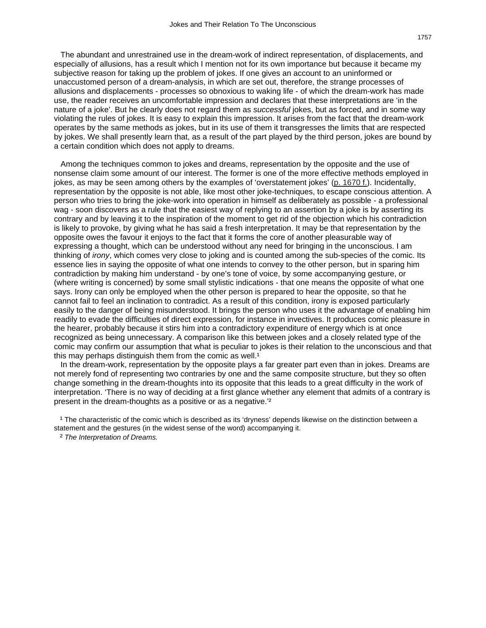The abundant and unrestrained use in the dream-work of indirect representation, of displacements, and especially of allusions, has a result which I mention not for its own importance but because it became my subjective reason for taking up the problem of jokes. If one gives an account to an uninformed or unaccustomed person of a dream-analysis, in which are set out, therefore, the strange processes of allusions and displacements - processes so obnoxious to waking life - of which the dream-work has made use, the reader receives an uncomfortable impression and declares that these interpretations are 'in the nature of a joke'. But he clearly does not regard them as *successful* jokes, but as forced, and in some way violating the rules of jokes. It is easy to explain this impression. It arises from the fact that the dream-work operates by the same methods as jokes, but in its use of them it transgresses the limits that are respected by jokes. We shall presently learn that, as a result of the part played by the third person, jokes are bound by a certain condition which does not apply to dreams.

 Among the techniques common to jokes and dreams, representation by the opposite and the use of nonsense claim some amount of our interest. The former is one of the more effective methods employed in jokes, as may be seen among others by the examples of 'overstatement jokes' (p. 1670 f.). Incidentally, representation by the opposite is not able, like most other joke-techniques, to escape conscious attention. A person who tries to bring the joke-work into operation in himself as deliberately as possible - a professional wag - soon discovers as a rule that the easiest way of replying to an assertion by a joke is by asserting its contrary and by leaving it to the inspiration of the moment to get rid of the objection which his contradiction is likely to provoke, by giving what he has said a fresh interpretation. It may be that representation by the opposite owes the favour it enjoys to the fact that it forms the core of another pleasurable way of expressing a thought, which can be understood without any need for bringing in the unconscious. I am thinking of *irony*, which comes very close to joking and is counted among the sub-species of the comic. Its essence lies in saying the opposite of what one intends to convey to the other person, but in sparing him contradiction by making him understand - by one's tone of voice, by some accompanying gesture, or (where writing is concerned) by some small stylistic indications - that one means the opposite of what one says. Irony can only be employed when the other person is prepared to hear the opposite, so that he cannot fail to feel an inclination to contradict. As a result of this condition, irony is exposed particularly easily to the danger of being misunderstood. It brings the person who uses it the advantage of enabling him readily to evade the difficulties of direct expression, for instance in invectives. It produces comic pleasure in the hearer, probably because it stirs him into a contradictory expenditure of energy which is at once recognized as being unnecessary. A comparison like this between jokes and a closely related type of the comic may confirm our assumption that what is peculiar to jokes is their relation to the unconscious and that this may perhaps distinguish them from the comic as well.<sup>1</sup>

 In the dream-work, representation by the opposite plays a far greater part even than in jokes. Dreams are not merely fond of representing two contraries by one and the same composite structure, but they so often change something in the dream-thoughts into its opposite that this leads to a great difficulty in the work of interpretation. 'There is no way of deciding at a first glance whether any element that admits of a contrary is present in the dream-thoughts as a positive or as a negative.'²

<sup>&</sup>lt;sup>1</sup> The characteristic of the comic which is described as its 'dryness' depends likewise on the distinction between a statement and the gestures (in the widest sense of the word) accompanying it.

² *The Interpretation of Dreams.*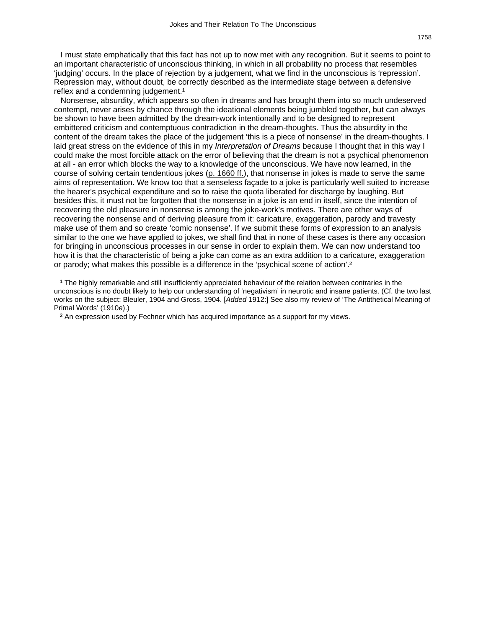I must state emphatically that this fact has not up to now met with any recognition. But it seems to point to an important characteristic of unconscious thinking, in which in all probability no process that resembles 'judging' occurs. In the place of rejection by a judgement, what we find in the unconscious is 'repression'. Repression may, without doubt, be correctly described as the intermediate stage between a defensive reflex and a condemning judgement.<sup>1</sup>

 Nonsense, absurdity, which appears so often in dreams and has brought them into so much undeserved contempt, never arises by chance through the ideational elements being jumbled together, but can always be shown to have been admitted by the dream-work intentionally and to be designed to represent embittered criticism and contemptuous contradiction in the dream-thoughts. Thus the absurdity in the content of the dream takes the place of the judgement 'this is a piece of nonsense' in the dream-thoughts. I laid great stress on the evidence of this in my *Interpretation of Dreams* because I thought that in this way I could make the most forcible attack on the error of believing that the dream is not a psychical phenomenon at all - an error which blocks the way to a knowledge of the unconscious. We have now learned, in the course of solving certain tendentious jokes (p. 1660 ff.), that nonsense in jokes is made to serve the same aims of representation. We know too that a senseless façade to a joke is particularly well suited to increase the hearer's psychical expenditure and so to raise the quota liberated for discharge by laughing. But besides this, it must not be forgotten that the nonsense in a joke is an end in itself, since the intention of recovering the old pleasure in nonsense is among the joke-work's motives. There are other ways of recovering the nonsense and of deriving pleasure from it: caricature, exaggeration, parody and travesty make use of them and so create 'comic nonsense'. If we submit these forms of expression to an analysis similar to the one we have applied to jokes, we shall find that in none of these cases is there any occasion for bringing in unconscious processes in our sense in order to explain them. We can now understand too how it is that the characteristic of being a joke can come as an extra addition to a caricature, exaggeration or parody; what makes this possible is a difference in the 'psychical scene of action'.²

<sup>1</sup> The highly remarkable and still insufficiently appreciated behaviour of the relation between contraries in the unconscious is no doubt likely to help our understanding of 'negativism' in neurotic and insane patients. (Cf. the two last works on the subject: Bleuler, 1904 and Gross, 1904. [*Added* 1912:] See also my review of 'The Antithetical Meaning of Primal Words' (1910*e*).)

² An expression used by Fechner which has acquired importance as a support for my views.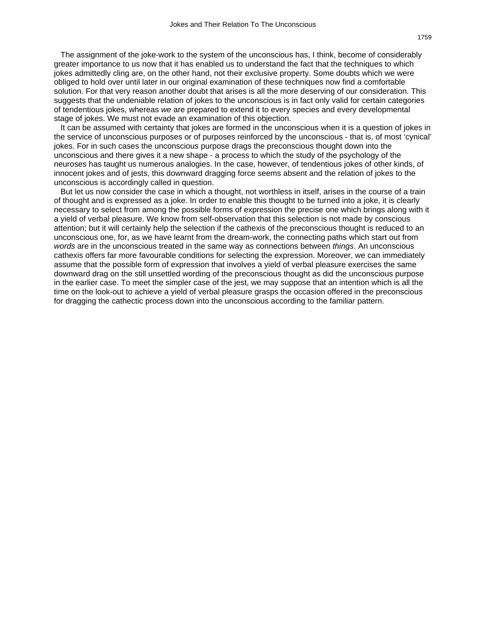The assignment of the joke-work to the system of the unconscious has, I think, become of considerably greater importance to us now that it has enabled us to understand the fact that the techniques to which jokes admittedly cling are, on the other hand, not their exclusive property. Some doubts which we were obliged to hold over until later in our original examination of these techniques now find a comfortable solution. For that very reason another doubt that arises is all the more deserving of our consideration. This suggests that the undeniable relation of jokes to the unconscious is in fact only valid for certain categories of tendentious jokes, whereas *we* are prepared to extend it to every species and every developmental stage of jokes. We must not evade an examination of this objection.

 It can be assumed with certainty that jokes are formed in the unconscious when it is a question of jokes in the service of unconscious purposes or of purposes reinforced by the unconscious - that is, of most 'cynical' jokes. For in such cases the unconscious purpose drags the preconscious thought down into the unconscious and there gives it a new shape - a process to which the study of the psychology of the neuroses has taught us numerous analogies. In the case, however, of tendentious jokes of other kinds, of innocent jokes and of jests, this downward dragging force seems absent and the relation of jokes to the unconscious is accordingly called in question.

 But let us now consider the case in which a thought, not worthless in itself, arises in the course of a train of thought and is expressed as a joke. In order to enable this thought to be turned into a joke, it is clearly necessary to select from among the possible forms of expression the precise one which brings along with it a yield of verbal pleasure. We know from self-observation that this selection is not made by conscious attention; but it will certainly help the selection if the cathexis of the preconscious thought is reduced to an unconscious one, for, as we have learnt from the dream-work, the connecting paths which start out from *words* are in the unconscious treated in the same way as connections between *things*. An unconscious cathexis offers far more favourable conditions for selecting the expression. Moreover, we can immediately assume that the possible form of expression that involves a yield of verbal pleasure exercises the same downward drag on the still unsettled wording of the preconscious thought as did the unconscious purpose in the earlier case. To meet the simpler case of the jest, we may suppose that an intention which is all the time on the look-out to achieve a yield of verbal pleasure grasps the occasion offered in the preconscious for dragging the cathectic process down into the unconscious according to the familiar pattern.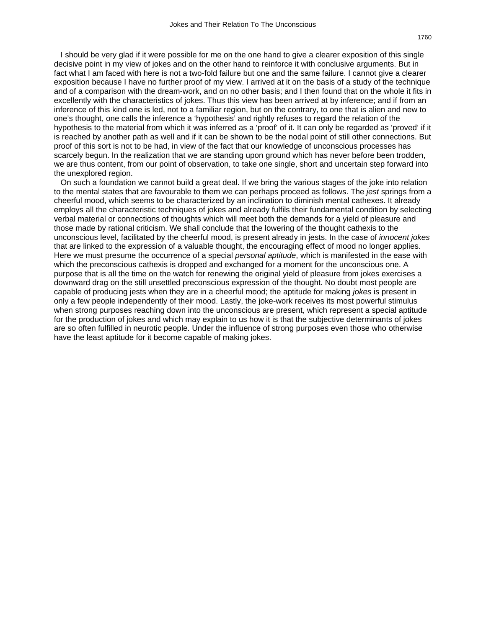I should be very glad if it were possible for me on the one hand to give a clearer exposition of this single decisive point in my view of jokes and on the other hand to reinforce it with conclusive arguments. But in fact what I am faced with here is not a two-fold failure but one and the same failure. I cannot give a clearer exposition because I have no further proof of my view. I arrived at it on the basis of a study of the technique and of a comparison with the dream-work, and on no other basis; and I then found that on the whole it fits in excellently with the characteristics of jokes. Thus this view has been arrived at by inference; and if from an inference of this kind one is led, not to a familiar region, but on the contrary, to one that is alien and new to one's thought, one calls the inference a 'hypothesis' and rightly refuses to regard the relation of the hypothesis to the material from which it was inferred as a 'proof' of it. It can only be regarded as 'proved' if it is reached by another path as well and if it can be shown to be the nodal point of still other connections. But proof of this sort is not to be had, in view of the fact that our knowledge of unconscious processes has scarcely begun. In the realization that we are standing upon ground which has never before been trodden, we are thus content, from our point of observation, to take one single, short and uncertain step forward into the unexplored region.

 On such a foundation we cannot build a great deal. If we bring the various stages of the joke into relation to the mental states that are favourable to them we can perhaps proceed as follows. The *jest* springs from a cheerful mood, which seems to be characterized by an inclination to diminish mental cathexes. It already employs all the characteristic techniques of jokes and already fulfils their fundamental condition by selecting verbal material or connections of thoughts which will meet both the demands for a yield of pleasure and those made by rational criticism. We shall conclude that the lowering of the thought cathexis to the unconscious level, facilitated by the cheerful mood, is present already in jests. In the case of *innocent jokes* that are linked to the expression of a valuable thought, the encouraging effect of mood no longer applies. Here we must presume the occurrence of a special *personal aptitude*, which is manifested in the ease with which the preconscious cathexis is dropped and exchanged for a moment for the unconscious one. A purpose that is all the time on the watch for renewing the original yield of pleasure from jokes exercises a downward drag on the still unsettled preconscious expression of the thought. No doubt most people are capable of producing jests when they are in a cheerful mood; the aptitude for making *jokes* is present in only a few people independently of their mood. Lastly, the joke-work receives its most powerful stimulus when strong purposes reaching down into the unconscious are present, which represent a special aptitude for the production of jokes and which may explain to us how it is that the subjective determinants of jokes are so often fulfilled in neurotic people. Under the influence of strong purposes even those who otherwise have the least aptitude for it become capable of making jokes.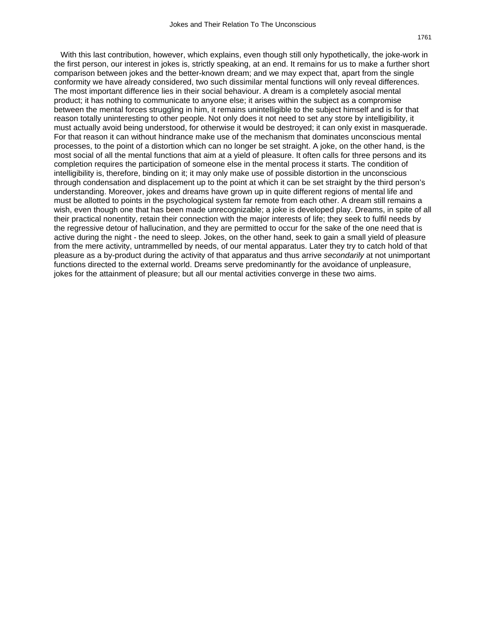With this last contribution, however, which explains, even though still only hypothetically, the joke-work in the first person, our interest in jokes is, strictly speaking, at an end. It remains for us to make a further short comparison between jokes and the better-known dream; and we may expect that, apart from the single conformity we have already considered, two such dissimilar mental functions will only reveal differences. The most important difference lies in their social behaviour. A dream is a completely asocial mental product; it has nothing to communicate to anyone else; it arises within the subject as a compromise between the mental forces struggling in him, it remains unintelligible to the subject himself and is for that reason totally uninteresting to other people. Not only does it not need to set any store by intelligibility, it must actually avoid being understood, for otherwise it would be destroyed; it can only exist in masquerade. For that reason it can without hindrance make use of the mechanism that dominates unconscious mental processes, to the point of a distortion which can no longer be set straight. A joke, on the other hand, is the most social of all the mental functions that aim at a yield of pleasure. It often calls for three persons and its completion requires the participation of someone else in the mental process it starts. The condition of intelligibility is, therefore, binding on it; it may only make use of possible distortion in the unconscious through condensation and displacement up to the point at which it can be set straight by the third person's understanding. Moreover, jokes and dreams have grown up in quite different regions of mental life and must be allotted to points in the psychological system far remote from each other. A dream still remains a wish, even though one that has been made unrecognizable; a joke is developed play. Dreams, in spite of all their practical nonentity, retain their connection with the major interests of life; they seek to fulfil needs by the regressive detour of hallucination, and they are permitted to occur for the sake of the one need that is active during the night - the need to sleep. Jokes, on the other hand, seek to gain a small yield of pleasure from the mere activity, untrammelled by needs, of our mental apparatus. Later they try to catch hold of that pleasure as a by-product during the activity of that apparatus and thus arrive *secondarily* at not unimportant functions directed to the external world. Dreams serve predominantly for the avoidance of unpleasure, jokes for the attainment of pleasure; but all our mental activities converge in these two aims.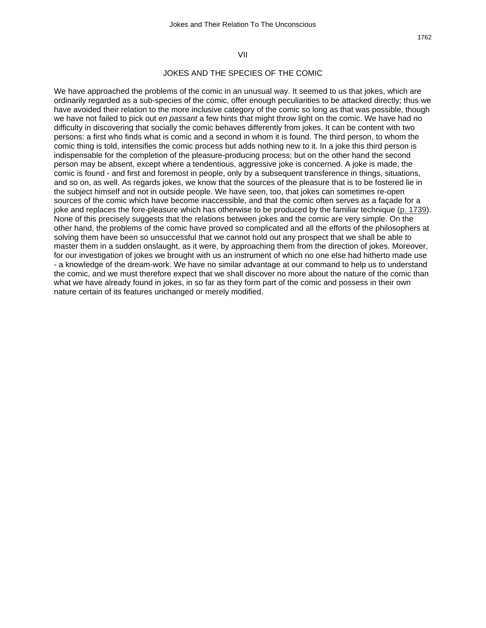VII

## JOKES AND THE SPECIES OF THE COMIC

We have approached the problems of the comic in an unusual way. It seemed to us that jokes, which are ordinarily regarded as a sub-species of the comic, offer enough peculiarities to be attacked directly; thus we have avoided their relation to the more inclusive category of the comic so long as that was possible, though we have not failed to pick out *en passant* a few hints that might throw light on the comic. We have had no difficulty in discovering that socially the comic behaves differently from jokes. It can be content with two persons: a first who finds what is comic and a second in whom it is found. The third person, to whom the comic thing is told, intensifies the comic process but adds nothing new to it. In a joke this third person is indispensable for the completion of the pleasure-producing process; but on the other hand the second person may be absent, except where a tendentious, aggressive joke is concerned. A joke is made, the comic is found - and first and foremost in people, only by a subsequent transference in things, situations, and so on, as well. As regards jokes, we know that the sources of the pleasure that is to be fostered lie in the subject himself and not in outside people. We have seen, too, that jokes can sometimes re-open sources of the comic which have become inaccessible, and that the comic often serves as a façade for a joke and replaces the fore-pleasure which has otherwise to be produced by the familiar technique (p. 1739). None of this precisely suggests that the relations between jokes and the comic are very simple. On the other hand, the problems of the comic have proved so complicated and all the efforts of the philosophers at solving them have been so unsuccessful that we cannot hold out any prospect that we shall be able to master them in a sudden onslaught, as it were, by approaching them from the direction of jokes. Moreover, for our investigation of jokes we brought with us an instrument of which no one else had hitherto made use - a knowledge of the dream-work. We have no similar advantage at our command to help us to understand the comic, and we must therefore expect that we shall discover no more about the nature of the comic than what we have already found in jokes, in so far as they form part of the comic and possess in their own nature certain of its features unchanged or merely modified.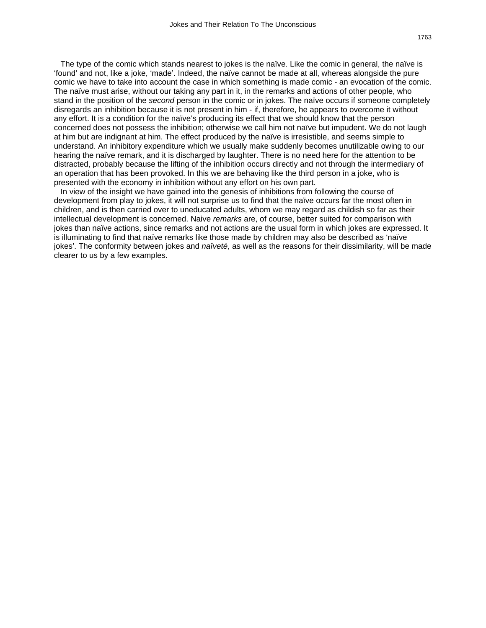## Jokes and Their Relation To The Unconscious

 The type of the comic which stands nearest to jokes is the naïve. Like the comic in general, the naïve is 'found' and not, like a joke, 'made'. Indeed, the naïve cannot be made at all, whereas alongside the pure comic we have to take into account the case in which something is made comic - an evocation of the comic. The naïve must arise, without our taking any part in it, in the remarks and actions of other people, who stand in the position of the *second* person in the comic or in jokes. The naïve occurs if someone completely disregards an inhibition because it is not present in him - if, therefore, he appears to overcome it without any effort. It is a condition for the naïve's producing its effect that we should know that the person concerned does not possess the inhibition; otherwise we call him not naïve but impudent. We do not laugh at him but are indignant at him. The effect produced by the naïve is irresistible, and seems simple to understand. An inhibitory expenditure which we usually make suddenly becomes unutilizable owing to our hearing the naïve remark, and it is discharged by laughter. There is no need here for the attention to be distracted, probably because the lifting of the inhibition occurs directly and not through the intermediary of an operation that has been provoked. In this we are behaving like the third person in a joke, who is presented with the economy in inhibition without any effort on his own part.

 In view of the insight we have gained into the genesis of inhibitions from following the course of development from play to jokes, it will not surprise us to find that the naïve occurs far the most often in children, and is then carried over to uneducated adults, whom we may regard as childish so far as their intellectual development is concerned. Naive *remarks* are, of course, better suited for comparison with jokes than naïve actions, since remarks and not actions are the usual form in which jokes are expressed. It is illuminating to find that naïve remarks like those made by children may also be described as 'naïve jokes'. The conformity between jokes and *naïveté*, as well as the reasons for their dissimilarity, will be made clearer to us by a few examples.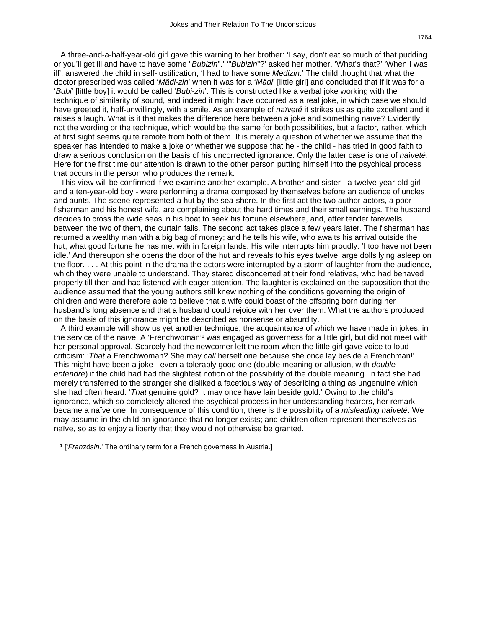A three-and-a-half-year-old girl gave this warning to her brother: 'I say, don't eat so much of that pudding or you'll get ill and have to have some "*Bubizin*".' '"*Bubizin*"?' asked her mother, 'What's that?' 'When I was ill', answered the child in self-justification, 'I had to have some *Medizin*.' The child thought that what the doctor prescribed was called '*Mädi-zin*' when it was for a '*Mädi*' [little girl] and concluded that if it was for a '*Bubi*' [little boy] it would be called '*Bubi-zin*'. This is constructed like a verbal joke working with the technique of similarity of sound, and indeed it might have occurred as a real joke, in which case we should have greeted it, half-unwillingly, with a smile. As an example of *naïveté* it strikes us as quite excellent and it raises a laugh. What is it that makes the difference here between a joke and something naïve? Evidently not the wording or the technique, which would be the same for both possibilities, but a factor, rather, which at first sight seems quite remote from both of them. It is merely a question of whether we assume that the speaker has intended to make a joke or whether we suppose that he - the child - has tried in good faith to draw a serious conclusion on the basis of his uncorrected ignorance. Only the latter case is one of *naïveté*. Here for the first time our attention is drawn to the other person putting himself into the psychical process that occurs in the person who produces the remark.

 This view will be confirmed if we examine another example. A brother and sister - a twelve-year-old girl and a ten-year-old boy - were performing a drama composed by themselves before an audience of uncles and aunts. The scene represented a hut by the sea-shore. In the first act the two author-actors, a poor fisherman and his honest wife, are complaining about the hard times and their small earnings. The husband decides to cross the wide seas in his boat to seek his fortune elsewhere, and, after tender farewells between the two of them, the curtain falls. The second act takes place a few years later. The fisherman has returned a wealthy man with a big bag of money; and he tells his wife, who awaits his arrival outside the hut, what good fortune he has met with in foreign lands. His wife interrupts him proudly: 'I too have not been idle.' And thereupon she opens the door of the hut and reveals to his eyes twelve large dolls lying asleep on the floor. . . . At this point in the drama the actors were interrupted by a storm of laughter from the audience, which they were unable to understand. They stared disconcerted at their fond relatives, who had behaved properly till then and had listened with eager attention. The laughter is explained on the supposition that the audience assumed that the young authors still knew nothing of the conditions governing the origin of children and were therefore able to believe that a wife could boast of the offspring born during her husband's long absence and that a husband could rejoice with her over them. What the authors produced on the basis of this ignorance might be described as nonsense or absurdity.

 A third example will show us yet another technique, the acquaintance of which we have made in jokes, in the service of the naïve. A 'Frenchwoman'<sup>1</sup> was engaged as governess for a little girl, but did not meet with her personal approval. Scarcely had the newcomer left the room when the little girl gave voice to loud criticism: '*That* a Frenchwoman? She may *call* herself one because she once lay beside a Frenchman!' This might have been a joke - even a tolerably good one (double meaning or allusion, with *double entendre*) if the child had had the slightest notion of the possibility of the double meaning. In fact she had merely transferred to the stranger she disliked a facetious way of describing a thing as ungenuine which she had often heard: '*That* genuine gold? It may once have lain beside gold.' Owing to the child's ignorance, which so completely altered the psychical process in her understanding hearers, her remark became a naïve one. In consequence of this condition, there is the possibility of a *misleading naïveté*. We may assume in the child an ignorance that no longer exists; and children often represent themselves as naïve, so as to enjoy a liberty that they would not otherwise be granted.

<sup>&</sup>lt;sup>1</sup> ['*Französin*.' The ordinary term for a French governess in Austria.]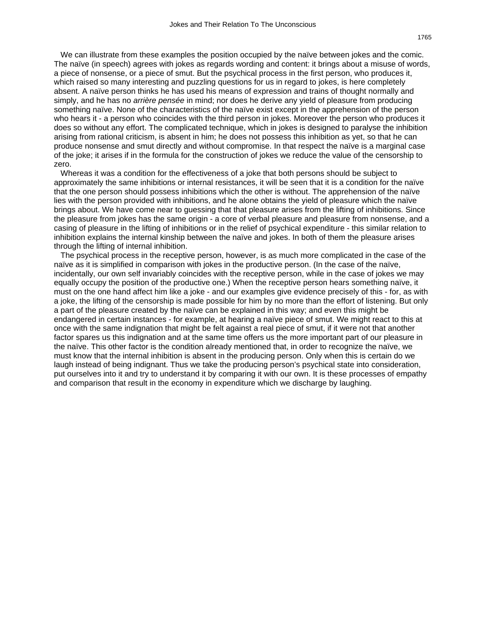We can illustrate from these examples the position occupied by the naïve between jokes and the comic. The naïve (in speech) agrees with jokes as regards wording and content: it brings about a misuse of words, a piece of nonsense, or a piece of smut. But the psychical process in the first person, who produces it, which raised so many interesting and puzzling questions for us in regard to jokes, is here completely absent. A naïve person thinks he has used his means of expression and trains of thought normally and simply, and he has no *arrière pensée* in mind; nor does he derive any yield of pleasure from producing something naïve. None of the characteristics of the naïve exist except in the apprehension of the person who hears it - a person who coincides with the third person in jokes. Moreover the person who produces it does so without any effort. The complicated technique, which in jokes is designed to paralyse the inhibition arising from rational criticism, is absent in him; he does not possess this inhibition as yet, so that he can produce nonsense and smut directly and without compromise. In that respect the naïve is a marginal case of the joke; it arises if in the formula for the construction of jokes we reduce the value of the censorship to zero.

 Whereas it was a condition for the effectiveness of a joke that both persons should be subject to approximately the same inhibitions or internal resistances, it will be seen that it is a condition for the naïve that the one person should possess inhibitions which the other is without. The apprehension of the naïve lies with the person provided with inhibitions, and he alone obtains the yield of pleasure which the naïve brings about. We have come near to guessing that that pleasure arises from the lifting of inhibitions. Since the pleasure from jokes has the same origin - a core of verbal pleasure and pleasure from nonsense, and a casing of pleasure in the lifting of inhibitions or in the relief of psychical expenditure - this similar relation to inhibition explains the internal kinship between the naïve and jokes. In both of them the pleasure arises through the lifting of internal inhibition.

 The psychical process in the receptive person, however, is as much more complicated in the case of the naïve as it is simplified in comparison with jokes in the productive person. (In the case of the naïve, incidentally, our own self invariably coincides with the receptive person, while in the case of jokes we may equally occupy the position of the productive one.) When the receptive person hears something naïve, it must on the one hand affect him like a joke - and our examples give evidence precisely of this - for, as with a joke, the lifting of the censorship is made possible for him by no more than the effort of listening. But only a part of the pleasure created by the naïve can be explained in this way; and even this might be endangered in certain instances - for example, at hearing a naïve piece of smut. We might react to this at once with the same indignation that might be felt against a real piece of smut, if it were not that another factor spares us this indignation and at the same time offers us the more important part of our pleasure in the naïve. This other factor is the condition already mentioned that, in order to recognize the naïve, we must know that the internal inhibition is absent in the producing person. Only when this is certain do we laugh instead of being indignant. Thus we take the producing person's psychical state into consideration, put ourselves into it and try to understand it by comparing it with our own. It is these processes of empathy and comparison that result in the economy in expenditure which we discharge by laughing.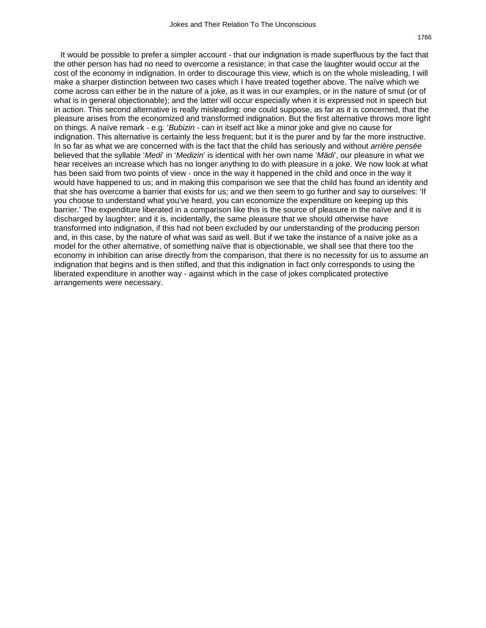It would be possible to prefer a simpler account - that our indignation is made superfluous by the fact that the other person has had no need to overcome a resistance; in that case the laughter would occur at the cost of the economy in indignation. In order to discourage this view, which is on the whole misleading, I will make a sharper distinction between two cases which I have treated together above. The naïve which we come across can either be in the nature of a joke, as it was in our examples, or in the nature of smut (or of what is in general objectionable); and the latter will occur especially when it is expressed not in speech but in action. This second alternative is really misleading: one could suppose, as far as it is concerned, that the pleasure arises from the economized and transformed indignation. But the first alternative throws more light on things. A naïve remark - e.g. '*Bubizin* - can in itself act like a minor joke and give no cause for indignation. This alternative is certainly the less frequent; but it is the purer and by far the more instructive. In so far as what we are concerned with is the fact that the child has seriously and without *arrière pensée* believed that the syllable '*Medi*' in '*Medizin*' is identical with her own name '*Mädi*', our pleasure in what we hear receives an increase which has no longer anything to do with pleasure in a joke. We now look at what has been said from two points of view - once in the way it happened in the child and once in the way it would have happened to us; and in making this comparison we see that the child has found an identity and that she has overcome a barrier that exists for us; and we then seem to go further and say to ourselves: 'If you choose to understand what you've heard, you can economize the expenditure on keeping up this barrier.' The expenditure liberated in a comparison like this is the source of pleasure in the naïve and it is discharged by laughter; and it is, incidentally, the same pleasure that we should otherwise have transformed into indignation, if this had not been excluded by our understanding of the producing person and, in this case, by the nature of what was said as well. But if we take the instance of a naïve joke as a model for the other alternative, of something naïve that is objectionable, we shall see that there too the economy in inhibition can arise directly from the comparison, that there is no necessity for us to assume an indignation that begins and is then stifled, and that this indignation in fact only corresponds to using the liberated expenditure in another way - against which in the case of jokes complicated protective arrangements were necessary.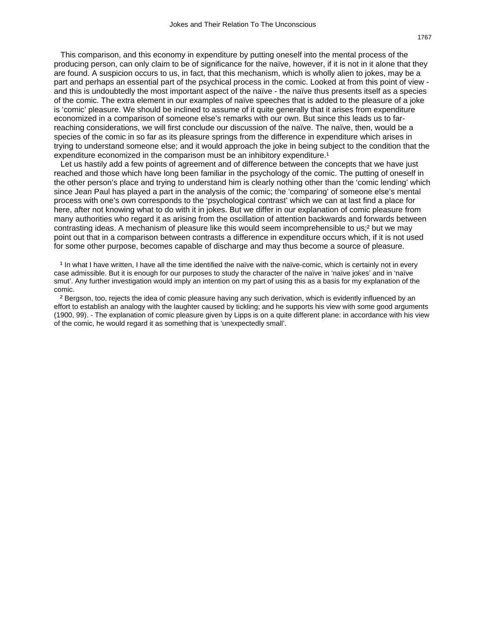This comparison, and this economy in expenditure by putting oneself into the mental process of the producing person, can only claim to be of significance for the naïve, however, if it is not in it alone that they are found. A suspicion occurs to us, in fact, that this mechanism, which is wholly alien to jokes, may be a part and perhaps an essential part of the psychical process in the comic. Looked at from this point of view and this is undoubtedly the most important aspect of the naïve - the naïve thus presents itself as a species of the comic. The extra element in our examples of naïve speeches that is added to the pleasure of a joke is 'comic' pleasure. We should be inclined to assume of it quite generally that it arises from expenditure economized in a comparison of someone else's remarks with our own. But since this leads us to farreaching considerations, we will first conclude our discussion of the naïve. The naïve, then, would be a species of the comic in so far as its pleasure springs from the difference in expenditure which arises in trying to understand someone else; and it would approach the joke in being subject to the condition that the expenditure economized in the comparison must be an inhibitory expenditure.<sup>1</sup>

 Let us hastily add a few points of agreement and of difference between the concepts that we have just reached and those which have long been familiar in the psychology of the comic. The putting of oneself in the other person's place and trying to understand him is clearly nothing other than the 'comic lending' which since Jean Paul has played a part in the analysis of the comic; the 'comparing' of someone else's mental process with one's own corresponds to the 'psychological contrast' which we can at last find a place for here, after not knowing what to do with it in jokes. But we differ in our explanation of comic pleasure from many authorities who regard it as arising from the oscillation of attention backwards and forwards between contrasting ideas. A mechanism of pleasure like this would seem incomprehensible to us;² but we may point out that in a comparison between contrasts a difference in expenditure occurs which, if it is not used for some other purpose, becomes capable of discharge and may thus become a source of pleasure.

 $<sup>1</sup>$  In what I have written. I have all the time identified the naïve with the naïve-comic, which is certainly not in every</sup> case admissible. But it is enough for our purposes to study the character of the naïve in 'naïve jokes' and in 'naïve smut'. Any further investigation would imply an intention on my part of using this as a basis for my explanation of the comic.

 ² Bergson, too, rejects the idea of comic pleasure having any such derivation, which is evidently influenced by an effort to establish an analogy with the laughter caused by tickling; and he supports his view with some good arguments (1900, 99). - The explanation of comic pleasure given by Lipps is on a quite different plane: in accordance with his view of the comic, he would regard it as something that is 'unexpectedly small'.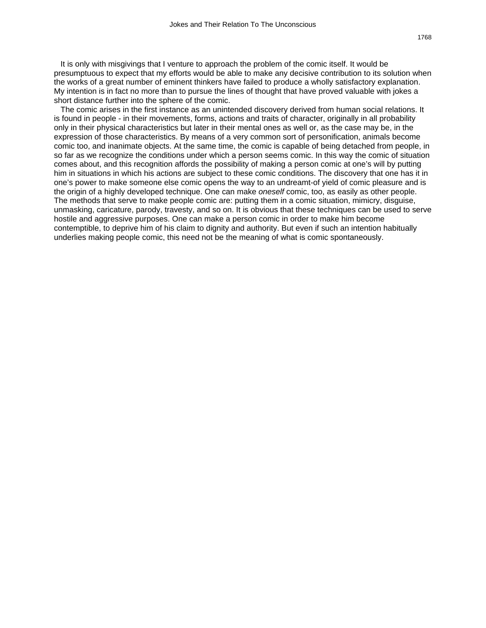It is only with misgivings that I venture to approach the problem of the comic itself. It would be presumptuous to expect that my efforts would be able to make any decisive contribution to its solution when the works of a great number of eminent thinkers have failed to produce a wholly satisfactory explanation. My intention is in fact no more than to pursue the lines of thought that have proved valuable with jokes a short distance further into the sphere of the comic.

 The comic arises in the first instance as an unintended discovery derived from human social relations. It is found in people - in their movements, forms, actions and traits of character, originally in all probability only in their physical characteristics but later in their mental ones as well or, as the case may be, in the expression of those characteristics. By means of a very common sort of personification, animals become comic too, and inanimate objects. At the same time, the comic is capable of being detached from people, in so far as we recognize the conditions under which a person seems comic. In this way the comic of situation comes about, and this recognition affords the possibility of making a person comic at one's will by putting him in situations in which his actions are subject to these comic conditions. The discovery that one has it in one's power to make someone else comic opens the way to an undreamt-of yield of comic pleasure and is the origin of a highly developed technique. One can make *oneself* comic, too, as easily as other people. The methods that serve to make people comic are: putting them in a comic situation, mimicry, disguise, unmasking, caricature, parody, travesty, and so on. It is obvious that these techniques can be used to serve hostile and aggressive purposes. One can make a person comic in order to make him become contemptible, to deprive him of his claim to dignity and authority. But even if such an intention habitually underlies making people comic, this need not be the meaning of what is comic spontaneously.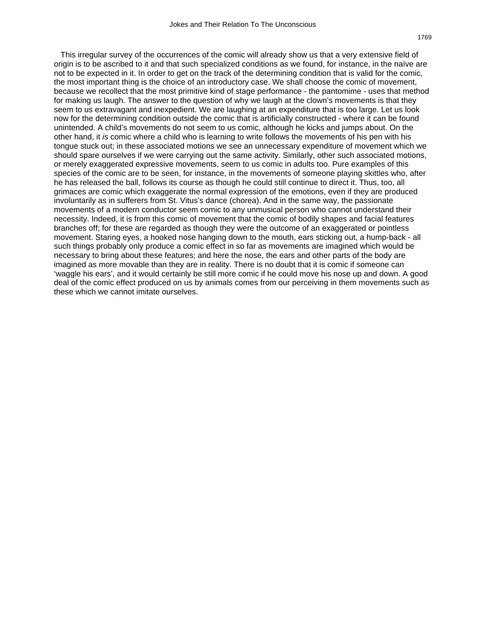This irregular survey of the occurrences of the comic will already show us that a very extensive field of origin is to be ascribed to it and that such specialized conditions as we found, for instance, in the naïve are not to be expected in it. In order to get on the track of the determining condition that is valid for the comic, the most important thing is the choice of an introductory case. We shall choose the comic of movement, because we recollect that the most primitive kind of stage performance - the pantomime - uses that method for making us laugh. The answer to the question of why we laugh at the clown's movements is that they seem to us extravagant and inexpedient. We are laughing at an expenditure that is too large. Let us look now for the determining condition outside the comic that is artificially constructed - where it can be found unintended. A child's movements do not seem to us comic, although he kicks and jumps about. On the other hand, it *is* comic where a child who is learning to write follows the movements of his pen with his tongue stuck out; in these associated motions we see an unnecessary expenditure of movement which we should spare ourselves if we were carrying out the same activity. Similarly, other such associated motions, or merely exaggerated expressive movements, seem to us comic in adults too. Pure examples of this species of the comic are to be seen, for instance, in the movements of someone playing skittles who, after he has released the ball, follows its course as though he could still continue to direct it. Thus, too, all grimaces are comic which exaggerate the normal expression of the emotions, even if they are produced involuntarily as in sufferers from St. Vitus's dance (chorea). And in the same way, the passionate movements of a modern conductor seem comic to any unmusical person who cannot understand their necessity. Indeed, it is from this comic of movement that the comic of bodily shapes and facial features branches off; for these are regarded as though they were the outcome of an exaggerated or pointless movement. Staring eyes, a hooked nose hanging down to the mouth, ears sticking out, a hump-back - all such things probably only produce a comic effect in so far as movements are imagined which would be necessary to bring about these features; and here the nose, the ears and other parts of the body are imagined as more movable than they are in reality. There is no doubt that it is comic if someone can 'waggle his ears', and it would certainly be still more comic if he could move his nose up and down. A good deal of the comic effect produced on us by animals comes from our perceiving in them movements such as these which we cannot imitate ourselves.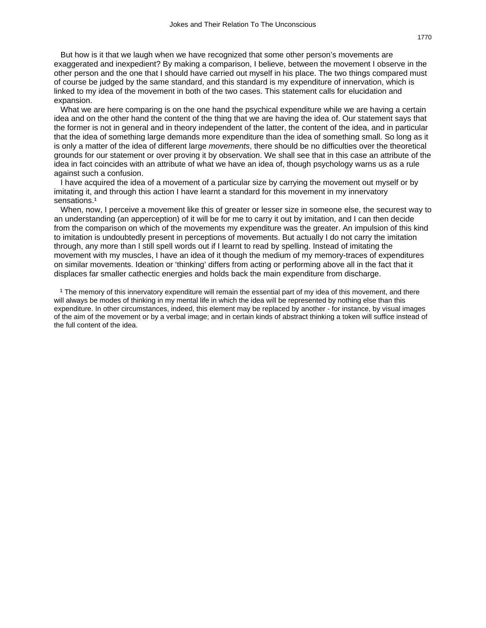But how is it that we laugh when we have recognized that some other person's movements are exaggerated and inexpedient? By making a comparison, I believe, between the movement I observe in the other person and the one that I should have carried out myself in his place. The two things compared must of course be judged by the same standard, and this standard is my expenditure of innervation, which is linked to my idea of the movement in both of the two cases. This statement calls for elucidation and expansion.

What we are here comparing is on the one hand the psychical expenditure while we are having a certain idea and on the other hand the content of the thing that we are having the idea of. Our statement says that the former is not in general and in theory independent of the latter, the content of the idea, and in particular that the idea of something large demands more expenditure than the idea of something small. So long as it is only a matter of the idea of different large *movements*, there should be no difficulties over the theoretical grounds for our statement or over proving it by observation. We shall see that in this case an attribute of the idea in fact coincides with an attribute of what we have an idea of, though psychology warns us as a rule against such a confusion.

 I have acquired the idea of a movement of a particular size by carrying the movement out myself or by imitating it, and through this action I have learnt a standard for this movement in my innervatory sensations.<sup>1</sup>

 When, now, I perceive a movement like this of greater or lesser size in someone else, the securest way to an understanding (an apperception) of it will be for me to carry it out by imitation, and I can then decide from the comparison on which of the movements my expenditure was the greater. An impulsion of this kind to imitation is undoubtedly present in perceptions of movements. But actually I do not carry the imitation through, any more than I still spell words out if I learnt to read by spelling. Instead of imitating the movement with my muscles, I have an idea of it though the medium of my memory-traces of expenditures on similar movements. Ideation or 'thinking' differs from acting or performing above all in the fact that it displaces far smaller cathectic energies and holds back the main expenditure from discharge.

 $<sup>1</sup>$  The memory of this innervatory expenditure will remain the essential part of my idea of this movement, and there</sup> will always be modes of thinking in my mental life in which the idea will be represented by nothing else than this expenditure. In other circumstances, indeed, this element may be replaced by another - for instance, by visual images of the aim of the movement or by a verbal image; and in certain kinds of abstract thinking a token will suffice instead of the full content of the idea.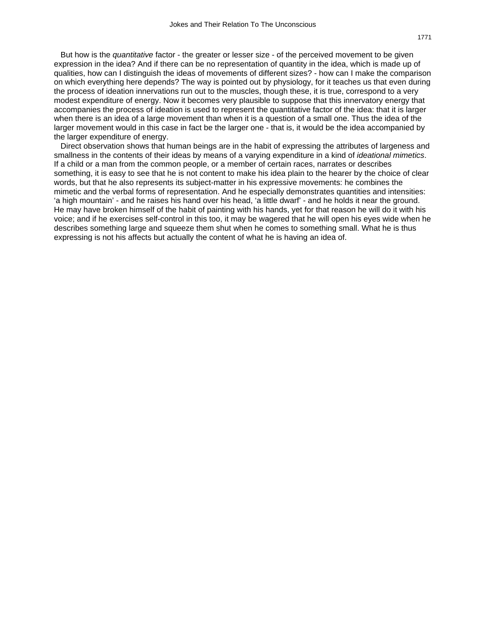But how is the *quantitative* factor - the greater or lesser size - of the perceived movement to be given expression in the idea? And if there can be no representation of quantity in the idea, which is made up of qualities, how can I distinguish the ideas of movements of different sizes? - how can I make the comparison on which everything here depends? The way is pointed out by physiology, for it teaches us that even during the process of ideation innervations run out to the muscles, though these, it is true, correspond to a very modest expenditure of energy. Now it becomes very plausible to suppose that this innervatory energy that accompanies the process of ideation is used to represent the quantitative factor of the idea: that it is larger when there is an idea of a large movement than when it is a question of a small one. Thus the idea of the larger movement would in this case in fact be the larger one - that is, it would be the idea accompanied by the larger expenditure of energy.

 Direct observation shows that human beings are in the habit of expressing the attributes of largeness and smallness in the contents of their ideas by means of a varying expenditure in a kind of *ideational mimetics*. If a child or a man from the common people, or a member of certain races, narrates or describes something, it is easy to see that he is not content to make his idea plain to the hearer by the choice of clear words, but that he also represents its subject-matter in his expressive movements: he combines the mimetic and the verbal forms of representation. And he especially demonstrates quantities and intensities: 'a high mountain' - and he raises his hand over his head, 'a little dwarf' - and he holds it near the ground. He may have broken himself of the habit of painting with his hands, yet for that reason he will do it with his voice; and if he exercises self-control in this too, it may be wagered that he will open his eyes wide when he describes something large and squeeze them shut when he comes to something small. What he is thus expressing is not his affects but actually the content of what he is having an idea of.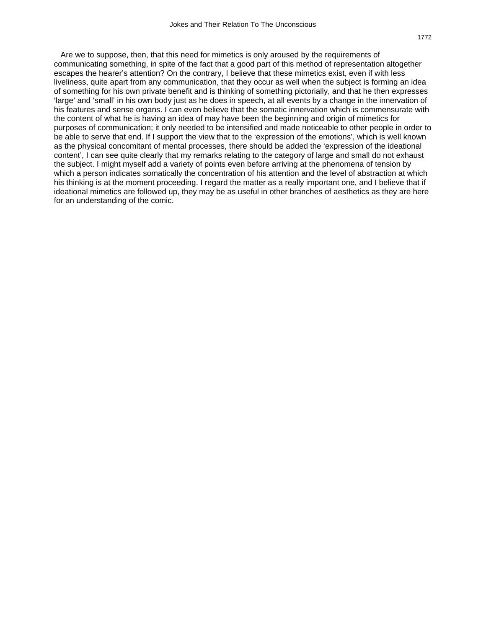## Jokes and Their Relation To The Unconscious

 Are we to suppose, then, that this need for mimetics is only aroused by the requirements of communicating something, in spite of the fact that a good part of this method of representation altogether escapes the hearer's attention? On the contrary, I believe that these mimetics exist, even if with less liveliness, quite apart from any communication, that they occur as well when the subject is forming an idea of something for his own private benefit and is thinking of something pictorially, and that he then expresses 'large' and 'small' in his own body just as he does in speech, at all events by a change in the innervation of his features and sense organs. I can even believe that the somatic innervation which is commensurate with the content of what he is having an idea of may have been the beginning and origin of mimetics for purposes of communication; it only needed to be intensified and made noticeable to other people in order to be able to serve that end. If I support the view that to the 'expression of the emotions', which is well known as the physical concomitant of mental processes, there should be added the 'expression of the ideational content', I can see quite clearly that my remarks relating to the category of large and small do not exhaust the subject. I might myself add a variety of points even before arriving at the phenomena of tension by which a person indicates somatically the concentration of his attention and the level of abstraction at which his thinking is at the moment proceeding. I regard the matter as a really important one, and I believe that if ideational mimetics are followed up, they may be as useful in other branches of aesthetics as they are here for an understanding of the comic.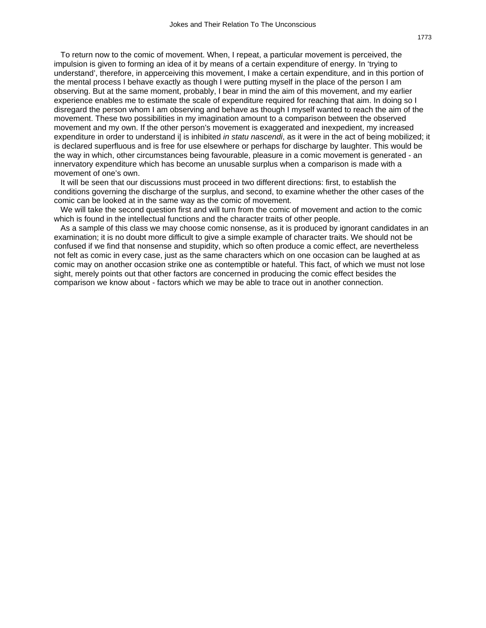To return now to the comic of movement. When, I repeat, a particular movement is perceived, the impulsion is given to forming an idea of it by means of a certain expenditure of energy. In 'trying to understand', therefore, in apperceiving this movement, I make a certain expenditure, and in this portion of the mental process I behave exactly as though I were putting myself in the place of the person I am observing. But at the same moment, probably, I bear in mind the aim of this movement, and my earlier experience enables me to estimate the scale of expenditure required for reaching that aim. In doing so I disregard the person whom I am observing and behave as though I myself wanted to reach the aim of the movement. These two possibilities in my imagination amount to a comparison between the observed movement and my own. If the other person's movement is exaggerated and inexpedient, my increased expenditure in order to understand i| is inhibited *in statu nascendi*, as it were in the act of being mobilized; it is declared superfluous and is free for use elsewhere or perhaps for discharge by laughter. This would be the way in which, other circumstances being favourable, pleasure in a comic movement is generated - an innervatory expenditure which has become an unusable surplus when a comparison is made with a movement of one's own.

 It will be seen that our discussions must proceed in two different directions: first, to establish the conditions governing the discharge of the surplus, and second, to examine whether the other cases of the comic can be looked at in the same way as the comic of movement.

 We will take the second question first and will turn from the comic of movement and action to the comic which is found in the intellectual functions and the character traits of other people.

 As a sample of this class we may choose comic nonsense, as it is produced by ignorant candidates in an examination; it is no doubt more difficult to give a simple example of character traits. We should not be confused if we find that nonsense and stupidity, which so often produce a comic effect, are nevertheless not felt as comic in every case, just as the same characters which on one occasion can be laughed at as comic may on another occasion strike one as contemptible or hateful. This fact, of which we must not lose sight, merely points out that other factors are concerned in producing the comic effect besides the comparison we know about - factors which we may be able to trace out in another connection.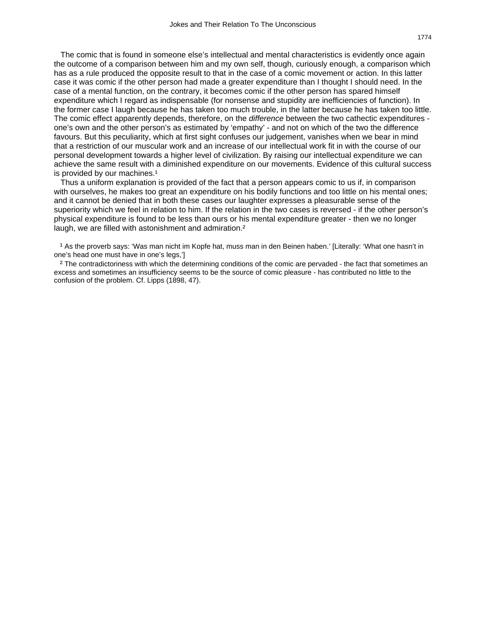The comic that is found in someone else's intellectual and mental characteristics is evidently once again the outcome of a comparison between him and my own self, though, curiously enough, a comparison which has as a rule produced the opposite result to that in the case of a comic movement or action. In this latter case it was comic if the other person had made a greater expenditure than I thought I should need. In the case of a mental function, on the contrary, it becomes comic if the other person has spared himself expenditure which I regard as indispensable (for nonsense and stupidity are inefficiencies of function). In the former case I laugh because he has taken too much trouble, in the latter because he has taken too little. The comic effect apparently depends, therefore, on the *difference* between the two cathectic expenditures one's own and the other person's as estimated by 'empathy' - and not on which of the two the difference favours. But this peculiarity, which at first sight confuses our judgement, vanishes when we bear in mind

that a restriction of our muscular work and an increase of our intellectual work fit in with the course of our personal development towards a higher level of civilization. By raising our intellectual expenditure we can achieve the same result with a diminished expenditure on our movements. Evidence of this cultural success is provided by our machines.<sup>1</sup>

 Thus a uniform explanation is provided of the fact that a person appears comic to us if, in comparison with ourselves, he makes too great an expenditure on his bodily functions and too little on his mental ones; and it cannot be denied that in both these cases our laughter expresses a pleasurable sense of the superiority which we feel in relation to him. If the relation in the two cases is reversed - if the other person's physical expenditure is found to be less than ours or his mental expenditure greater - then we no longer laugh, we are filled with astonishment and admiration.<sup>2</sup>

<sup>1</sup> As the proverb says: 'Was man nicht im Kopfe hat, muss man in den Beinen haben.' [Literally: 'What one hasn't in one's head one must have in one's legs,']

<sup>2</sup> The contradictoriness with which the determining conditions of the comic are pervaded - the fact that sometimes an excess and sometimes an insufficiency seems to be the source of comic pleasure - has contributed no little to the confusion of the problem. Cf. Lipps (1898, 47).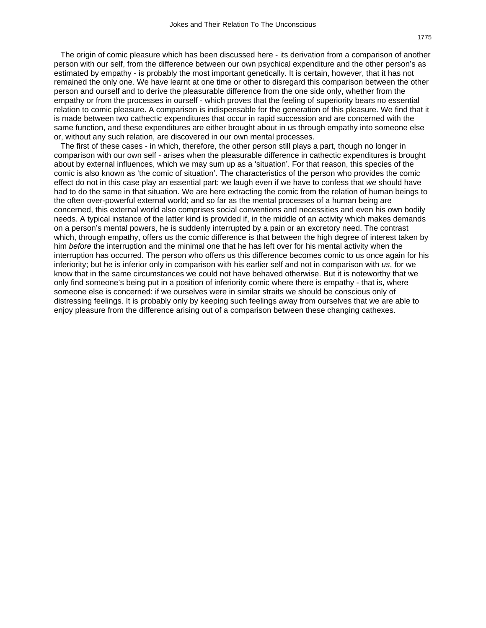The origin of comic pleasure which has been discussed here - its derivation from a comparison of another person with our self, from the difference between our own psychical expenditure and the other person's as estimated by empathy - is probably the most important genetically. It is certain, however, that it has not remained the only one. We have learnt at one time or other to disregard this comparison between the other person and ourself and to derive the pleasurable difference from the one side only, whether from the empathy or from the processes in ourself - which proves that the feeling of superiority bears no essential relation to comic pleasure. A comparison is indispensable for the generation of this pleasure. We find that it is made between two cathectic expenditures that occur in rapid succession and are concerned with the same function, and these expenditures are either brought about in us through empathy into someone else or, without any such relation, are discovered in our own mental processes.

 The first of these cases - in which, therefore, the other person still plays a part, though no longer in comparison with our own self - arises when the pleasurable difference in cathectic expenditures is brought about by external influences, which we may sum up as a 'situation'. For that reason, this species of the comic is also known as 'the comic of situation'. The characteristics of the person who provides the comic effect do not in this case play an essential part: we laugh even if we have to confess that *we* should have had to do the same in that situation. We are here extracting the comic from the relation of human beings to the often over-powerful external world; and so far as the mental processes of a human being are concerned, this external world also comprises social conventions and necessities and even his own bodily needs. A typical instance of the latter kind is provided if, in the middle of an activity which makes demands on a person's mental powers, he is suddenly interrupted by a pain or an excretory need. The contrast which, through empathy, offers us the comic difference is that between the high degree of interest taken by him *before* the interruption and the minimal one that he has left over for his mental activity when the interruption has occurred. The person who offers us this difference becomes comic to us once again for his inferiority; but he is inferior only in comparison with his earlier self and not in comparison with *us*, for we know that in the same circumstances we could not have behaved otherwise. But it is noteworthy that we only find someone's being put in a position of inferiority comic where there is empathy - that is, where someone else is concerned: if we ourselves were in similar straits we should be conscious only of distressing feelings. It is probably only by keeping such feelings away from ourselves that we are able to enjoy pleasure from the difference arising out of a comparison between these changing cathexes.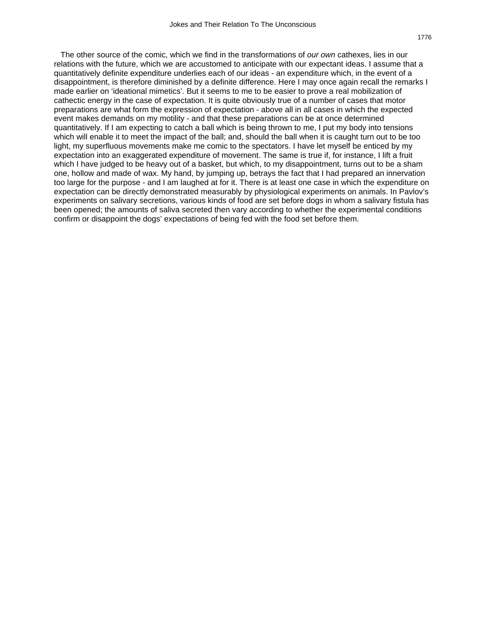The other source of the comic, which we find in the transformations of *our own* cathexes, lies in our relations with the future, which we are accustomed to anticipate with our expectant ideas. I assume that a quantitatively definite expenditure underlies each of our ideas - an expenditure which, in the event of a disappointment, is therefore diminished by a definite difference. Here I may once again recall the remarks I made earlier on 'ideational mimetics'. But it seems to me to be easier to prove a real mobilization of cathectic energy in the case of expectation. It is quite obviously true of a number of cases that motor preparations are what form the expression of expectation - above all in all cases in which the expected event makes demands on my motility - and that these preparations can be at once determined quantitatively. If I am expecting to catch a ball which is being thrown to me, I put my body into tensions which will enable it to meet the impact of the ball; and, should the ball when it is caught turn out to be too light, my superfluous movements make me comic to the spectators. I have let myself be enticed by my expectation into an exaggerated expenditure of movement. The same is true if, for instance, I lift a fruit which I have judged to be heavy out of a basket, but which, to my disappointment, turns out to be a sham one, hollow and made of wax. My hand, by jumping up, betrays the fact that I had prepared an innervation too large for the purpose - and I am laughed at for it. There is at least one case in which the expenditure on expectation can be directly demonstrated measurably by physiological experiments on animals. In Pavlov's experiments on salivary secretions, various kinds of food are set before dogs in whom a salivary fistula has been opened; the amounts of saliva secreted then vary according to whether the experimental conditions confirm or disappoint the dogs' expectations of being fed with the food set before them.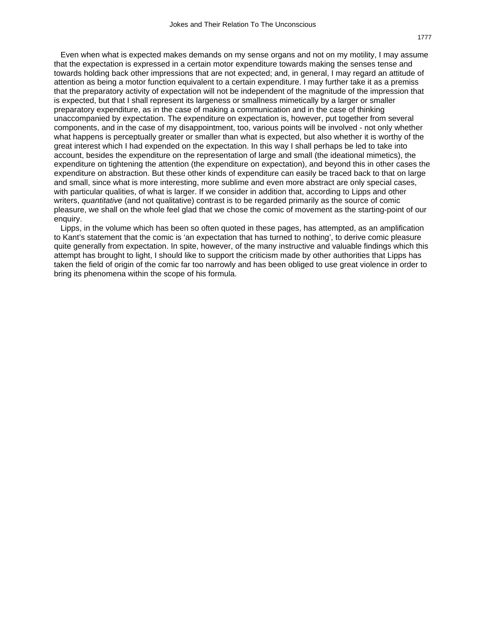Even when what is expected makes demands on my sense organs and not on my motility, I may assume that the expectation is expressed in a certain motor expenditure towards making the senses tense and towards holding back other impressions that are not expected; and, in general, I may regard an attitude of attention as being a motor function equivalent to a certain expenditure. I may further take it as a premiss that the preparatory activity of expectation will not be independent of the magnitude of the impression that is expected, but that I shall represent its largeness or smallness mimetically by a larger or smaller preparatory expenditure, as in the case of making a communication and in the case of thinking unaccompanied by expectation. The expenditure on expectation is, however, put together from several components, and in the case of my disappointment, too, various points will be involved - not only whether what happens is perceptually greater or smaller than what is expected, but also whether it is worthy of the great interest which I had expended on the expectation. In this way I shall perhaps be led to take into account, besides the expenditure on the representation of large and small (the ideational mimetics), the expenditure on tightening the attention (the expenditure on expectation), and beyond this in other cases the expenditure on abstraction. But these other kinds of expenditure can easily be traced back to that on large and small, since what is more interesting, more sublime and even more abstract are only special cases, with particular qualities, of what is larger. If we consider in addition that, according to Lipps and other writers, *quantitative* (and not qualitative) contrast is to be regarded primarily as the source of comic pleasure, we shall on the whole feel glad that we chose the comic of movement as the starting-point of our enquiry.

 Lipps, in the volume which has been so often quoted in these pages, has attempted, as an amplification to Kant's statement that the comic is 'an expectation that has turned to nothing', to derive comic pleasure quite generally from expectation. In spite, however, of the many instructive and valuable findings which this attempt has brought to light, I should like to support the criticism made by other authorities that Lipps has taken the field of origin of the comic far too narrowly and has been obliged to use great violence in order to bring its phenomena within the scope of his formula.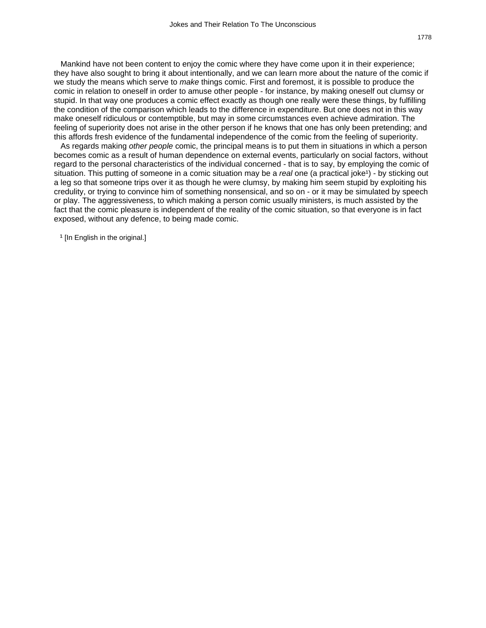Mankind have not been content to enjoy the comic where they have come upon it in their experience; they have also sought to bring it about intentionally, and we can learn more about the nature of the comic if we study the means which serve to *make* things comic. First and foremost, it is possible to produce the comic in relation to oneself in order to amuse other people - for instance, by making oneself out clumsy or stupid. In that way one produces a comic effect exactly as though one really were these things, by fulfilling the condition of the comparison which leads to the difference in expenditure. But one does not in this way make oneself ridiculous or contemptible, but may in some circumstances even achieve admiration. The feeling of superiority does not arise in the other person if he knows that one has only been pretending; and this affords fresh evidence of the fundamental independence of the comic from the feeling of superiority.

 As regards making *other people* comic, the principal means is to put them in situations in which a person becomes comic as a result of human dependence on external events, particularly on social factors, without regard to the personal characteristics of the individual concerned - that is to say, by employing the comic of situation. This putting of someone in a comic situation may be a *real* one (a practical joke<sup>1</sup>) - by sticking out a leg so that someone trips over it as though he were clumsy, by making him seem stupid by exploiting his credulity, or trying to convince him of something nonsensical, and so on - or it may be simulated by speech or play. The aggressiveness, to which making a person comic usually ministers, is much assisted by the fact that the comic pleasure is independent of the reality of the comic situation, so that everyone is in fact exposed, without any defence, to being made comic.

 $<sup>1</sup>$  [In English in the original.]</sup>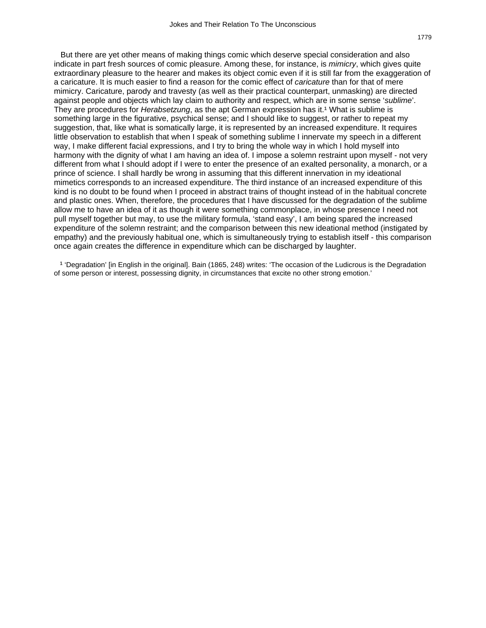1779

 But there are yet other means of making things comic which deserve special consideration and also indicate in part fresh sources of comic pleasure. Among these, for instance, is *mimicry*, which gives quite extraordinary pleasure to the hearer and makes its object comic even if it is still far from the exaggeration of a caricature. It is much easier to find a reason for the comic effect of *caricature* than for that of mere mimicry. Caricature, parody and travesty (as well as their practical counterpart, unmasking) are directed against people and objects which lay claim to authority and respect, which are in some sense '*sublime*'. They are procedures for *Herabsetzung*, as the apt German expression has it.<sup>1</sup> What is sublime is something large in the figurative, psychical sense; and I should like to suggest, or rather to repeat my suggestion, that, like what is somatically large, it is represented by an increased expenditure. It requires little observation to establish that when I speak of something sublime I innervate my speech in a different way, I make different facial expressions, and I try to bring the whole way in which I hold myself into harmony with the dignity of what I am having an idea of. I impose a solemn restraint upon myself - not very different from what I should adopt if I were to enter the presence of an exalted personality, a monarch, or a prince of science. I shall hardly be wrong in assuming that this different innervation in my ideational mimetics corresponds to an increased expenditure. The third instance of an increased expenditure of this kind is no doubt to be found when I proceed in abstract trains of thought instead of in the habitual concrete and plastic ones. When, therefore, the procedures that I have discussed for the degradation of the sublime allow me to have an idea of it as though it were something commonplace, in whose presence I need not pull myself together but may, to use the military formula, 'stand easy', I am being spared the increased expenditure of the solemn restraint; and the comparison between this new ideational method (instigated by empathy) and the previously habitual one, which is simultaneously trying to establish itself - this comparison once again creates the difference in expenditure which can be discharged by laughter.

<sup>1</sup> 'Degradation' [in English in the original]. Bain (1865, 248) writes: 'The occasion of the Ludicrous is the Degradation of some person or interest, possessing dignity, in circumstances that excite no other strong emotion.'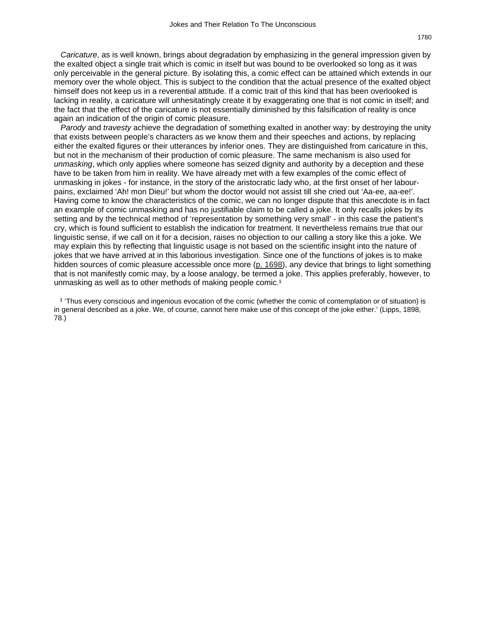*Caricature*, as is well known, brings about degradation by emphasizing in the general impression given by the exalted object a single trait which is comic in itself but was bound to be overlooked so long as it was only perceivable in the general picture. By isolating this, a comic effect can be attained which extends in our memory over the whole object. This is subject to the condition that the actual presence of the exalted object himself does not keep us in a reverential attitude. If a comic trait of this kind that has been overlooked is lacking in reality, a caricature will unhesitatingly create it by exaggerating one that is not comic in itself; and the fact that the effect of the caricature is not essentially diminished by this falsification of reality is once again an indication of the origin of comic pleasure.

 *Parody* and *travesty* achieve the degradation of something exalted in another way: by destroying the unity that exists between people's characters as we know them and their speeches and actions, by replacing either the exalted figures or their utterances by inferior ones. They are distinguished from caricature in this, but not in the mechanism of their production of comic pleasure. The same mechanism is also used for *unmasking*, which only applies where someone has seized dignity and authority by a deception and these have to be taken from him in reality. We have already met with a few examples of the comic effect of unmasking in jokes - for instance, in the story of the aristocratic lady who, at the first onset of her labourpains, exclaimed 'Ah! mon Dieu!' but whom the doctor would not assist till she cried out 'Aa-ee, aa-ee!'. Having come to know the characteristics of the comic, we can no longer dispute that this anecdote is in fact an example of comic unmasking and has no justifiable claim to be called a joke. It only recalls jokes by its setting and by the technical method of 'representation by something very small' - in this case the patient's cry, which is found sufficient to establish the indication for treatment. It nevertheless remains true that our linguistic sense, if we call on it for a decision, raises no objection to our calling a story like this a joke. We may explain this by reflecting that linguistic usage is not based on the scientific insight into the nature of jokes that we have arrived at in this laborious investigation. Since one of the functions of jokes is to make hidden sources of comic pleasure accessible once more (p. 1698), any device that brings to light something that is not manifestly comic may, by a loose analogy, be termed a joke. This applies preferably, however, to unmasking as well as to other methods of making people comic.<sup>1</sup>

<sup>&</sup>lt;sup>1</sup> 'Thus every conscious and ingenious evocation of the comic (whether the comic of contemplation or of situation) is in general described as a joke. We, of course, cannot here make use of this concept of the joke either.' (Lipps, 1898, 78.)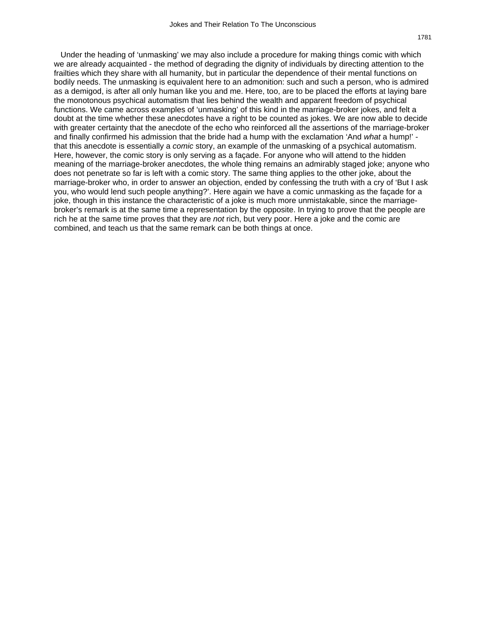## Jokes and Their Relation To The Unconscious

 Under the heading of 'unmasking' we may also include a procedure for making things comic with which we are already acquainted - the method of degrading the dignity of individuals by directing attention to the frailties which they share with all humanity, but in particular the dependence of their mental functions on bodily needs. The unmasking is equivalent here to an admonition: such and such a person, who is admired as a demigod, is after all only human like you and me. Here, too, are to be placed the efforts at laying bare the monotonous psychical automatism that lies behind the wealth and apparent freedom of psychical functions. We came across examples of 'unmasking' of this kind in the marriage-broker jokes, and felt a doubt at the time whether these anecdotes have a right to be counted as jokes. We are now able to decide with greater certainty that the anecdote of the echo who reinforced all the assertions of the marriage-broker and finally confirmed his admission that the bride had a hump with the exclamation 'And *what* a hump!' that this anecdote is essentially a *comic* story, an example of the unmasking of a psychical automatism. Here, however, the comic story is only serving as a façade. For anyone who will attend to the hidden meaning of the marriage-broker anecdotes, the whole thing remains an admirably staged joke; anyone who does not penetrate so far is left with a comic story. The same thing applies to the other joke, about the marriage-broker who, in order to answer an objection, ended by confessing the truth with a cry of 'But I ask you, who would lend such people anything?'. Here again we have a comic unmasking as the façade for a joke, though in this instance the characteristic of a joke is much more unmistakable, since the marriagebroker's remark is at the same time a representation by the opposite. In trying to prove that the people are rich he at the same time proves that they are *not* rich, but very poor. Here a joke and the comic are combined, and teach us that the same remark can be both things at once.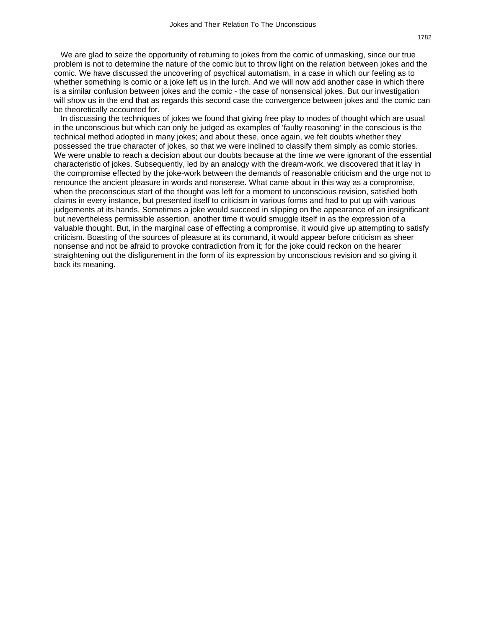We are glad to seize the opportunity of returning to jokes from the comic of unmasking, since our true problem is not to determine the nature of the comic but to throw light on the relation between jokes and the comic. We have discussed the uncovering of psychical automatism, in a case in which our feeling as to whether something is comic or a joke left us in the lurch. And we will now add another case in which there is a similar confusion between jokes and the comic - the case of nonsensical jokes. But our investigation will show us in the end that as regards this second case the convergence between jokes and the comic can be theoretically accounted for.

 In discussing the techniques of jokes we found that giving free play to modes of thought which are usual in the unconscious but which can only be judged as examples of 'faulty reasoning' in the conscious is the technical method adopted in many jokes; and about these, once again, we felt doubts whether they possessed the true character of jokes, so that we were inclined to classify them simply as comic stories. We were unable to reach a decision about our doubts because at the time we were ignorant of the essential characteristic of jokes. Subsequently, led by an analogy with the dream-work, we discovered that it lay in the compromise effected by the joke-work between the demands of reasonable criticism and the urge not to renounce the ancient pleasure in words and nonsense. What came about in this way as a compromise, when the preconscious start of the thought was left for a moment to unconscious revision, satisfied both claims in every instance, but presented itself to criticism in various forms and had to put up with various judgements at its hands. Sometimes a joke would succeed in slipping on the appearance of an insignificant but nevertheless permissible assertion, another time it would smuggle itself in as the expression of a valuable thought. But, in the marginal case of effecting a compromise, it would give up attempting to satisfy criticism. Boasting of the sources of pleasure at its command, it would appear before criticism as sheer nonsense and not be afraid to provoke contradiction from it; for the joke could reckon on the hearer straightening out the disfigurement in the form of its expression by unconscious revision and so giving it back its meaning.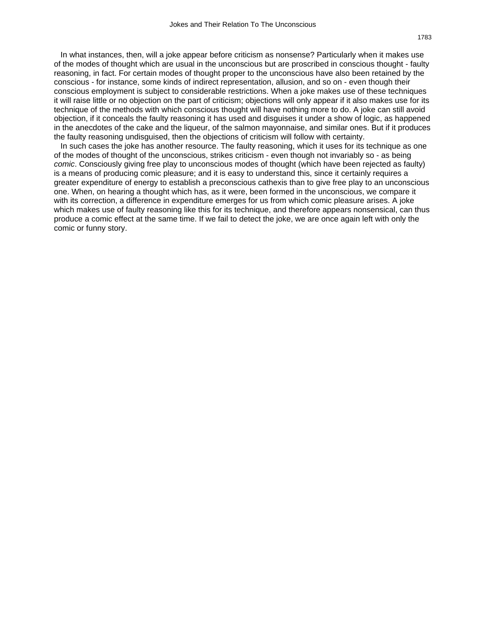In what instances, then, will a joke appear before criticism as nonsense? Particularly when it makes use of the modes of thought which are usual in the unconscious but are proscribed in conscious thought - faulty reasoning, in fact. For certain modes of thought proper to the unconscious have also been retained by the conscious - for instance, some kinds of indirect representation, allusion, and so on - even though their conscious employment is subject to considerable restrictions. When a joke makes use of these techniques it will raise little or no objection on the part of criticism; objections will only appear if it also makes use for its technique of the methods with which conscious thought will have nothing more to do. A joke can still avoid objection, if it conceals the faulty reasoning it has used and disguises it under a show of logic, as happened in the anecdotes of the cake and the liqueur, of the salmon mayonnaise, and similar ones. But if it produces the faulty reasoning undisguised, then the objections of criticism will follow with certainty.

 In such cases the joke has another resource. The faulty reasoning, which it uses for its technique as one of the modes of thought of the unconscious, strikes criticism - even though not invariably so - as being *comic*. Consciously giving free play to unconscious modes of thought (which have been rejected as faulty) is a means of producing comic pleasure; and it is easy to understand this, since it certainly requires a greater expenditure of energy to establish a preconscious cathexis than to give free play to an unconscious one. When, on hearing a thought which has, as it were, been formed in the unconscious, we compare it with its correction, a difference in expenditure emerges for us from which comic pleasure arises. A joke which makes use of faulty reasoning like this for its technique, and therefore appears nonsensical, can thus produce a comic effect at the same time. If we fail to detect the joke, we are once again left with only the comic or funny story.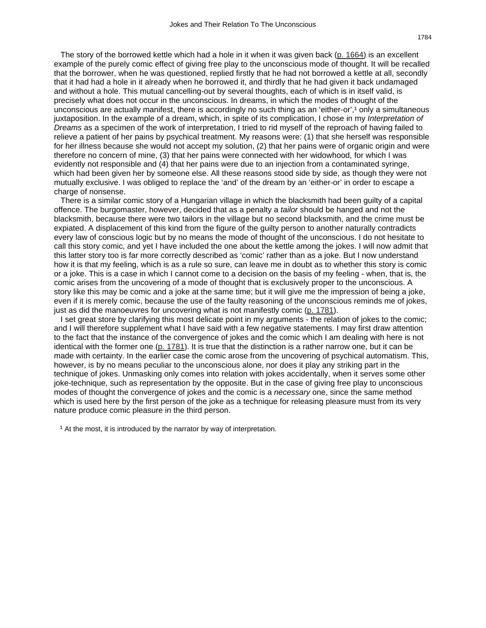The story of the borrowed kettle which had a hole in it when it was given back (p. 1664) is an excellent example of the purely comic effect of giving free play to the unconscious mode of thought. It will be recalled that the borrower, when he was questioned, replied firstly that he had not borrowed a kettle at all, secondly that it had had a hole in it already when he borrowed it, and thirdly that he had given it back undamaged and without a hole. This mutual cancelling-out by several thoughts, each of which is in itself valid, is precisely what does not occur in the unconscious. In dreams, in which the modes of thought of the unconscious are actually manifest, there is accordingly no such thing as an 'either-or',<sup>1</sup> only a simultaneous juxtaposition. In the example of a dream, which, in spite of its complication, I chose in my *Interpretation of Dreams* as a specimen of the work of interpretation, I tried to rid myself of the reproach of having failed to relieve a patient of her pains by psychical treatment. My reasons were: (1) that she herself was responsible for her illness because she would not accept my solution, (2) that her pains were of organic origin and were therefore no concern of mine, (3) that her pains were connected with her widowhood, for which I was evidently not responsible and (4) that her pains were due to an injection from a contaminated syringe, which had been given her by someone else. All these reasons stood side by side, as though they were not mutually exclusive. I was obliged to replace the 'and' of the dream by an 'either-or' in order to escape a charge of nonsense.

 There is a similar comic story of a Hungarian village in which the blacksmith had been guilty of a capital offence. The burgomaster, however, decided that as a penalty a *tailor* should be hanged and not the blacksmith, because there were two tailors in the village but no second blacksmith, and the crime must be expiated. A displacement of this kind from the figure of the guilty person to another naturally contradicts every law of conscious logic but by no means the mode of thought of the unconscious. I do not hesitate to call this story comic, and yet I have included the one about the kettle among the jokes. I will now admit that this latter story too is far more correctly described as 'comic' rather than as a joke. But I now understand how it is that my feeling, which is as a rule so sure, can leave me in doubt as to whether this story is comic or a joke. This is a case in which I cannot come to a decision on the basis of my feeling - when, that is, the comic arises from the uncovering of a mode of thought that is exclusively proper to the unconscious. A story like this may be comic and a joke at the same time; but it will give me the impression of being a joke, even if it is merely comic, because the use of the faulty reasoning of the unconscious reminds me of jokes, just as did the manoeuvres for uncovering what is not manifestly comic (p. 1781).

 I set great store by clarifying this most delicate point in my arguments - the relation of jokes to the comic; and I will therefore supplement what I have said with a few negative statements. I may first draw attention to the fact that the instance of the convergence of jokes and the comic which I am dealing with here is not identical with the former one (p. 1781). It is true that the distinction is a rather narrow one, but it can be made with certainty. In the earlier case the comic arose from the uncovering of psychical automatism. This, however, is by no means peculiar to the unconscious alone, nor does it play any striking part in the technique of jokes. Unmasking only comes into relation with jokes accidentally, when it serves some other joke-technique, such as representation by the opposite. But in the case of giving free play to unconscious modes of thought the convergence of jokes and the comic is a *necessary* one, since the same method which is used here by the first person of the joke as a technique for releasing pleasure must from its very nature produce comic pleasure in the third person.

 $1$  At the most, it is introduced by the narrator by way of interpretation.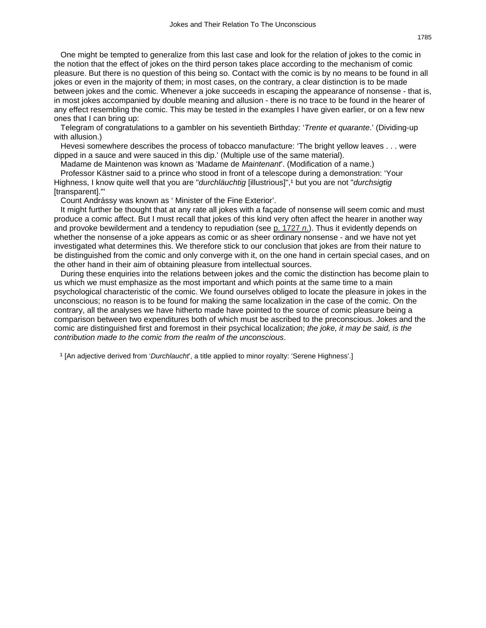One might be tempted to generalize from this last case and look for the relation of jokes to the comic in the notion that the effect of jokes on the third person takes place according to the mechanism of comic pleasure. But there is no question of this being so. Contact with the comic is by no means to be found in all jokes or even in the majority of them; in most cases, on the contrary, a clear distinction is to be made between jokes and the comic. Whenever a joke succeeds in escaping the appearance of nonsense - that is, in most jokes accompanied by double meaning and allusion - there is no trace to be found in the hearer of any effect resembling the comic. This may be tested in the examples I have given earlier, or on a few new ones that I can bring up:

 Telegram of congratulations to a gambler on his seventieth Birthday: '*Trente et quarante*.' (Dividing-up with allusion.)

 Hevesi somewhere describes the process of tobacco manufacture: 'The bright yellow leaves . . . were dipped in a sauce and were sauced in this dip.' (Multiple use of the same material).

Madame de Maintenon was known as 'Madame de *Maintenant*'. (Modification of a name.)

 Professor Kästner said to a prince who stood in front of a telescope during a demonstration: 'Your Highness, I know quite well that you are "*durchläuchtig* [illustrious]",<sup>1</sup> but you are not "*durchsigtig* [transparent]."

Count Andrássy was known as ' Minister of the Fine Exterior'.

 It might further be thought that at any rate all jokes with a façade of nonsense will seem comic and must produce a comic affect. But I must recall that jokes of this kind very often affect the hearer in another way and provoke bewilderment and a tendency to repudiation (see p. 1727 *n*.). Thus it evidently depends on whether the nonsense of a joke appears as comic or as sheer ordinary nonsense - and we have not yet investigated what determines this. We therefore stick to our conclusion that jokes are from their nature to be distinguished from the comic and only converge with it, on the one hand in certain special cases, and on the other hand in their aim of obtaining pleasure from intellectual sources.

 During these enquiries into the relations between jokes and the comic the distinction has become plain to us which we must emphasize as the most important and which points at the same time to a main psychological characteristic of the comic. We found ourselves obliged to locate the pleasure in jokes in the unconscious; no reason is to be found for making the same localization in the case of the comic. On the contrary, all the analyses we have hitherto made have pointed to the source of comic pleasure being a comparison between two expenditures both of which must be ascribed to the preconscious. Jokes and the comic are distinguished first and foremost in their psychical localization; *the joke, it may be said, is the contribution made to the comic from the realm of the unconscious*.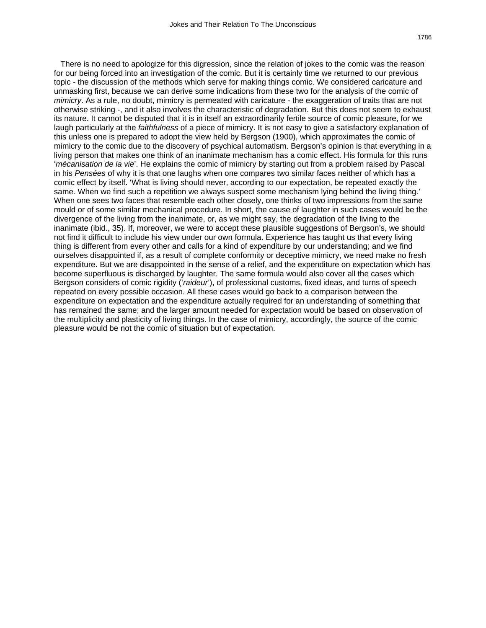There is no need to apologize for this digression, since the relation of jokes to the comic was the reason for our being forced into an investigation of the comic. But it is certainly time we returned to our previous topic - the discussion of the methods which serve for making things comic. We considered caricature and unmasking first, because we can derive some indications from these two for the analysis of the comic of *mimicry*. As a rule, no doubt, mimicry is permeated with caricature - the exaggeration of traits that are not otherwise striking -, and it also involves the characteristic of degradation. But this does not seem to exhaust its nature. It cannot be disputed that it is in itself an extraordinarily fertile source of comic pleasure, for we laugh particularly at the *faithfulness* of a piece of mimicry. It is not easy to give a satisfactory explanation of this unless one is prepared to adopt the view held by Bergson (1900), which approximates the comic of mimicry to the comic due to the discovery of psychical automatism. Bergson's opinion is that everything in a living person that makes one think of an inanimate mechanism has a comic effect. His formula for this runs '*mécanisation de la vie*'. He explains the comic of mimicry by starting out from a problem raised by Pascal in his *Pensées* of why it is that one laughs when one compares two similar faces neither of which has a comic effect by itself. 'What is living should never, according to our expectation, be repeated exactly the same. When we find such a repetition we always suspect some mechanism lying behind the living thing.' When one sees two faces that resemble each other closely, one thinks of two impressions from the same mould or of some similar mechanical procedure. In short, the cause of laughter in such cases would be the divergence of the living from the inanimate, or, as we might say, the degradation of the living to the inanimate (ibid., 35). If, moreover, we were to accept these plausible suggestions of Bergson's, we should not find it difficult to include his view under our own formula. Experience has taught us that every living thing is different from every other and calls for a kind of expenditure by our understanding; and we find ourselves disappointed if, as a result of complete conformity or deceptive mimicry, we need make no fresh expenditure. But we are disappointed in the sense of a relief, and the expenditure on expectation which has become superfluous is discharged by laughter. The same formula would also cover all the cases which Bergson considers of comic rigidity ('*raideur*'), of professional customs, fixed ideas, and turns of speech repeated on every possible occasion. All these cases would go back to a comparison between the expenditure on expectation and the expenditure actually required for an understanding of something that has remained the same; and the larger amount needed for expectation would be based on observation of the multiplicity and plasticity of living things. In the case of mimicry, accordingly, the source of the comic pleasure would be not the comic of situation but of expectation.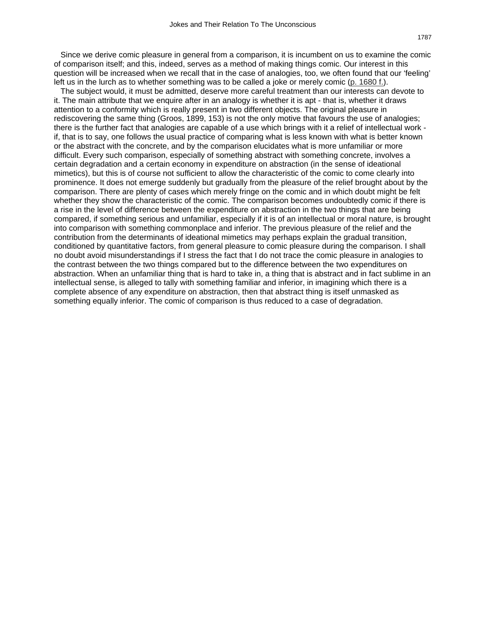Since we derive comic pleasure in general from a comparison, it is incumbent on us to examine the comic of comparison itself; and this, indeed, serves as a method of making things comic. Our interest in this question will be increased when we recall that in the case of analogies, too, we often found that our 'feeling' left us in the lurch as to whether something was to be called a joke or merely comic (p. 1680 f.).

 The subject would, it must be admitted, deserve more careful treatment than our interests can devote to it. The main attribute that we enquire after in an analogy is whether it is apt - that is, whether it draws attention to a conformity which is really present in two different objects. The original pleasure in rediscovering the same thing (Groos, 1899, 153) is not the only motive that favours the use of analogies; there is the further fact that analogies are capable of a use which brings with it a relief of intellectual work if, that is to say, one follows the usual practice of comparing what is less known with what is better known or the abstract with the concrete, and by the comparison elucidates what is more unfamiliar or more difficult. Every such comparison, especially of something abstract with something concrete, involves a certain degradation and a certain economy in expenditure on abstraction (in the sense of ideational mimetics), but this is of course not sufficient to allow the characteristic of the comic to come clearly into prominence. It does not emerge suddenly but gradually from the pleasure of the relief brought about by the comparison. There are plenty of cases which merely fringe on the comic and in which doubt might be felt whether they show the characteristic of the comic. The comparison becomes undoubtedly comic if there is a rise in the level of difference between the expenditure on abstraction in the two things that are being compared, if something serious and unfamiliar, especially if it is of an intellectual or moral nature, is brought into comparison with something commonplace and inferior. The previous pleasure of the relief and the contribution from the determinants of ideational mimetics may perhaps explain the gradual transition, conditioned by quantitative factors, from general pleasure to comic pleasure during the comparison. I shall no doubt avoid misunderstandings if I stress the fact that I do not trace the comic pleasure in analogies to the contrast between the two things compared but to the difference between the two expenditures on abstraction. When an unfamiliar thing that is hard to take in, a thing that is abstract and in fact sublime in an intellectual sense, is alleged to tally with something familiar and inferior, in imagining which there is a complete absence of any expenditure on abstraction, then that abstract thing is itself unmasked as something equally inferior. The comic of comparison is thus reduced to a case of degradation.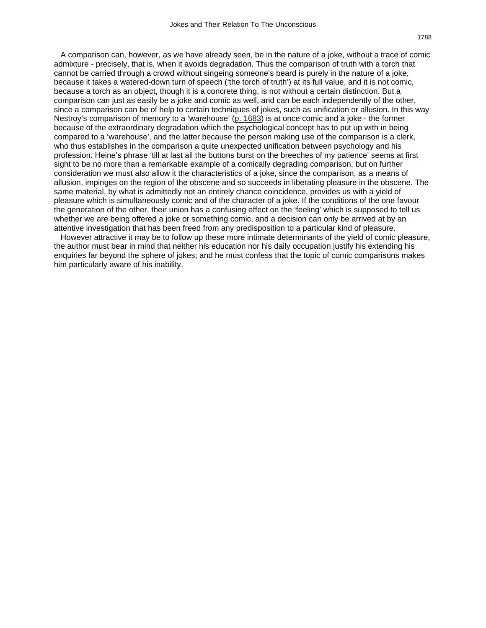A comparison can, however, as we have already seen, be in the nature of a joke, without a trace of comic admixture - precisely, that is, when it avoids degradation. Thus the comparison of truth with a torch that cannot be carried through a crowd without singeing someone's beard is purely in the nature of a joke, because it takes a watered-down turn of speech ('the torch of truth') at its full value, and it is not comic, because a torch as an object, though it is a concrete thing, is not without a certain distinction. But a comparison can just as easily be a joke and comic as well, and can be each independently of the other, since a comparison can be of help to certain techniques of jokes, such as unification or allusion. In this way Nestroy's comparison of memory to a 'warehouse' (p. 1683) is at once comic and a joke - the former because of the extraordinary degradation which the psychological concept has to put up with in being compared to a 'warehouse', and the latter because the person making use of the comparison is a clerk, who thus establishes in the comparison a quite unexpected unification between psychology and his profession. Heine's phrase 'till at last all the buttons burst on the breeches of my patience' seems at first sight to be no more than a remarkable example of a comically degrading comparison; but on further consideration we must also allow it the characteristics of a joke, since the comparison, as a means of allusion, impinges on the region of the obscene and so succeeds in liberating pleasure in the obscene. The same material, by what is admittedly not an entirely chance coincidence, provides us with a yield of pleasure which is simultaneously comic and of the character of a joke. If the conditions of the one favour the generation of the other, their union has a confusing effect on the 'feeling' which is supposed to tell us whether we are being offered a joke or something comic, and a decision can only be arrived at by an attentive investigation that has been freed from any predisposition to a particular kind of pleasure.

 However attractive it may be to follow up these more intimate determinants of the yield of comic pleasure, the author must bear in mind that neither his education nor his daily occupation justify his extending his enquiries far beyond the sphere of jokes; and he must confess that the topic of comic comparisons makes him particularly aware of his inability.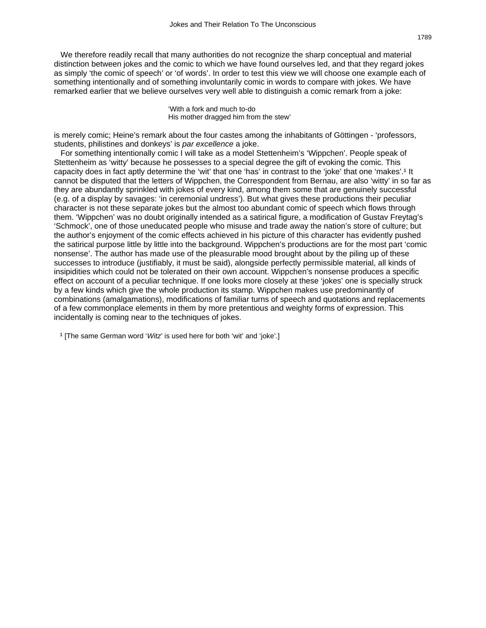We therefore readily recall that many authorities do not recognize the sharp conceptual and material distinction between jokes and the comic to which we have found ourselves led, and that they regard jokes as simply 'the comic of speech' or 'of words'. In order to test this view we will choose one example each of something intentionally and of something involuntarily comic in words to compare with jokes. We have remarked earlier that we believe ourselves very well able to distinguish a comic remark from a joke:

> 'With a fork and much to-do His mother dragged him from the stew'

is merely comic; Heine's remark about the four castes among the inhabitants of Göttingen - 'professors, students, philistines and donkeys' is *par excellence* a joke.

 For something intentionally comic I will take as a model Stettenheim's 'Wippchen'. People speak of Stettenheim as 'witty' because he possesses to a special degree the gift of evoking the comic. This capacity does in fact aptly determine the 'wit' that one 'has' in contrast to the 'joke' that one 'makes'.<sup>1</sup> It cannot be disputed that the letters of Wippchen, the Correspondent from Bernau, are also 'witty' in so far as they are abundantly sprinkled with jokes of every kind, among them some that are genuinely successful (e.g. of a display by savages: 'in ceremonial undress'). But what gives these productions their peculiar character is not these separate jokes but the almost too abundant comic of speech which flows through them. 'Wippchen' was no doubt originally intended as a satirical figure, a modification of Gustav Freytag's 'Schmock', one of those uneducated people who misuse and trade away the nation's store of culture; but the author's enjoyment of the comic effects achieved in his picture of this character has evidently pushed the satirical purpose little by little into the background. Wippchen's productions are for the most part 'comic nonsense'. The author has made use of the pleasurable mood brought about by the piling up of these successes to introduce (justifiably, it must be said), alongside perfectly permissible material, all kinds of insipidities which could not be tolerated on their own account. Wippchen's nonsense produces a specific effect on account of a peculiar technique. If one looks more closely at these 'jokes' one is specially struck by a few kinds which give the whole production its stamp. Wippchen makes use predominantly of combinations (amalgamations), modifications of familiar turns of speech and quotations and replacements of a few commonplace elements in them by more pretentious and weighty forms of expression. This incidentally is coming near to the techniques of jokes.

<sup>1</sup> [The same German word '*Witz*' is used here for both 'wit' and 'joke'.]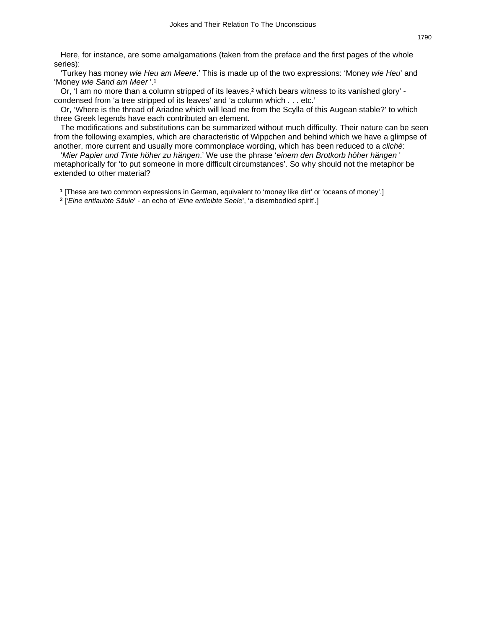Here, for instance, are some amalgamations (taken from the preface and the first pages of the whole series):

 'Turkey has money *wie Heu am Meere*.' This is made up of the two expressions: 'Money *wie Heu*' and 'Money *wie Sand am Meer* '.<sup>1</sup>

 Or, 'I am no more than a column stripped of its leaves,² which bears witness to its vanished glory' condensed from 'a tree stripped of its leaves' and 'a column which . . . etc.'

 Or, 'Where is the thread of Ariadne which will lead me from the Scylla of this Augean stable?' to which three Greek legends have each contributed an element.

 The modifications and substitutions can be summarized without much difficulty. Their nature can be seen from the following examples, which are characteristic of Wippchen and behind which we have a glimpse of another, more current and usually more commonplace wording, which has been reduced to a *cliché*:

 '*Mier Papier und Tinte höher zu hängen*.' We use the phrase '*einem den Brotkorb höher hängen* ' metaphorically for 'to put someone in more difficult circumstances'. So why should not the metaphor be extended to other material?

<sup>1</sup> [These are two common expressions in German, equivalent to 'money like dirt' or 'oceans of money'.]

² ['*Eine entlaubte Säule*' - an echo of '*Eine entleibte Seele*', 'a disembodied spirit'.]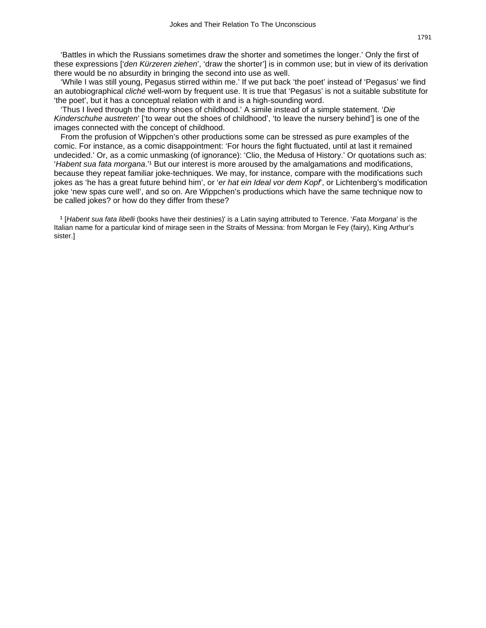'Battles in which the Russians sometimes draw the shorter and sometimes the longer.' Only the first of these expressions ['*den Kürzeren ziehen*', 'draw the shorter'] is in common use; but in view of its derivation there would be no absurdity in bringing the second into use as well.

 'While I was still young, Pegasus stirred within me.' If we put back 'the poet' instead of 'Pegasus' we find an autobiographical *cliché* well-worn by frequent use. It is true that 'Pegasus' is not a suitable substitute for 'the poet', but it has a conceptual relation with it and is a high-sounding word.

 'Thus I lived through the thorny shoes of childhood.' A simile instead of a simple statement. '*Die Kinderschuhe austreten*' ['to wear out the shoes of childhood', 'to leave the nursery behind'] is one of the images connected with the concept of childhood.

 From the profusion of Wippchen's other productions some can be stressed as pure examples of the comic. For instance, as a comic disappointment: 'For hours the fight fluctuated, until at last it remained undecided.' Or, as a comic unmasking (of ignorance): 'Clio, the Medusa of History.' Or quotations such as: '*Habent sua fata morgana*.'<sup>1</sup> But our interest is more aroused by the amalgamations and modifications, because they repeat familiar joke-techniques. We may, for instance, compare with the modifications such jokes as 'he has a great future behind him', or '*er hat ein Ideal vor dem Kopf*', or Lichtenberg's modification joke 'new spas cure well', and so on. Are Wippchen's productions which have the same technique now to be called jokes? or how do they differ from these?

<sup>1</sup> [Habent sua fata libelli (books have their destinies)' is a Latin saying attributed to Terence. '*Fata Morgana*' is the Italian name for a particular kind of mirage seen in the Straits of Messina: from Morgan le Fey (fairy), King Arthur's sister.]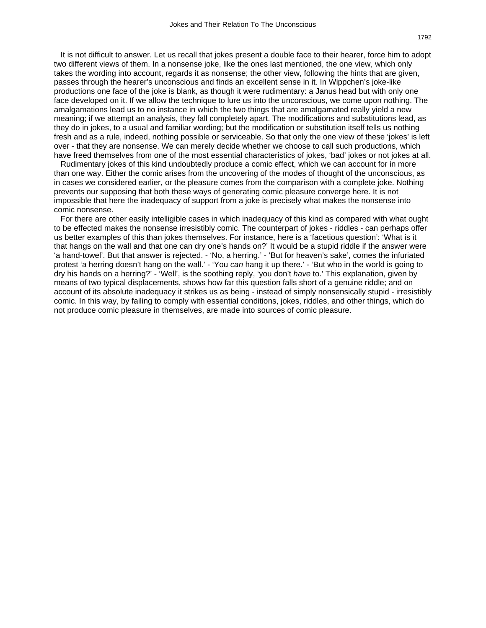It is not difficult to answer. Let us recall that jokes present a double face to their hearer, force him to adopt two different views of them. In a nonsense joke, like the ones last mentioned, the one view, which only takes the wording into account, regards it as nonsense; the other view, following the hints that are given, passes through the hearer's unconscious and finds an excellent sense in it. In Wippchen's joke-like productions one face of the joke is blank, as though it were rudimentary: a Janus head but with only one face developed on it. If we allow the technique to lure us into the unconscious, we come upon nothing. The amalgamations lead us to no instance in which the two things that are amalgamated really yield a new meaning; if we attempt an analysis, they fall completely apart. The modifications and substitutions lead, as they do in jokes, to a usual and familiar wording; but the modification or substitution itself tells us nothing fresh and as a rule, indeed, nothing possible or serviceable. So that only the one view of these 'jokes' is left over - that they are nonsense. We can merely decide whether we choose to call such productions, which have freed themselves from one of the most essential characteristics of jokes, 'bad' jokes or not jokes at all.

 Rudimentary jokes of this kind undoubtedly produce a comic effect, which we can account for in more than one way. Either the comic arises from the uncovering of the modes of thought of the unconscious, as in cases we considered earlier, or the pleasure comes from the comparison with a complete joke. Nothing prevents our supposing that both these ways of generating comic pleasure converge here. It is not impossible that here the inadequacy of support from a joke is precisely what makes the nonsense into comic nonsense.

 For there are other easily intelligible cases in which inadequacy of this kind as compared with what ought to be effected makes the nonsense irresistibly comic. The counterpart of jokes - riddles - can perhaps offer us better examples of this than jokes themselves. For instance, here is a 'facetious question': 'What is it that hangs on the wall and that one can dry one's hands on?' It would be a stupid riddle if the answer were 'a hand-towel'. But that answer is rejected. - 'No, a herring.' - 'But for heaven's sake', comes the infuriated protest 'a herring doesn't hang on the wall.' - 'You *can* hang it up there.' - 'But who in the world is going to dry his hands on a herring?' - 'Well', is the soothing reply, 'you don't *have* to.' This explanation, given by means of two typical displacements, shows how far this question falls short of a genuine riddle; and on account of its absolute inadequacy it strikes us as being - instead of simply nonsensically stupid - irresistibly comic. In this way, by failing to comply with essential conditions, jokes, riddles, and other things, which do not produce comic pleasure in themselves, are made into sources of comic pleasure.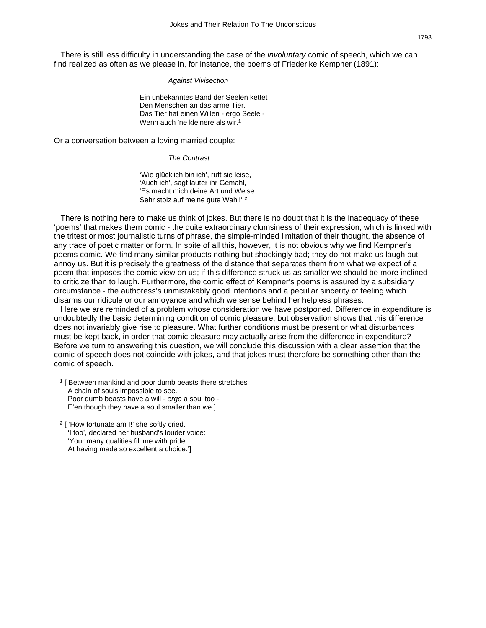There is still less difficulty in understanding the case of the *involuntary* comic of speech, which we can find realized as often as we please in, for instance, the poems of Friederike Kempner (1891):

# *Against Vivisection*

 Ein unbekanntes Band der Seelen kettet Den Menschen an das arme Tier. Das Tier hat einen Willen - ergo Seele - Wenn auch 'ne kleinere als wir. $1$ 

Or a conversation between a loving married couple:

## *The Contrast*

 'Wie glücklich bin ich', ruft sie leise, 'Auch ich', sagt lauter ihr Gemahl, 'Es macht mich deine Art und Weise Sehr stolz auf meine gute Wahl!' <sup>2</sup>

 There is nothing here to make us think of jokes. But there is no doubt that it is the inadequacy of these 'poems' that makes them comic - the quite extraordinary clumsiness of their expression, which is linked with the tritest or most journalistic turns of phrase, the simple-minded limitation of their thought, the absence of any trace of poetic matter or form. In spite of all this, however, it is not obvious why we find Kempner's poems comic. We find many similar products nothing but shockingly bad; they do not make us laugh but annoy us. But it is precisely the greatness of the distance that separates them from what we expect of a poem that imposes the comic view on us; if this difference struck us as smaller we should be more inclined to criticize than to laugh. Furthermore, the comic effect of Kempner's poems is assured by a subsidiary circumstance - the authoress's unmistakably good intentions and a peculiar sincerity of feeling which disarms our ridicule or our annoyance and which we sense behind her helpless phrases.

 Here we are reminded of a problem whose consideration we have postponed. Difference in expenditure is undoubtedly the basic determining condition of comic pleasure; but observation shows that this difference does not invariably give rise to pleasure. What further conditions must be present or what disturbances must be kept back, in order that comic pleasure may actually arise from the difference in expenditure? Before we turn to answering this question, we will conclude this discussion with a clear assertion that the comic of speech does not coincide with jokes, and that jokes must therefore be something other than the comic of speech.

 $1$  [ Between mankind and poor dumb beasts there stretches A chain of souls impossible to see. Poor dumb beasts have a will - *ergo* a soul too - E'en though they have a soul smaller than we.]

 ² [ 'How fortunate am I!' she softly cried. 'I too', declared her husband's louder voice: 'Your many qualities fill me with pride At having made so excellent a choice.']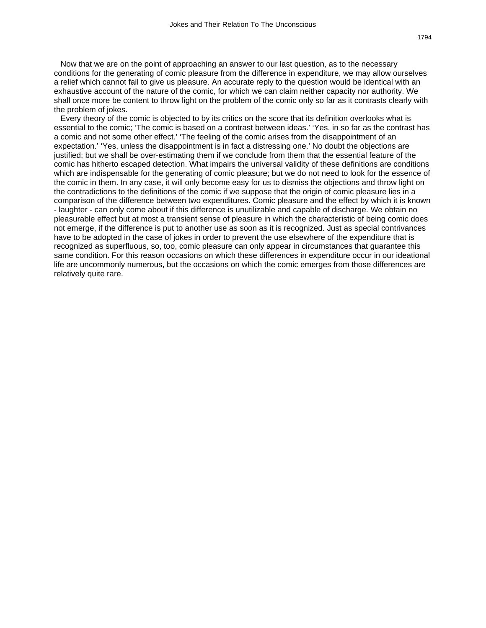Now that we are on the point of approaching an answer to our last question, as to the necessary conditions for the generating of comic pleasure from the difference in expenditure, we may allow ourselves a relief which cannot fail to give us pleasure. An accurate reply to the question would be identical with an exhaustive account of the nature of the comic, for which we can claim neither capacity nor authority. We shall once more be content to throw light on the problem of the comic only so far as it contrasts clearly with the problem of jokes.

 Every theory of the comic is objected to by its critics on the score that its definition overlooks what is essential to the comic; 'The comic is based on a contrast between ideas.' 'Yes, in so far as the contrast has a comic and not some other effect.' 'The feeling of the comic arises from the disappointment of an expectation.' 'Yes, unless the disappointment is in fact a distressing one.' No doubt the objections are justified; but we shall be over-estimating them if we conclude from them that the essential feature of the comic has hitherto escaped detection. What impairs the universal validity of these definitions are conditions which are indispensable for the generating of comic pleasure; but we do not need to look for the essence of the comic in them. In any case, it will only become easy for us to dismiss the objections and throw light on the contradictions to the definitions of the comic if we suppose that the origin of comic pleasure lies in a comparison of the difference between two expenditures. Comic pleasure and the effect by which it is known - laughter - can only come about if this difference is unutilizable and capable of discharge. We obtain no pleasurable effect but at most a transient sense of pleasure in which the characteristic of being comic does not emerge, if the difference is put to another use as soon as it is recognized. Just as special contrivances have to be adopted in the case of jokes in order to prevent the use elsewhere of the expenditure that is recognized as superfluous, so, too, comic pleasure can only appear in circumstances that guarantee this same condition. For this reason occasions on which these differences in expenditure occur in our ideational life are uncommonly numerous, but the occasions on which the comic emerges from those differences are relatively quite rare.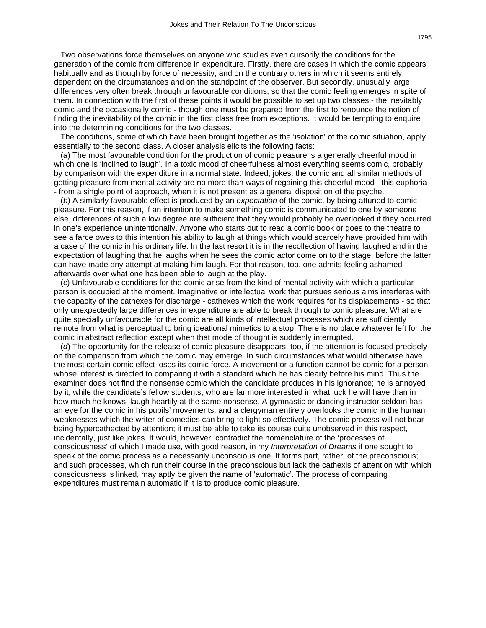Two observations force themselves on anyone who studies even cursorily the conditions for the generation of the comic from difference in expenditure. Firstly, there are cases in which the comic appears habitually and as though by force of necessity, and on the contrary others in which it seems entirely dependent on the circumstances and on the standpoint of the observer. But secondly, unusually large differences very often break through unfavourable conditions, so that the comic feeling emerges in spite of them. In connection with the first of these points it would be possible to set up two classes - the inevitably comic and the occasionally comic - though one must be prepared from the first to renounce the notion of finding the inevitability of the comic in the first class free from exceptions. It would be tempting to enquire into the determining conditions for the two classes.

 The conditions, some of which have been brought together as the 'isolation' of the comic situation, apply essentially to the second class. A closer analysis elicits the following facts:

 (*a*) The most favourable condition for the production of comic pleasure is a generally cheerful mood in which one is 'inclined to laugh'. In a toxic mood of cheerfulness almost everything seems comic, probably by comparison with the expenditure in a normal state. Indeed, jokes, the comic and all similar methods of getting pleasure from mental activity are no more than ways of regaining this cheerful mood - this euphoria - from a single point of approach, when it is not present as a general disposition of the psyche.

 (*b*) A similarly favourable effect is produced by an *expectation* of the comic, by being attuned to comic pleasure. For this reason, if an intention to make something comic is communicated to one by someone else, differences of such a low degree are sufficient that they would probably be overlooked if they occurred in one's experience unintentionally. Anyone who starts out to read a comic book or goes to the theatre to see a farce owes to this intention his ability to laugh at things which would scarcely have provided him with a case of the comic in his ordinary life. In the last resort it is in the recollection of having laughed and in the expectation of laughing that he laughs when he sees the comic actor come on to the stage, before the latter can have made any attempt at making him laugh. For that reason, too, one admits feeling ashamed afterwards over what one has been able to laugh at the play.

 (*c*) Unfavourable conditions for the comic arise from the kind of mental activity with which a particular person is occupied at the moment. Imaginative or intellectual work that pursues serious aims interferes with the capacity of the cathexes for discharge - cathexes which the work requires for its displacements - so that only unexpectedly large differences in expenditure are able to break through to comic pleasure. What are quite specially unfavourable for the comic are all kinds of intellectual processes which are sufficiently remote from what is perceptual to bring ideational mimetics to a stop. There is no place whatever left for the comic in abstract reflection except when that mode of thought is suddenly interrupted.

 (*d*) The opportunity for the release of comic pleasure disappears, too, if the attention is focused precisely on the comparison from which the comic may emerge. In such circumstances what would otherwise have the most certain comic effect loses its comic force. A movement or a function cannot be comic for a person whose interest is directed to comparing it with a standard which he has clearly before his mind. Thus the examiner does not find the nonsense comic which the candidate produces in his ignorance; he is annoyed by it, while the candidate's fellow students, who are far more interested in what luck he will have than in how much he knows, laugh heartily at the same nonsense. A gymnastic or dancing instructor seldom has an eye for the comic in his pupils' movements; and a clergyman entirely overlooks the comic in the human weaknesses which the writer of comedies can bring to light so effectively. The comic process will not bear being hypercathected by attention; it must be able to take its course quite unobserved in this respect, incidentally, just like jokes. It would, however, contradict the nomenclature of the 'processes of consciousness' of which I made use, with good reason, in my *Interpretation of Dreams* if one sought to speak of the comic process as a necessarily unconscious one. It forms part, rather, of the preconscious; and such processes, which run their course in the preconscious but lack the cathexis of attention with which consciousness is linked, may aptly be given the name of 'automatic'. The process of comparing expenditures must remain automatic if it is to produce comic pleasure.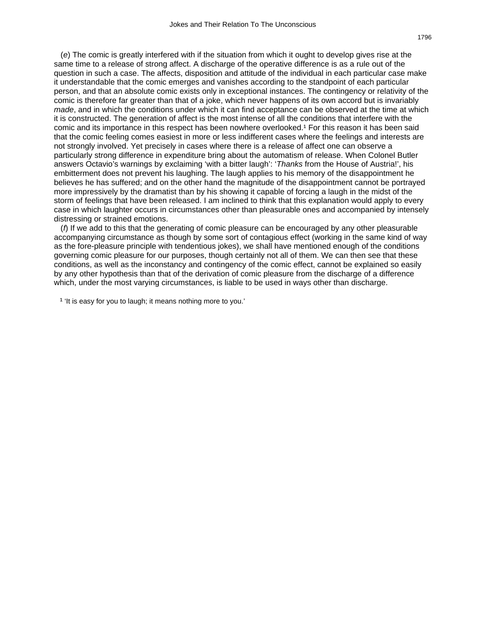1796

 (*e*) The comic is greatly interfered with if the situation from which it ought to develop gives rise at the same time to a release of strong affect. A discharge of the operative difference is as a rule out of the question in such a case. The affects, disposition and attitude of the individual in each particular case make it understandable that the comic emerges and vanishes according to the standpoint of each particular person, and that an absolute comic exists only in exceptional instances. The contingency or relativity of the comic is therefore far greater than that of a joke, which never happens of its own accord but is invariably *made*, and in which the conditions under which it can find acceptance can be observed at the time at which it is constructed. The generation of affect is the most intense of all the conditions that interfere with the comic and its importance in this respect has been nowhere overlooked.<sup>1</sup> For this reason it has been said that the comic feeling comes easiest in more or less indifferent cases where the feelings and interests are not strongly involved. Yet precisely in cases where there is a release of affect one can observe a particularly strong difference in expenditure bring about the automatism of release. When Colonel Butler answers Octavio's warnings by exclaiming 'with a bitter laugh': '*Thanks* from the House of Austria!', his embitterment does not prevent his laughing. The laugh applies to his memory of the disappointment he believes he has suffered; and on the other hand the magnitude of the disappointment cannot be portrayed more impressively by the dramatist than by his showing it capable of forcing a laugh in the midst of the storm of feelings that have been released. I am inclined to think that this explanation would apply to every case in which laughter occurs in circumstances other than pleasurable ones and accompanied by intensely distressing or strained emotions.

 (*f*) If we add to this that the generating of comic pleasure can be encouraged by any other pleasurable accompanying circumstance as though by some sort of contagious effect (working in the same kind of way as the fore-pleasure principle with tendentious jokes), we shall have mentioned enough of the conditions governing comic pleasure for our purposes, though certainly not all of them. We can then see that these conditions, as well as the inconstancy and contingency of the comic effect, cannot be explained so easily by any other hypothesis than that of the derivation of comic pleasure from the discharge of a difference which, under the most varying circumstances, is liable to be used in ways other than discharge.

<sup>&</sup>lt;sup>1</sup> 'It is easy for you to laugh; it means nothing more to you.'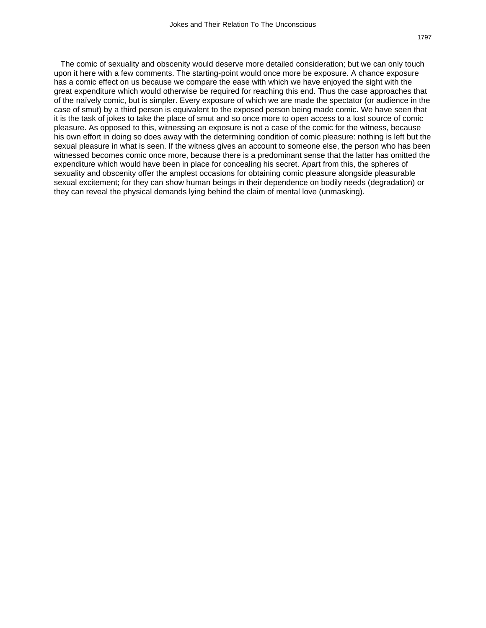The comic of sexuality and obscenity would deserve more detailed consideration; but we can only touch upon it here with a few comments. The starting-point would once more be exposure. A chance exposure has a comic effect on us because we compare the ease with which we have enjoyed the sight with the great expenditure which would otherwise be required for reaching this end. Thus the case approaches that of the naïvely comic, but is simpler. Every exposure of which we are made the spectator (or audience in the case of smut) by a third person is equivalent to the exposed person being made comic. We have seen that it is the task of jokes to take the place of smut and so once more to open access to a lost source of comic pleasure. As opposed to this, witnessing an exposure is not a case of the comic for the witness, because his own effort in doing so does away with the determining condition of comic pleasure: nothing is left but the sexual pleasure in what is seen. If the witness gives an account to someone else, the person who has been witnessed becomes comic once more, because there is a predominant sense that the latter has omitted the expenditure which would have been in place for concealing his secret. Apart from this, the spheres of sexuality and obscenity offer the amplest occasions for obtaining comic pleasure alongside pleasurable sexual excitement; for they can show human beings in their dependence on bodily needs (degradation) or they can reveal the physical demands lying behind the claim of mental love (unmasking).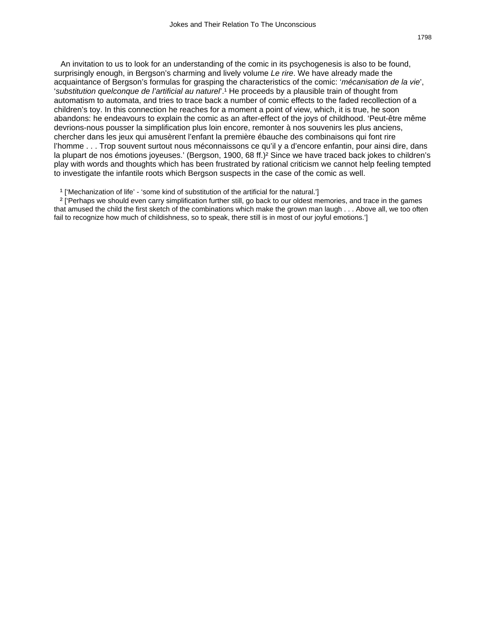### Jokes and Their Relation To The Unconscious

 An invitation to us to look for an understanding of the comic in its psychogenesis is also to be found, surprisingly enough, in Bergson's charming and lively volume *Le rire*. We have already made the acquaintance of Bergson's formulas for grasping the characteristics of the comic: '*mécanisation de la vie*', 'substitution quelconque de l'artificial au naturel<sup>'</sup>.<sup>1</sup> He proceeds by a plausible train of thought from automatism to automata, and tries to trace back a number of comic effects to the faded recollection of a children's toy. In this connection he reaches for a moment a point of view, which, it is true, he soon abandons: he endeavours to explain the comic as an after-effect of the joys of childhood. 'Peut-être même devrions-nous pousser la simplification plus loin encore, remonter à nos souvenirs les plus anciens, chercher dans les jeux qui amusèrent l'enfant la première ébauche des combinaisons qui font rire l'homme . . . Trop souvent surtout nous méconnaissons ce qu'il y a d'encore enfantin, pour ainsi dire, dans la plupart de nos émotions joyeuses.' (Bergson, 1900, 68 ff.)² Since we have traced back jokes to children's play with words and thoughts which has been frustrated by rational criticism we cannot help feeling tempted to investigate the infantile roots which Bergson suspects in the case of the comic as well.

<sup>&</sup>lt;sup>1</sup> ['Mechanization of life' - 'some kind of substitution of the artificial for the natural.']

² ['Perhaps we should even carry simplification further still, go back to our oldest memories, and trace in the games that amused the child the first sketch of the combinations which make the grown man laugh . . . Above all, we too often fail to recognize how much of childishness, so to speak, there still is in most of our joyful emotions.']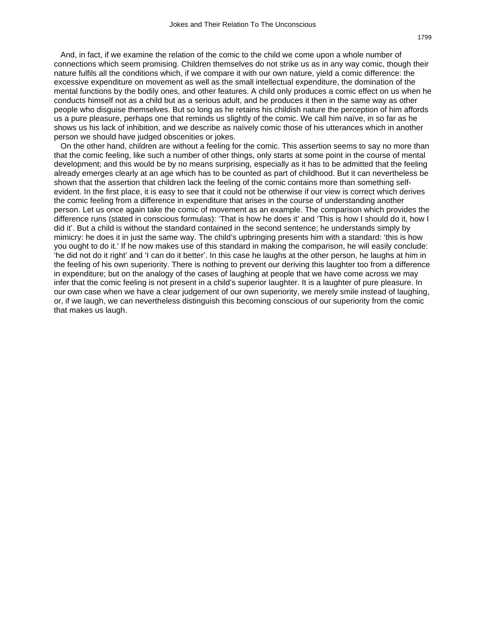And, in fact, if we examine the relation of the comic to the child we come upon a whole number of connections which seem promising. Children themselves do not strike us as in any way comic, though their nature fulfils all the conditions which, if we compare it with our own nature, yield a comic difference: the excessive expenditure on movement as well as the small intellectual expenditure, the domination of the mental functions by the bodily ones, and other features. A child only produces a comic effect on us when he conducts himself not as a child but as a serious adult, and he produces it then in the same way as other people who disguise themselves. But so long as he retains his childish nature the perception of him affords us a pure pleasure, perhaps one that reminds us slightly of the comic. We call him naïve, in so far as he shows us his lack of inhibition, and we describe as naïvely comic those of his utterances which in another person we should have judged obscenities or jokes.

 On the other hand, children are without a feeling for the comic. This assertion seems to say no more than that the comic feeling, like such a number of other things, only starts at some point in the course of mental development; and this would be by no means surprising, especially as it has to be admitted that the feeling already emerges clearly at an age which has to be counted as part of childhood. But it can nevertheless be shown that the assertion that children lack the feeling of the comic contains more than something selfevident. In the first place, it is easy to see that it could not be otherwise if our view is correct which derives the comic feeling from a difference in expenditure that arises in the course of understanding another person. Let us once again take the comic of movement as an example. The comparison which provides the difference runs (stated in conscious formulas): 'That is how he does it' and 'This is how I should do it, how I did it'. But a child is without the standard contained in the second sentence; he understands simply by mimicry: he does it in just the same way. The child's upbringing presents him with a standard: 'this is how you ought to do it.' If he now makes use of this standard in making the comparison, he will easily conclude: 'he did not do it right' and 'I can do it better'. In this case he laughs at the other person, he laughs at him in the feeling of his own superiority. There is nothing to prevent our deriving this laughter too from a difference in expenditure; but on the analogy of the cases of laughing at people that we have come across we may infer that the comic feeling is not present in a child's superior laughter. It is a laughter of pure pleasure. In our own case when we have a clear judgement of our own superiority, we merely smile instead of laughing, or, if we laugh, we can nevertheless distinguish this becoming conscious of our superiority from the comic that makes us laugh.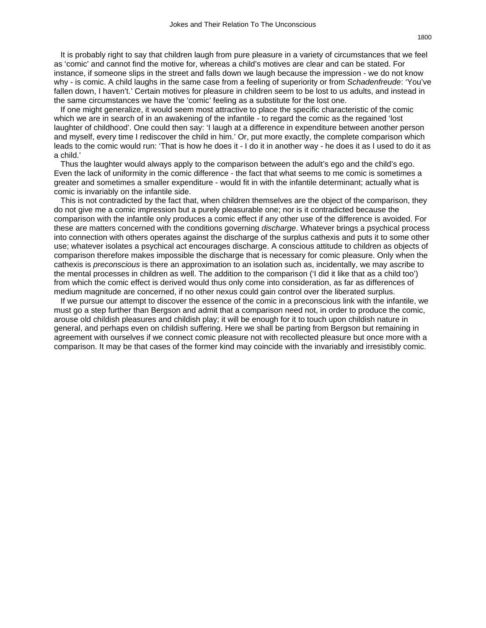It is probably right to say that children laugh from pure pleasure in a variety of circumstances that we feel as 'comic' and cannot find the motive for, whereas a child's motives are clear and can be stated. For instance, if someone slips in the street and falls down we laugh because the impression - we do not know why - is comic. A child laughs in the same case from a feeling of superiority or from *Schadenfreude*: 'You've fallen down, I haven't.' Certain motives for pleasure in children seem to be lost to us adults, and instead in the same circumstances we have the 'comic' feeling as a substitute for the lost one.

 If one might generalize, it would seem most attractive to place the specific characteristic of the comic which we are in search of in an awakening of the infantile - to regard the comic as the regained 'lost laughter of childhood'. One could then say: 'I laugh at a difference in expenditure between another person and myself, every time I rediscover the child in him.' Or, put more exactly, the complete comparison which leads to the comic would run: 'That is how he does it - I do it in another way - he does it as I used to do it as a child.'

 Thus the laughter would always apply to the comparison between the adult's ego and the child's ego. Even the lack of uniformity in the comic difference - the fact that what seems to me comic is sometimes a greater and sometimes a smaller expenditure - would fit in with the infantile determinant; actually what is comic is invariably on the infantile side.

 This is not contradicted by the fact that, when children themselves are the object of the comparison, they do not give me a comic impression but a purely pleasurable one; nor is it contradicted because the comparison with the infantile only produces a comic effect if any other use of the difference is avoided. For these are matters concerned with the conditions governing *discharge*. Whatever brings a psychical process into connection with others operates against the discharge of the surplus cathexis and puts it to some other use; whatever isolates a psychical act encourages discharge. A conscious attitude to children as objects of comparison therefore makes impossible the discharge that is necessary for comic pleasure. Only when the cathexis is *preconscious* is there an approximation to an isolation such as, incidentally, we may ascribe to the mental processes in children as well. The addition to the comparison ('I did it like that as a child too') from which the comic effect is derived would thus only come into consideration, as far as differences of medium magnitude are concerned, if no other nexus could gain control over the liberated surplus.

 If we pursue our attempt to discover the essence of the comic in a preconscious link with the infantile, we must go a step further than Bergson and admit that a comparison need not, in order to produce the comic, arouse old childish pleasures and childish play; it will be enough for it to touch upon childish nature in general, and perhaps even on childish suffering. Here we shall be parting from Bergson but remaining in agreement with ourselves if we connect comic pleasure not with recollected pleasure but once more with a comparison. It may be that cases of the former kind may coincide with the invariably and irresistibly comic.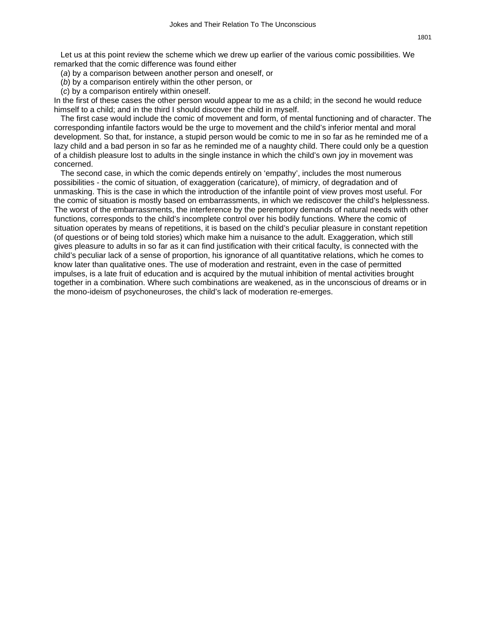Let us at this point review the scheme which we drew up earlier of the various comic possibilities. We remarked that the comic difference was found either

(*a*) by a comparison between another person and oneself, or

(*b*) by a comparison entirely within the other person, or

(*c*) by a comparison entirely within oneself.

In the first of these cases the other person would appear to me as a child; in the second he would reduce himself to a child; and in the third I should discover the child in myself.

 The first case would include the comic of movement and form, of mental functioning and of character. The corresponding infantile factors would be the urge to movement and the child's inferior mental and moral development. So that, for instance, a stupid person would be comic to me in so far as he reminded me of a lazy child and a bad person in so far as he reminded me of a naughty child. There could only be a question of a childish pleasure lost to adults in the single instance in which the child's own joy in movement was concerned.

 The second case, in which the comic depends entirely on 'empathy', includes the most numerous possibilities - the comic of situation, of exaggeration (caricature), of mimicry, of degradation and of unmasking. This is the case in which the introduction of the infantile point of view proves most useful. For the comic of situation is mostly based on embarrassments, in which we rediscover the child's helplessness. The worst of the embarrassments, the interference by the peremptory demands of natural needs with other functions, corresponds to the child's incomplete control over his bodily functions. Where the comic of situation operates by means of repetitions, it is based on the child's peculiar pleasure in constant repetition (of questions or of being told stories) which make him a nuisance to the adult. Exaggeration, which still gives pleasure to adults in so far as it can find justification with their critical faculty, is connected with the child's peculiar lack of a sense of proportion, his ignorance of all quantitative relations, which he comes to know later than qualitative ones. The use of moderation and restraint, even in the case of permitted impulses, is a late fruit of education and is acquired by the mutual inhibition of mental activities brought together in a combination. Where such combinations are weakened, as in the unconscious of dreams or in the mono-ideism of psychoneuroses, the child's lack of moderation re-emerges.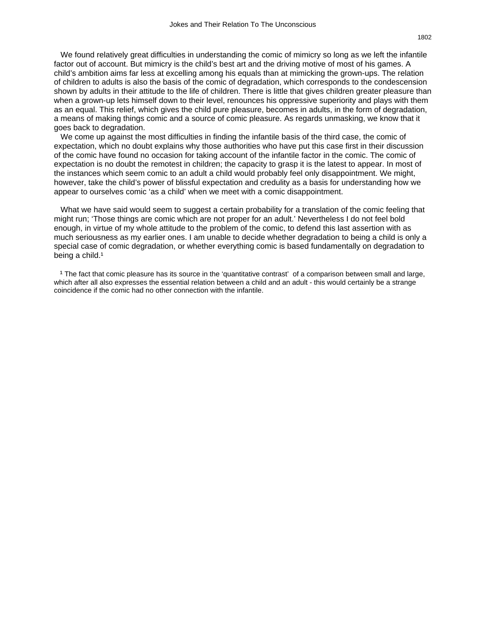We found relatively great difficulties in understanding the comic of mimicry so long as we left the infantile factor out of account. But mimicry is the child's best art and the driving motive of most of his games. A child's ambition aims far less at excelling among his equals than at mimicking the grown-ups. The relation of children to adults is also the basis of the comic of degradation, which corresponds to the condescension shown by adults in their attitude to the life of children. There is little that gives children greater pleasure than when a grown-up lets himself down to their level, renounces his oppressive superiority and plays with them as an equal. This relief, which gives the child pure pleasure, becomes in adults, in the form of degradation, a means of making things comic and a source of comic pleasure. As regards unmasking, we know that it goes back to degradation.

 We come up against the most difficulties in finding the infantile basis of the third case, the comic of expectation, which no doubt explains why those authorities who have put this case first in their discussion of the comic have found no occasion for taking account of the infantile factor in the comic. The comic of expectation is no doubt the remotest in children; the capacity to grasp it is the latest to appear. In most of the instances which seem comic to an adult a child would probably feel only disappointment. We might, however, take the child's power of blissful expectation and credulity as a basis for understanding how we appear to ourselves comic 'as a child' when we meet with a comic disappointment.

What we have said would seem to suggest a certain probability for a translation of the comic feeling that might run; 'Those things are comic which are not proper for an adult.' Nevertheless I do not feel bold enough, in virtue of my whole attitude to the problem of the comic, to defend this last assertion with as much seriousness as my earlier ones. I am unable to decide whether degradation to being a child is only a special case of comic degradation, or whether everything comic is based fundamentally on degradation to being a child.<sup>1</sup>

<sup>1</sup> The fact that comic pleasure has its source in the 'quantitative contrast' of a comparison between small and large, which after all also expresses the essential relation between a child and an adult - this would certainly be a strange coincidence if the comic had no other connection with the infantile.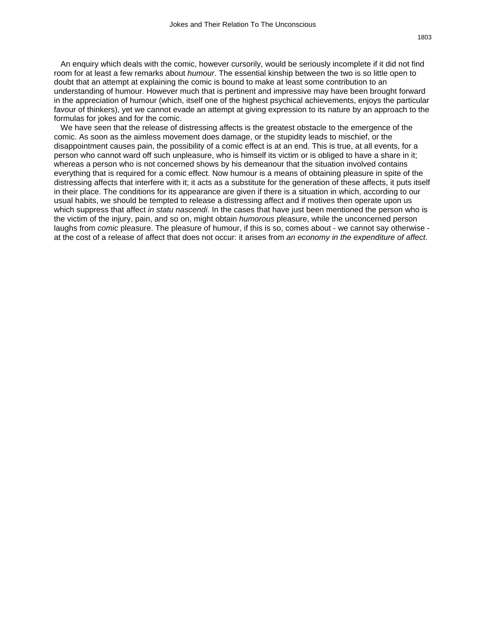An enquiry which deals with the comic, however cursorily, would be seriously incomplete if it did not find room for at least a few remarks about *humour*. The essential kinship between the two is so little open to doubt that an attempt at explaining the comic is bound to make at least some contribution to an understanding of humour. However much that is pertinent and impressive may have been brought forward in the appreciation of humour (which, itself one of the highest psychical achievements, enjoys the particular favour of thinkers), yet we cannot evade an attempt at giving expression to its nature by an approach to the formulas for jokes and for the comic.

 We have seen that the release of distressing affects is the greatest obstacle to the emergence of the comic. As soon as the aimless movement does damage, or the stupidity leads to mischief, or the disappointment causes pain, the possibility of a comic effect is at an end. This is true, at all events, for a person who cannot ward off such unpleasure, who is himself its victim or is obliged to have a share in it; whereas a person who is not concerned shows by his demeanour that the situation involved contains everything that is required for a comic effect. Now humour is a means of obtaining pleasure in spite of the distressing affects that interfere with it; it acts as a substitute for the generation of these affects, it puts itself in their place. The conditions for its appearance are given if there is a situation in which, according to our usual habits, we should be tempted to release a distressing affect and if motives then operate upon us which suppress that affect *in statu nascendi*. In the cases that have just been mentioned the person who is the victim of the injury, pain, and so on, might obtain *humorous* pleasure, while the unconcerned person laughs from *comic* pleasure. The pleasure of humour, if this is so, comes about - we cannot say otherwise at the cost of a release of affect that does not occur: it arises from *an economy in the expenditure of affect*.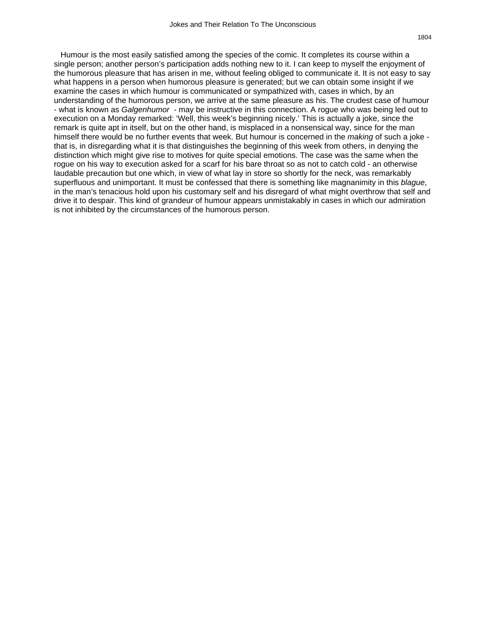### Jokes and Their Relation To The Unconscious

 Humour is the most easily satisfied among the species of the comic. It completes its course within a single person; another person's participation adds nothing new to it. I can keep to myself the enjoyment of the humorous pleasure that has arisen in me, without feeling obliged to communicate it. It is not easy to say what happens in a person when humorous pleasure is generated; but we can obtain some insight if we examine the cases in which humour is communicated or sympathized with, cases in which, by an understanding of the humorous person, we arrive at the same pleasure as his. The crudest case of humour - what is known as *Galgenhumor* - may be instructive in this connection. A rogue who was being led out to execution on a Monday remarked: 'Well, this week's beginning nicely.' This is actually a joke, since the remark is quite apt in itself, but on the other hand, is misplaced in a nonsensical way, since for the man himself there would be no further events that week. But humour is concerned in the *making* of such a joke that is, in disregarding what it is that distinguishes the beginning of this week from others, in denying the distinction which might give rise to motives for quite special emotions. The case was the same when the rogue on his way to execution asked for a scarf for his bare throat so as not to catch cold - an otherwise laudable precaution but one which, in view of what lay in store so shortly for the neck, was remarkably superfluous and unimportant. It must be confessed that there is something like magnanimity in this *blague*, in the man's tenacious hold upon his customary self and his disregard of what might overthrow that self and drive it to despair. This kind of grandeur of humour appears unmistakably in cases in which our admiration is not inhibited by the circumstances of the humorous person.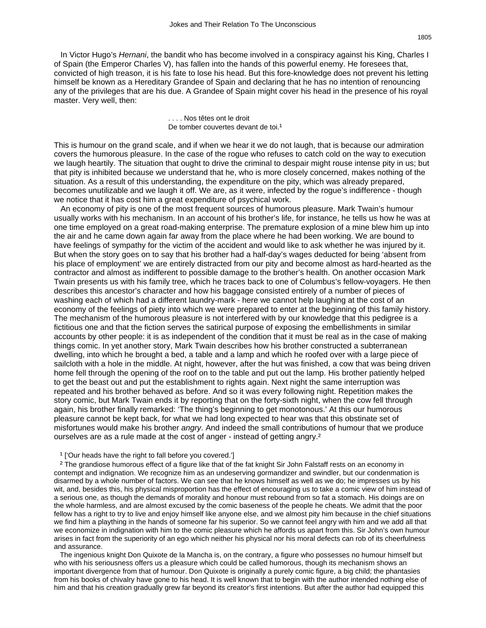In Victor Hugo's *Hernani*, the bandit who has become involved in a conspiracy against his King, Charles I of Spain (the Emperor Charles V), has fallen into the hands of this powerful enemy. He foresees that, convicted of high treason, it is his fate to lose his head. But this fore-knowledge does not prevent his letting himself be known as a Hereditary Grandee of Spain and declaring that he has no intention of renouncing any of the privileges that are his due. A Grandee of Spain might cover his head in the presence of his royal master. Very well, then:

> . . . . Nos têtes ont le droit De tomber couvertes devant de toi.<sup>1</sup>

This is humour on the grand scale, and if when we hear it we do not laugh, that is because our admiration covers the humorous pleasure. In the case of the rogue who refuses to catch cold on the way to execution we laugh heartily. The situation that ought to drive the criminal to despair might rouse intense pity in us; but that pity is inhibited because we understand that he, who is more closely concerned, makes nothing of the situation. As a result of this understanding, the expenditure on the pity, which was already prepared, becomes unutilizable and we laugh it off. We are, as it were, infected by the rogue's indifference - though we notice that it has cost him a great expenditure of psychical work.

 An economy of pity is one of the most frequent sources of humorous pleasure. Mark Twain's humour usually works with his mechanism. In an account of his brother's life, for instance, he tells us how he was at one time employed on a great road-making enterprise. The premature explosion of a mine blew him up into the air and he came down again far away from the place where he had been working. We are bound to have feelings of sympathy for the victim of the accident and would like to ask whether he was injured by it. But when the story goes on to say that his brother had a half-day's wages deducted for being 'absent from his place of employment' we are entirely distracted from our pity and become almost as hard-hearted as the contractor and almost as indifferent to possible damage to the brother's health. On another occasion Mark Twain presents us with his family tree, which he traces back to one of Columbus's fellow-voyagers. He then describes this ancestor's character and how his baggage consisted entirely of a number of pieces of washing each of which had a different laundry-mark - here we cannot help laughing at the cost of an economy of the feelings of piety into which we were prepared to enter at the beginning of this family history. The mechanism of the humorous pleasure is not interfered with by our knowledge that this pedigree is a fictitious one and that the fiction serves the satirical purpose of exposing the embellishments in similar accounts by other people: it is as independent of the condition that it must be real as in the case of making things comic. In yet another story, Mark Twain describes how his brother constructed a subterranean dwelling, into which he brought a bed, a table and a lamp and which he roofed over with a large piece of sailcloth with a hole in the middle. At night, however, after the hut was finished, a cow that was being driven home fell through the opening of the roof on to the table and put out the lamp. His brother patiently helped to get the beast out and put the establishment to rights again. Next night the same interruption was repeated and his brother behaved as before. And so it was every following night. Repetition makes the story comic, but Mark Twain ends it by reporting that on the forty-sixth night, when the cow fell through again, his brother finally remarked: 'The thing's beginning to get monotonous.' At this our humorous pleasure cannot be kept back, for what we had long expected to hear was that this obstinate set of misfortunes would make his brother *angry*. And indeed the small contributions of humour that we produce ourselves are as a rule made at the cost of anger - instead of getting angry.<sup>2</sup>

<sup>1</sup> ['Our heads have the right to fall before you covered.']

<sup>2</sup> The grandiose humorous effect of a figure like that of the fat knight Sir John Falstaff rests on an economy in contempt and indignation. We recognize him as an undeserving gormandizer and swindler, but our condenmation is disarmed by a whole number of factors. We can see that he knows himself as well as we do; he impresses us by his wit, and, besides this, his physical misproportion has the effect of encouraging us to take a comic view of him instead of a serious one, as though the demands of morality and honour must rebound from so fat a stomach. His doings are on the whole harmless, and are almost excused by the comic baseness of the people he cheats. We admit that the poor fellow has a right to try to live and enjoy himself like anyone else, and we almost pity him because in the chief situations we find him a plaything in the hands of someone far his superior. So we cannot feel angry with him and we add all that we economize in indignation with him to the comic pleasure which he affords us apart from this. Sir John's own humour arises in fact from the superiority of an ego which neither his physical nor his moral defects can rob of its cheerfulness and assurance.

 The ingenious knight Don Quixote de la Mancha is, on the contrary, a figure who possesses no humour himself but who with his seriousness offers us a pleasure which could be called humorous, though its mechanism shows an important divergence from that of humour. Don Quixote is originally a purely comic figure, a big child; the phantasies from his books of chivalry have gone to his head. It is well known that to begin with the author intended nothing else of him and that his creation gradually grew far beyond its creator's first intentions. But after the author had equipped this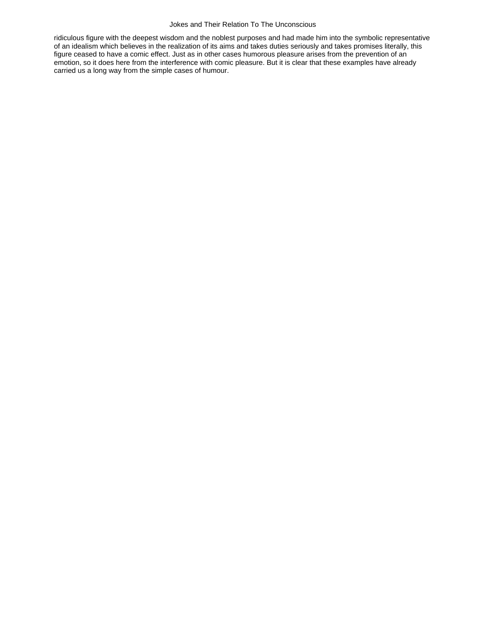#### Jokes and Their Relation To The Unconscious

ridiculous figure with the deepest wisdom and the noblest purposes and had made him into the symbolic representative of an idealism which believes in the realization of its aims and takes duties seriously and takes promises literally, this figure ceased to have a comic effect. Just as in other cases humorous pleasure arises from the prevention of an emotion, so it does here from the interference with comic pleasure. But it is clear that these examples have already carried us a long way from the simple cases of humour.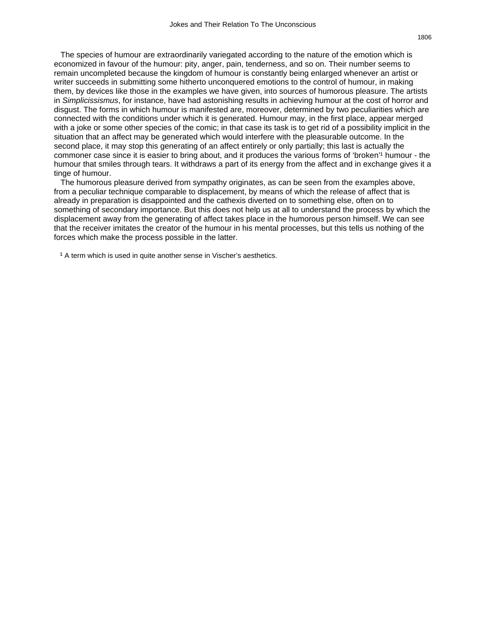The species of humour are extraordinarily variegated according to the nature of the emotion which is economized in favour of the humour: pity, anger, pain, tenderness, and so on. Their number seems to remain uncompleted because the kingdom of humour is constantly being enlarged whenever an artist or writer succeeds in submitting some hitherto unconquered emotions to the control of humour, in making them, by devices like those in the examples we have given, into sources of humorous pleasure. The artists in *Simplicissismus*, for instance, have had astonishing results in achieving humour at the cost of horror and disgust. The forms in which humour is manifested are, moreover, determined by two peculiarities which are connected with the conditions under which it is generated. Humour may, in the first place, appear merged with a joke or some other species of the comic; in that case its task is to get rid of a possibility implicit in the situation that an affect may be generated which would interfere with the pleasurable outcome. In the second place, it may stop this generating of an affect entirely or only partially; this last is actually the commoner case since it is easier to bring about, and it produces the various forms of 'broken'<sup>1</sup> humour - the humour that smiles through tears. It withdraws a part of its energy from the affect and in exchange gives it a tinge of humour.

 The humorous pleasure derived from sympathy originates, as can be seen from the examples above, from a peculiar technique comparable to displacement, by means of which the release of affect that is already in preparation is disappointed and the cathexis diverted on to something else, often on to something of secondary importance. But this does not help us at all to understand the process by which the displacement away from the generating of affect takes place in the humorous person himself. We can see that the receiver imitates the creator of the humour in his mental processes, but this tells us nothing of the forces which make the process possible in the latter.

<sup>1</sup> A term which is used in quite another sense in Vischer's aesthetics.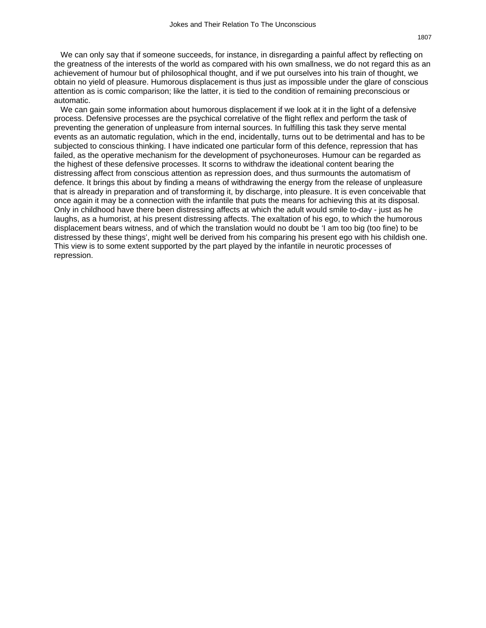We can only say that if someone succeeds, for instance, in disregarding a painful affect by reflecting on the greatness of the interests of the world as compared with his own smallness, we do not regard this as an achievement of humour but of philosophical thought, and if we put ourselves into his train of thought, we obtain no yield of pleasure. Humorous displacement is thus just as impossible under the glare of conscious attention as is comic comparison; like the latter, it is tied to the condition of remaining preconscious or automatic.

 We can gain some information about humorous displacement if we look at it in the light of a defensive process. Defensive processes are the psychical correlative of the flight reflex and perform the task of preventing the generation of unpleasure from internal sources. In fulfilling this task they serve mental events as an automatic regulation, which in the end, incidentally, turns out to be detrimental and has to be subjected to conscious thinking. I have indicated one particular form of this defence, repression that has failed, as the operative mechanism for the development of psychoneuroses. Humour can be regarded as the highest of these defensive processes. It scorns to withdraw the ideational content bearing the distressing affect from conscious attention as repression does, and thus surmounts the automatism of defence. It brings this about by finding a means of withdrawing the energy from the release of unpleasure that is already in preparation and of transforming it, by discharge, into pleasure. It is even conceivable that once again it may be a connection with the infantile that puts the means for achieving this at its disposal. Only in childhood have there been distressing affects at which the adult would smile to-day - just as he laughs, as a humorist, at his present distressing affects. The exaltation of his ego, to which the humorous displacement bears witness, and of which the translation would no doubt be 'I am too big (too fine) to be distressed by these things', might well be derived from his comparing his present ego with his childish one. This view is to some extent supported by the part played by the infantile in neurotic processes of repression.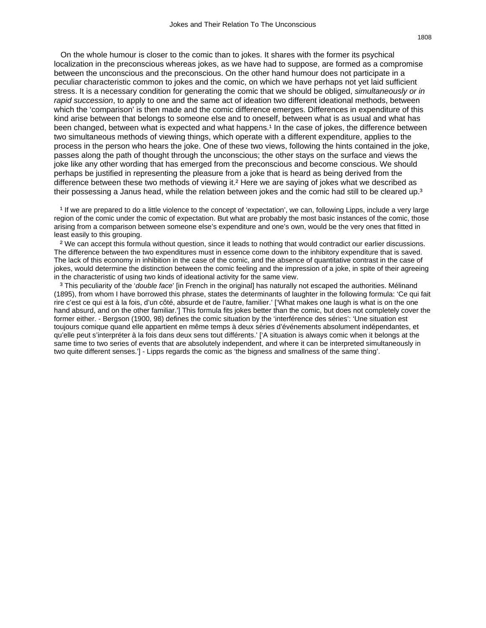On the whole humour is closer to the comic than to jokes. It shares with the former its psychical localization in the preconscious whereas jokes, as we have had to suppose, are formed as a compromise between the unconscious and the preconscious. On the other hand humour does not participate in a peculiar characteristic common to jokes and the comic, on which we have perhaps not yet laid sufficient stress. It is a necessary condition for generating the comic that we should be obliged, *simultaneously or in rapid succession*, to apply to one and the same act of ideation two different ideational methods, between which the 'comparison' is then made and the comic difference emerges. Differences in expenditure of this kind arise between that belongs to someone else and to oneself, between what is as usual and what has been changed, between what is expected and what happens.<sup>1</sup> In the case of jokes, the difference between two simultaneous methods of viewing things, which operate with a different expenditure, applies to the process in the person who hears the joke. One of these two views, following the hints contained in the joke, passes along the path of thought through the unconscious; the other stays on the surface and views the joke like any other wording that has emerged from the preconscious and become conscious. We should perhaps be justified in representing the pleasure from a joke that is heard as being derived from the difference between these two methods of viewing it.² Here we are saying of jokes what we described as their possessing a Janus head, while the relation between jokes and the comic had still to be cleared up.<sup>3</sup>

<sup>1</sup> If we are prepared to do a little violence to the concept of 'expectation', we can, following Lipps, include a very large region of the comic under the comic of expectation. But what are probably the most basic instances of the comic, those arising from a comparison between someone else's expenditure and one's own, would be the very ones that fitted in least easily to this grouping.

 ² We can accept this formula without question, since it leads to nothing that would contradict our earlier discussions. The difference between the two expenditures must in essence come down to the inhibitory expenditure that is saved. The lack of this economy in inhibition in the case of the comic, and the absence of quantitative contrast in the case of jokes, would determine the distinction between the comic feeling and the impression of a joke, in spite of their agreeing in the characteristic of using two kinds of ideational activity for the same view.

 ³ This peculiarity of the '*double face*' [in French in the original] has naturally not escaped the authorities. Mélinand (1895), from whom I have borrowed this phrase, states the determinants of laughter in the following formula: 'Ce qui fait rire c'est ce qui est à la fois, d'un côté, absurde et de l'autre, familier.' ['What makes one laugh is what is on the one hand absurd, and on the other familiar.'] This formula fits jokes better than the comic, but does not completely cover the former either. - Bergson (1900, 98) defines the comic situation by the 'interférence des séries': 'Une situation est toujours comique quand elle appartient en même temps à deux séries d'événements absolument indépendantes, et qu'elle peut s'interpréter à la fois dans deux sens tout différents.' ['A situation is always comic when it belongs at the same time to two series of events that are absolutely independent, and where it can be interpreted simultaneously in two quite different senses.'] - Lipps regards the comic as 'the bigness and smallness of the same thing'.